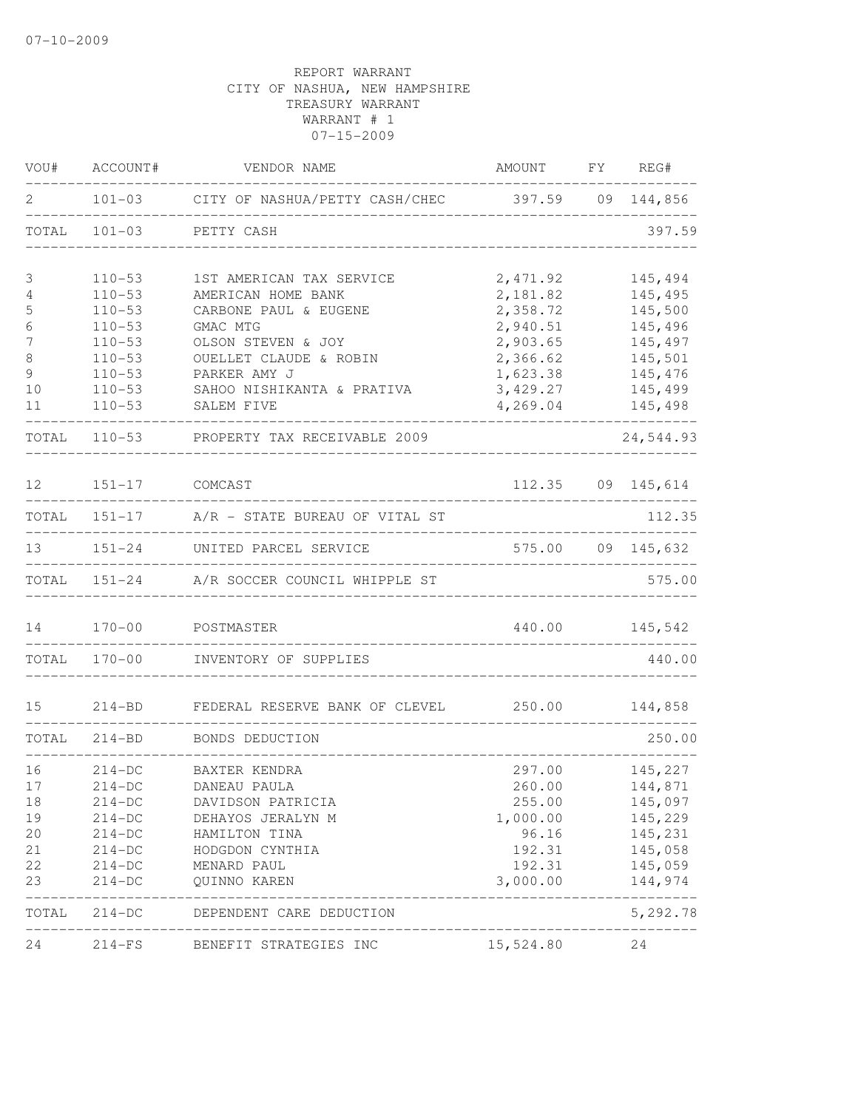| VOU#        | ACCOUNT#       | VENDOR NAME                                             | AMOUNT FY REG#                  |                                        |
|-------------|----------------|---------------------------------------------------------|---------------------------------|----------------------------------------|
| 2           |                | 101-03 CITY OF NASHUA/PETTY CASH/CHEC 397.59 09 144,856 |                                 |                                        |
| TOTAL       |                | 101-03 PETTY CASH                                       |                                 | 397.59                                 |
| 3           | $110 - 53$     | 1ST AMERICAN TAX SERVICE                                | 2,471.92                        | 145,494                                |
| 4           | $110 - 53$     | AMERICAN HOME BANK                                      | 2,181.82                        | 145,495                                |
| $\mathsf S$ | $110 - 53$     | CARBONE PAUL & EUGENE                                   | 2,358.72                        | 145,500                                |
| 6           | $110 - 53$     | GMAC MTG                                                | 2,940.51                        | 145,496                                |
| 7           | $110 - 53$     | OLSON STEVEN & JOY                                      | 2,903.65                        | 145,497                                |
| 8           | $110 - 53$     | OUELLET CLAUDE & ROBIN                                  | 2,366.62                        | 145,501                                |
| 9           | $110 - 53$     | PARKER AMY J                                            | 1,623.38                        | 145,476                                |
| 10          | $110 - 53$     | SAHOO NISHIKANTA & PRATIVA                              | 3,429.27                        | 145,499                                |
| 11          | $110 - 53$     | SALEM FIVE                                              | 4,269.04                        | 145,498                                |
|             |                | TOTAL 110-53 PROPERTY TAX RECEIVABLE 2009               |                                 | 24,544.93                              |
| 12          | 151-17 COMCAST |                                                         |                                 | 112.35 09 145,614                      |
|             |                | TOTAL 151-17 A/R - STATE BUREAU OF VITAL ST             |                                 | 112.35                                 |
|             |                | ____________________<br>151-24 UNITED PARCEL SERVICE    |                                 | _________________<br>575.00 09 145,632 |
|             |                | TOTAL 151-24 A/R SOCCER COUNCIL WHIPPLE ST              |                                 | 575.00                                 |
| 14          |                | 170-00 POSTMASTER                                       |                                 | 440.00 145,542                         |
|             |                | TOTAL 170-00 INVENTORY OF SUPPLIES                      | ------------------------------- | 440.00                                 |
| 15          | $214 - BD$     | FEDERAL RESERVE BANK OF CLEVEL 250.00                   |                                 | 144,858                                |
|             |                | TOTAL 214-BD BONDS DEDUCTION                            |                                 | 250.00                                 |
| 16          | $214-DC$       | BAXTER KENDRA                                           | 297.00                          | 145,227                                |
| 17          | $214-DC$       | DANEAU PAULA                                            |                                 | 260.00 144,871                         |
| 18          | $214-DC$       | DAVIDSON PATRICIA                                       | 255.00                          | 145,097                                |
| 19          | $214-DC$       | DEHAYOS JERALYN M                                       | 1,000.00                        | 145,229                                |
| 20          | $214-DC$       | HAMILTON TINA                                           | 96.16                           | 145,231                                |
| 21          | $214-DC$       | HODGDON CYNTHIA                                         | 192.31                          | 145,058                                |
| 22          | $214-DC$       | MENARD PAUL                                             | 192.31                          | 145,059                                |
| 23          | $214-DC$       | QUINNO KAREN                                            | 3,000.00                        | 144,974                                |
|             | TOTAL 214-DC   | DEPENDENT CARE DEDUCTION                                |                                 | 5,292.78                               |
| 24          |                | 214-FS BENEFIT STRATEGIES INC                           | 15,524.80                       | 24                                     |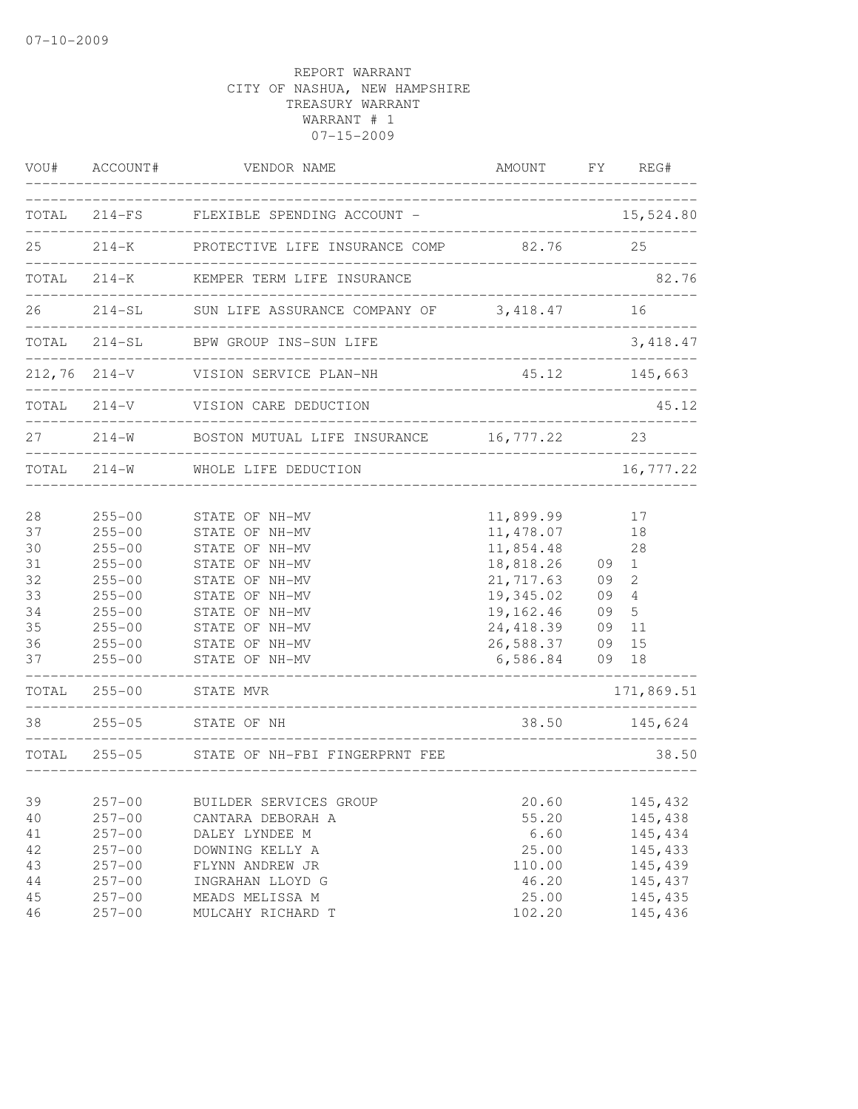| VOU#                                                                    | ACCOUNT#                                                                                                                                                             | VENDOR NAME                                                                                                                                                                                                  | AMOUNT                                                                                                                                   | FY                                     | REG#                                                                          |
|-------------------------------------------------------------------------|----------------------------------------------------------------------------------------------------------------------------------------------------------------------|--------------------------------------------------------------------------------------------------------------------------------------------------------------------------------------------------------------|------------------------------------------------------------------------------------------------------------------------------------------|----------------------------------------|-------------------------------------------------------------------------------|
| TOTAL                                                                   | $214-FS$                                                                                                                                                             | FLEXIBLE SPENDING ACCOUNT -                                                                                                                                                                                  |                                                                                                                                          |                                        | 15,524.80                                                                     |
| 25                                                                      | $214 - K$                                                                                                                                                            | PROTECTIVE LIFE INSURANCE COMP                                                                                                                                                                               | 82.76                                                                                                                                    |                                        | 25                                                                            |
| TOTAL                                                                   | $214 - K$                                                                                                                                                            | KEMPER TERM LIFE INSURANCE                                                                                                                                                                                   |                                                                                                                                          |                                        | 82.76                                                                         |
| 26                                                                      | $214 - SL$                                                                                                                                                           | SUN LIFE ASSURANCE COMPANY OF 3,418.47                                                                                                                                                                       |                                                                                                                                          |                                        | 16                                                                            |
| TOTAL                                                                   | $214-SL$                                                                                                                                                             | BPW GROUP INS-SUN LIFE                                                                                                                                                                                       |                                                                                                                                          |                                        | 3, 418.47                                                                     |
| 212,76                                                                  | $214 - V$                                                                                                                                                            | VISION SERVICE PLAN-NH                                                                                                                                                                                       | 45.12                                                                                                                                    |                                        | 145,663                                                                       |
| TOTAL                                                                   | $214 - V$                                                                                                                                                            | VISION CARE DEDUCTION                                                                                                                                                                                        |                                                                                                                                          |                                        | 45.12                                                                         |
| 27                                                                      | $214 - W$                                                                                                                                                            | BOSTON MUTUAL LIFE INSURANCE                                                                                                                                                                                 | ______________<br>16,777.22                                                                                                              |                                        | 23                                                                            |
| TOTAL                                                                   | $214 - W$                                                                                                                                                            | WHOLE LIFE DEDUCTION                                                                                                                                                                                         |                                                                                                                                          |                                        | 16,777.22                                                                     |
| 28<br>37<br>30<br>31<br>32<br>33<br>34<br>35<br>36<br>37<br>TOTAL<br>38 | $255 - 00$<br>$255 - 00$<br>$255 - 00$<br>$255 - 00$<br>$255 - 00$<br>$255 - 00$<br>$255 - 00$<br>$255 - 00$<br>$255 - 00$<br>$255 - 00$<br>$255 - 00$<br>$255 - 05$ | STATE OF NH-MV<br>STATE OF NH-MV<br>STATE OF NH-MV<br>STATE OF NH-MV<br>STATE OF NH-MV<br>STATE OF NH-MV<br>STATE OF NH-MV<br>STATE OF NH-MV<br>STATE OF NH-MV<br>STATE OF NH-MV<br>STATE MVR<br>STATE OF NH | 11,899.99<br>11, 478.07<br>11,854.48<br>18,818.26<br>21,717.63<br>19,345.02<br>19,162.46<br>24, 418.39<br>26,588.37<br>6,586.84<br>38.50 | 09<br>09<br>09<br>09<br>09<br>09<br>09 | 17<br>18<br>28<br>1<br>2<br>4<br>5<br>11<br>15<br>18<br>171,869.51<br>145,624 |
| TOTAL                                                                   | $255 - 05$                                                                                                                                                           | STATE OF NH-FBI FINGERPRNT FEE                                                                                                                                                                               | __________________________                                                                                                               |                                        | 38.50                                                                         |
| 39<br>40<br>41<br>42<br>43<br>44<br>45                                  | $257 - 00$<br>$257 - 00$<br>$257 - 00$<br>$257 - 00$<br>$257 - 00$<br>$257 - 00$<br>$257 - 00$                                                                       | BUILDER SERVICES GROUP<br>CANTARA DEBORAH A<br>DALEY LYNDEE M<br>DOWNING KELLY A<br>FLYNN ANDREW JR<br>INGRAHAN LLOYD G<br>MEADS MELISSA M                                                                   | 20.60<br>55.20<br>6.60<br>25.00<br>110.00<br>46.20<br>25.00                                                                              |                                        | 145,432<br>145,438<br>145,434<br>145,433<br>145,439<br>145,437<br>145,435     |
| 46                                                                      | $257 - 00$                                                                                                                                                           | MULCAHY RICHARD T                                                                                                                                                                                            | 102.20                                                                                                                                   |                                        | 145,436                                                                       |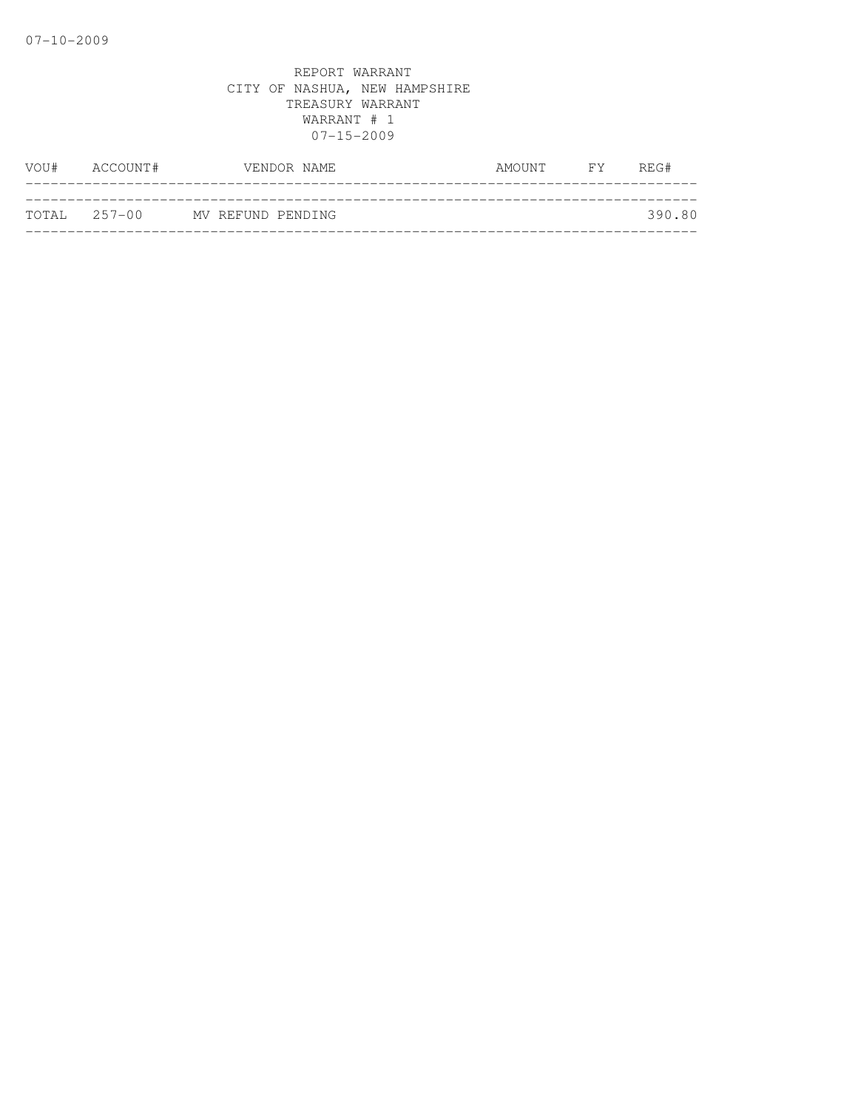| VOU# | ACCOUNT#     | VENDOR NAME       | AMOUNT | FY <b>FY</b> | REG#   |
|------|--------------|-------------------|--------|--------------|--------|
|      |              |                   |        |              |        |
|      | TOTAL 257-00 | MV REFUND PENDING |        |              | 390.80 |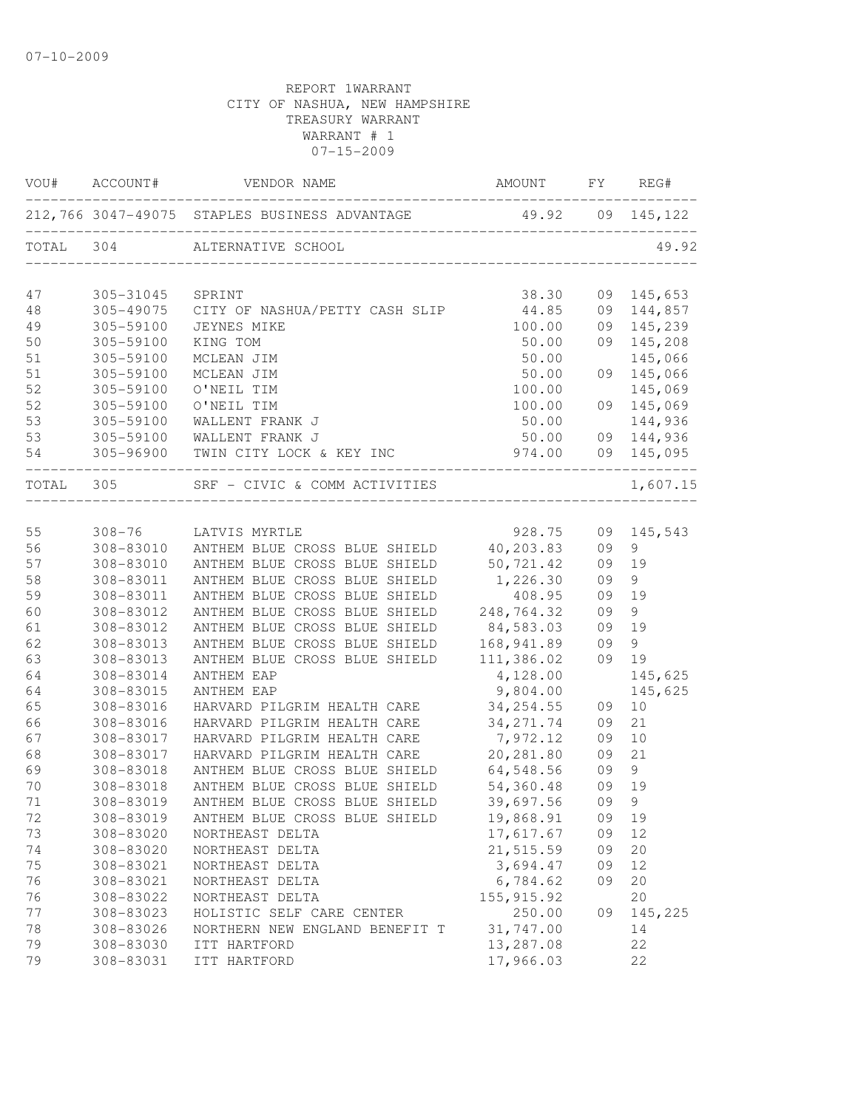|           | VOU# ACCOUNT#          | VENDOR NAME                                                       | AMOUNT FY REG#     |          |            |
|-----------|------------------------|-------------------------------------------------------------------|--------------------|----------|------------|
|           |                        | 212,766 3047-49075 STAPLES BUSINESS ADVANTAGE 49.92 09 145,122    |                    |          |            |
|           |                        | TOTAL 304 ALTERNATIVE SCHOOL                                      |                    |          | 49.92      |
| 47        | 305-31045              | SPRINT                                                            | 38.30              |          | 09 145,653 |
| 48        | 305-49075              | CITY OF NASHUA/PETTY CASH SLIP                                    | 44.85              |          | 09 144,857 |
| 49        | 305-59100              | JEYNES MIKE                                                       | 100.00             |          | 09 145,239 |
| 50        | 305-59100              | KING TOM                                                          | 50.00              |          | 09 145,208 |
| 51        | 305-59100              | MCLEAN JIM                                                        | 50.00              |          | 145,066    |
| 51        | 305-59100              | MCLEAN JIM                                                        | 50.00              |          | 09 145,066 |
| 52        | 305-59100              | O'NEIL TIM                                                        | 100.00             |          | 145,069    |
| 52        | 305-59100              | O'NEIL TIM                                                        | 100.00             |          | 09 145,069 |
| 53        | 305-59100              | WALLENT FRANK J                                                   | 50.00              |          | 144,936    |
| 53        | 305-59100              | WALLENT FRANK J                                                   | 50.00              |          | 09 144,936 |
| 54        |                        | 305-96900 TWIN CITY LOCK & KEY INC                                | 974.00             |          | 09 145,095 |
| TOTAL 305 |                        | SRF - CIVIC & COMM ACTIVITIES<br>________________________________ |                    |          | 1,607.15   |
|           |                        |                                                                   |                    |          |            |
| 55        | $308 - 76$             | LATVIS MYRTLE                                                     | 928.75             | 09       | 145,543    |
| 56        | 308-83010              | ANTHEM BLUE CROSS BLUE SHIELD 40,203.83                           |                    | 09       | 9          |
| 57        | 308-83010              | ANTHEM BLUE CROSS BLUE SHIELD                                     | 50,721.42          | 09       | 19         |
| 58        | 308-83011<br>308-83011 | ANTHEM BLUE CROSS BLUE SHIELD<br>ANTHEM BLUE CROSS BLUE SHIELD    | 1,226.30<br>408.95 | 09<br>09 | 9<br>19    |
| 59<br>60  | 308-83012              | ANTHEM BLUE CROSS BLUE SHIELD                                     | 248,764.32         | 09       | 9          |
| 61        | 308-83012              | ANTHEM BLUE CROSS BLUE SHIELD                                     | 84,583.03          | 09       | 19         |
| 62        | 308-83013              | ANTHEM BLUE CROSS BLUE SHIELD                                     | 168,941.89         | 09       | 9          |
| 63        | 308-83013              | ANTHEM BLUE CROSS BLUE SHIELD                                     | 111,386.02         | 09       | 19         |
| 64        | 308-83014              | ANTHEM EAP                                                        | 4,128.00           |          | 145,625    |
| 64        | 308-83015              | ANTHEM EAP                                                        | 9,804.00           |          | 145,625    |
| 65        | 308-83016              | HARVARD PILGRIM HEALTH CARE                                       | 34, 254.55         | 09       | 10         |
| 66        | 308-83016              | HARVARD PILGRIM HEALTH CARE                                       | 34, 271.74         | 09       | 21         |
| 67        | 308-83017              | HARVARD PILGRIM HEALTH CARE                                       | 7,972.12           | 09       | 10         |
| 68        | 308-83017              | HARVARD PILGRIM HEALTH CARE                                       | 20,281.80          | 09       | 21         |
| 69        | 308-83018              | ANTHEM BLUE CROSS BLUE SHIELD                                     | 64,548.56          | 09       | 9          |
| 70        | 308-83018              | ANTHEM BLUE CROSS BLUE SHIELD                                     | 54,360.48          | 09       | 19         |
| 71        | 308-83019              | ANTHEM BLUE CROSS BLUE SHIELD                                     | 39,697.56          | 09       | 9          |
| 72        | 308-83019              | ANTHEM BLUE CROSS BLUE SHIELD                                     | 19,868.91          | 09       | 19         |
| 73        | 308-83020              | NORTHEAST DELTA                                                   | 17,617.67          | 09       | $12$       |
| 74        | 308-83020              | NORTHEAST DELTA                                                   | 21,515.59          | 09       | 20         |
| 75        | 308-83021              | NORTHEAST DELTA                                                   | 3,694.47           | 09       | 12         |
| 76        | 308-83021              | NORTHEAST DELTA                                                   | 6,784.62           | 09       | 20         |
| 76        | 308-83022              | NORTHEAST DELTA                                                   | 155, 915.92        |          | 20         |
| 77        | 308-83023              | HOLISTIC SELF CARE CENTER                                         | 250.00             | 09       | 145,225    |
| 78        | 308-83026              | NORTHERN NEW ENGLAND BENEFIT T                                    | 31,747.00          |          | 14         |
| 79        | 308-83030              | ITT HARTFORD                                                      | 13,287.08          |          | 22         |
| 79        | 308-83031              | ITT HARTFORD                                                      | 17,966.03          |          | 22         |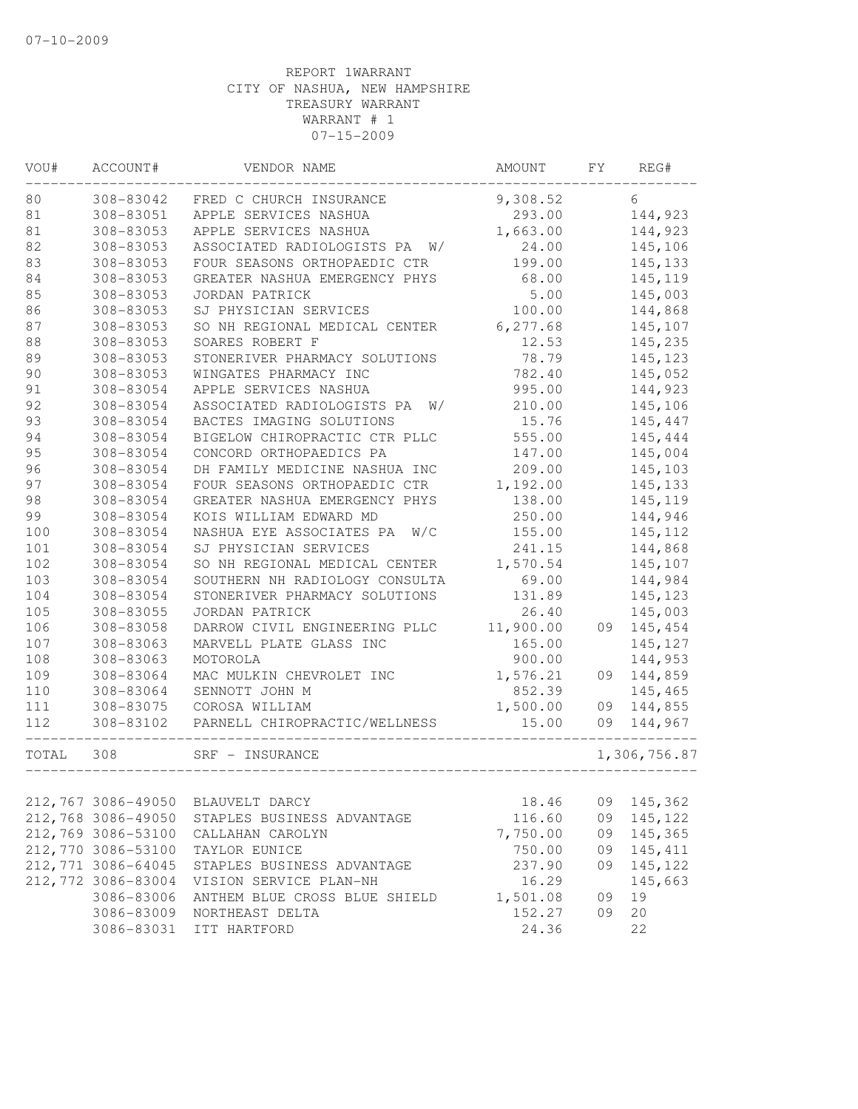| VOU#  | ACCOUNT#           | VENDOR NAME                      | AMOUNT    | FY. | REG#         |
|-------|--------------------|----------------------------------|-----------|-----|--------------|
| 80    | 308-83042          | FRED C CHURCH INSURANCE          | 9,308.52  |     | 6            |
| 81    | 308-83051          | APPLE SERVICES NASHUA            | 293.00    |     | 144,923      |
| 81    | 308-83053          | APPLE SERVICES NASHUA            | 1,663.00  |     | 144,923      |
| 82    | 308-83053          | ASSOCIATED RADIOLOGISTS PA<br>W/ | 24.00     |     | 145,106      |
| 83    | 308-83053          | FOUR SEASONS ORTHOPAEDIC CTR     | 199.00    |     | 145, 133     |
| 84    | 308-83053          | GREATER NASHUA EMERGENCY PHYS    | 68.00     |     | 145,119      |
| 85    | 308-83053          | JORDAN PATRICK                   | 5.00      |     | 145,003      |
| 86    | 308-83053          | SJ PHYSICIAN SERVICES            | 100.00    |     | 144,868      |
| 87    | 308-83053          | SO NH REGIONAL MEDICAL CENTER    | 6, 277.68 |     | 145,107      |
| 88    | 308-83053          | SOARES ROBERT F                  | 12.53     |     | 145,235      |
| 89    | 308-83053          | STONERIVER PHARMACY SOLUTIONS    | 78.79     |     | 145,123      |
| 90    | 308-83053          | WINGATES PHARMACY INC            | 782.40    |     | 145,052      |
| 91    | 308-83054          | APPLE SERVICES NASHUA            | 995.00    |     | 144,923      |
| 92    | 308-83054          | ASSOCIATED RADIOLOGISTS PA<br>W/ | 210.00    |     | 145,106      |
| 93    | 308-83054          | BACTES IMAGING SOLUTIONS         | 15.76     |     | 145,447      |
| 94    | 308-83054          | BIGELOW CHIROPRACTIC CTR PLLC    | 555.00    |     | 145,444      |
| 95    | 308-83054          | CONCORD ORTHOPAEDICS PA          | 147.00    |     | 145,004      |
| 96    | 308-83054          | DH FAMILY MEDICINE NASHUA INC    | 209.00    |     | 145,103      |
| 97    | 308-83054          | FOUR SEASONS ORTHOPAEDIC CTR     | 1,192.00  |     | 145,133      |
| 98    | 308-83054          | GREATER NASHUA EMERGENCY PHYS    | 138.00    |     | 145,119      |
| 99    | 308-83054          | KOIS WILLIAM EDWARD MD           | 250.00    |     | 144,946      |
| 100   | 308-83054          | NASHUA EYE ASSOCIATES PA<br>W/C  | 155.00    |     | 145, 112     |
| 101   | 308-83054          | SJ PHYSICIAN SERVICES            | 241.15    |     | 144,868      |
| 102   | 308-83054          | SO NH REGIONAL MEDICAL CENTER    | 1,570.54  |     | 145,107      |
| 103   | 308-83054          | SOUTHERN NH RADIOLOGY CONSULTA   | 69.00     |     | 144,984      |
| 104   | 308-83054          | STONERIVER PHARMACY SOLUTIONS    | 131.89    |     | 145,123      |
| 105   | 308-83055          | JORDAN PATRICK                   | 26.40     |     | 145,003      |
| 106   | 308-83058          | DARROW CIVIL ENGINEERING PLLC    | 11,900.00 | 09  | 145,454      |
| 107   | 308-83063          | MARVELL PLATE GLASS INC          | 165.00    |     | 145,127      |
| 108   | 308-83063          | MOTOROLA                         | 900.00    |     | 144,953      |
| 109   | 308-83064          | MAC MULKIN CHEVROLET INC         | 1,576.21  | 09  | 144,859      |
| 110   | 308-83064          | SENNOTT JOHN M                   | 852.39    |     | 145,465      |
| 111   | 308-83075          | COROSA WILLIAM                   | 1,500.00  | 09  | 144,855      |
| 112   | 308-83102          | PARNELL CHIROPRACTIC/WELLNESS    | 15.00     | 09  | 144,967      |
| TOTAL | 308                | SRF - INSURANCE                  |           |     | 1,306,756.87 |
|       |                    |                                  |           |     |              |
|       | 212,767 3086-49050 | BLAUVELT DARCY                   | 18.46     | 09  | 145,362      |
|       | 212,768 3086-49050 | STAPLES BUSINESS ADVANTAGE       | 116.60    | 09  | 145,122      |
|       | 212,769 3086-53100 | CALLAHAN CAROLYN                 | 7,750.00  | 09  | 145,365      |
|       | 212,770 3086-53100 | TAYLOR EUNICE                    | 750.00    | 09  | 145,411      |
|       | 212,771 3086-64045 | STAPLES BUSINESS ADVANTAGE       | 237.90    | 09  | 145,122      |
|       | 212,772 3086-83004 | VISION SERVICE PLAN-NH           | 16.29     |     | 145,663      |
|       | 3086-83006         | ANTHEM BLUE CROSS BLUE SHIELD    | 1,501.08  | 09  | 19           |
|       | 3086-83009         | NORTHEAST DELTA                  | 152.27    | 09  | 20           |
|       | 3086-83031         | ITT HARTFORD                     | 24.36     |     | 22           |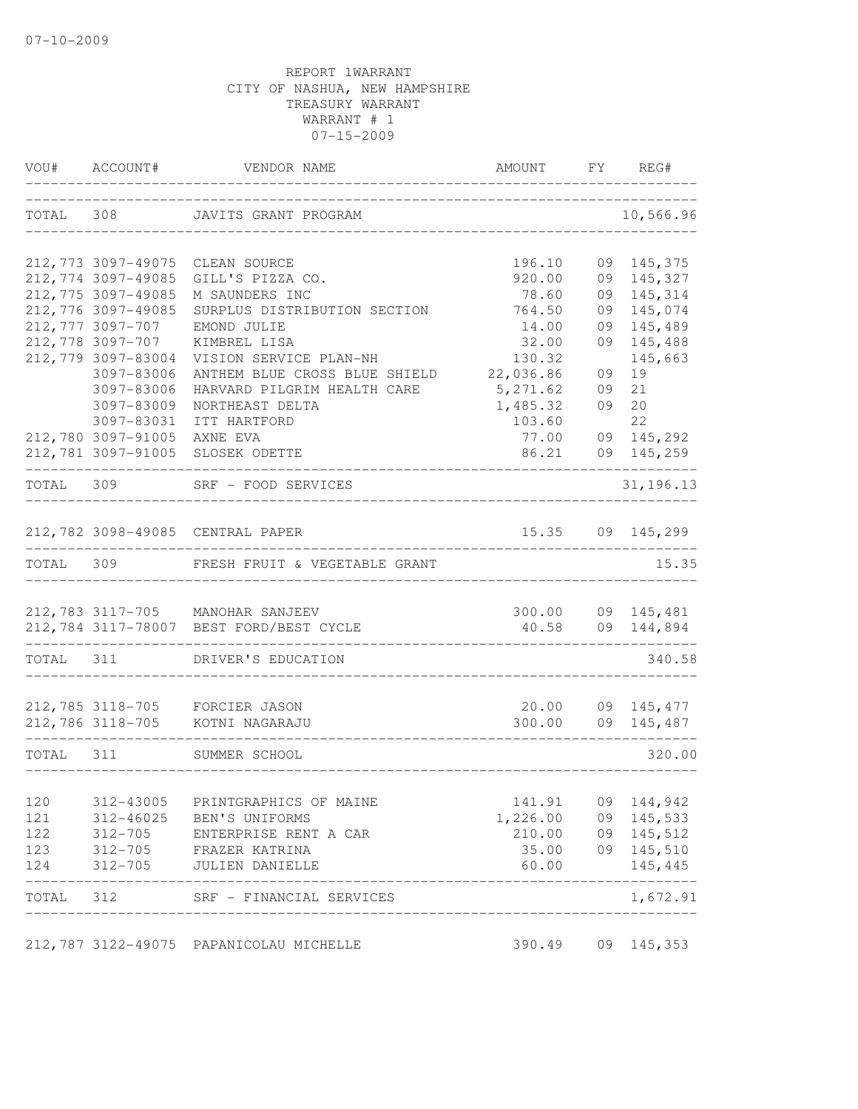|           | VOU# ACCOUNT#               | VENDOR NAME                                                | AMOUNT FY REG#                         |    |                      |
|-----------|-----------------------------|------------------------------------------------------------|----------------------------------------|----|----------------------|
|           |                             | TOTAL 308 JAVITS GRANT PROGRAM<br>------------------------ |                                        |    | 10,566.96            |
|           | 212,773 3097-49075          | CLEAN SOURCE                                               | 196.10                                 |    | 09 145,375           |
|           | 212, 774 3097-49085         | GILL'S PIZZA CO.                                           | 920.00                                 |    | 09 145,327           |
|           | 212, 775 3097-49085         | M SAUNDERS INC                                             | 78.60                                  | 09 | 145,314              |
|           | 212,776 3097-49085          | SURPLUS DISTRIBUTION SECTION                               | 764.50                                 | 09 | 145,074              |
|           | 212,777 3097-707            | EMOND JULIE                                                | 14.00                                  | 09 | 145,489              |
|           | 212,778 3097-707            | KIMBREL LISA                                               | 32.00                                  |    | 09 145,488           |
|           | 212,779 3097-83004          | VISION SERVICE PLAN-NH                                     | 130.32                                 |    | 145,663              |
|           | 3097-83006                  | ANTHEM BLUE CROSS BLUE SHIELD                              | 22,036.86                              | 09 | 19                   |
|           | 3097-83006                  | HARVARD PILGRIM HEALTH CARE                                | 5, 271.62                              | 09 | 21                   |
|           | 3097-83009                  | NORTHEAST DELTA                                            | 1,485.32                               | 09 | 20                   |
|           | 3097-83031                  | ITT HARTFORD                                               | 103.60                                 |    | 22                   |
|           | 212,780 3097-91005 AXNE EVA |                                                            | 77.00                                  |    | 09 145,292           |
|           |                             | 212,781 3097-91005 SLOSEK ODETTE                           | 86.21                                  |    | 09 145,259           |
|           |                             | TOTAL 309 SRF - FOOD SERVICES                              |                                        |    | 31, 196.13           |
|           |                             | 212,782 3098-49085 CENTRAL PAPER                           |                                        |    | 15.35 09 145,299     |
|           |                             | TOTAL 309 FRESH FRUIT & VEGETABLE GRANT                    |                                        |    | 15.35                |
|           |                             | 212,783 3117-705 MANOHAR SANJEEV                           | 300.00                                 |    | 09 145,481           |
|           |                             | 212,784 3117-78007 BEST FORD/BEST CYCLE                    |                                        |    | 40.58 09 144,894     |
|           |                             | TOTAL 311 DRIVER'S EDUCATION                               |                                        |    | 340.58               |
|           |                             | 212,785 3118-705 FORCIER JASON                             |                                        |    | 20.00 09 145,477     |
|           |                             | 212,786 3118-705 KOTNI NAGARAJU                            |                                        |    | 300.00 09 145,487    |
| TOTAL 311 |                             | SUMMER SCHOOL                                              |                                        |    | 320.00               |
| 120       | 312-43005                   | PRINTGRAPHICS OF MAINE                                     | 141.91                                 | 09 | 144,942              |
| 121       |                             | 312-46025 BEN'S UNIFORMS                                   | 1,226.00 09 145,533                    |    |                      |
| 122       |                             | 312-705 ENTERPRISE RENT A CAR                              |                                        |    | 210.00 09 145,512    |
| 123       |                             | 312-705 FRAZER KATRINA                                     | 35.00                                  |    | 09 145,510           |
| 124       | $312 - 705$                 | JULIEN DANIELLE                                            | 60.00                                  |    | 145,445              |
| TOTAL 312 |                             | SRF - FINANCIAL SERVICES                                   | ______________________________________ |    | $------$<br>1,672.91 |
|           |                             | 212,787 3122-49075 PAPANICOLAU MICHELLE                    | 390.49                                 |    | 09 145,353           |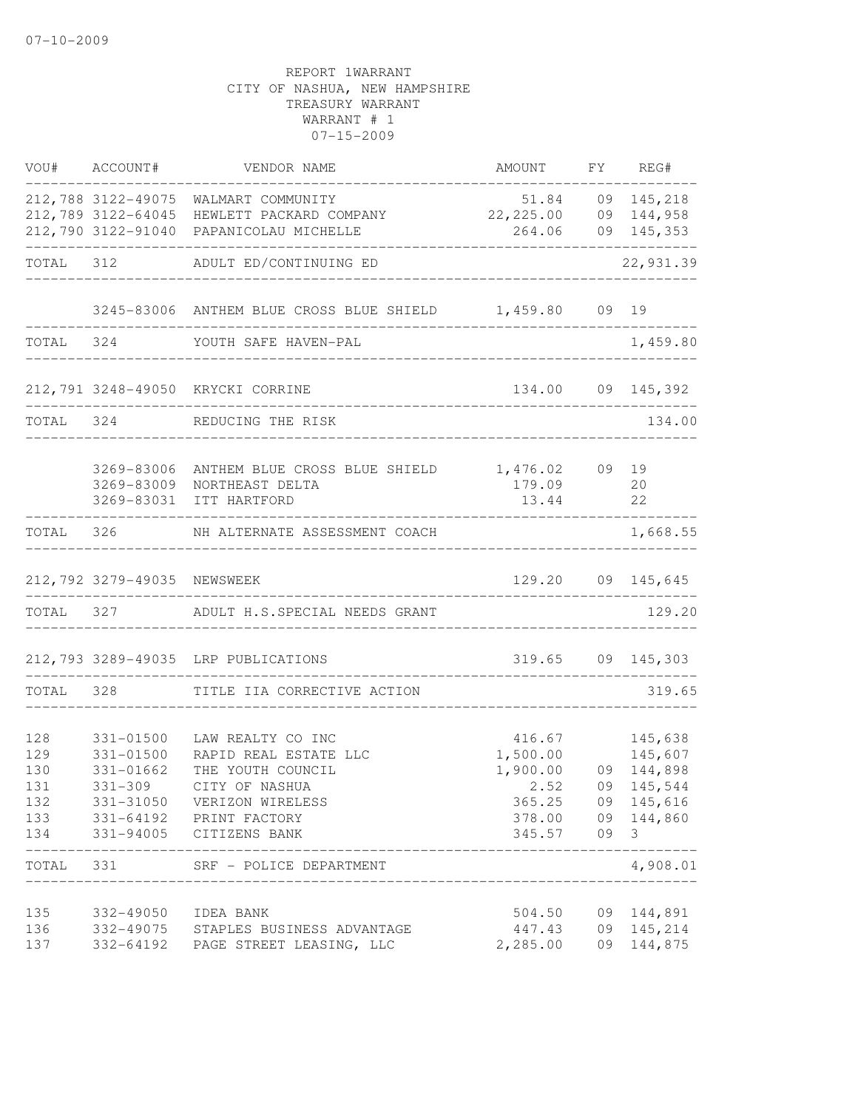|            | VOU# ACCOUNT#               | VENDOR NAME                                                        | AMOUNT                       | FY       | REG#               |
|------------|-----------------------------|--------------------------------------------------------------------|------------------------------|----------|--------------------|
|            |                             | 212,788 3122-49075 WALMART COMMUNITY                               | 51.84                        |          | 09 145,218         |
|            | 212,789 3122-64045          | HEWLETT PACKARD COMPANY<br>212,790 3122-91040 PAPANICOLAU MICHELLE | 22, 225.00                   |          | 09 144,958         |
|            |                             |                                                                    | 264.06                       |          | 09 145,353         |
| TOTAL      | 312                         | ADULT ED/CONTINUING ED                                             |                              |          | 22,931.39          |
|            |                             | 3245-83006 ANTHEM BLUE CROSS BLUE SHIELD 1,459.80                  |                              |          | 09 19              |
| TOTAL 324  |                             | YOUTH SAFE HAVEN-PAL                                               |                              |          | 1,459.80           |
|            |                             | 212,791 3248-49050 KRYCKI CORRINE                                  |                              |          | 134.00 09 145,392  |
| TOTAL 324  |                             | REDUCING THE RISK                                                  | ____________________________ |          | 134.00             |
|            | 3269-83006                  | ANTHEM BLUE CROSS BLUE SHIELD                                      | 1,476.02                     |          | 09 19              |
|            | 3269-83009                  | NORTHEAST DELTA                                                    | 179.09                       |          | 20                 |
|            | 3269-83031                  | ITT HARTFORD                                                       | 13.44                        |          | 22                 |
| TOTAL      | 326                         | NH ALTERNATE ASSESSMENT COACH                                      |                              |          | 1,668.55           |
|            | 212,792 3279-49035 NEWSWEEK |                                                                    | 129.20                       |          | 09 145,645         |
| TOTAL      | 327                         | ADULT H.S.SPECIAL NEEDS GRANT                                      |                              |          | 129.20             |
|            |                             | 212,793 3289-49035 LRP PUBLICATIONS                                |                              |          | 319.65 09 145,303  |
| TOTAL 328  |                             | TITLE IIA CORRECTIVE ACTION                                        |                              |          | 319.65             |
| 128        | 331-01500                   | LAW REALTY CO INC                                                  | 416.67                       |          | 145,638            |
| 129        | 331-01500                   | RAPID REAL ESTATE LLC                                              | 1,500.00                     |          | 145,607            |
| 130        | 331-01662                   | THE YOUTH COUNCIL                                                  | 1,900.00                     |          | 09 144,898         |
| 131        | 331-309                     | CITY OF NASHUA                                                     | 2.52                         |          | 09 145,544         |
| 132<br>133 | 331-31050<br>331-64192      | VERIZON WIRELESS<br>PRINT FACTORY                                  | 365.25<br>378.00             | 09<br>09 | 145,616<br>144,860 |
| 134        | 331-94005                   | CITIZENS BANK                                                      | 345.57                       | 09       | 3                  |
| TOTAL      | 331                         | SRF - POLICE DEPARTMENT                                            |                              |          | 4,908.01           |
| 135        | 332-49050                   | IDEA BANK                                                          | 504.50                       |          | 09 144,891         |
| 136        | 332-49075                   | STAPLES BUSINESS ADVANTAGE                                         | 447.43                       |          | 09 145,214         |
| 137        | 332-64192                   | PAGE STREET LEASING, LLC                                           | 2,285.00                     |          | 09 144,875         |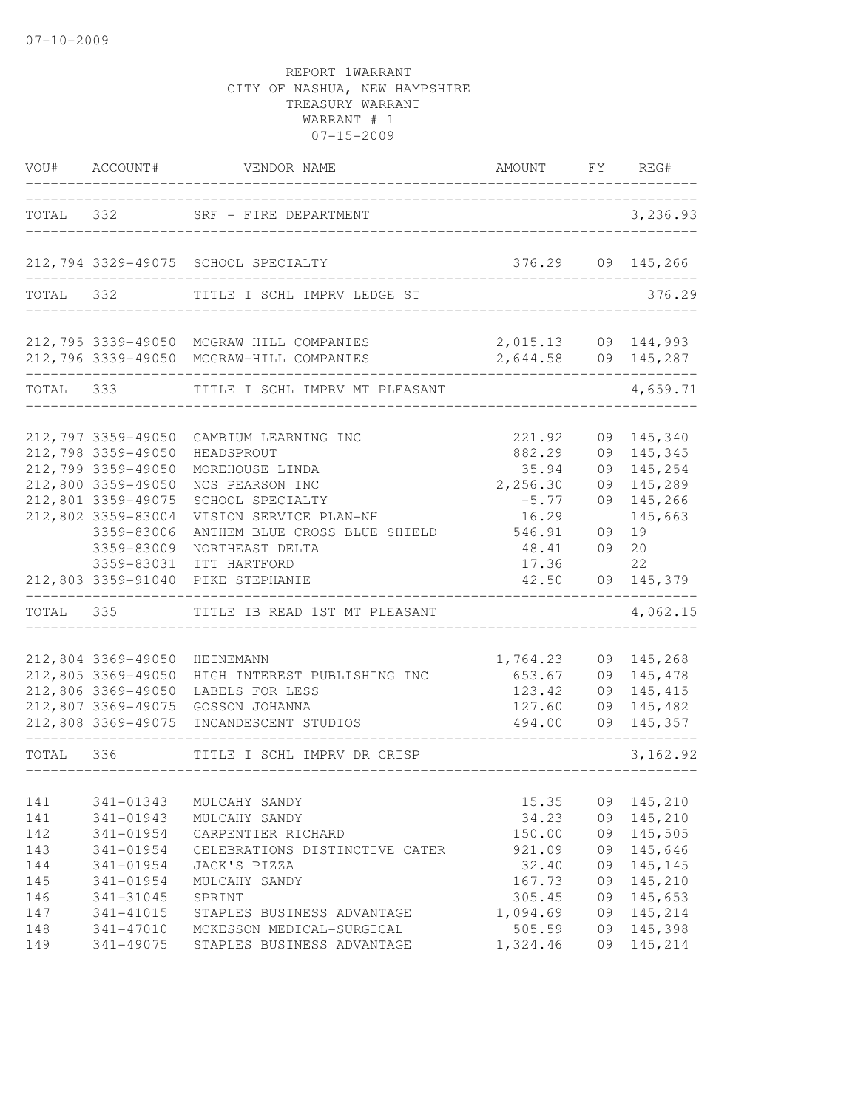| VOU#                                                 | ACCOUNT#                                                                                                                                                                   | VENDOR NAME                                                                                                                                                                                                                     | AMOUNT FY                                                                                      |                                              | REG#                                                                                        |
|------------------------------------------------------|----------------------------------------------------------------------------------------------------------------------------------------------------------------------------|---------------------------------------------------------------------------------------------------------------------------------------------------------------------------------------------------------------------------------|------------------------------------------------------------------------------------------------|----------------------------------------------|---------------------------------------------------------------------------------------------|
|                                                      |                                                                                                                                                                            | TOTAL 332 SRF - FIRE DEPARTMENT                                                                                                                                                                                                 |                                                                                                |                                              | 3,236.93                                                                                    |
|                                                      |                                                                                                                                                                            | 212,794 3329-49075 SCHOOL SPECIALTY                                                                                                                                                                                             | 376.29                                                                                         |                                              | 09 145,266                                                                                  |
|                                                      | TOTAL 332                                                                                                                                                                  | TITLE I SCHL IMPRV LEDGE ST                                                                                                                                                                                                     |                                                                                                |                                              | 376.29                                                                                      |
|                                                      |                                                                                                                                                                            | 212,795 3339-49050 MCGRAW HILL COMPANIES<br>212,796 3339-49050 MCGRAW-HILL COMPANIES                                                                                                                                            | 2,015.13<br>2,644.58 09 145,287                                                                |                                              | 09 144,993                                                                                  |
|                                                      | TOTAL 333                                                                                                                                                                  | TITLE I SCHL IMPRV MT PLEASANT                                                                                                                                                                                                  |                                                                                                |                                              | 4,659.71                                                                                    |
|                                                      | 212,797 3359-49050<br>212,798 3359-49050<br>212,799 3359-49050<br>212,800 3359-49050<br>212,801 3359-49075<br>212,802 3359-83004<br>3359-83006<br>3359-83009<br>3359-83031 | CAMBIUM LEARNING INC<br>HEADSPROUT<br>MOREHOUSE LINDA<br>NCS PEARSON INC<br>SCHOOL SPECIALTY<br>VISION SERVICE PLAN-NH<br>ANTHEM BLUE CROSS BLUE SHIELD<br>NORTHEAST DELTA<br>ITT HARTFORD<br>212,803 3359-91040 PIKE STEPHANIE | 221.92<br>882.29<br>35.94<br>2,256.30<br>$-5.77$<br>16.29<br>546.91<br>48.41<br>17.36<br>42.50 | 09<br>09<br>09<br>09<br>09<br>09<br>09<br>09 | 145,340<br>145,345<br>145,254<br>145,289<br>145,266<br>145,663<br>19<br>20<br>22<br>145,379 |
|                                                      | TOTAL 335                                                                                                                                                                  | TITLE IB READ 1ST MT PLEASANT                                                                                                                                                                                                   |                                                                                                |                                              | 4,062.15                                                                                    |
|                                                      | 212,804 3369-49050<br>212,805 3369-49050<br>212,806 3369-49050<br>212,807 3369-49075<br>212,808 3369-49075                                                                 | HEINEMANN<br>HIGH INTEREST PUBLISHING INC<br>LABELS FOR LESS<br>GOSSON JOHANNA<br>INCANDESCENT STUDIOS                                                                                                                          | 1,764.23<br>653.67<br>123.42<br>127.60<br>494.00                                               | 09<br>09<br>09<br>09                         | 145,268<br>09 145,478<br>145,415<br>145,482<br>145,357                                      |
|                                                      |                                                                                                                                                                            |                                                                                                                                                                                                                                 |                                                                                                |                                              | 3, 162.92                                                                                   |
| 141<br>141<br>142<br>143<br>144<br>145<br>146<br>147 | 341-01343<br>341-01943<br>341-01954<br>341-01954<br>341-01954<br>341-01954<br>341-31045<br>341-41015                                                                       | MULCAHY SANDY<br>MULCAHY SANDY<br>CARPENTIER RICHARD<br>CELEBRATIONS DISTINCTIVE CATER<br>JACK'S PIZZA<br>MULCAHY SANDY<br>SPRINT<br>STAPLES BUSINESS ADVANTAGE                                                                 | 15.35<br>34.23<br>150.00<br>921.09<br>32.40<br>167.73<br>305.45<br>1,094.69                    | 09<br>09<br>09<br>09<br>09<br>09<br>09<br>09 | 145,210<br>145,210<br>145,505<br>145,646<br>145,145<br>145,210<br>145,653<br>145,214        |
| 148<br>149                                           | 341-47010<br>341-49075                                                                                                                                                     | MCKESSON MEDICAL-SURGICAL<br>STAPLES BUSINESS ADVANTAGE                                                                                                                                                                         | 505.59<br>1,324.46                                                                             | 09<br>09                                     | 145,398<br>145,214                                                                          |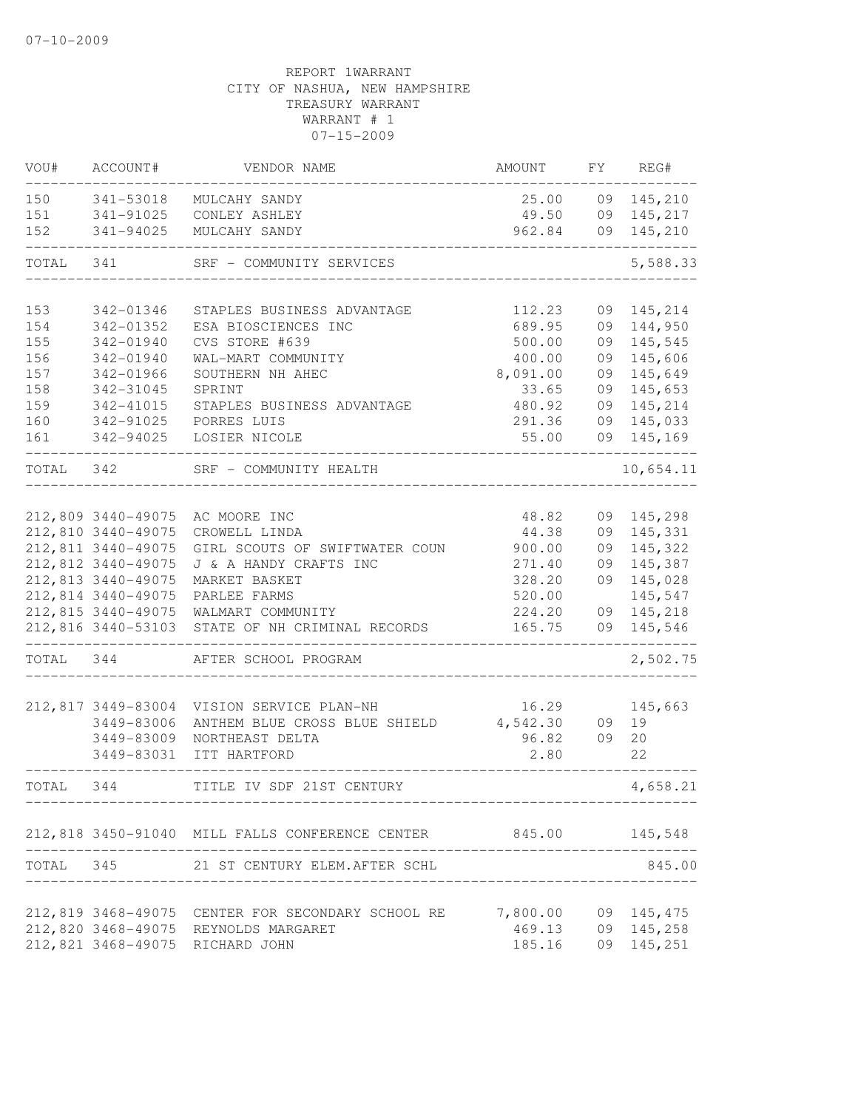| VOU#      | ACCOUNT#           | VENDOR NAME                                       | AMOUNT                                 | FY | REG#       |
|-----------|--------------------|---------------------------------------------------|----------------------------------------|----|------------|
| 150       | 341-53018          | MULCAHY SANDY                                     | 25.00                                  |    | 09 145,210 |
| 151       | 341-91025          | CONLEY ASHLEY                                     | 49.50                                  |    | 09 145,217 |
| 152       | 341-94025          | MULCAHY SANDY                                     | 962.84                                 |    | 09 145,210 |
| TOTAL     | 341                | SRF - COMMUNITY SERVICES                          |                                        |    | 5,588.33   |
| 153       | 342-01346          | STAPLES BUSINESS ADVANTAGE                        | 112.23                                 | 09 | 145,214    |
| 154       | 342-01352          | ESA BIOSCIENCES INC                               | 689.95                                 | 09 | 144,950    |
| 155       | 342-01940          | CVS STORE #639                                    | 500.00                                 | 09 | 145,545    |
| 156       | 342-01940          | WAL-MART COMMUNITY                                | 400.00                                 | 09 | 145,606    |
| 157       | 342-01966          | SOUTHERN NH AHEC                                  | 8,091.00                               | 09 | 145,649    |
| 158       | 342-31045          | SPRINT                                            | 33.65                                  | 09 | 145,653    |
| 159       | 342-41015          | STAPLES BUSINESS ADVANTAGE                        | 480.92                                 | 09 | 145,214    |
| 160       | 342-91025          | PORRES LUIS                                       | 291.36                                 |    | 09 145,033 |
| 161       | 342-94025          | LOSIER NICOLE                                     | 55.00                                  |    | 09 145,169 |
| TOTAL 342 |                    | SRF - COMMUNITY HEALTH                            |                                        |    | 10,654.11  |
|           |                    |                                                   |                                        |    |            |
|           | 212,809 3440-49075 | AC MOORE INC                                      | 48.82                                  |    | 09 145,298 |
|           | 212,810 3440-49075 | CROWELL LINDA                                     | 44.38                                  |    | 09 145,331 |
|           | 212,811 3440-49075 | GIRL SCOUTS OF SWIFTWATER COUN                    | 900.00                                 | 09 | 145,322    |
|           | 212,812 3440-49075 | J & A HANDY CRAFTS INC                            | 271.40                                 | 09 | 145,387    |
|           | 212,813 3440-49075 | MARKET BASKET                                     | 328.20                                 |    | 09 145,028 |
|           | 212,814 3440-49075 | PARLEE FARMS                                      | 520.00                                 |    | 145,547    |
|           | 212,815 3440-49075 | WALMART COMMUNITY                                 | 224.20                                 |    | 09 145,218 |
|           | 212,816 3440-53103 | STATE OF NH CRIMINAL RECORDS                      | 165.75                                 |    | 09 145,546 |
| TOTAL     | 344                | AFTER SCHOOL PROGRAM                              |                                        |    | 2,502.75   |
|           | 212,817 3449-83004 | VISION SERVICE PLAN-NH                            | 16.29                                  |    | 145,663    |
|           | 3449-83006         | ANTHEM BLUE CROSS BLUE SHIELD                     | 4,542.30                               | 09 | 19         |
|           | 3449-83009         | NORTHEAST DELTA                                   | 96.82                                  | 09 | 20         |
|           | 3449-83031         | ITT HARTFORD                                      | 2.80                                   |    | 22         |
| TOTAL     | 344                | TITLE IV SDF 21ST CENTURY                         |                                        |    | 4,658.21   |
|           |                    | 212,818 3450-91040 MILL FALLS CONFERENCE CENTER   | 845.00                                 |    | 145,548    |
| TOTAL 345 |                    | 21 ST CENTURY ELEM.AFTER SCHL                     |                                        |    | 845.00     |
|           |                    |                                                   | ______________________________________ |    |            |
|           |                    | 212,819 3468-49075 CENTER FOR SECONDARY SCHOOL RE | 7,800.00 09 145,475                    |    |            |
|           |                    | 212,820 3468-49075 REYNOLDS MARGARET              | 469.13                                 |    | 09 145,258 |
|           | 212,821 3468-49075 | RICHARD JOHN                                      | 185.16                                 |    | 09 145,251 |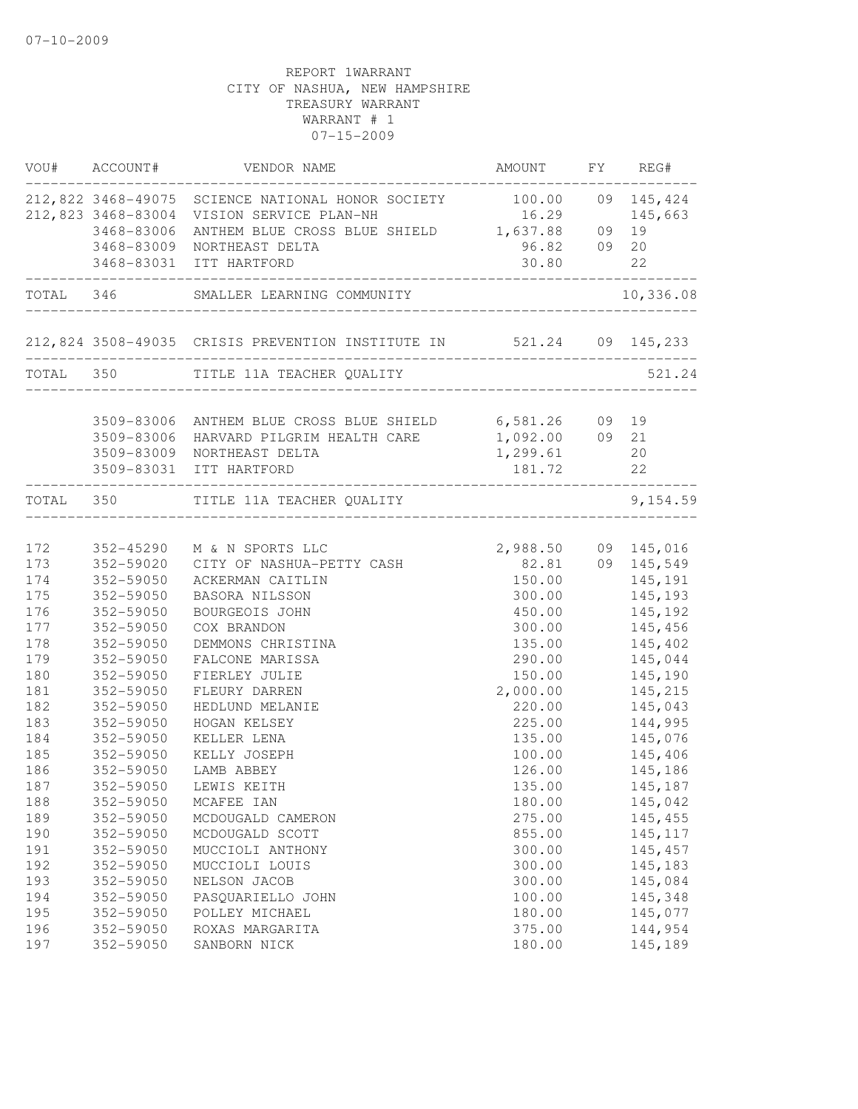|     | VOU# ACCOUNT# | VENDOR NAME                                                         | AMOUNT                              | FY REG#   |
|-----|---------------|---------------------------------------------------------------------|-------------------------------------|-----------|
|     |               | 212,822 3468-49075 SCIENCE NATIONAL HONOR SOCIETY 100.00 09 145,424 |                                     |           |
|     |               | 212,823 3468-83004 VISION SERVICE PLAN-NH                           | 16.29                               | 145,663   |
|     | 3468-83006    | ANTHEM BLUE CROSS BLUE SHIELD 1,637.88 09 19                        |                                     |           |
|     | 3468-83009    | NORTHEAST DELTA                                                     | 96.82 09 20                         |           |
|     |               | 3468-83031 ITT HARTFORD                                             | 30.80<br>-------------------------- | 22        |
|     |               | TOTAL 346 SMALLER LEARNING COMMUNITY                                |                                     | 10,336.08 |
|     |               | 212,824 3508-49035 CRISIS PREVENTION INSTITUTE IN 521.24 09 145,233 | ______________________________      |           |
|     |               | TOTAL 350 TITLE 11A TEACHER QUALITY                                 |                                     | 521.24    |
|     |               | 3509-83006 ANTHEM BLUE CROSS BLUE SHIELD 6,581.26 09 19             |                                     |           |
|     |               | 3509-83006 HARVARD PILGRIM HEALTH CARE                              | $1,092.00$ 09 21                    |           |
|     |               | 3509-83009 NORTHEAST DELTA                                          | 1,299.61                            | 20        |
|     |               | 3509-83031 ITT HARTFORD                                             | 181.72                              | 22        |
|     |               | TOTAL 350 TITLE 11A TEACHER QUALITY                                 | ________________                    | 9,154.59  |
|     |               |                                                                     |                                     |           |
| 172 | 352-45290     | M & N SPORTS LLC                                                    | 2,988.50 09 145,016                 |           |
| 173 | 352-59020     | CITY OF NASHUA-PETTY CASH                                           | 82.81 09 145,549                    |           |
| 174 | 352-59050     | ACKERMAN CAITLIN                                                    | 150.00                              | 145,191   |
| 175 | 352-59050     | BASORA NILSSON                                                      | 300.00                              | 145,193   |
| 176 | 352-59050     | BOURGEOIS JOHN                                                      | 450.00                              | 145,192   |
| 177 | 352-59050     | COX BRANDON                                                         | 300.00                              | 145,456   |
| 178 | 352-59050     | DEMMONS CHRISTINA                                                   | 135.00                              | 145,402   |
| 179 | 352-59050     | FALCONE MARISSA                                                     | 290.00                              | 145,044   |
| 180 | 352-59050     | FIERLEY JULIE                                                       | 150.00                              | 145,190   |
| 181 | 352-59050     | FLEURY DARREN                                                       | 2,000.00                            | 145,215   |
| 182 | 352-59050     | HEDLUND MELANIE                                                     | 220.00                              | 145,043   |
| 183 | 352-59050     | HOGAN KELSEY                                                        | 225.00                              | 144,995   |
| 184 | 352-59050     | KELLER LENA                                                         | 135.00                              | 145,076   |
| 185 | 352-59050     | KELLY JOSEPH                                                        | 100.00                              | 145,406   |
| 186 | 352-59050     | LAMB ABBEY                                                          | 126.00                              | 145,186   |
| 187 | 352-59050     | LEWIS KEITH                                                         | 135.00                              | 145,187   |
| 188 | 352-59050     | MCAFEE IAN                                                          | 180.00                              | 145,042   |
| 189 | 352-59050     | MCDOUGALD CAMERON                                                   | 275.00                              | 145, 455  |
| 190 | 352-59050     | MCDOUGALD SCOTT                                                     | 855.00                              | 145, 117  |
| 191 | 352-59050     | MUCCIOLI ANTHONY                                                    | 300.00                              | 145, 457  |
| 192 | 352-59050     | MUCCIOLI LOUIS                                                      | 300.00                              | 145,183   |
| 193 | 352-59050     | NELSON JACOB                                                        | 300.00                              | 145,084   |
| 194 | 352-59050     | PASQUARIELLO JOHN                                                   | 100.00                              | 145,348   |
| 195 | 352-59050     | POLLEY MICHAEL                                                      | 180.00                              | 145,077   |
| 196 | 352-59050     | ROXAS MARGARITA                                                     | 375.00                              | 144,954   |
| 197 | 352-59050     | SANBORN NICK                                                        | 180.00                              | 145,189   |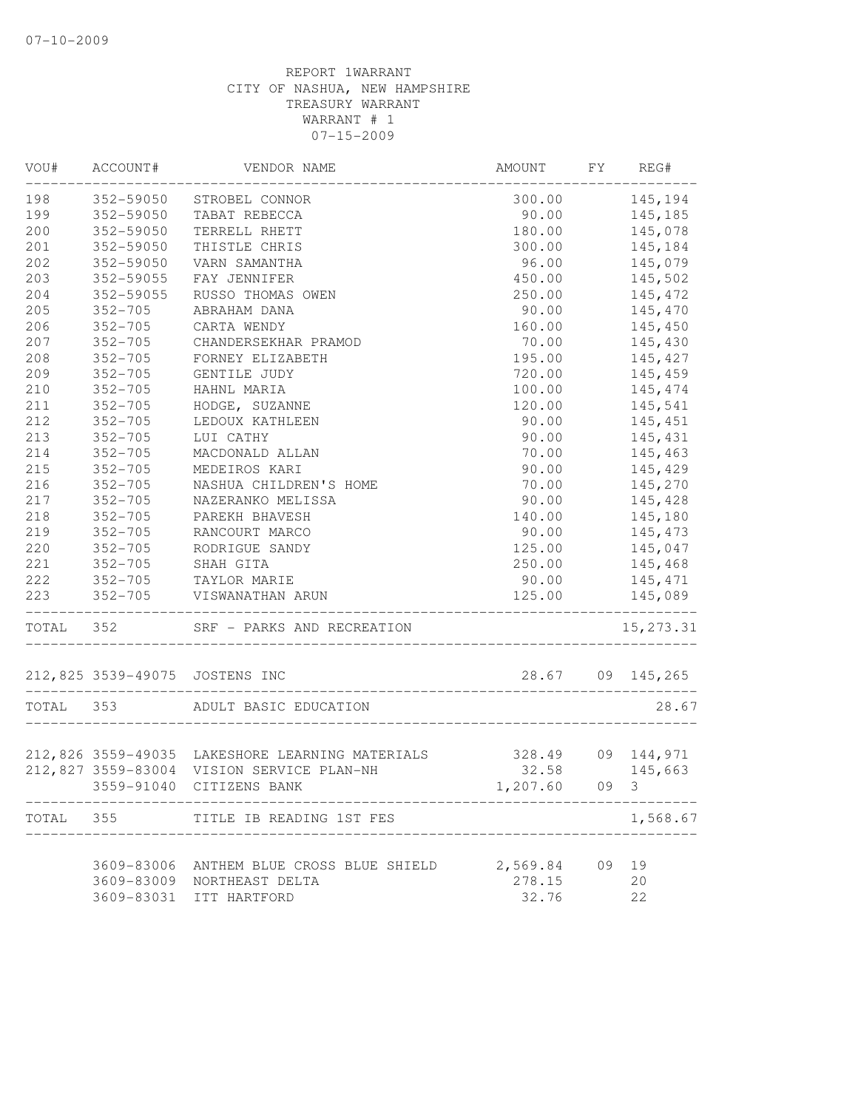| VOU#      | ACCOUNT#           | VENDOR NAME                                                               | AMOUNT        | FY | REG#             |
|-----------|--------------------|---------------------------------------------------------------------------|---------------|----|------------------|
| 198       | 352-59050          | STROBEL CONNOR                                                            |               |    | 300.00 145,194   |
| 199       | 352-59050          | TABAT REBECCA                                                             |               |    | 90.00 145,185    |
| 200       | 352-59050          | TERRELL RHETT                                                             | 180.00        |    | 145,078          |
| 201       | 352-59050          | THISTLE CHRIS                                                             | 300.00        |    | 145,184          |
| 202       | 352-59050          | VARN SAMANTHA                                                             | 96.00         |    | 145,079          |
| 203       | 352-59055          | FAY JENNIFER                                                              | 450.00        |    | 145,502          |
| 204       | 352-59055          | RUSSO THOMAS OWEN                                                         | 250.00        |    | 145,472          |
| 205       | $352 - 705$        | ABRAHAM DANA                                                              | 90.00         |    | 145,470          |
| 206       | $352 - 705$        | CARTA WENDY                                                               | 160.00        |    | 145,450          |
| 207       | $352 - 705$        | CHANDERSEKHAR PRAMOD                                                      | 70.00         |    | 145,430          |
| 208       | $352 - 705$        | FORNEY ELIZABETH                                                          | 195.00        |    | 145,427          |
| 209       | $352 - 705$        | GENTILE JUDY                                                              | 720.00        |    | 145,459          |
| 210       | $352 - 705$        | HAHNL MARIA                                                               | 100.00        |    | 145,474          |
| 211       | $352 - 705$        | HODGE, SUZANNE                                                            | 120.00        |    | 145,541          |
| 212       | $352 - 705$        | LEDOUX KATHLEEN                                                           | 90.00         |    | 145,451          |
| 213       | $352 - 705$        | LUI CATHY                                                                 | 90.00         |    | 145,431          |
| 214       | $352 - 705$        | MACDONALD ALLAN                                                           | 70.00         |    | 145,463          |
| 215       | $352 - 705$        | MEDEIROS KARI                                                             | 90.00         |    | 145,429          |
| 216       | $352 - 705$        | NASHUA CHILDREN'S HOME                                                    | 70.00         |    | 145,270          |
| 217       | $352 - 705$        | NAZERANKO MELISSA                                                         | 90.00         |    | 145,428          |
| 218       | $352 - 705$        | PAREKH BHAVESH                                                            | 140.00        |    | 145,180          |
| 219       | $352 - 705$        | RANCOURT MARCO                                                            | 90.00         |    | 145,473          |
| 220       | $352 - 705$        | RODRIGUE SANDY                                                            | 125.00        |    | 145,047          |
| 221       | $352 - 705$        | SHAH GITA                                                                 | 250.00        |    | 145,468          |
| 222       | 352-705            | TAYLOR MARIE                                                              | 90.00         |    | 145,471          |
| 223       |                    | 352-705 VISWANATHAN ARUN                                                  | 125.00        |    | 145,089          |
|           |                    | ---------------------------------<br>TOTAL 352 SRF - PARKS AND RECREATION |               |    | 15, 273.31       |
|           | 212,825 3539-49075 | JOSTENS INC                                                               |               |    | 28.67 09 145,265 |
| TOTAL 353 |                    | ADULT BASIC EDUCATION                                                     |               |    | 28.67            |
|           |                    |                                                                           |               |    |                  |
|           |                    | 212,826 3559-49035 LAKESHORE LEARNING MATERIALS 328.49 09 144,971         |               |    |                  |
|           | 212,827 3559-83004 | VISION SERVICE PLAN-NH                                                    | 32.58 145,663 |    |                  |
|           | 3559-91040         | CITIZENS BANK                                                             | 1,207.60      |    | 09 3             |
| TOTAL     | 355                | TITLE IB READING 1ST FES                                                  |               |    | 1,568.67         |
|           | 3609-83006         | ANTHEM BLUE CROSS BLUE SHIELD                                             | 2,569.84      | 09 | 19               |
|           | 3609-83009         | NORTHEAST DELTA                                                           | 278.15        |    | 20               |
|           | 3609-83031         | ITT HARTFORD                                                              | 32.76         |    | 22               |
|           |                    |                                                                           |               |    |                  |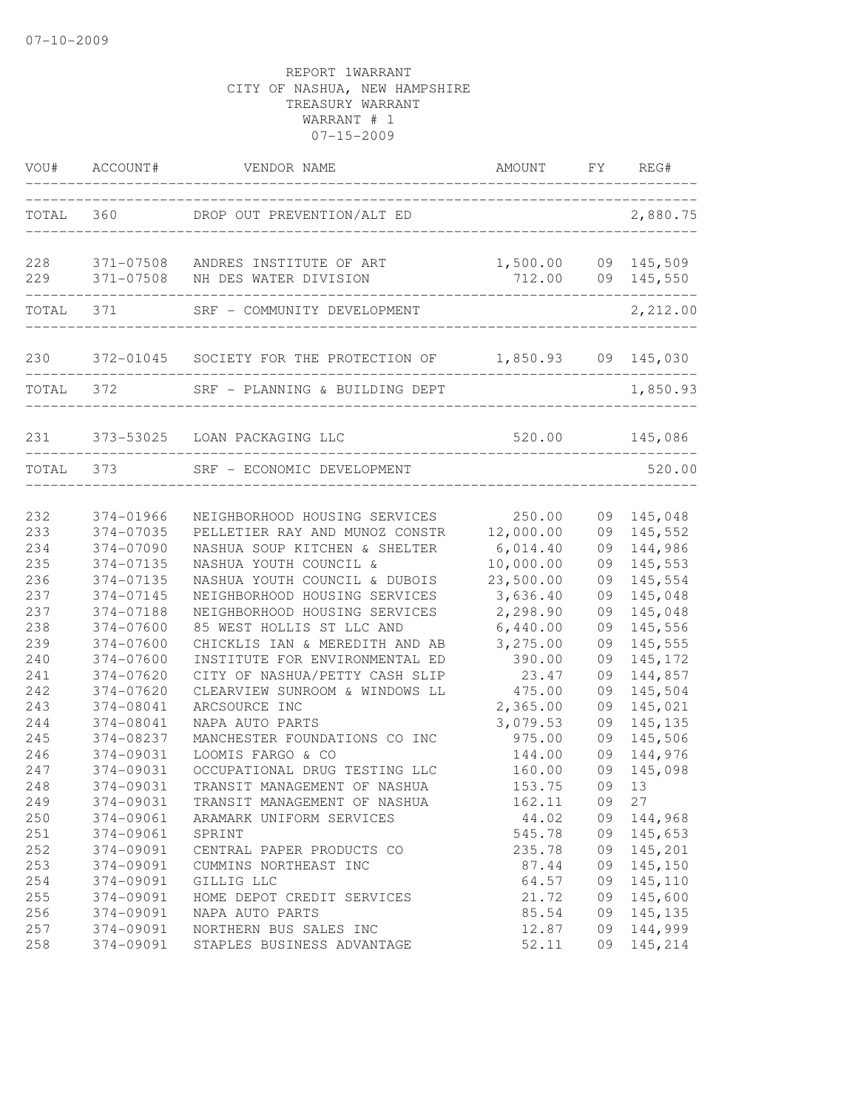|                                        |                                                                            | VOU# ACCOUNT# VENDOR NAME                                                                                                                                       | AMOUNT FY REG#<br>_______________                           |                                  |                                                                    |
|----------------------------------------|----------------------------------------------------------------------------|-----------------------------------------------------------------------------------------------------------------------------------------------------------------|-------------------------------------------------------------|----------------------------------|--------------------------------------------------------------------|
| TOTAL                                  |                                                                            | DROP OUT PREVENTION/ALT ED                                                                                                                                      |                                                             |                                  | 2,880.75                                                           |
| 228<br>229                             | 371-07508<br>371-07508                                                     | ANDRES INSTITUTE OF ART<br>NH DES WATER DIVISION<br>---------------------------------                                                                           | 1,500.00<br>712.00                                          |                                  | 09 145,509<br>09 145,550                                           |
|                                        | TOTAL 371                                                                  | SRF - COMMUNITY DEVELOPMENT                                                                                                                                     |                                                             |                                  | 2,212.00                                                           |
|                                        |                                                                            | 230 372-01045 SOCIETY FOR THE PROTECTION OF 1,850.93                                                                                                            |                                                             |                                  | 09 145,030                                                         |
| TOTAL 372                              |                                                                            | SRF - PLANNING & BUILDING DEPT                                                                                                                                  |                                                             |                                  | 1,850.93                                                           |
| 231                                    |                                                                            | 373-53025 LOAN PACKAGING LLC                                                                                                                                    |                                                             |                                  | 520.00 145,086                                                     |
|                                        | TOTAL 373                                                                  | SRF - ECONOMIC DEVELOPMENT                                                                                                                                      |                                                             |                                  | 520.00                                                             |
| 232<br>233<br>234<br>235<br>236        | 374-01966<br>374-07035<br>374-07090<br>374-07135<br>374-07135              | NEIGHBORHOOD HOUSING SERVICES<br>PELLETIER RAY AND MUNOZ CONSTR<br>NASHUA SOUP KITCHEN & SHELTER<br>NASHUA YOUTH COUNCIL &<br>NASHUA YOUTH COUNCIL & DUBOIS     | 250.00<br>12,000.00<br>6,014.40<br>10,000.00<br>23,500.00   | 09<br>09<br>09<br>09<br>09       | 145,048<br>145,552<br>144,986<br>145,553<br>145,554                |
| 237<br>237<br>238<br>239<br>240        | 374-07145<br>374-07188<br>374-07600<br>374-07600<br>374-07600              | NEIGHBORHOOD HOUSING SERVICES<br>NEIGHBORHOOD HOUSING SERVICES<br>85 WEST HOLLIS ST LLC AND<br>CHICKLIS IAN & MEREDITH AND AB<br>INSTITUTE FOR ENVIRONMENTAL ED | 3,636.40<br>2,298.90<br>6,440.00<br>3,275.00<br>390.00      | 09<br>09<br>09<br>09<br>09       | 145,048<br>145,048<br>145,556<br>145,555<br>145, 172               |
| 241<br>242<br>243<br>244<br>245<br>246 | 374-07620<br>374-07620<br>374-08041<br>374-08041<br>374-08237<br>374-09031 | CITY OF NASHUA/PETTY CASH SLIP<br>CLEARVIEW SUNROOM & WINDOWS LL<br>ARCSOURCE INC<br>NAPA AUTO PARTS<br>MANCHESTER FOUNDATIONS CO INC<br>LOOMIS FARGO & CO      | 23.47<br>475.00<br>2,365.00<br>3,079.53<br>975.00<br>144.00 | 09<br>09<br>09<br>09<br>09<br>09 | 144,857<br>145,504<br>145,021<br>145, 135<br>145,506<br>144,976    |
| 247<br>248<br>249<br>250<br>251        | 374-09031<br>374-09031<br>374-09031<br>374-09061<br>374-09061              | OCCUPATIONAL DRUG TESTING LLC<br>TRANSIT MANAGEMENT OF NASHUA<br>TRANSIT MANAGEMENT OF NASHUA<br>ARAMARK UNIFORM SERVICES<br>SPRINT                             | 160.00<br>153.75<br>162.11<br>44.02<br>545.78               | 09<br>09                         | 145,098<br>09 13<br>27<br>09 144,968<br>09 145,653                 |
| 252<br>253<br>254<br>255<br>256        | 374-09091<br>374-09091<br>374-09091<br>374-09091<br>374-09091              | CENTRAL PAPER PRODUCTS CO<br>CUMMINS NORTHEAST INC<br>GILLIG LLC<br>HOME DEPOT CREDIT SERVICES<br>NAPA AUTO PARTS                                               | 235.78<br>87.44<br>64.57<br>21.72<br>85.54                  |                                  | 09 145,201<br>09 145,150<br>09 145,110<br>09 145,600<br>09 145,135 |
| 257<br>258                             | 374-09091<br>374-09091                                                     | NORTHERN BUS SALES INC<br>STAPLES BUSINESS ADVANTAGE                                                                                                            | 12.87<br>52.11                                              | 09                               | 09 144,999<br>145,214                                              |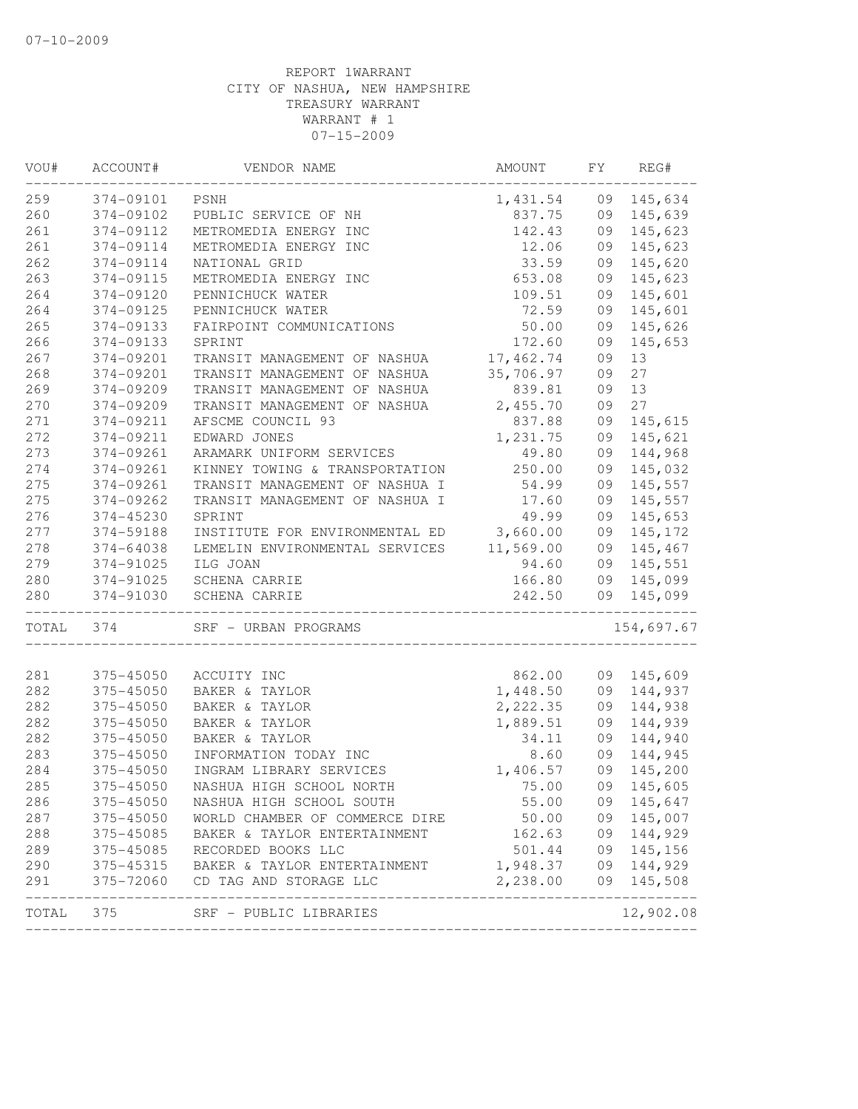| VOU#       | ACCOUNT#               | VENDOR NAME                                        | AMOUNT                 | FY       | REG#                        |
|------------|------------------------|----------------------------------------------------|------------------------|----------|-----------------------------|
| 259        | 374-09101              | PSNH                                               | 1,431.54               | 09       | 145,634                     |
| 260        | 374-09102              | PUBLIC SERVICE OF NH                               | 837.75                 |          | 09 145,639                  |
| 261        | 374-09112              | METROMEDIA ENERGY INC                              | 142.43                 | 09       | 145,623                     |
| 261        | 374-09114              | METROMEDIA ENERGY INC                              | 12.06                  | 09       | 145,623                     |
| 262        | 374-09114              | NATIONAL GRID                                      | 33.59                  | 09       | 145,620                     |
| 263        | 374-09115              | METROMEDIA ENERGY INC                              | 653.08                 | 09       | 145,623                     |
| 264        | 374-09120              | PENNICHUCK WATER                                   | 109.51                 | 09       | 145,601                     |
| 264        | 374-09125              | PENNICHUCK WATER                                   | 72.59                  | 09       | 145,601                     |
| 265        | 374-09133              | FAIRPOINT COMMUNICATIONS                           | 50.00                  | 09       | 145,626                     |
| 266        | 374-09133              | SPRINT                                             | 172.60                 | 09       | 145,653                     |
| 267        | 374-09201              | TRANSIT MANAGEMENT OF NASHUA                       | 17,462.74              | 09       | 13                          |
| 268        | 374-09201              | TRANSIT MANAGEMENT OF NASHUA                       | 35,706.97              | 09       | 27                          |
| 269        | 374-09209              | TRANSIT MANAGEMENT OF NASHUA                       | 839.81                 | 09       | 13                          |
| 270        | 374-09209              | TRANSIT MANAGEMENT OF NASHUA                       | 2,455.70               | 09       | 27                          |
| 271        | 374-09211              | AFSCME COUNCIL 93                                  | 837.88                 | 09       | 145,615                     |
| 272        | 374-09211              | EDWARD JONES                                       | 1,231.75               | 09       | 145,621                     |
| 273        | 374-09261              | ARAMARK UNIFORM SERVICES                           | 49.80                  | 09       | 144,968                     |
| 274        | 374-09261              | KINNEY TOWING & TRANSPORTATION                     | 250.00                 | 09       | 145,032                     |
| 275        | 374-09261              | TRANSIT MANAGEMENT OF NASHUA I                     | 54.99                  | 09       | 145,557                     |
| 275        | 374-09262              | TRANSIT MANAGEMENT OF NASHUA I                     | 17.60                  | 09       | 145,557                     |
| 276        | 374-45230              | SPRINT                                             | 49.99                  | 09       | 145,653                     |
| 277        | 374-59188              | INSTITUTE FOR ENVIRONMENTAL ED 3,660.00            |                        | 09       | 145,172                     |
| 278        | 374-64038              | LEMELIN ENVIRONMENTAL SERVICES 11,569.00           |                        |          | 09 145,467                  |
| 279        | 374-91025              | ILG JOAN                                           | 94.60                  | 09       | 145,551                     |
| 280        | 374-91025              | SCHENA CARRIE                                      | 166.80                 | 09       | 145,099                     |
| 280        | 374-91030              | SCHENA CARRIE                                      | 242.50<br>____________ |          | 09 145,099                  |
| TOTAL      | 374                    | SRF - URBAN PROGRAMS                               |                        |          | 154,697.67                  |
|            |                        |                                                    |                        |          |                             |
| 281        | 375-45050              | ACCUITY INC                                        | 862.00                 |          | 09 145,609                  |
| 282<br>282 | 375-45050<br>375-45050 | BAKER & TAYLOR                                     | 1,448.50<br>2,222.35   |          | 09 144,937                  |
| 282        |                        | BAKER & TAYLOR                                     |                        | 09       | 144,938                     |
|            | 375-45050              | BAKER & TAYLOR                                     | 1,889.51               | 09       | 144,939                     |
| 282        | 375-45050              | BAKER & TAYLOR                                     | 34.11                  | 09       | 144,940                     |
| 283<br>284 | 375-45050<br>375-45050 | INFORMATION TODAY INC<br>INGRAM LIBRARY SERVICES   | 8.60                   | 09       | 144,945                     |
|            |                        |                                                    | 1,406.57               | 09       | 145,200                     |
| 285        | 375-45050              | NASHUA HIGH SCHOOL NORTH                           | 75.00                  |          | 09 145,605                  |
| 286        | 375-45050              | NASHUA HIGH SCHOOL SOUTH                           | 55.00                  |          | 09 145,647                  |
| 287        | 375-45050              | WORLD CHAMBER OF COMMERCE DIRE                     | 50.00                  |          | 09 145,007                  |
| 288<br>289 | 375-45085<br>375-45085 | BAKER & TAYLOR ENTERTAINMENT<br>RECORDED BOOKS LLC | 162.63<br>501.44       | 09<br>09 | 144,929<br>145,156          |
|            |                        |                                                    | 1,948.37               |          |                             |
| 290        | 375-45315              | BAKER & TAYLOR ENTERTAINMENT                       |                        |          | 09 144,929                  |
| 291        | 375-72060              | CD TAG AND STORAGE LLC                             | 2,238.00               |          | 09 145,508<br>_____________ |
| TOTAL      | 375                    | SRF - PUBLIC LIBRARIES                             |                        |          | 12,902.08                   |
|            |                        |                                                    |                        |          |                             |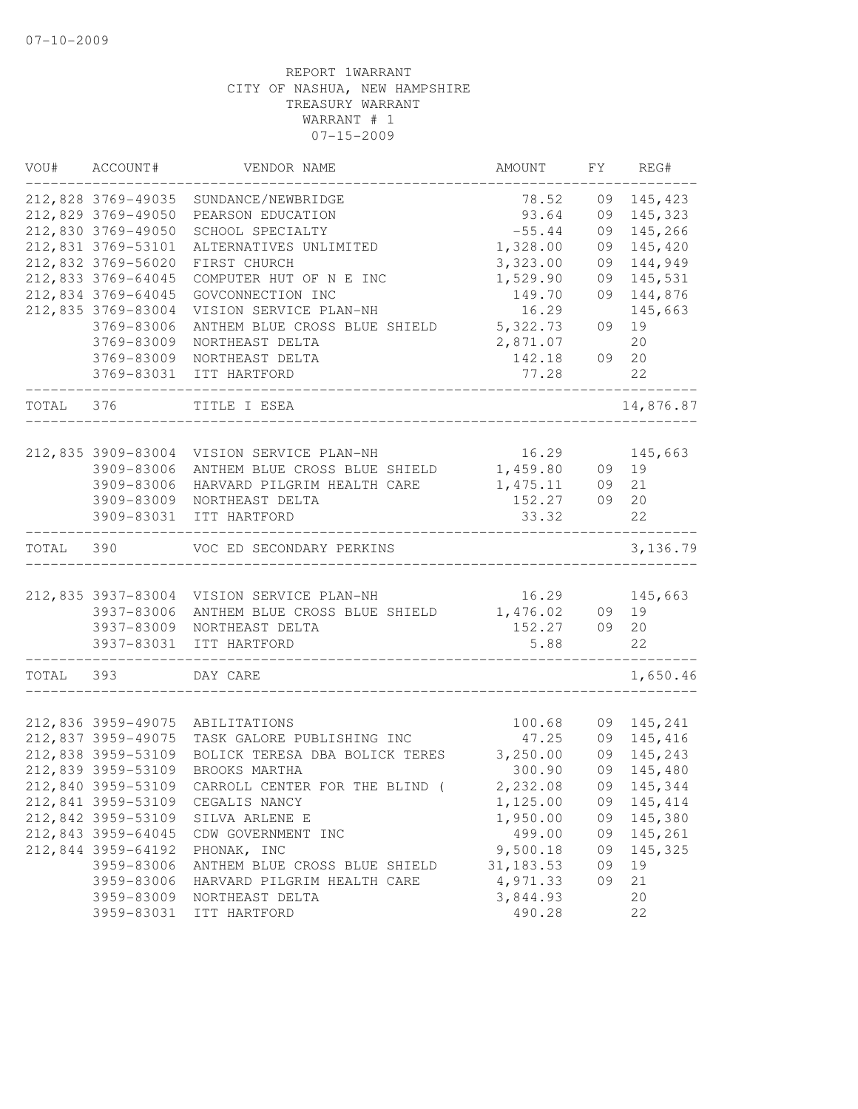| VOU#  | ACCOUNT#           | VENDOR NAME                    | AMOUNT     | FY | REG#      |
|-------|--------------------|--------------------------------|------------|----|-----------|
|       | 212,828 3769-49035 | SUNDANCE/NEWBRIDGE             | 78.52      | 09 | 145,423   |
|       | 212,829 3769-49050 | PEARSON EDUCATION              | 93.64      | 09 | 145,323   |
|       | 212,830 3769-49050 | SCHOOL SPECIALTY               | $-55.44$   | 09 | 145,266   |
|       | 212,831 3769-53101 | ALTERNATIVES UNLIMITED         | 1,328.00   | 09 | 145,420   |
|       | 212,832 3769-56020 | FIRST CHURCH                   | 3,323.00   | 09 | 144,949   |
|       | 212,833 3769-64045 | COMPUTER HUT OF N E INC        | 1,529.90   | 09 | 145,531   |
|       | 212,834 3769-64045 | GOVCONNECTION INC              | 149.70     | 09 | 144,876   |
|       | 212,835 3769-83004 | VISION SERVICE PLAN-NH         | 16.29      |    | 145,663   |
|       | 3769-83006         | ANTHEM BLUE CROSS BLUE SHIELD  | 5,322.73   | 09 | 19        |
|       | 3769-83009         | NORTHEAST DELTA                | 2,871.07   |    | 20        |
|       | 3769-83009         | NORTHEAST DELTA                | 142.18     | 09 | 20        |
|       | 3769-83031         | ITT HARTFORD                   | 77.28      |    | 22        |
| TOTAL | 376                | TITLE I ESEA                   |            |    | 14,876.87 |
|       |                    |                                |            |    |           |
|       | 212,835 3909-83004 | VISION SERVICE PLAN-NH         | 16.29      |    | 145,663   |
|       | 3909-83006         | ANTHEM BLUE CROSS BLUE SHIELD  | 1,459.80   | 09 | 19        |
|       | 3909-83006         | HARVARD PILGRIM HEALTH CARE    | 1, 475.11  | 09 | 21        |
|       | 3909-83009         | NORTHEAST DELTA                | 152.27     | 09 | 20        |
|       | 3909-83031         | ITT HARTFORD                   | 33.32      |    | 22        |
| TOTAL | 390                | VOC ED SECONDARY PERKINS       |            |    | 3, 136.79 |
|       |                    |                                |            |    |           |
|       | 212,835 3937-83004 | VISION SERVICE PLAN-NH         | 16.29      |    | 145,663   |
|       | 3937-83006         | ANTHEM BLUE CROSS BLUE SHIELD  | 1,476.02   | 09 | 19        |
|       | 3937-83009         | NORTHEAST DELTA                | 152.27     | 09 | 20        |
|       | 3937-83031         | ITT HARTFORD                   | 5.88       |    | 22        |
| TOTAL | 393                | DAY CARE                       |            |    | 1,650.46  |
|       |                    |                                |            |    |           |
|       | 212,836 3959-49075 | ABILITATIONS                   | 100.68     | 09 | 145,241   |
|       | 212,837 3959-49075 | TASK GALORE PUBLISHING INC     | 47.25      | 09 | 145,416   |
|       | 212,838 3959-53109 | BOLICK TERESA DBA BOLICK TERES | 3,250.00   | 09 | 145,243   |
|       | 212,839 3959-53109 | BROOKS MARTHA                  | 300.90     | 09 | 145,480   |
|       | 212,840 3959-53109 | CARROLL CENTER FOR THE BLIND ( | 2,232.08   | 09 | 145,344   |
|       | 212,841 3959-53109 | CEGALIS NANCY                  | 1,125.00   | 09 | 145, 414  |
|       | 212,842 3959-53109 | SILVA ARLENE E                 | 1,950.00   | 09 | 145,380   |
|       | 212,843 3959-64045 | CDW GOVERNMENT INC             | 499.00     | 09 | 145,261   |
|       | 212,844 3959-64192 | PHONAK, INC                    | 9,500.18   | 09 | 145,325   |
|       | 3959-83006         | ANTHEM BLUE CROSS BLUE SHIELD  | 31, 183.53 | 09 | 19        |
|       | 3959-83006         | HARVARD PILGRIM HEALTH CARE    | 4,971.33   | 09 | 21        |
|       | 3959-83009         | NORTHEAST DELTA                | 3,844.93   |    | 20        |
|       | 3959-83031         | ITT HARTFORD                   | 490.28     |    | 22        |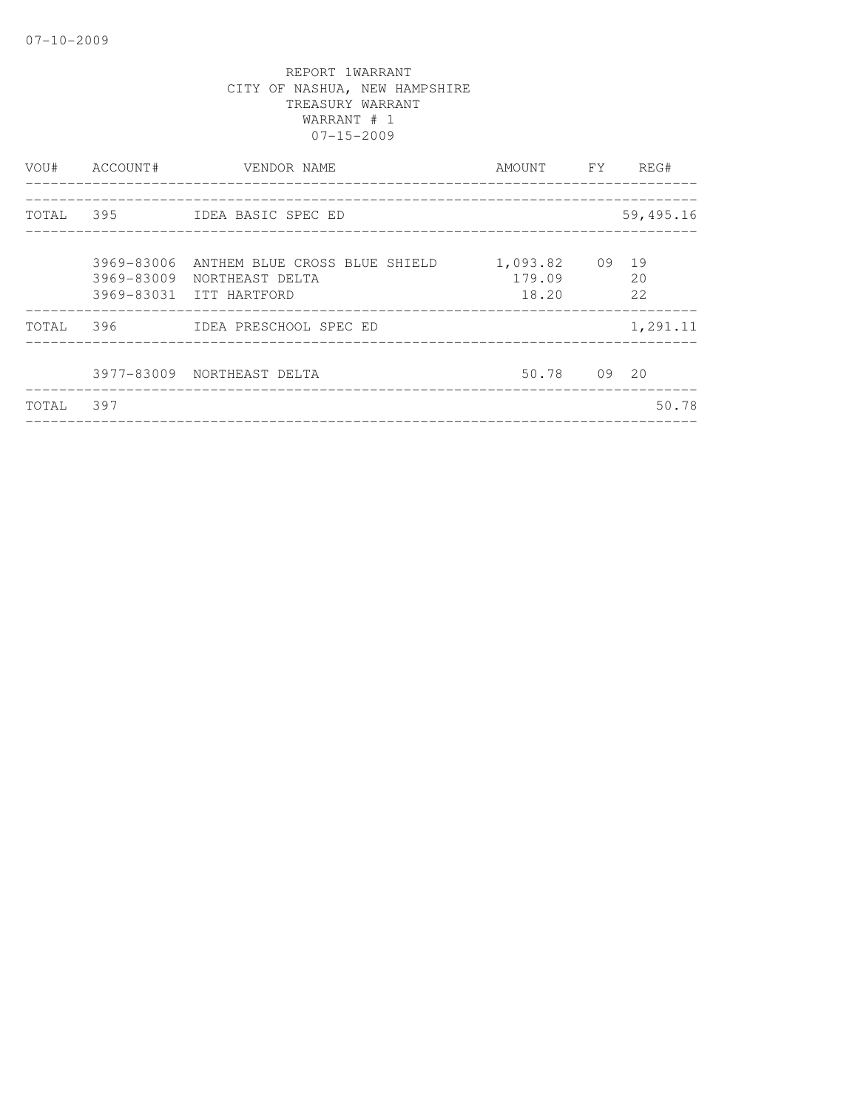| VOU#  | ACCOUNT#                 | VENDOR NAME<br>------------------                                           | AMOUNT FY                         | REG#      |
|-------|--------------------------|-----------------------------------------------------------------------------|-----------------------------------|-----------|
|       |                          | TOTAL 395 IDEA BASIC SPEC ED                                                |                                   | 59,495.16 |
|       | 3969-83006<br>3969-83009 | ANTHEM BLUE CROSS BLUE SHIELD<br>NORTHEAST DELTA<br>3969-83031 ITT HARTFORD | 1,093.82 09 19<br>179.09<br>18.20 | 20<br>2.2 |
| TOTAL | 396                      | IDEA PRESCHOOL SPEC ED                                                      |                                   | 1,291.11  |
|       |                          | 3977-83009 NORTHEAST DELTA                                                  | 50.78 09 20                       |           |
| TOTAL | 397                      |                                                                             |                                   | 50.78     |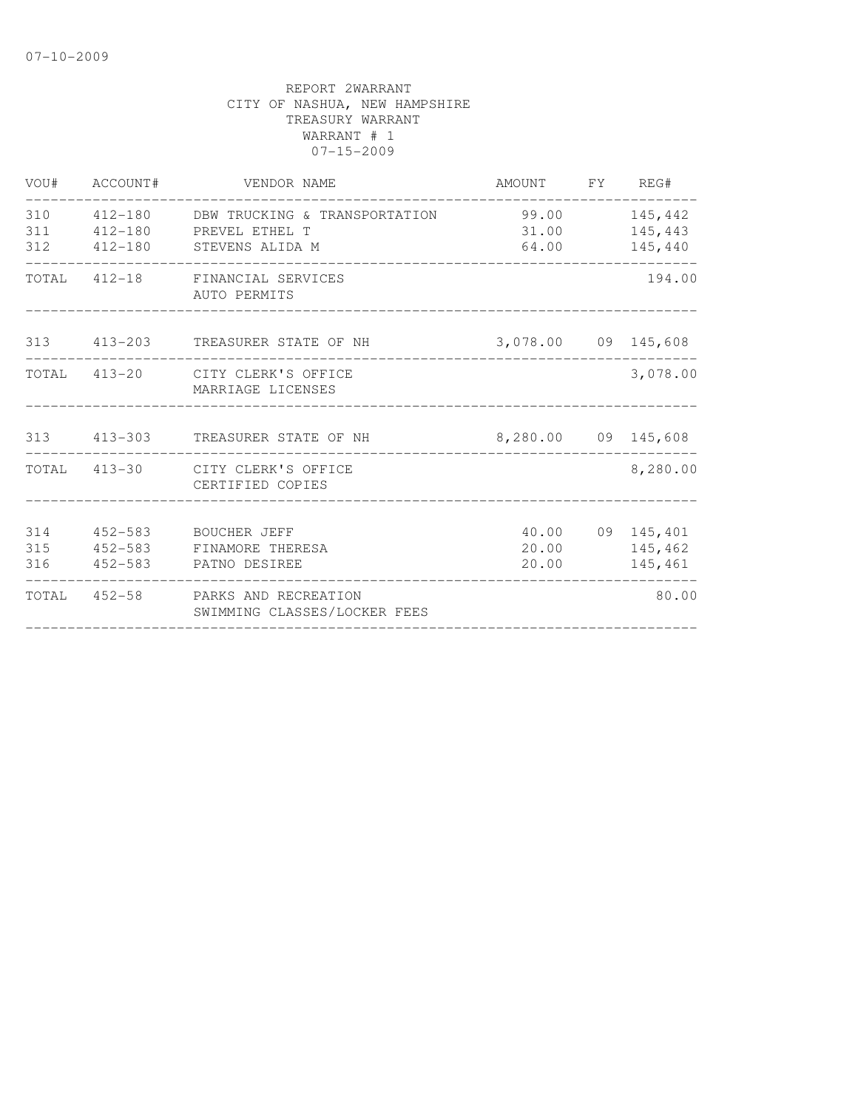| VOU#              | ACCOUNT# | VENDOR NAME                                                                                    | AMOUNT FY REG#         |                                        |
|-------------------|----------|------------------------------------------------------------------------------------------------|------------------------|----------------------------------------|
| 310<br>311        |          | 412-180 DBW TRUCKING & TRANSPORTATION<br>412-180 PREVEL ETHEL T<br>312 412-180 STEVENS ALIDA M | 99.00 145,442<br>31.00 | 145,443<br>64.00 145,440               |
|                   |          | TOTAL 412-18 FINANCIAL SERVICES<br>AUTO PERMITS                                                |                        | 194.00                                 |
|                   |          | 313 413-203 TREASURER STATE OF NH                                                              | 3,078.00 09 145,608    |                                        |
|                   |          | TOTAL 413-20 CITY CLERK'S OFFICE<br>MARRIAGE LICENSES                                          |                        | 3,078.00                               |
|                   |          | 313 413-303 TREASURER STATE OF NH                                                              | 8,280.00 09 145,608    |                                        |
|                   |          | TOTAL 413-30 CITY CLERK'S OFFICE<br>CERTIFIED COPIES                                           |                        | 8,280.00                               |
| 314<br>315<br>316 | 452-583  | BOUCHER JEFF<br>452-583 FINAMORE THERESA<br>452-583 PATNO DESIREE                              | 20.00<br>20.00         | 40.00 09 145,401<br>145,462<br>145,461 |
|                   |          | TOTAL 452-58 PARKS AND RECREATION<br>SWIMMING CLASSES/LOCKER FEES                              |                        | 80.00                                  |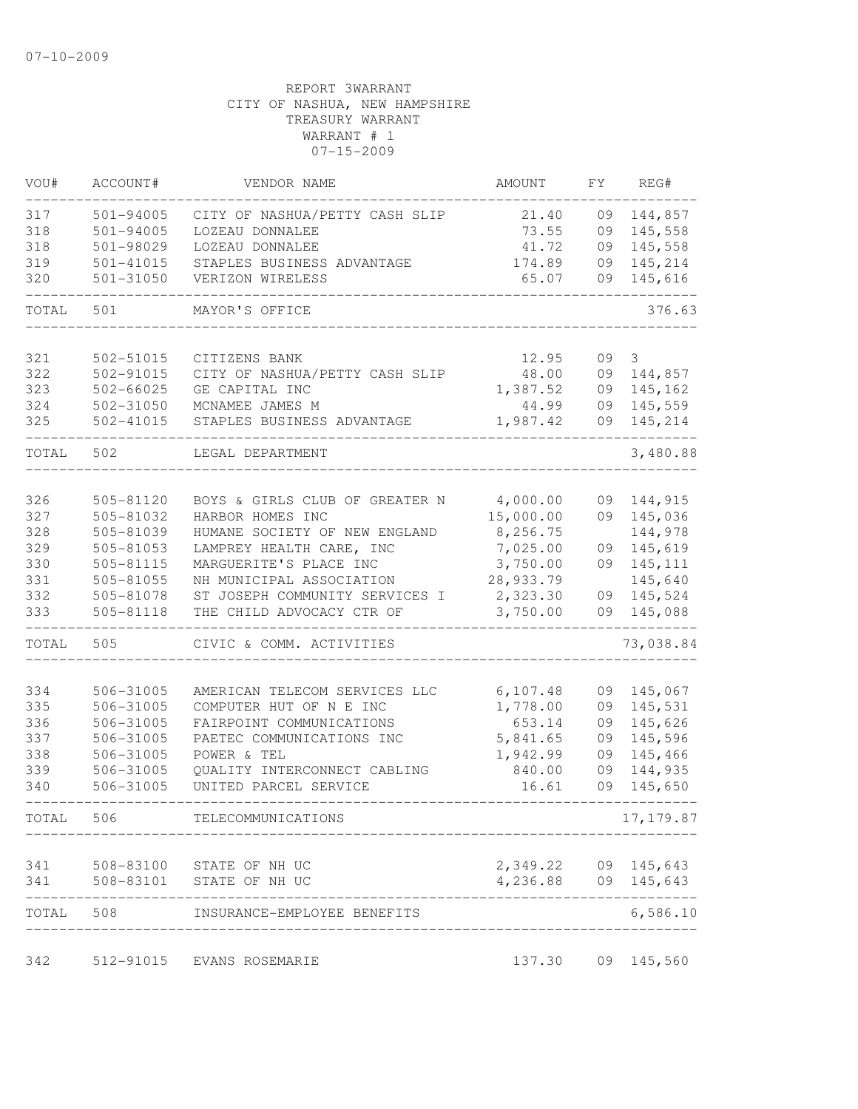| VOU#      | ACCOUNT#      | VENDOR NAME                    | AMOUNT              | FY | REG#        |
|-----------|---------------|--------------------------------|---------------------|----|-------------|
| 317       | 501-94005     | CITY OF NASHUA/PETTY CASH SLIP | 21.40               | 09 | 144,857     |
| 318       | 501-94005     | LOZEAU DONNALEE                | 73.55               | 09 | 145,558     |
| 318       | 501-98029     | LOZEAU DONNALEE                | 41.72               | 09 | 145,558     |
| 319       | 501-41015     | STAPLES BUSINESS ADVANTAGE     | 174.89              | 09 | 145,214     |
| 320       | $501 - 31050$ | VERIZON WIRELESS               | 65.07               | 09 | 145,616     |
| TOTAL     | 501           | MAYOR'S OFFICE                 |                     |    | 376.63      |
| 321       | 502-51015     | CITIZENS BANK                  | 12.95               | 09 | 3           |
| 322       | 502-91015     | CITY OF NASHUA/PETTY CASH SLIP | 48.00               | 09 | 144,857     |
| 323       | 502-66025     | GE CAPITAL INC                 | 1,387.52            | 09 | 145,162     |
| 324       | 502-31050     | MCNAMEE JAMES M                | 44.99               | 09 | 145,559     |
| 325       | 502-41015     | STAPLES BUSINESS ADVANTAGE     | 1,987.42            | 09 | 145,214     |
| TOTAL 502 |               | LEGAL DEPARTMENT               |                     |    | 3,480.88    |
|           |               |                                |                     |    |             |
| 326       | 505-81120     | BOYS & GIRLS CLUB OF GREATER N | 4,000.00            | 09 | 144,915     |
| 327       | 505-81032     | HARBOR HOMES INC               | 15,000.00           | 09 | 145,036     |
| 328       | 505-81039     | HUMANE SOCIETY OF NEW ENGLAND  | 8,256.75            |    | 144,978     |
| 329       | 505-81053     | LAMPREY HEALTH CARE, INC       | 7,025.00            | 09 | 145,619     |
| 330       | 505-81115     | MARGUERITE'S PLACE INC         | 3,750.00            | 09 | 145, 111    |
| 331       | 505-81055     | NH MUNICIPAL ASSOCIATION       | 28,933.79           |    | 145,640     |
| 332       | 505-81078     | ST JOSEPH COMMUNITY SERVICES I | 2,323.30            | 09 | 145,524     |
| 333       | 505-81118     | THE CHILD ADVOCACY CTR OF      | 3,750.00            | 09 | 145,088     |
| TOTAL     | 505           | CIVIC & COMM. ACTIVITIES       |                     |    | 73,038.84   |
| 334       | 506-31005     | AMERICAN TELECOM SERVICES LLC  | 6,107.48            | 09 | 145,067     |
| 335       | 506-31005     | COMPUTER HUT OF N E INC        | 1,778.00            | 09 | 145,531     |
| 336       | 506-31005     | FAIRPOINT COMMUNICATIONS       | 653.14              | 09 | 145,626     |
| 337       | 506-31005     | PAETEC COMMUNICATIONS INC      | 5,841.65            | 09 | 145,596     |
| 338       | 506-31005     | POWER & TEL                    | 1,942.99            | 09 | 145,466     |
| 339       | 506-31005     | QUALITY INTERCONNECT CABLING   | 840.00              | 09 | 144,935     |
| 340       | 506-31005     | UNITED PARCEL SERVICE          | 16.61               | 09 | 145,650     |
| TOTAL 506 |               | TELECOMMUNICATIONS             |                     |    | 17, 179.87  |
|           |               |                                |                     |    |             |
|           |               | 341 508-83100 STATE OF NH UC   | 2,349.22 09 145,643 |    |             |
|           |               | 341 508-83101 STATE OF NH UC   | 4,236.88 09 145,643 |    | $- - - - -$ |
| TOTAL 508 |               | INSURANCE-EMPLOYEE BENEFITS    |                     |    | 6,586.10    |
| 342       | 512-91015     | EVANS ROSEMARIE                | 137.30              |    | 09 145,560  |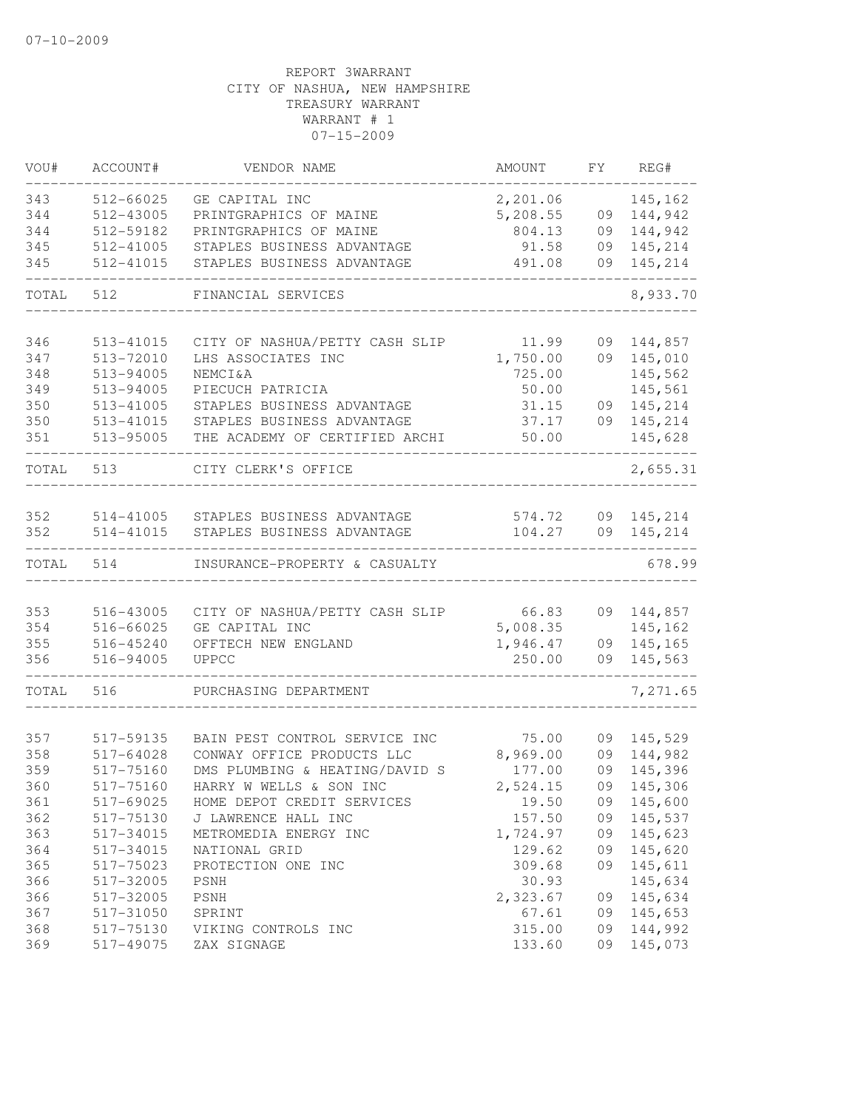| VOU#  | ACCOUNT#      | VENDOR NAME                    | <b>AMOUNT</b>    | FY | REG#       |
|-------|---------------|--------------------------------|------------------|----|------------|
| 343   | 512-66025     | GE CAPITAL INC                 | 2,201.06         |    | 145,162    |
| 344   | 512-43005     | PRINTGRAPHICS OF MAINE         | 5,208.55         | 09 | 144,942    |
| 344   | 512-59182     | PRINTGRAPHICS OF MAINE         | 804.13           | 09 | 144,942    |
| 345   | 512-41005     | STAPLES BUSINESS ADVANTAGE     | 91.58            | 09 | 145,214    |
| 345   | 512-41015     | STAPLES BUSINESS ADVANTAGE     | 491.08           | 09 | 145,214    |
| TOTAL | 512           | FINANCIAL SERVICES             |                  |    | 8,933.70   |
| 346   | 513-41015     | CITY OF NASHUA/PETTY CASH SLIP | 11.99            | 09 | 144,857    |
| 347   | 513-72010     | LHS ASSOCIATES INC             | 1,750.00         | 09 | 145,010    |
| 348   | 513-94005     | <b>NEMCI&amp;A</b>             | 725.00           |    | 145,562    |
| 349   | 513-94005     | PIECUCH PATRICIA               | 50.00            |    | 145,561    |
| 350   | 513-41005     | STAPLES BUSINESS ADVANTAGE     | 31.15            | 09 | 145,214    |
| 350   | 513-41015     | STAPLES BUSINESS ADVANTAGE     | 37.17            | 09 | 145,214    |
| 351   | 513-95005     | THE ACADEMY OF CERTIFIED ARCHI | 50.00            |    | 145,628    |
| TOTAL | 513           | CITY CLERK'S OFFICE            |                  |    | 2,655.31   |
| 352   | 514-41005     | STAPLES BUSINESS ADVANTAGE     |                  | 09 | 145,214    |
| 352   | 514-41015     | STAPLES BUSINESS ADVANTAGE     | 574.72<br>104.27 | 09 | 145,214    |
| TOTAL | 514           | INSURANCE-PROPERTY & CASUALTY  |                  |    | 678.99     |
|       |               |                                |                  |    |            |
| 353   | 516-43005     | CITY OF NASHUA/PETTY CASH SLIP | 66.83            | 09 | 144,857    |
| 354   | 516-66025     | GE CAPITAL INC                 | 5,008.35         |    | 145,162    |
| 355   | $516 - 45240$ | OFFTECH NEW ENGLAND            | 1,946.47         | 09 | 145,165    |
| 356   | 516-94005     | <b>UPPCC</b>                   | 250.00           | 09 | 145,563    |
| TOTAL | 516           | PURCHASING DEPARTMENT          |                  |    | 7,271.65   |
| 357   | 517-59135     | BAIN PEST CONTROL SERVICE INC  | 75.00            | 09 | 145,529    |
| 358   | 517-64028     | CONWAY OFFICE PRODUCTS LLC     | 8,969.00         | 09 | 144,982    |
| 359   | 517-75160     | DMS PLUMBING & HEATING/DAVID S | 177.00           | 09 | 145,396    |
| 360   | 517-75160     | HARRY W WELLS & SON INC        | 2,524.15         |    | 09 145,306 |
| 361   | 517-69025     | HOME DEPOT CREDIT SERVICES     | 19.50            |    | 145,600    |
| 362   | 517-75130     | J LAWRENCE HALL INC            | 157.50           | 09 | 09 145,537 |
| 363   | 517-34015     | METROMEDIA ENERGY INC          | 1,724.97         |    | 09 145,623 |
| 364   | 517-34015     | NATIONAL GRID                  | 129.62           |    | 09 145,620 |
| 365   | 517-75023     | PROTECTION ONE INC             | 309.68           | 09 | 145,611    |
| 366   | 517-32005     | PSNH                           | 30.93            |    | 145,634    |
| 366   | 517-32005     | PSNH                           | 2,323.67         |    | 09 145,634 |
| 367   | 517-31050     | SPRINT                         | 67.61            |    | 09 145,653 |
| 368   | 517-75130     | VIKING CONTROLS INC            | 315.00           |    | 09 144,992 |
| 369   | 517-49075     | ZAX SIGNAGE                    | 133.60           |    | 09 145,073 |
|       |               |                                |                  |    |            |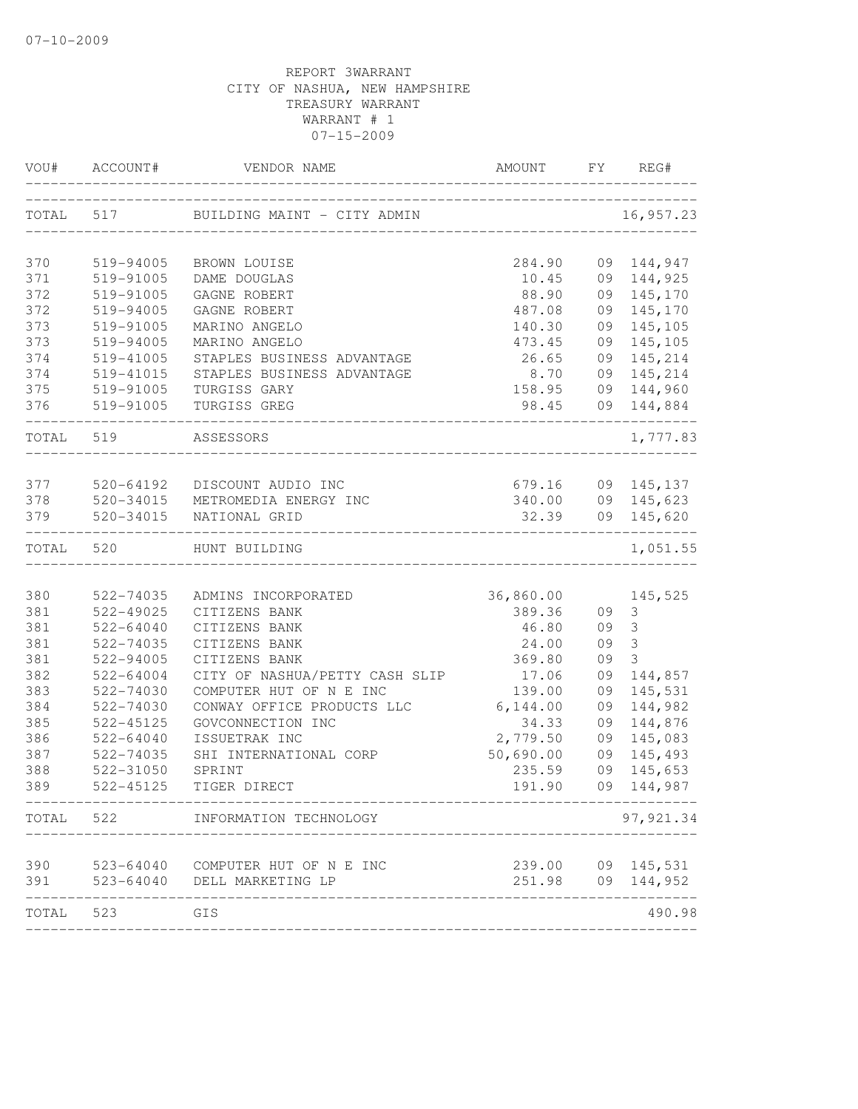| VOU#       | ACCOUNT#               | VENDOR NAME                            | AMOUNT           | FY | REG#              |
|------------|------------------------|----------------------------------------|------------------|----|-------------------|
|            | TOTAL 517              | BUILDING MAINT - CITY ADMIN            |                  |    | 16,957.23         |
| 370        | 519-94005              | BROWN LOUISE                           | 284.90           |    | 09 144,947        |
| 371        | 519-91005              | DAME DOUGLAS                           | 10.45            |    | 09 144,925        |
| 372        | 519-91005              | GAGNE ROBERT                           | 88.90            | 09 | 145,170           |
| 372        | 519-94005              | GAGNE ROBERT                           | 487.08           | 09 | 145,170           |
| 373        | 519-91005              | MARINO ANGELO                          | 140.30           | 09 | 145,105           |
| 373        | 519-94005              | MARINO ANGELO                          | 473.45           | 09 | 145,105           |
| 374        | 519-41005              | STAPLES BUSINESS ADVANTAGE             | 26.65            | 09 | 145,214           |
| 374        | 519-41015              | STAPLES BUSINESS ADVANTAGE             | 8.70             | 09 | 145,214           |
| 375        | 519-91005              | TURGISS GARY                           | 158.95           |    | 09 144,960        |
| 376        | 519-91005              | TURGISS GREG                           | 98.45            |    | 09 144,884        |
| TOTAL 519  |                        | ASSESSORS                              |                  |    | 1,777.83          |
|            |                        |                                        |                  |    |                   |
| 377        | 520-64192              | DISCOUNT AUDIO INC                     | 679.16<br>340.00 |    | 09 145,137        |
| 378<br>379 | 520-34015<br>520-34015 | METROMEDIA ENERGY INC<br>NATIONAL GRID |                  |    | 09 145,623        |
|            |                        |                                        | 32.39            |    | 09 145,620        |
| TOTAL      | 520                    | HUNT BUILDING                          |                  |    | 1,051.55          |
| 380        | 522-74035              | ADMINS INCORPORATED                    | 36,860.00        |    | 145,525           |
| 381        | 522-49025              | CITIZENS BANK                          | 389.36           | 09 | 3                 |
| 381        | $522 - 64040$          | CITIZENS BANK                          | 46.80            | 09 | $\mathcal{S}$     |
| 381        | 522-74035              | CITIZENS BANK                          | 24.00            | 09 | 3                 |
| 381        | 522-94005              | CITIZENS BANK                          | 369.80           | 09 | 3                 |
| 382        | 522-64004              | CITY OF NASHUA/PETTY CASH SLIP         | 17.06            | 09 | 144,857           |
| 383        | 522-74030              | COMPUTER HUT OF N E INC                | 139.00           | 09 | 145,531           |
| 384        | 522-74030              | CONWAY OFFICE PRODUCTS LLC             | 6,144.00         | 09 | 144,982           |
| 385        | 522-45125              | GOVCONNECTION INC                      | 34.33            | 09 | 144,876           |
| 386        | 522-64040              | ISSUETRAK INC                          | 2,779.50         | 09 | 145,083           |
| 387        | 522-74035              | SHI INTERNATIONAL CORP                 | 50,690.00        | 09 | 145,493           |
| 388        | 522-31050              | SPRINT                                 | 235.59           | 09 | 145,653           |
| 389        | 522-45125              | TIGER DIRECT                           | 191.90           |    | 09 144,987        |
| TOTAL 522  |                        | INFORMATION TECHNOLOGY                 |                  |    | 97, 921.34        |
| 390        |                        | 523-64040 COMPUTER HUT OF N E INC      |                  |    | 239.00 09 145,531 |
| 391        |                        | 523-64040 DELL MARKETING LP            | 251.98           |    | 09 144,952        |
| TOTAL      | 523                    | GIS                                    |                  |    | 490.98            |
|            |                        |                                        |                  |    |                   |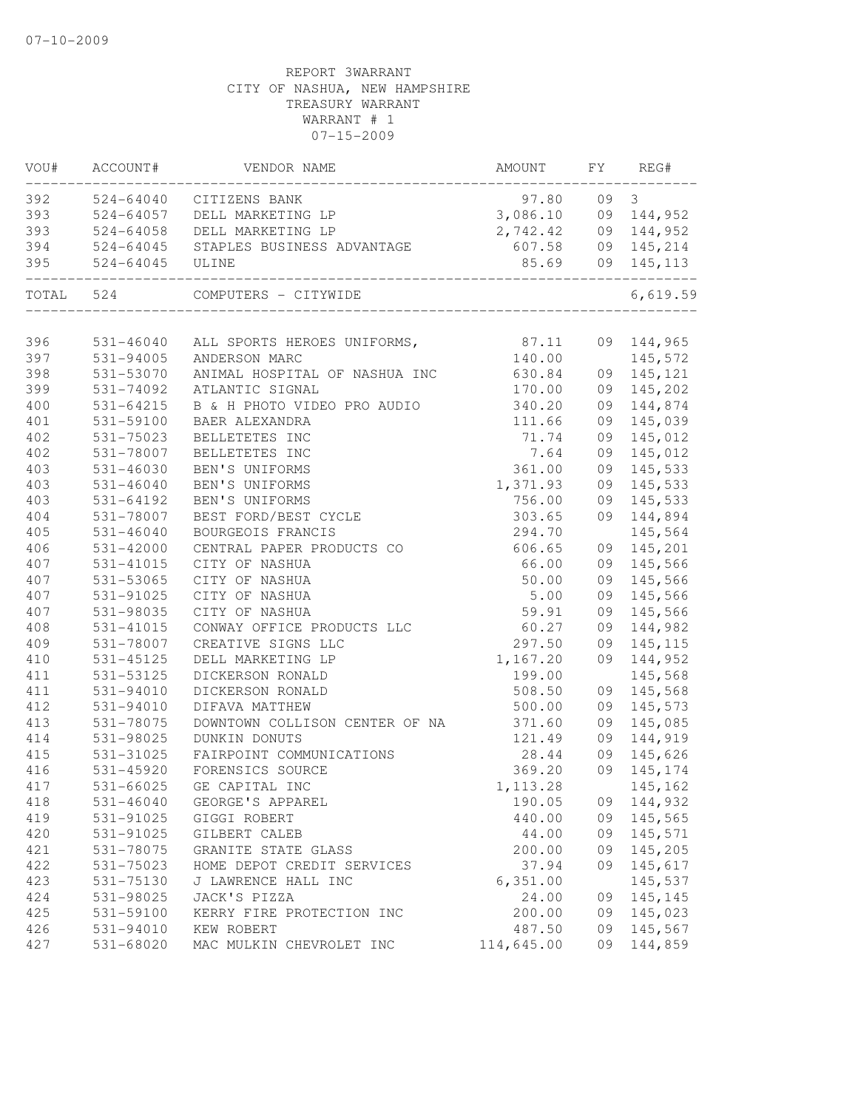|     | VOU# ACCOUNT# | VENDOR NAME                           | AMOUNT              |    | FY REG#           |
|-----|---------------|---------------------------------------|---------------------|----|-------------------|
|     |               | 392 524-64040 CITIZENS BANK           | 97.80 09 3          |    |                   |
| 393 |               | 524-64057 DELL MARKETING LP           | 3,086.10 09 144,952 |    |                   |
| 393 |               | 524-64058 DELL MARKETING LP           | 2,742.42 09 144,952 |    |                   |
| 394 |               | 524-64045 STAPLES BUSINESS ADVANTAGE  |                     |    | 607.58 09 145,214 |
| 395 | $524 - 64045$ | ULINE                                 |                     |    | 85.69 09 145,113  |
|     | TOTAL 524     | COMPUTERS - CITYWIDE                  |                     |    | 6,619.59          |
| 396 |               | 531-46040 ALL SPORTS HEROES UNIFORMS, | 87.11               |    | 09 144,965        |
| 397 | 531-94005     | ANDERSON MARC                         | 140.00              |    | 145,572           |
| 398 | 531-53070     | ANIMAL HOSPITAL OF NASHUA INC         | 630.84              |    | 09 145, 121       |
| 399 | 531-74092     | ATLANTIC SIGNAL                       | 170.00              |    | 09 145,202        |
| 400 | 531-64215     | B & H PHOTO VIDEO PRO AUDIO           | 340.20              |    | 09 144,874        |
| 401 | 531-59100     | BAER ALEXANDRA                        | 111.66              | 09 | 145,039           |
| 402 | 531-75023     | BELLETETES INC                        | 71.74               | 09 | 145,012           |
| 402 | 531-78007     | BELLETETES INC                        | 7.64                | 09 | 145,012           |
| 403 | 531-46030     | BEN'S UNIFORMS                        | 361.00              |    | 09 145,533        |
| 403 | $531 - 46040$ | BEN'S UNIFORMS                        | 1,371.93            | 09 | 145,533           |
| 403 | $531 - 64192$ | BEN'S UNIFORMS                        | 756.00              |    | 09 145,533        |
| 404 | 531-78007     | BEST FORD/BEST CYCLE                  | 303.65              |    | 09 144,894        |
| 405 | $531 - 46040$ | BOURGEOIS FRANCIS                     | 294.70              |    | 145,564           |
| 406 | 531-42000     | CENTRAL PAPER PRODUCTS CO             | 606.65              |    | 09 145,201        |
| 407 | $531 - 41015$ | CITY OF NASHUA                        | 66.00               |    | 09 145,566        |
| 407 | 531-53065     | CITY OF NASHUA                        | 50.00               | 09 | 145,566           |
| 407 | 531-91025     | CITY OF NASHUA                        | 5.00                | 09 | 145,566           |
| 407 | 531-98035     | CITY OF NASHUA                        | 59.91               | 09 | 145,566           |
| 408 | 531-41015     | CONWAY OFFICE PRODUCTS LLC            | 60.27               | 09 | 144,982           |
| 409 | 531-78007     | CREATIVE SIGNS LLC                    | 297.50              |    | 09 145, 115       |
| 410 | 531-45125     | DELL MARKETING LP                     | 1,167.20            |    | 09 144,952        |
| 411 | 531-53125     | DICKERSON RONALD                      | 199.00              |    | 145,568           |
| 411 | 531-94010     | DICKERSON RONALD                      | 508.50              |    | 09 145,568        |
| 412 | 531-94010     | DIFAVA MATTHEW                        | 500.00              |    | 09 145,573        |
| 413 | 531-78075     | DOWNTOWN COLLISON CENTER OF NA        | 371.60              | 09 | 145,085           |
| 414 | 531-98025     | DUNKIN DONUTS                         | 121.49              |    | 09 144,919        |
| 415 | 531-31025     | FAIRPOINT COMMUNICATIONS              | 28.44               |    | 09 145,626        |
| 416 | $531 - 45920$ | FORENSICS SOURCE                      | 369.20              |    | 09 145,174        |
| 417 |               | 531-66025 GE CAPITAL INC              | 1, 113.28           |    | 145,162           |
| 418 | $531 - 46040$ | GEORGE'S APPAREL                      | 190.05              |    | 09 144,932        |
| 419 | 531-91025     | GIGGI ROBERT                          | 440.00              |    | 09 145,565        |
| 420 | 531-91025     | GILBERT CALEB                         | 44.00               |    | 09 145,571        |
| 421 | 531-78075     | GRANITE STATE GLASS                   | 200.00              | 09 | 145,205           |
| 422 | 531-75023     | HOME DEPOT CREDIT SERVICES            | 37.94               | 09 | 145,617           |
| 423 | 531-75130     | J LAWRENCE HALL INC                   | 6,351.00            |    | 145,537           |
| 424 | 531-98025     | JACK'S PIZZA                          | 24.00               |    | 09 145,145        |
| 425 | 531-59100     | KERRY FIRE PROTECTION INC             | 200.00              |    | 09 145,023        |
| 426 | 531-94010     | KEW ROBERT                            | 487.50              |    | 09 145,567        |
| 427 | 531-68020     | MAC MULKIN CHEVROLET INC              | 114,645.00          | 09 | 144,859           |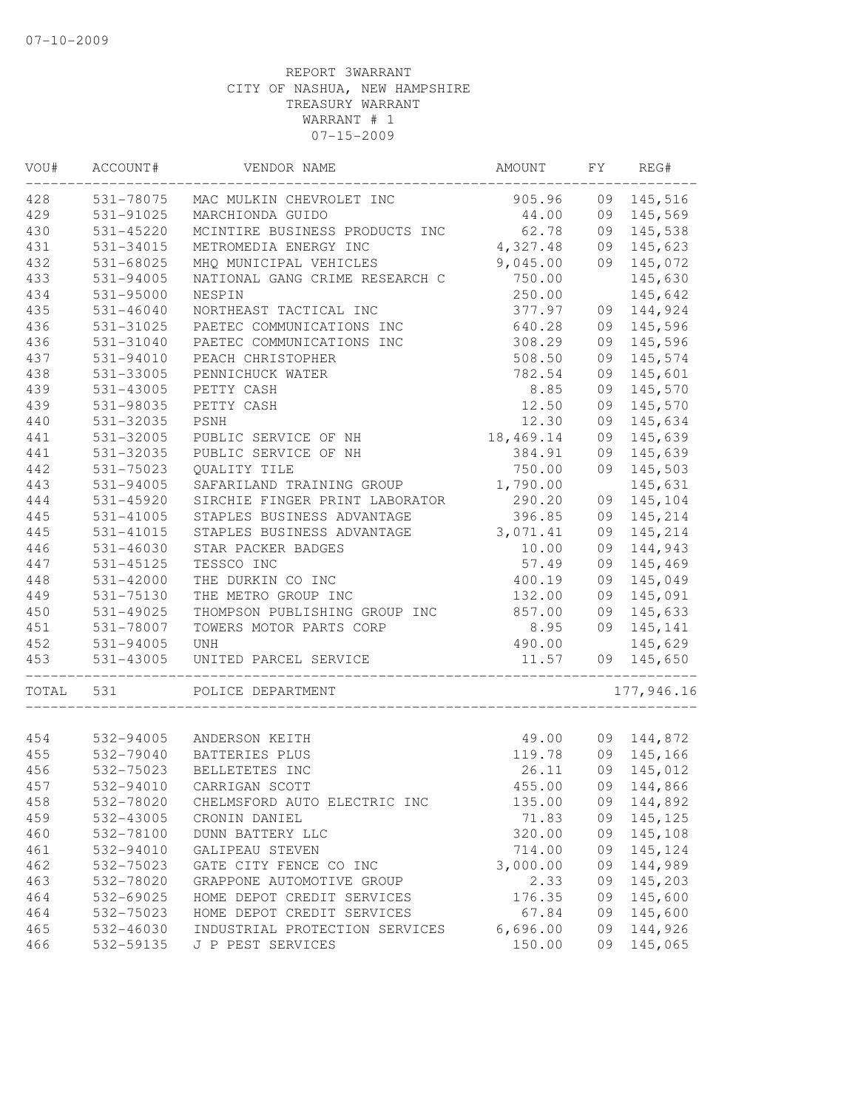| VOU#       | ACCOUNT#               | VENDOR NAME                                   | AMOUNT           | FY | REG#       |
|------------|------------------------|-----------------------------------------------|------------------|----|------------|
| 428        | 531-78075              | MAC MULKIN CHEVROLET INC                      | 905.96           |    | 09 145,516 |
| 429        | 531-91025              | MARCHIONDA GUIDO                              | 44.00            |    | 09 145,569 |
| 430        | 531-45220              | MCINTIRE BUSINESS PRODUCTS INC                | 62.78            |    | 09 145,538 |
| 431        | 531-34015              | METROMEDIA ENERGY INC                         | 4,327.48         | 09 | 145,623    |
| 432        | 531-68025              | MHQ MUNICIPAL VEHICLES                        | 9,045.00         | 09 | 145,072    |
| 433        | 531-94005              | NATIONAL GANG CRIME RESEARCH C                | 750.00           |    | 145,630    |
| 434        | $531 - 95000$          | NESPIN                                        | 250.00           |    | 145,642    |
| 435        | 531-46040              | NORTHEAST TACTICAL INC                        | 377.97           | 09 | 144,924    |
| 436        | 531-31025              | PAETEC COMMUNICATIONS INC                     | 640.28           | 09 | 145,596    |
| 436        | 531-31040              | PAETEC COMMUNICATIONS INC                     | 308.29           | 09 | 145,596    |
| 437        | 531-94010              | PEACH CHRISTOPHER                             | 508.50           | 09 | 145,574    |
| 438        | 531-33005              | PENNICHUCK WATER                              | 782.54           | 09 | 145,601    |
| 439        | 531-43005              | PETTY CASH                                    | 8.85             | 09 | 145,570    |
| 439        | 531-98035              | PETTY CASH                                    | 12.50            | 09 | 145,570    |
| 440        | 531-32035              | PSNH                                          | 12.30            | 09 | 145,634    |
| 441        | 531-32005              | PUBLIC SERVICE OF NH                          | 18,469.14        | 09 | 145,639    |
| 441        | 531-32035              | PUBLIC SERVICE OF NH                          | 384.91           | 09 | 145,639    |
| 442        | 531-75023              | QUALITY TILE                                  | 750.00           | 09 | 145,503    |
| 443        | $531 - 94005$          | SAFARILAND TRAINING GROUP                     | 1,790.00         |    | 145,631    |
| 444        | 531-45920              | SIRCHIE FINGER PRINT LABORATOR                | 290.20           | 09 | 145,104    |
| 445        | 531-41005              | STAPLES BUSINESS ADVANTAGE                    | 396.85           | 09 | 145,214    |
| 445        | 531-41015              | STAPLES BUSINESS ADVANTAGE                    | 3,071.41         | 09 | 145,214    |
| 446        | 531-46030              | STAR PACKER BADGES                            | 10.00            | 09 | 144,943    |
| 447        | 531-45125              | TESSCO INC                                    | 57.49            | 09 | 145,469    |
| 448        | 531-42000              | THE DURKIN CO INC                             | 400.19           | 09 | 145,049    |
| 449        | 531-75130              | THE METRO GROUP INC                           | 132.00           |    | 09 145,091 |
| 450        | 531-49025              | THOMPSON PUBLISHING GROUP INC                 | 857.00           |    | 09 145,633 |
| 451        | 531-78007              | TOWERS MOTOR PARTS CORP                       | 8.95             |    | 09 145,141 |
| 452        | $531 - 94005$          | <b>UNH</b>                                    | 490.00           |    | 145,629    |
| 453        | 531-43005              | UNITED PARCEL SERVICE                         | 11.57            |    | 09 145,650 |
| TOTAL      | 531                    | POLICE DEPARTMENT                             |                  |    | 177,946.16 |
| 454        |                        | 532-94005 ANDERSON KEITH                      | 49.00            |    | 09 144,872 |
| 455        | 532-79040              | BATTERIES PLUS                                | 119.78           |    | 09 145,166 |
| 456        | 532-75023              | BELLETETES INC                                | 26.11            | 09 | 145,012    |
| 457        | 532-94010              | CARRIGAN SCOTT                                | 455.00           |    | 09 144,866 |
|            | 532-78020              |                                               |                  |    |            |
| 458<br>459 |                        | CHELMSFORD AUTO ELECTRIC INC<br>CRONIN DANIEL | 135.00           | 09 | 144,892    |
|            | 532-43005<br>532-78100 |                                               | 71.83            | 09 | 145,125    |
| 460        |                        | DUNN BATTERY LLC<br>GALIPEAU STEVEN           | 320.00<br>714.00 | 09 | 145,108    |
| 461        | 532-94010              |                                               |                  | 09 | 145,124    |
| 462        | 532-75023              | GATE CITY FENCE CO INC                        | 3,000.00         | 09 | 144,989    |
| 463        | 532-78020              | GRAPPONE AUTOMOTIVE GROUP                     | 2.33             | 09 | 145,203    |
| 464        | 532-69025              | HOME DEPOT CREDIT SERVICES                    | 176.35           | 09 | 145,600    |
| 464        | 532-75023              | HOME DEPOT CREDIT SERVICES                    | 67.84            | 09 | 145,600    |
| 465        | 532-46030              | INDUSTRIAL PROTECTION SERVICES                | 6,696.00         | 09 | 144,926    |
| 466        | 532-59135              | J P PEST SERVICES                             | 150.00           | 09 | 145,065    |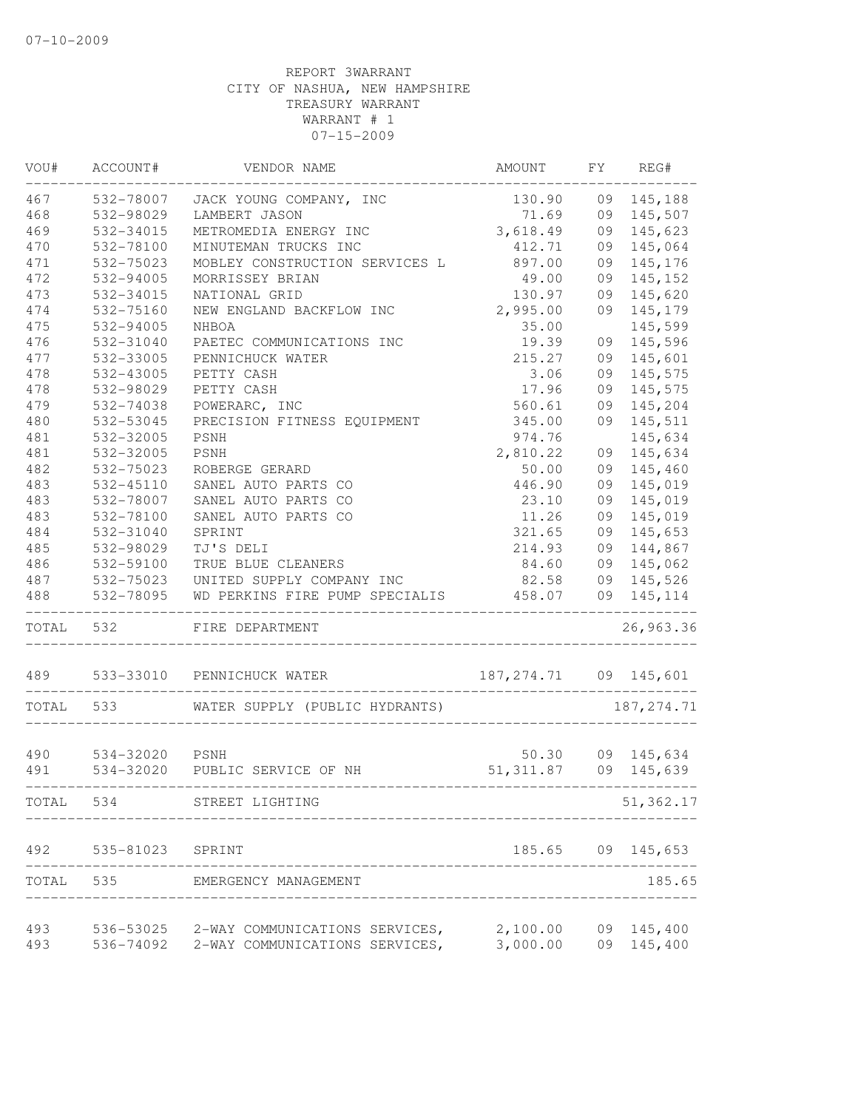| VOU#  | ACCOUNT#       | VENDOR NAME                    | AMOUNT                  | FY | REG#        |
|-------|----------------|--------------------------------|-------------------------|----|-------------|
| 467   | 532-78007      | JACK YOUNG COMPANY, INC        | 130.90                  | 09 | 145,188     |
| 468   | 532-98029      | LAMBERT JASON                  | 71.69                   | 09 | 145,507     |
| 469   | 532-34015      | METROMEDIA ENERGY INC          | 3,618.49                | 09 | 145,623     |
| 470   | 532-78100      | MINUTEMAN TRUCKS INC           | 412.71                  | 09 | 145,064     |
| 471   | 532-75023      | MOBLEY CONSTRUCTION SERVICES L | 897.00                  | 09 | 145,176     |
| 472   | 532-94005      | MORRISSEY BRIAN                | 49.00                   | 09 | 145,152     |
| 473   | 532-34015      | NATIONAL GRID                  | 130.97                  | 09 | 145,620     |
| 474   | 532-75160      | NEW ENGLAND BACKFLOW INC       | 2,995.00                | 09 | 145,179     |
| 475   | 532-94005      | NHBOA                          | 35.00                   |    | 145,599     |
| 476   | 532-31040      | PAETEC COMMUNICATIONS INC      | 19.39                   | 09 | 145,596     |
| 477   | 532-33005      | PENNICHUCK WATER               | 215.27                  | 09 | 145,601     |
| 478   | 532-43005      | PETTY CASH                     | 3.06                    | 09 | 145,575     |
| 478   | 532-98029      | PETTY CASH                     | 17.96                   | 09 | 145,575     |
| 479   | 532-74038      | POWERARC, INC                  | 560.61                  | 09 | 145,204     |
| 480   | 532-53045      | PRECISION FITNESS EQUIPMENT    | 345.00                  | 09 | 145,511     |
| 481   | 532-32005      | <b>PSNH</b>                    | 974.76                  |    | 145,634     |
| 481   | 532-32005      | <b>PSNH</b>                    | 2,810.22                | 09 | 145,634     |
| 482   | 532-75023      | ROBERGE GERARD                 | 50.00                   | 09 | 145,460     |
| 483   | 532-45110      | SANEL AUTO PARTS CO            | 446.90                  | 09 | 145,019     |
| 483   | 532-78007      | SANEL AUTO PARTS CO            | 23.10                   | 09 | 145,019     |
| 483   | 532-78100      | SANEL AUTO PARTS CO            | 11.26                   | 09 | 145,019     |
| 484   | 532-31040      | SPRINT                         | 321.65                  | 09 | 145,653     |
| 485   | 532-98029      | TJ'S DELI                      | 214.93                  | 09 | 144,867     |
| 486   | 532-59100      | TRUE BLUE CLEANERS             | 84.60                   | 09 | 145,062     |
| 487   | 532-75023      | UNITED SUPPLY COMPANY INC      | 82.58                   | 09 | 145,526     |
| 488   | 532-78095      | WD PERKINS FIRE PUMP SPECIALIS | 458.07                  |    | 09 145, 114 |
| TOTAL | 532            | FIRE DEPARTMENT                |                         |    | 26,963.36   |
|       | 489 533-33010  | PENNICHUCK WATER               | 187, 274.71 09 145, 601 |    |             |
| TOTAL | 533            | WATER SUPPLY (PUBLIC HYDRANTS) |                         |    | 187, 274.71 |
| 490   | 534-32020 PSNH |                                | 50.30                   |    | 09 145,634  |
| 491   |                | 534-32020 PUBLIC SERVICE OF NH | 51, 311.87              |    | 09 145,639  |
| TOTAL | 534            | STREET LIGHTING                |                         |    | 51,362.17   |
| 492   | 535-81023      | SPRINT                         | 185.65                  | 09 | 145,653     |
| TOTAL | 535            | EMERGENCY MANAGEMENT           |                         |    | 185.65      |
| 493   | 536-53025      | 2-WAY COMMUNICATIONS SERVICES, | 2,100.00                | 09 | 145,400     |
| 493   | 536-74092      | 2-WAY COMMUNICATIONS SERVICES, | 3,000.00                | 09 | 145,400     |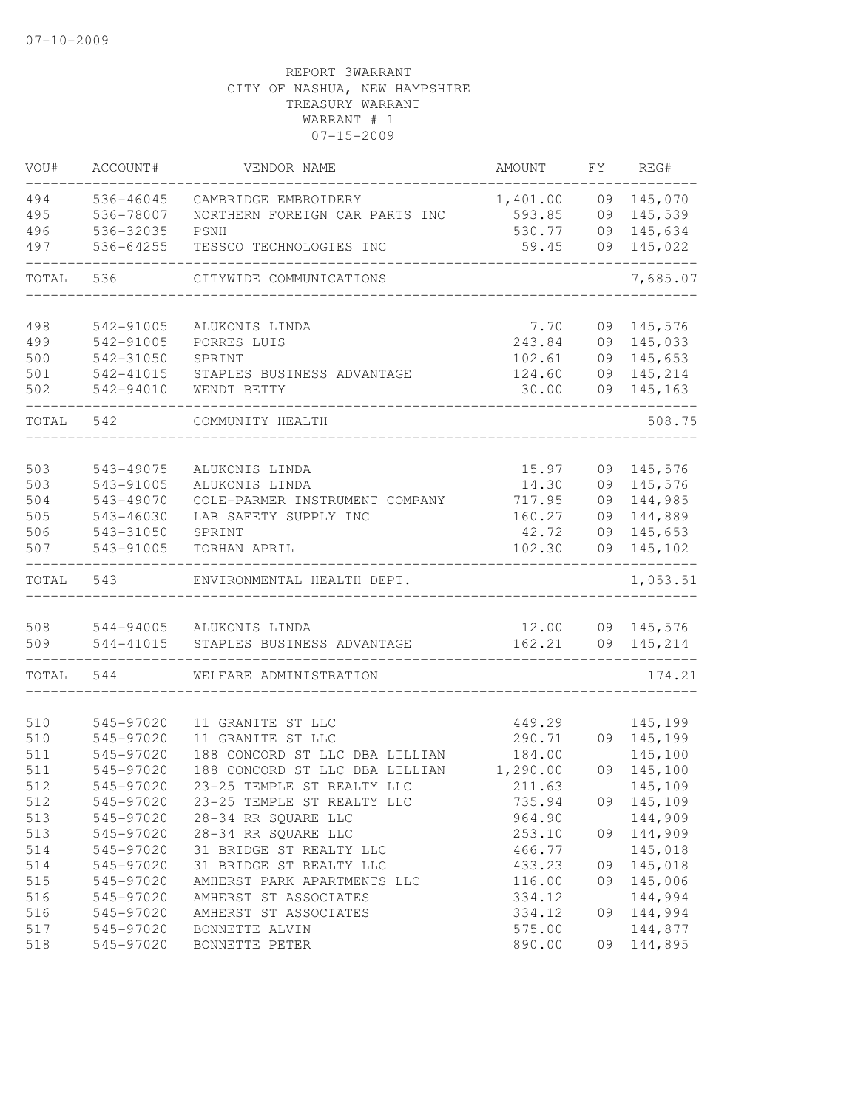| VOU#       | ACCOUNT#               | VENDOR NAME                    | AMOUNT          | FY.      | REG#               |
|------------|------------------------|--------------------------------|-----------------|----------|--------------------|
| 494        | 536-46045              | CAMBRIDGE EMBROIDERY           | 1,401.00        | 09       | 145,070            |
| 495        | 536-78007              | NORTHERN FOREIGN CAR PARTS INC | 593.85          | 09       | 145,539            |
| 496        | 536-32035              | PSNH                           | 530.77          | 09       | 145,634            |
| 497        | 536-64255              | TESSCO TECHNOLOGIES INC        | 59.45           | 09       | 145,022            |
| TOTAL      | 536                    | CITYWIDE COMMUNICATIONS        |                 |          | 7,685.07           |
| 498        | 542-91005              | ALUKONIS LINDA                 | 7.70            | 09       | 145,576            |
| 499        | 542-91005              | PORRES LUIS                    | 243.84          | 09       | 145,033            |
| 500        | 542-31050              | SPRINT                         | 102.61          | 09       | 145,653            |
| 501        | 542-41015              | STAPLES BUSINESS ADVANTAGE     | 124.60          | 09       | 145,214            |
| 502        | 542-94010              | WENDT BETTY                    | 30.00           | 09       | 145,163            |
| TOTAL      | 542                    | COMMUNITY HEALTH               |                 |          | 508.75             |
|            |                        |                                |                 |          |                    |
| 503        | 543-49075              | ALUKONIS LINDA                 | 15.97           | 09       | 145,576            |
| 503        | 543-91005              | ALUKONIS LINDA                 | 14.30           | 09       | 145,576            |
| 504        | 543-49070              | COLE-PARMER INSTRUMENT COMPANY | 717.95          | 09       | 144,985            |
| 505        | 543-46030              | LAB SAFETY SUPPLY INC          | 160.27          | 09       | 144,889            |
| 506<br>507 | 543-31050<br>543-91005 | SPRINT<br>TORHAN APRIL         | 42.72<br>102.30 | 09<br>09 | 145,653<br>145,102 |
| TOTAL      | 543                    | ENVIRONMENTAL HEALTH DEPT.     |                 |          | 1,053.51           |
|            |                        |                                |                 |          |                    |
| 508        | 544-94005              | ALUKONIS LINDA                 | 12.00           |          | 09 145,576         |
| 509        | 544-41015              | STAPLES BUSINESS ADVANTAGE     | 162.21          |          | 09 145,214         |
| TOTAL      | 544                    | WELFARE ADMINISTRATION         |                 |          | 174.21             |
| 510        | 545-97020              | 11 GRANITE ST LLC              | 449.29          |          | 145,199            |
| 510        | 545-97020              | 11 GRANITE ST LLC              | 290.71          | 09       | 145,199            |
| 511        | 545-97020              | 188 CONCORD ST LLC DBA LILLIAN | 184.00          |          | 145,100            |
| 511        | 545-97020              | 188 CONCORD ST LLC DBA LILLIAN | 1,290.00        | 09       | 145,100            |
| 512        | 545-97020              | 23-25 TEMPLE ST REALTY LLC     | 211.63          |          | 145,109            |
| 512        | 545-97020              | 23-25 TEMPLE ST REALTY LLC     | 735.94          | 09       | 145,109            |
| 513        | 545-97020              | 28-34 RR SQUARE LLC            | 964.90          |          | 144,909            |
| 513        | 545-97020              | 28-34 RR SQUARE LLC            | 253.10          | 09       | 144,909            |
| 514        | 545-97020              | 31 BRIDGE ST REALTY LLC        | 466.77          |          | 145,018            |
| 514        | 545-97020              | 31 BRIDGE ST REALTY LLC        | 433.23          | 09       | 145,018            |
| 515        | 545-97020              | AMHERST PARK APARTMENTS LLC    | 116.00          | 09       | 145,006            |
| 516        | 545-97020              | AMHERST ST ASSOCIATES          | 334.12          |          | 144,994            |
| 516        | 545-97020              | AMHERST ST ASSOCIATES          | 334.12          | 09       | 144,994            |
| 517        | 545-97020              | BONNETTE ALVIN                 | 575.00          |          | 144,877            |
| 518        | 545-97020              | BONNETTE PETER                 | 890.00          | 09       | 144,895            |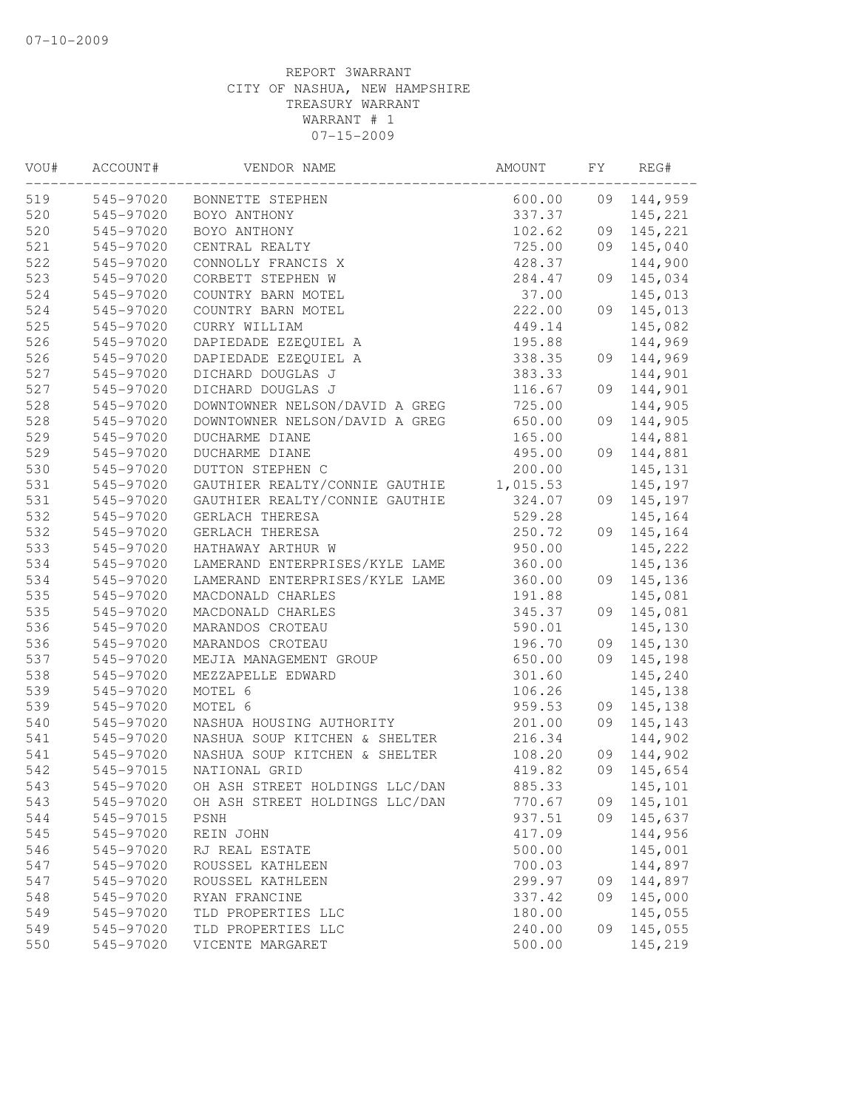| VOU# | ACCOUNT#  | VENDOR NAME                    | AMOUNT   | FΥ | REG#    |
|------|-----------|--------------------------------|----------|----|---------|
| 519  | 545-97020 | BONNETTE STEPHEN               | 600.00   | 09 | 144,959 |
| 520  | 545-97020 | BOYO ANTHONY                   | 337.37   |    | 145,221 |
| 520  | 545-97020 | BOYO ANTHONY                   | 102.62   | 09 | 145,221 |
| 521  | 545-97020 | CENTRAL REALTY                 | 725.00   | 09 | 145,040 |
| 522  | 545-97020 | CONNOLLY FRANCIS X             | 428.37   |    | 144,900 |
| 523  | 545-97020 | CORBETT STEPHEN W              | 284.47   | 09 | 145,034 |
| 524  | 545-97020 | COUNTRY BARN MOTEL             | 37.00    |    | 145,013 |
| 524  | 545-97020 | COUNTRY BARN MOTEL             | 222.00   | 09 | 145,013 |
| 525  | 545-97020 | CURRY WILLIAM                  | 449.14   |    | 145,082 |
| 526  | 545-97020 | DAPIEDADE EZEQUIEL A           | 195.88   |    | 144,969 |
| 526  | 545-97020 | DAPIEDADE EZEQUIEL A           | 338.35   | 09 | 144,969 |
| 527  | 545-97020 | DICHARD DOUGLAS J              | 383.33   |    | 144,901 |
| 527  | 545-97020 | DICHARD DOUGLAS J              | 116.67   | 09 | 144,901 |
| 528  | 545-97020 | DOWNTOWNER NELSON/DAVID A GREG | 725.00   |    | 144,905 |
| 528  | 545-97020 | DOWNTOWNER NELSON/DAVID A GREG | 650.00   | 09 | 144,905 |
| 529  | 545-97020 | <b>DUCHARME DIANE</b>          | 165.00   |    | 144,881 |
| 529  | 545-97020 | DUCHARME DIANE                 | 495.00   | 09 | 144,881 |
| 530  | 545-97020 | DUTTON STEPHEN C               | 200.00   |    | 145,131 |
| 531  | 545-97020 | GAUTHIER REALTY/CONNIE GAUTHIE | 1,015.53 |    | 145,197 |
| 531  | 545-97020 | GAUTHIER REALTY/CONNIE GAUTHIE | 324.07   | 09 | 145,197 |
| 532  | 545-97020 | GERLACH THERESA                | 529.28   |    | 145,164 |
| 532  | 545-97020 | GERLACH THERESA                | 250.72   | 09 | 145,164 |
| 533  | 545-97020 | HATHAWAY ARTHUR W              | 950.00   |    | 145,222 |
| 534  | 545-97020 | LAMERAND ENTERPRISES/KYLE LAME | 360.00   |    | 145,136 |
| 534  | 545-97020 | LAMERAND ENTERPRISES/KYLE LAME | 360.00   | 09 | 145,136 |
| 535  | 545-97020 | MACDONALD CHARLES              | 191.88   |    | 145,081 |
| 535  | 545-97020 | MACDONALD CHARLES              | 345.37   | 09 | 145,081 |
| 536  | 545-97020 | MARANDOS CROTEAU               | 590.01   |    | 145,130 |
| 536  | 545-97020 | MARANDOS CROTEAU               | 196.70   | 09 | 145,130 |
| 537  | 545-97020 | MEJIA MANAGEMENT GROUP         | 650.00   | 09 | 145,198 |
| 538  | 545-97020 | MEZZAPELLE EDWARD              | 301.60   |    | 145,240 |
| 539  | 545-97020 | MOTEL 6                        | 106.26   |    | 145,138 |
| 539  | 545-97020 | MOTEL 6                        | 959.53   | 09 | 145,138 |
| 540  | 545-97020 | NASHUA HOUSING AUTHORITY       | 201.00   | 09 | 145,143 |
| 541  | 545-97020 | NASHUA SOUP KITCHEN & SHELTER  | 216.34   |    | 144,902 |
| 541  | 545-97020 | NASHUA SOUP KITCHEN & SHELTER  | 108.20   | 09 | 144,902 |
| 542  | 545-97015 | NATIONAL GRID                  | 419.82   | 09 | 145,654 |
| 543  | 545-97020 | OH ASH STREET HOLDINGS LLC/DAN | 885.33   |    | 145,101 |
| 543  | 545-97020 | OH ASH STREET HOLDINGS LLC/DAN | 770.67   | 09 | 145,101 |
| 544  | 545-97015 | PSNH                           | 937.51   | 09 | 145,637 |
| 545  | 545-97020 | REIN JOHN                      | 417.09   |    | 144,956 |
| 546  | 545-97020 | RJ REAL ESTATE                 | 500.00   |    | 145,001 |
| 547  | 545-97020 | ROUSSEL KATHLEEN               | 700.03   |    | 144,897 |
| 547  | 545-97020 | ROUSSEL KATHLEEN               | 299.97   | 09 | 144,897 |
| 548  | 545-97020 | RYAN FRANCINE                  | 337.42   | 09 | 145,000 |
| 549  | 545-97020 | TLD PROPERTIES LLC             | 180.00   |    | 145,055 |
| 549  | 545-97020 | TLD PROPERTIES LLC             | 240.00   | 09 | 145,055 |
| 550  | 545-97020 | VICENTE MARGARET               | 500.00   |    | 145,219 |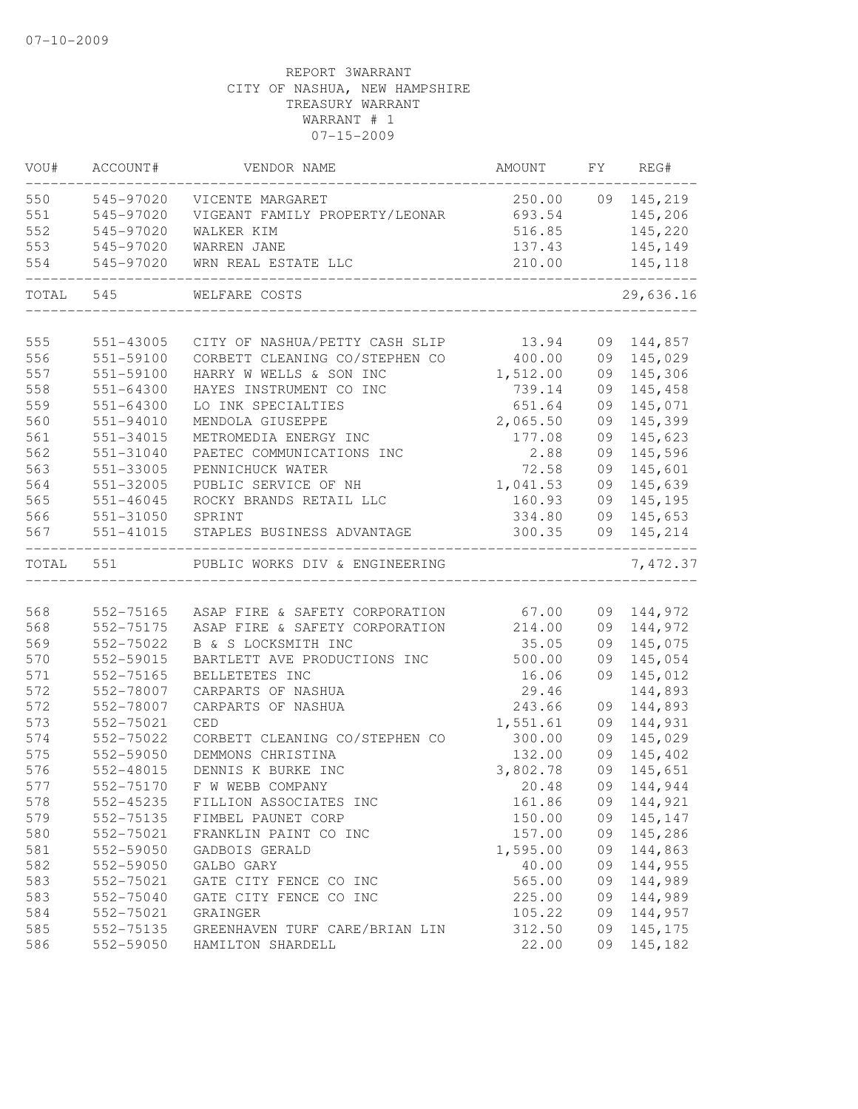| VOU#  | ACCOUNT#               | VENDOR NAME                                                      | AMOUNT          | FY | REG#              |
|-------|------------------------|------------------------------------------------------------------|-----------------|----|-------------------|
| 550   | 545-97020              | VICENTE MARGARET                                                 |                 |    | 250.00 09 145,219 |
| 551   | 545-97020              | VIGEANT FAMILY PROPERTY/LEONAR                                   | 693.54          |    | 145,206           |
| 552   | 545-97020              | WALKER KIM                                                       | 516.85          |    | 145,220           |
| 553   | 545-97020              | WARREN JANE                                                      | 137.43          |    | 145,149           |
| 554   | 545-97020              | WRN REAL ESTATE LLC                                              | 210.00          |    | 145,118           |
| TOTAL | 545                    | WELFARE COSTS                                                    |                 |    | 29,636.16         |
| 555   | 551-43005              | CITY OF NASHUA/PETTY CASH SLIP 13.94                             |                 | 09 | 144,857           |
| 556   | 551-59100              | CORBETT CLEANING CO/STEPHEN CO                                   | 400.00          | 09 | 145,029           |
| 557   | 551-59100              | HARRY W WELLS & SON INC                                          | 1,512.00        | 09 | 145,306           |
| 558   | 551-64300              | HAYES INSTRUMENT CO INC                                          | 739.14          | 09 | 145,458           |
| 559   | 551-64300              | LO INK SPECIALTIES                                               | 651.64          | 09 | 145,071           |
| 560   | 551-94010              | MENDOLA GIUSEPPE                                                 | 2,065.50        | 09 | 145,399           |
| 561   | 551-34015              | METROMEDIA ENERGY INC                                            | 177.08          | 09 | 145,623           |
| 562   | 551-31040              | PAETEC COMMUNICATIONS INC                                        | 2.88            | 09 | 145,596           |
| 563   | 551-33005              | PENNICHUCK WATER                                                 | 72.58           | 09 | 145,601           |
| 564   | 551-32005              | PUBLIC SERVICE OF NH                                             | 1,041.53        | 09 | 145,639           |
| 565   | $551 - 46045$          | ROCKY BRANDS RETAIL LLC                                          | 160.93          | 09 | 145,195           |
| 566   | 551-31050              | SPRINT                                                           | 334.80          | 09 | 145,653           |
| 567   | 551-41015              | STAPLES BUSINESS ADVANTAGE                                       | 300.35          | 09 | 145,214           |
| TOTAL | 551                    | PUBLIC WORKS DIV & ENGINEERING                                   |                 |    | 7,472.37          |
| 568   |                        |                                                                  |                 |    | 09 144,972        |
| 568   | 552-75165<br>552-75175 | ASAP FIRE & SAFETY CORPORATION<br>ASAP FIRE & SAFETY CORPORATION | 67.00<br>214.00 | 09 | 144,972           |
| 569   | 552-75022              | B & S LOCKSMITH INC                                              | 35.05           | 09 | 145,075           |
| 570   | 552-59015              | BARTLETT AVE PRODUCTIONS INC                                     | 500.00          | 09 | 145,054           |
| 571   | 552-75165              | BELLETETES INC                                                   | 16.06           | 09 | 145,012           |
| 572   | 552-78007              | CARPARTS OF NASHUA                                               | 29.46           |    | 144,893           |
| 572   | 552-78007              | CARPARTS OF NASHUA                                               | 243.66          | 09 | 144,893           |
| 573   | 552-75021              | CED                                                              | 1,551.61        | 09 | 144,931           |
| 574   | 552-75022              | CORBETT CLEANING CO/STEPHEN CO                                   | 300.00          | 09 | 145,029           |
| 575   | 552-59050              | DEMMONS CHRISTINA                                                | 132.00          | 09 | 145,402           |
| 576   | 552-48015              | DENNIS K BURKE INC                                               | 3,802.78        | 09 | 145,651           |
| 577   | 552-75170              | F W WEBB COMPANY                                                 | 20.48           |    | 09 144,944        |
| 578   | 552-45235              | FILLION ASSOCIATES INC                                           | 161.86          | 09 | 144,921           |
| 579   | 552-75135              | FIMBEL PAUNET CORP                                               | 150.00          |    | 09 145,147        |
| 580   | 552-75021              | FRANKLIN PAINT CO INC                                            | 157.00          |    | 09 145,286        |
| 581   | 552-59050              | GADBOIS GERALD                                                   | 1,595.00        | 09 | 144,863           |
| 582   | 552-59050              | GALBO GARY                                                       | 40.00           | 09 | 144,955           |
| 583   | 552-75021              | GATE CITY FENCE CO INC                                           | 565.00          | 09 | 144,989           |
| 583   | 552-75040              | GATE CITY FENCE CO INC                                           | 225.00          | 09 | 144,989           |
| 584   | 552-75021              | GRAINGER                                                         | 105.22          | 09 | 144,957           |
| 585   | 552-75135              | GREENHAVEN TURF CARE/BRIAN LIN                                   | 312.50          |    | 09 145,175        |
| 586   | 552-59050              | HAMILTON SHARDELL                                                | 22.00           |    | 09 145,182        |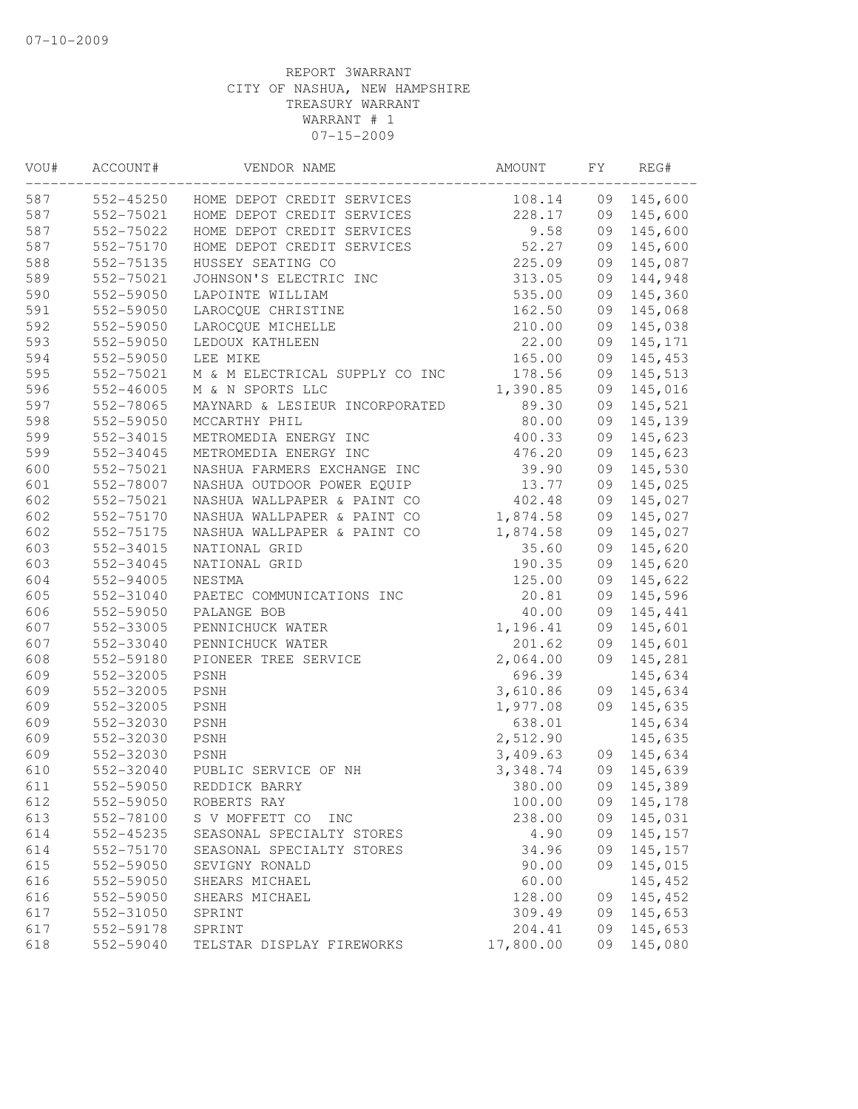| VOU# | ACCOUNT#  | VENDOR NAME                    | AMOUNT    | FY | REG#    |
|------|-----------|--------------------------------|-----------|----|---------|
| 587  | 552-45250 | HOME DEPOT CREDIT SERVICES     | 108.14    | 09 | 145,600 |
| 587  | 552-75021 | HOME DEPOT CREDIT SERVICES     | 228.17    | 09 | 145,600 |
| 587  | 552-75022 | HOME DEPOT CREDIT SERVICES     | 9.58      | 09 | 145,600 |
| 587  | 552-75170 | HOME DEPOT CREDIT SERVICES     | 52.27     | 09 | 145,600 |
| 588  | 552-75135 | HUSSEY SEATING CO              | 225.09    | 09 | 145,087 |
| 589  | 552-75021 | JOHNSON'S ELECTRIC INC         | 313.05    | 09 | 144,948 |
| 590  | 552-59050 | LAPOINTE WILLIAM               | 535.00    | 09 | 145,360 |
| 591  | 552-59050 | LAROCQUE CHRISTINE             | 162.50    | 09 | 145,068 |
| 592  | 552-59050 | LAROCQUE MICHELLE              | 210.00    | 09 | 145,038 |
| 593  | 552-59050 | LEDOUX KATHLEEN                | 22.00     | 09 | 145,171 |
| 594  | 552-59050 | LEE MIKE                       | 165.00    | 09 | 145,453 |
| 595  | 552-75021 | M & M ELECTRICAL SUPPLY CO INC | 178.56    | 09 | 145,513 |
| 596  | 552-46005 | M & N SPORTS LLC               | 1,390.85  | 09 | 145,016 |
| 597  | 552-78065 | MAYNARD & LESIEUR INCORPORATED | 89.30     | 09 | 145,521 |
| 598  | 552-59050 | MCCARTHY PHIL                  | 80.00     | 09 | 145,139 |
| 599  | 552-34015 | METROMEDIA ENERGY INC          | 400.33    | 09 | 145,623 |
| 599  | 552-34045 | METROMEDIA ENERGY INC          | 476.20    | 09 | 145,623 |
| 600  | 552-75021 | NASHUA FARMERS EXCHANGE INC    | 39.90     | 09 | 145,530 |
| 601  | 552-78007 | NASHUA OUTDOOR POWER EQUIP     | 13.77     | 09 | 145,025 |
| 602  | 552-75021 | NASHUA WALLPAPER & PAINT CO    | 402.48    | 09 | 145,027 |
| 602  | 552-75170 | NASHUA WALLPAPER & PAINT CO    | 1,874.58  | 09 | 145,027 |
| 602  | 552-75175 | NASHUA WALLPAPER & PAINT CO    | 1,874.58  | 09 | 145,027 |
| 603  | 552-34015 | NATIONAL GRID                  | 35.60     | 09 | 145,620 |
| 603  | 552-34045 | NATIONAL GRID                  | 190.35    | 09 | 145,620 |
| 604  | 552-94005 | NESTMA                         | 125.00    | 09 | 145,622 |
| 605  | 552-31040 | PAETEC COMMUNICATIONS INC      | 20.81     | 09 | 145,596 |
| 606  | 552-59050 | PALANGE BOB                    | 40.00     | 09 | 145,441 |
| 607  | 552-33005 | PENNICHUCK WATER               | 1,196.41  | 09 | 145,601 |
| 607  | 552-33040 | PENNICHUCK WATER               | 201.62    | 09 | 145,601 |
| 608  | 552-59180 | PIONEER TREE SERVICE           | 2,064.00  | 09 | 145,281 |
| 609  | 552-32005 | PSNH                           | 696.39    |    | 145,634 |
| 609  | 552-32005 | PSNH                           | 3,610.86  | 09 | 145,634 |
| 609  | 552-32005 | PSNH                           | 1,977.08  | 09 | 145,635 |
| 609  | 552-32030 | PSNH                           | 638.01    |    | 145,634 |
| 609  | 552-32030 | PSNH                           | 2,512.90  |    | 145,635 |
| 609  | 552-32030 | PSNH                           | 3,409.63  | 09 | 145,634 |
| 610  | 552-32040 | PUBLIC SERVICE OF NH           | 3,348.74  | 09 | 145,639 |
| 611  | 552-59050 | REDDICK BARRY                  | 380.00    | 09 | 145,389 |
| 612  | 552-59050 | ROBERTS RAY                    | 100.00    | 09 | 145,178 |
| 613  | 552-78100 | S V MOFFETT CO<br>INC          | 238.00    | 09 | 145,031 |
| 614  | 552-45235 | SEASONAL SPECIALTY STORES      | 4.90      | 09 | 145,157 |
| 614  | 552-75170 | SEASONAL SPECIALTY STORES      | 34.96     | 09 | 145,157 |
| 615  | 552-59050 | SEVIGNY RONALD                 | 90.00     | 09 | 145,015 |
| 616  | 552-59050 | SHEARS MICHAEL                 | 60.00     |    | 145,452 |
| 616  | 552-59050 | SHEARS MICHAEL                 | 128.00    | 09 | 145,452 |
| 617  | 552-31050 | SPRINT                         | 309.49    | 09 | 145,653 |
| 617  | 552-59178 | SPRINT                         | 204.41    | 09 | 145,653 |
| 618  | 552-59040 | TELSTAR DISPLAY FIREWORKS      | 17,800.00 | 09 | 145,080 |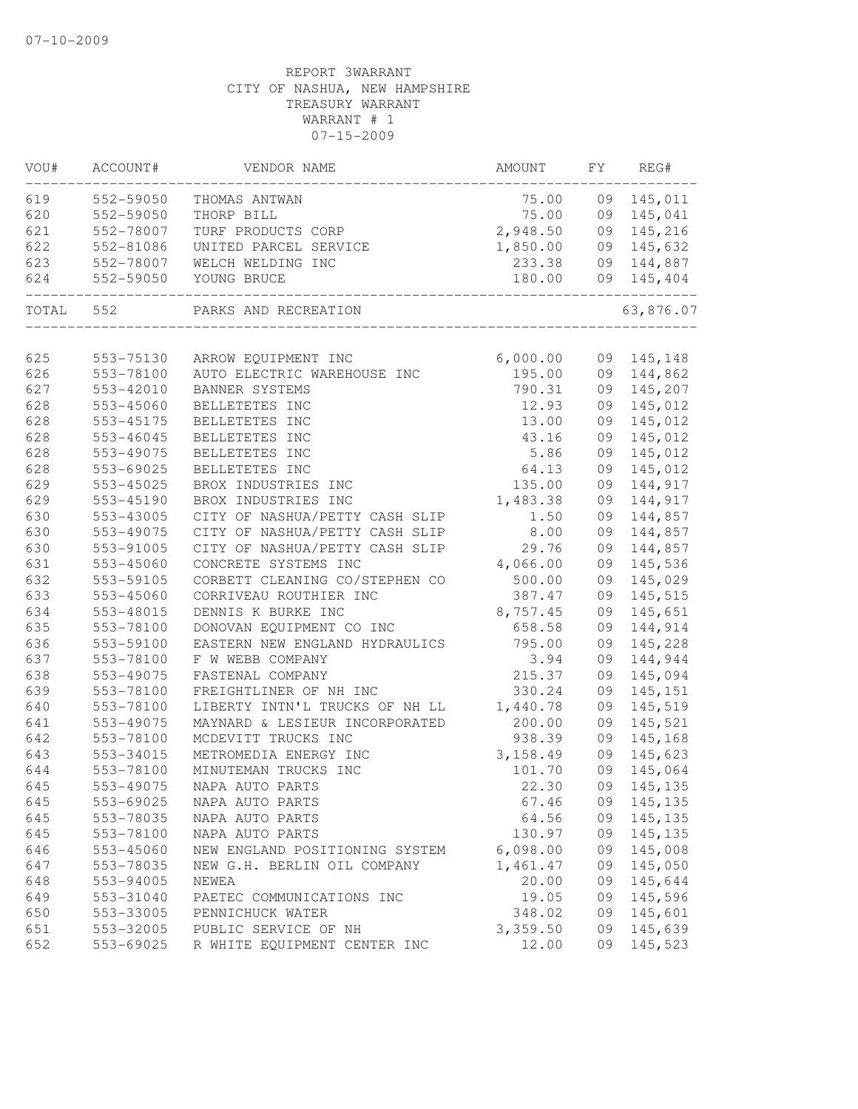| VOU#      | ACCOUNT#      | VENDOR NAME                    | AMOUNT                       | FY | REG#       |
|-----------|---------------|--------------------------------|------------------------------|----|------------|
| 619       | 552-59050     | THOMAS ANTWAN                  | 75.00                        |    | 09 145,011 |
| 620       | 552-59050     | THORP BILL                     | 75.00                        |    | 09 145,041 |
| 621       | 552-78007     | TURF PRODUCTS CORP             | 2,948.50                     |    | 09 145,216 |
| 622       | 552-81086     | UNITED PARCEL SERVICE          | 1,850.00                     |    | 09 145,632 |
| 623       | 552-78007     | WELCH WELDING INC              | 233.38                       |    | 09 144,887 |
| 624       | 552-59050     | YOUNG BRUCE                    | 180.00<br>__________________ |    | 09 145,404 |
| TOTAL 552 |               | PARKS AND RECREATION           |                              |    | 63,876.07  |
| 625       | 553-75130     | ARROW EQUIPMENT INC            | 6,000.00                     |    | 09 145,148 |
| 626       | 553-78100     | AUTO ELECTRIC WAREHOUSE INC    | 195.00                       |    | 09 144,862 |
| 627       | 553-42010     | BANNER SYSTEMS                 | 790.31                       |    | 09 145,207 |
| 628       | 553-45060     | BELLETETES INC                 | 12.93                        | 09 | 145,012    |
| 628       | 553-45175     | BELLETETES INC                 | 13.00                        | 09 | 145,012    |
| 628       | $553 - 46045$ | BELLETETES INC                 | 43.16                        | 09 | 145,012    |
| 628       | 553-49075     | BELLETETES INC                 | 5.86                         | 09 | 145,012    |
| 628       | 553-69025     | BELLETETES INC                 | 64.13                        | 09 | 145,012    |
| 629       | 553-45025     | BROX INDUSTRIES INC            | 135.00                       | 09 | 144,917    |
| 629       | 553-45190     | BROX INDUSTRIES INC            | 1,483.38                     | 09 | 144,917    |
| 630       | 553-43005     | CITY OF NASHUA/PETTY CASH SLIP | 1.50                         | 09 | 144,857    |
| 630       | 553-49075     | CITY OF NASHUA/PETTY CASH SLIP | 8.00                         | 09 | 144,857    |
| 630       | 553-91005     | CITY OF NASHUA/PETTY CASH SLIP | 29.76                        | 09 | 144,857    |
| 631       | 553-45060     | CONCRETE SYSTEMS INC           | 4,066.00                     | 09 | 145,536    |
| 632       | 553-59105     | CORBETT CLEANING CO/STEPHEN CO | 500.00                       | 09 | 145,029    |
| 633       | 553-45060     | CORRIVEAU ROUTHIER INC         | 387.47                       | 09 | 145,515    |
| 634       | 553-48015     | DENNIS K BURKE INC             | 8,757.45                     | 09 | 145,651    |
| 635       | 553-78100     | DONOVAN EQUIPMENT CO INC       | 658.58                       | 09 | 144,914    |
| 636       | 553-59100     | EASTERN NEW ENGLAND HYDRAULICS | 795.00                       | 09 | 145,228    |
| 637       | 553-78100     | F W WEBB COMPANY               | 3.94                         | 09 | 144,944    |
| 638       | 553-49075     | FASTENAL COMPANY               | 215.37                       | 09 | 145,094    |
| 639       | 553-78100     | FREIGHTLINER OF NH INC         | 330.24                       | 09 | 145,151    |
| 640       | 553-78100     | LIBERTY INTN'L TRUCKS OF NH LL | 1,440.78                     | 09 | 145,519    |
| 641       | 553-49075     | MAYNARD & LESIEUR INCORPORATED | 200.00                       | 09 | 145,521    |
| 642       | 553-78100     | MCDEVITT TRUCKS INC            | 938.39                       | 09 | 145,168    |
| 643       | 553-34015     | METROMEDIA ENERGY INC          | 3, 158.49                    | 09 | 145,623    |
| 644       | 553-78100     | MINUTEMAN TRUCKS INC           | 101.70                       | 09 | 145,064    |
| 645       | 553-49075     | NAPA AUTO PARTS                | 22.30                        |    | 09 145,135 |
| 645       | 553-69025     | NAPA AUTO PARTS                | 67.46                        | 09 | 145, 135   |
| 645       | 553-78035     | NAPA AUTO PARTS                | 64.56                        | 09 | 145,135    |
| 645       | 553-78100     | NAPA AUTO PARTS                | 130.97                       | 09 | 145, 135   |
| 646       | 553-45060     | NEW ENGLAND POSITIONING SYSTEM | 6,098.00                     | 09 | 145,008    |
| 647       | 553-78035     | NEW G.H. BERLIN OIL COMPANY    | 1,461.47                     | 09 | 145,050    |
| 648       | 553-94005     | NEWEA                          | 20.00                        | 09 | 145,644    |
| 649       | 553-31040     | PAETEC COMMUNICATIONS INC      | 19.05                        | 09 | 145,596    |
| 650       | 553-33005     | PENNICHUCK WATER               | 348.02                       | 09 | 145,601    |
| 651       | 553-32005     | PUBLIC SERVICE OF NH           | 3,359.50                     | 09 | 145,639    |
| 652       | 553-69025     | R WHITE EQUIPMENT CENTER INC   | 12.00                        | 09 | 145,523    |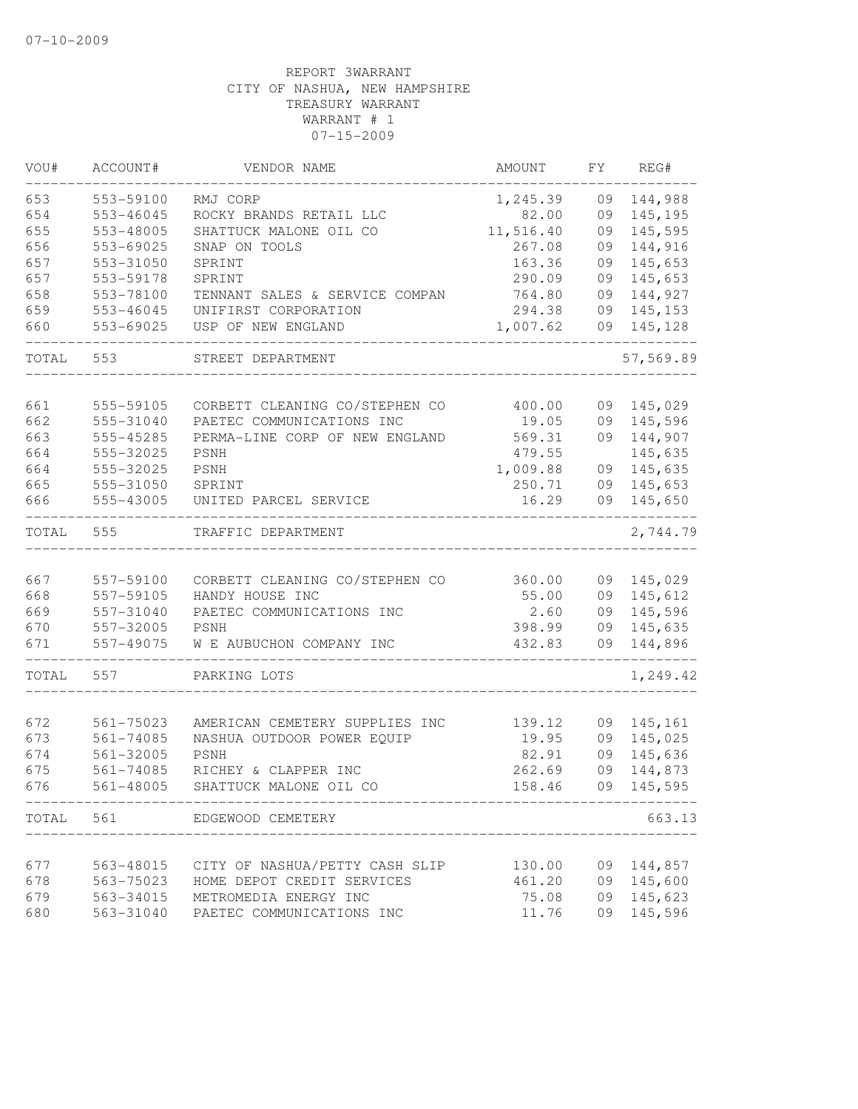| VOU#  | ACCOUNT#      | VENDOR NAME                                  | AMOUNT    | FY. | REG#      |
|-------|---------------|----------------------------------------------|-----------|-----|-----------|
| 653   | 553-59100     | RMJ CORP                                     | 1,245.39  | 09  | 144,988   |
| 654   | 553-46045     | ROCKY BRANDS RETAIL LLC                      | 82.00     | 09  | 145,195   |
| 655   | 553-48005     | SHATTUCK MALONE OIL CO                       | 11,516.40 | 09  | 145,595   |
| 656   | 553-69025     | SNAP ON TOOLS                                | 267.08    | 09  | 144,916   |
| 657   | 553-31050     | SPRINT                                       | 163.36    | 09  | 145,653   |
| 657   | 553-59178     | SPRINT                                       | 290.09    | 09  | 145,653   |
| 658   | 553-78100     | TENNANT SALES & SERVICE COMPAN               | 764.80    | 09  | 144,927   |
| 659   | 553-46045     | UNIFIRST CORPORATION                         | 294.38    | 09  | 145,153   |
| 660   | 553-69025     | USP OF NEW ENGLAND                           | 1,007.62  | 09  | 145,128   |
| TOTAL | 553           | STREET DEPARTMENT                            |           |     | 57,569.89 |
| 661   | 555-59105     | CORBETT CLEANING CO/STEPHEN CO               | 400.00    | 09  | 145,029   |
|       |               |                                              |           |     |           |
| 662   | 555-31040     | PAETEC COMMUNICATIONS INC                    | 19.05     | 09  | 145,596   |
| 663   | 555-45285     | PERMA-LINE CORP OF NEW ENGLAND               | 569.31    | 09  | 144,907   |
| 664   | 555-32025     | PSNH                                         | 479.55    |     | 145,635   |
| 664   | 555-32025     | <b>PSNH</b>                                  | 1,009.88  | 09  | 145,635   |
| 665   | 555-31050     | SPRINT                                       | 250.71    | 09  | 145,653   |
| 666   | 555-43005     | UNITED PARCEL SERVICE                        | 16.29     | 09  | 145,650   |
| TOTAL | 555           | TRAFFIC DEPARTMENT                           |           |     | 2,744.79  |
|       |               |                                              |           |     |           |
| 667   | 557-59100     | CORBETT CLEANING CO/STEPHEN CO               | 360.00    | 09  | 145,029   |
| 668   | 557-59105     | HANDY HOUSE INC                              | 55.00     | 09  | 145,612   |
| 669   | 557-31040     | PAETEC COMMUNICATIONS INC                    | 2.60      | 09  | 145,596   |
| 670   | 557-32005     | PSNH                                         | 398.99    | 09  | 145,635   |
| 671   | 557-49075     | W E AUBUCHON COMPANY INC                     | 432.83    | 09  | 144,896   |
| TOTAL | 557           | PARKING LOTS                                 |           |     | 1,249.42  |
|       |               |                                              |           |     |           |
| 672   | 561-75023     | AMERICAN CEMETERY SUPPLIES INC               | 139.12    | 09  | 145,161   |
| 673   | $561 - 74085$ | NASHUA OUTDOOR POWER EQUIP                   | 19.95     | 09  | 145,025   |
| 674   | 561-32005     | PSNH                                         | 82.91     | 09  | 145,636   |
| 675   | 561-74085     | RICHEY & CLAPPER INC                         | 262.69    | 09  | 144,873   |
| 676   | 561-48005     | SHATTUCK MALONE OIL CO                       | 158.46    | 09  | 145,595   |
| TOTAL | 561           | EDGEWOOD CEMETERY<br>_______________________ |           |     | 663.13    |
|       |               |                                              |           |     |           |
| 677   | 563-48015     | CITY OF NASHUA/PETTY CASH SLIP               | 130.00    | 09  | 144,857   |
| 678   | 563-75023     | HOME DEPOT CREDIT SERVICES                   | 461.20    | 09  | 145,600   |
| 679   | 563-34015     | METROMEDIA ENERGY INC                        | 75.08     | 09  | 145,623   |
| 680   | 563-31040     | PAETEC COMMUNICATIONS INC                    | 11.76     | 09  | 145,596   |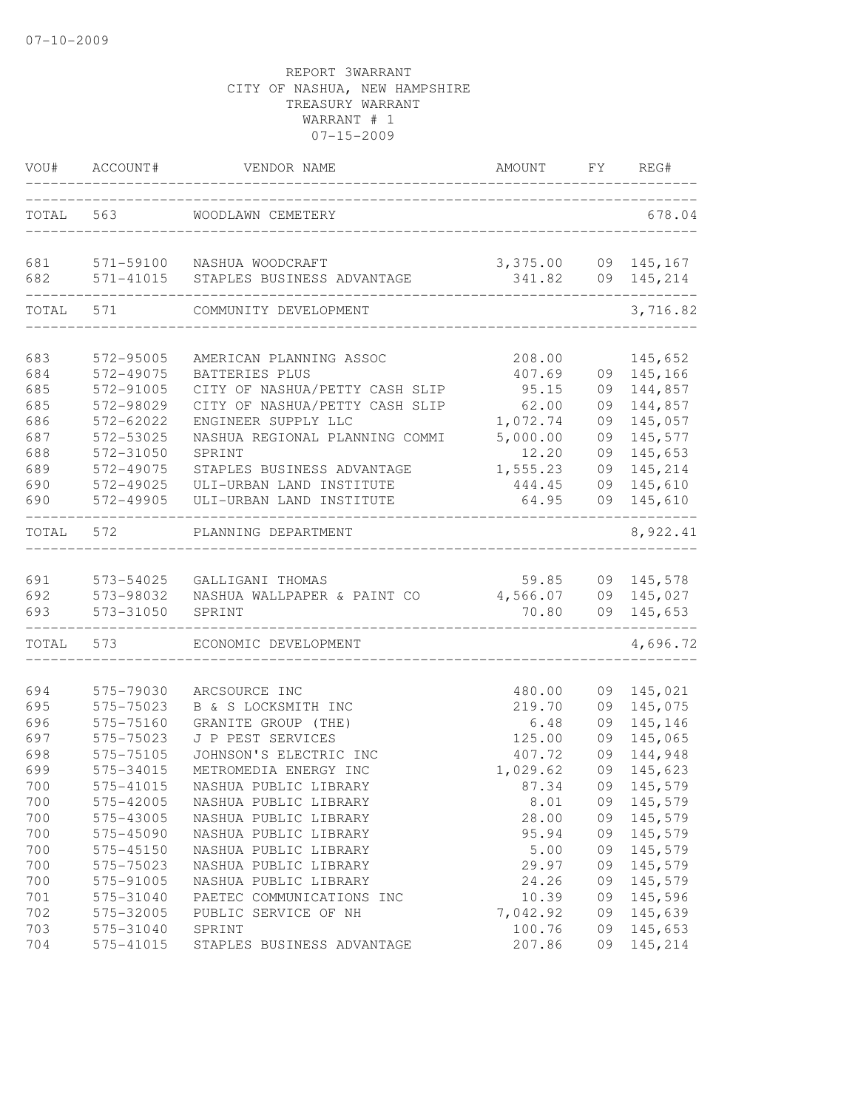| VOU#       | ACCOUNT#               | VENDOR NAME                                    | AMOUNT                        |    | FY REG#    |
|------------|------------------------|------------------------------------------------|-------------------------------|----|------------|
|            | TOTAL 563              | WOODLAWN CEMETERY                              |                               |    | 678.04     |
| 681<br>682 | 571-59100<br>571-41015 | NASHUA WOODCRAFT<br>STAPLES BUSINESS ADVANTAGE | 3,375.00 09 145,167<br>341.82 |    | 09 145,214 |
| TOTAL      | 571                    | COMMUNITY DEVELOPMENT                          |                               |    | 3,716.82   |
| 683        | 572-95005              | AMERICAN PLANNING ASSOC                        | 208.00                        |    | 145,652    |
| 684        | 572-49075              | BATTERIES PLUS                                 | 407.69                        | 09 | 145,166    |
| 685        | 572-91005              | CITY OF NASHUA/PETTY CASH SLIP                 | 95.15                         | 09 | 144,857    |
| 685        | 572-98029              | CITY OF NASHUA/PETTY CASH SLIP                 | 62.00                         | 09 | 144,857    |
| 686        | 572-62022              | ENGINEER SUPPLY LLC                            | 1,072.74                      | 09 | 145,057    |
| 687        | 572-53025              | NASHUA REGIONAL PLANNING COMMI                 | 5,000.00                      | 09 | 145,577    |
| 688        | 572-31050              | SPRINT                                         | 12.20                         | 09 | 145,653    |
| 689        | 572-49075              | STAPLES BUSINESS ADVANTAGE                     | 1,555.23                      | 09 | 145,214    |
| 690        | 572-49025              | ULI-URBAN LAND INSTITUTE                       | 444.45                        | 09 | 145,610    |
| 690        | 572-49905              | ULI-URBAN LAND INSTITUTE                       | 64.95                         | 09 | 145,610    |
| TOTAL      | 572                    | PLANNING DEPARTMENT                            |                               |    | 8,922.41   |
| 691        | 573-54025              | GALLIGANI THOMAS                               | 59.85                         |    | 09 145,578 |
| 692        | 573-98032              | NASHUA WALLPAPER & PAINT CO                    | 4,566.07                      |    | 09 145,027 |
| 693        | 573-31050              | SPRINT                                         | 70.80                         |    | 09 145,653 |
| TOTAL      | 573                    | ECONOMIC DEVELOPMENT                           |                               |    | 4,696.72   |
| 694        | 575-79030              | ARCSOURCE INC                                  | 480.00                        | 09 | 145,021    |
| 695        | 575-75023              | B & S LOCKSMITH INC                            | 219.70                        | 09 | 145,075    |
| 696        | 575-75160              | GRANITE GROUP (THE)                            | 6.48                          | 09 | 145,146    |
| 697        | 575-75023              | J P PEST SERVICES                              | 125.00                        | 09 | 145,065    |
| 698        | 575-75105              | JOHNSON'S ELECTRIC INC                         | 407.72                        | 09 | 144,948    |
| 699        | 575-34015              | METROMEDIA ENERGY INC                          | 1,029.62                      | 09 | 145,623    |
| 700        | 575-41015              | NASHUA PUBLIC LIBRARY                          | 87.34                         |    | 09 145,579 |
| 700        | 575-42005              | NASHUA PUBLIC LIBRARY                          | 8.01                          |    | 09 145,579 |
| 700        | 575-43005              | NASHUA PUBLIC LIBRARY                          | 28.00                         |    | 09 145,579 |
| 700        | 575-45090              | NASHUA PUBLIC LIBRARY                          | 95.94                         | 09 | 145,579    |
| 700        | 575-45150              | NASHUA PUBLIC LIBRARY                          | 5.00                          | 09 | 145,579    |
| 700        | 575-75023              | NASHUA PUBLIC LIBRARY                          | 29.97                         | 09 | 145,579    |
| 700        | 575-91005              | NASHUA PUBLIC LIBRARY                          | 24.26                         | 09 | 145,579    |
| 701        | 575-31040              | PAETEC COMMUNICATIONS INC                      | 10.39                         | 09 | 145,596    |
| 702        | 575-32005              | PUBLIC SERVICE OF NH                           | 7,042.92                      | 09 | 145,639    |
| 703        | 575-31040              | SPRINT                                         | 100.76                        | 09 | 145,653    |
| 704        | 575-41015              | STAPLES BUSINESS ADVANTAGE                     | 207.86                        | 09 | 145,214    |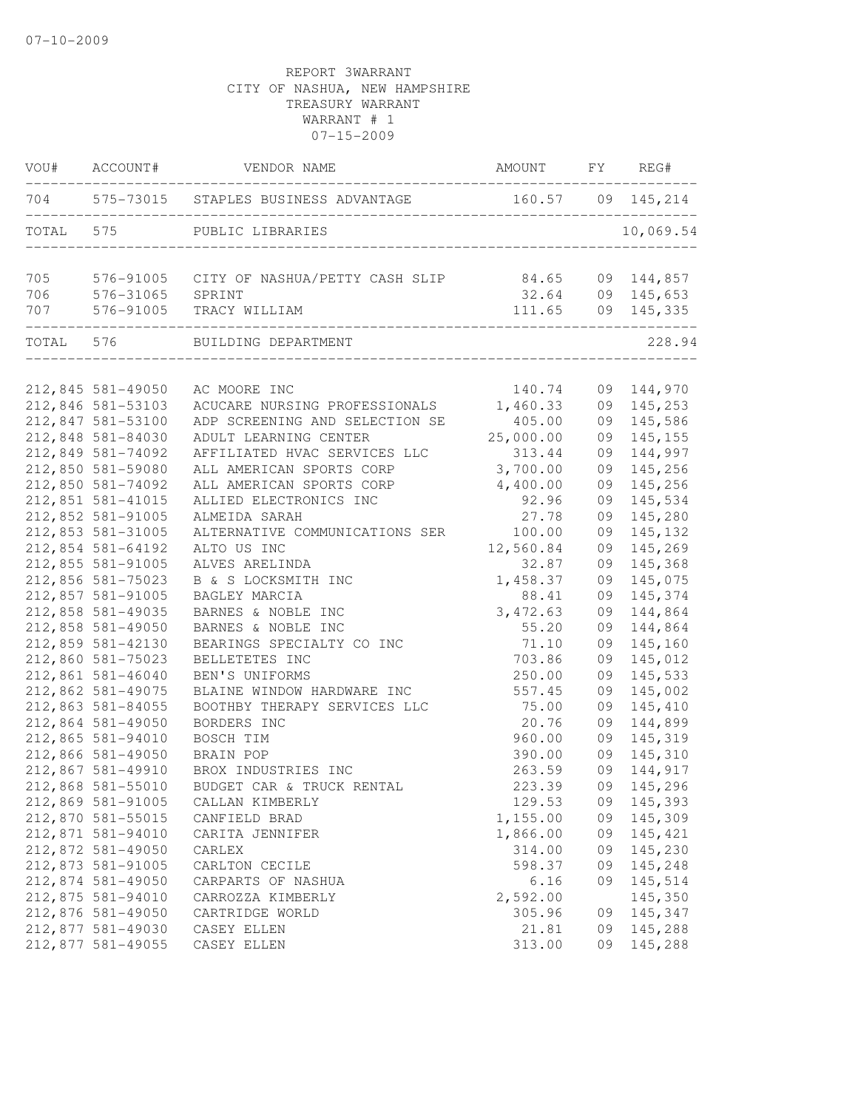|           | VOU# ACCOUNT#                          | VENDOR NAME                                                | AMOUNT FY REG#                |          |                                                           |
|-----------|----------------------------------------|------------------------------------------------------------|-------------------------------|----------|-----------------------------------------------------------|
|           | ______________________                 | 704 575-73015 STAPLES BUSINESS ADVANTAGE 160.57 09 145,214 |                               |          |                                                           |
| TOTAL 575 |                                        | PUBLIC LIBRARIES<br>----------------------------------     |                               |          | 10,069.54                                                 |
| 705       |                                        | 576-91005 CITY OF NASHUA/PETTY CASH SLIP                   |                               |          | 84.65 09 144,857<br>32.64 09 145,653<br>111.65 09 145,335 |
| 706       | 576-31065                              | SPRINT                                                     |                               |          |                                                           |
| 707       | 576-91005<br>--------------------      | TRACY WILLIAM<br>---------                                 | ----------------------------- |          |                                                           |
|           | TOTAL 576                              | BUILDING DEPARTMENT                                        |                               |          | 228.94                                                    |
|           |                                        |                                                            |                               |          |                                                           |
|           | 212,845 581-49050                      | AC MOORE INC                                               | 140.74                        |          | 09 144,970                                                |
|           | 212,846 581-53103                      | ACUCARE NURSING PROFESSIONALS                              | 1,460.33                      |          | 09 145,253                                                |
|           | 212,847 581-53100                      | ADP SCREENING AND SELECTION SE                             | 405.00                        | 09       | 145,586                                                   |
|           | 212,848 581-84030                      | ADULT LEARNING CENTER                                      | 25,000.00                     | 09       | 145,155                                                   |
|           | 212,849 581-74092                      | AFFILIATED HVAC SERVICES LLC                               | 313.44                        | 09       | 144,997                                                   |
|           | 212,850 581-59080                      | ALL AMERICAN SPORTS CORP                                   | 3,700.00                      | 09       | 145,256                                                   |
|           | 212,850 581-74092                      | ALL AMERICAN SPORTS CORP                                   | 4,400.00                      | 09       | 145,256                                                   |
|           | 212,851 581-41015                      | ALLIED ELECTRONICS INC                                     | 92.96                         | 09       | 145,534                                                   |
|           | 212,852 581-91005                      | ALMEIDA SARAH                                              | 27.78                         | 09       | 145,280                                                   |
|           | 212,853 581-31005                      | ALTERNATIVE COMMUNICATIONS SER                             | 100.00                        | 09       | 145,132                                                   |
|           | 212,854 581-64192                      | ALTO US INC                                                | 12,560.84                     | 09       | 145,269                                                   |
|           | 212,855 581-91005                      | ALVES ARELINDA                                             | 32.87                         | 09       | 145,368                                                   |
|           | 212,856 581-75023                      | B & S LOCKSMITH INC                                        | 1,458.37                      | 09       | 145,075                                                   |
|           | 212,857 581-91005<br>212,858 581-49035 | BAGLEY MARCIA<br>BARNES & NOBLE INC                        | 88.41<br>3, 472.63            | 09<br>09 | 145,374<br>144,864                                        |
|           | 212,858 581-49050                      | BARNES & NOBLE INC                                         | 55.20                         | 09       | 144,864                                                   |
|           | 212,859 581-42130                      | BEARINGS SPECIALTY CO INC                                  | 71.10                         | 09       | 145,160                                                   |
|           | 212,860 581-75023                      | BELLETETES INC                                             | 703.86                        | 09       | 145,012                                                   |
|           | 212,861 581-46040                      | BEN'S UNIFORMS                                             | 250.00                        | 09       | 145,533                                                   |
|           | 212,862 581-49075                      | BLAINE WINDOW HARDWARE INC                                 | 557.45                        | 09       | 145,002                                                   |
|           | 212,863 581-84055                      | BOOTHBY THERAPY SERVICES LLC                               | 75.00                         | 09       | 145,410                                                   |
|           | 212,864 581-49050                      | BORDERS INC                                                | 20.76                         | 09       | 144,899                                                   |
|           | 212,865 581-94010                      | BOSCH TIM                                                  | 960.00                        | 09       | 145,319                                                   |
|           | 212,866 581-49050                      | <b>BRAIN POP</b>                                           | 390.00                        | 09       | 145,310                                                   |
|           | 212,867 581-49910                      | BROX INDUSTRIES INC                                        | 263.59                        | 09       | 144,917                                                   |
|           | 212,868 581-55010                      | BUDGET CAR & TRUCK RENTAL                                  | 223.39                        |          | 09 145,296                                                |
|           | 212,869 581-91005                      | CALLAN KIMBERLY                                            | 129.53                        | 09       | 145,393                                                   |
|           | 212,870 581-55015                      | CANFIELD BRAD                                              | 1,155.00                      | 09       | 145,309                                                   |
|           | 212,871 581-94010                      | CARITA JENNIFER                                            | 1,866.00                      | 09       | 145,421                                                   |
|           | 212,872 581-49050                      | CARLEX                                                     | 314.00                        | 09       | 145,230                                                   |
|           | 212,873 581-91005                      | CARLTON CECILE                                             | 598.37                        | 09       | 145,248                                                   |
|           | 212,874 581-49050                      | CARPARTS OF NASHUA                                         | 6.16                          | 09       | 145,514                                                   |
|           | 212,875 581-94010                      | CARROZZA KIMBERLY                                          | 2,592.00                      |          | 145,350                                                   |
|           | 212,876 581-49050                      | CARTRIDGE WORLD                                            | 305.96                        | 09       | 145,347                                                   |
|           | 212,877 581-49030                      | CASEY ELLEN                                                | 21.81                         | 09       | 145,288                                                   |
|           | 212,877 581-49055                      | CASEY ELLEN                                                | 313.00                        | 09       | 145,288                                                   |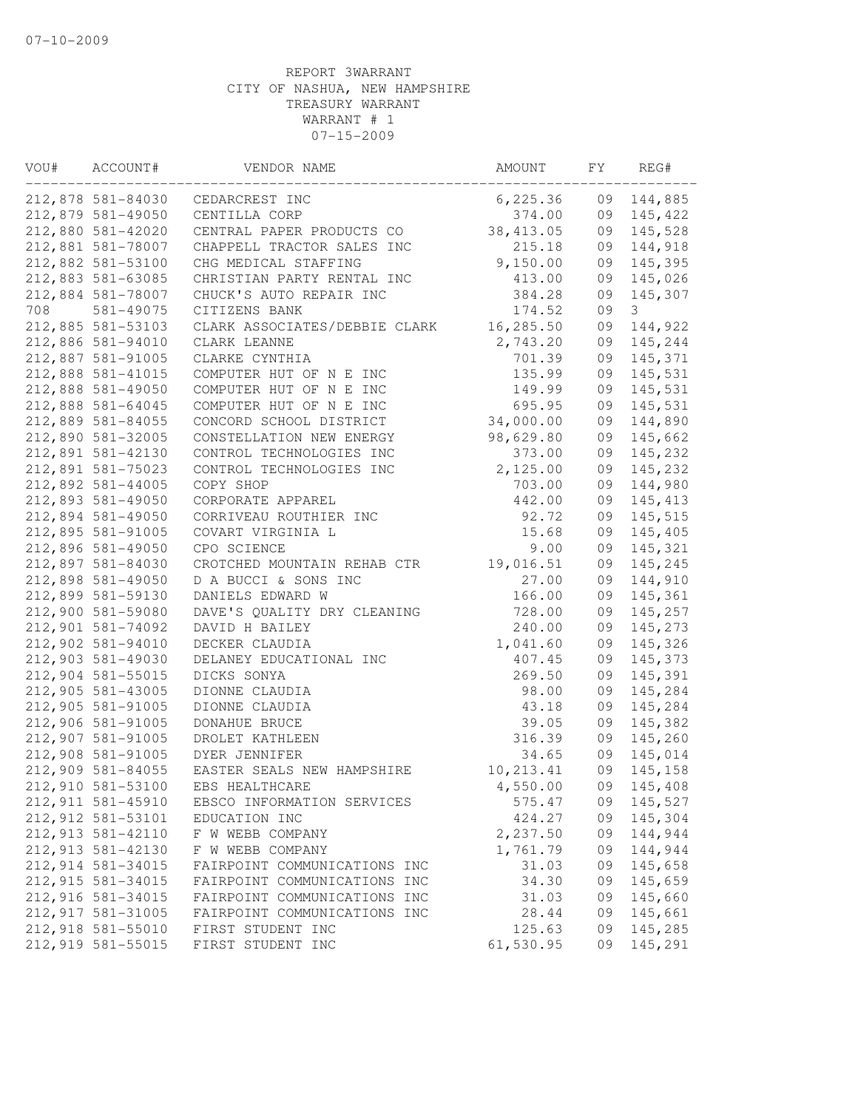| VOU# | ACCOUNT#          | VENDOR NAME                   | AMOUNT     | FY | REG#     |
|------|-------------------|-------------------------------|------------|----|----------|
|      | 212,878 581-84030 | CEDARCREST INC                | 6,225.36   | 09 | 144,885  |
|      | 212,879 581-49050 | CENTILLA CORP                 | 374.00     | 09 | 145,422  |
|      | 212,880 581-42020 | CENTRAL PAPER PRODUCTS CO     | 38, 413.05 | 09 | 145,528  |
|      | 212,881 581-78007 | CHAPPELL TRACTOR SALES INC    | 215.18     | 09 | 144,918  |
|      | 212,882 581-53100 | CHG MEDICAL STAFFING          | 9,150.00   | 09 | 145,395  |
|      | 212,883 581-63085 | CHRISTIAN PARTY RENTAL INC    | 413.00     | 09 | 145,026  |
|      | 212,884 581-78007 | CHUCK'S AUTO REPAIR INC       | 384.28     | 09 | 145,307  |
| 708  | 581-49075         | CITIZENS BANK                 | 174.52     | 09 | 3        |
|      | 212,885 581-53103 | CLARK ASSOCIATES/DEBBIE CLARK | 16,285.50  | 09 | 144,922  |
|      | 212,886 581-94010 | CLARK LEANNE                  | 2,743.20   | 09 | 145,244  |
|      | 212,887 581-91005 | CLARKE CYNTHIA                | 701.39     | 09 | 145,371  |
|      | 212,888 581-41015 | COMPUTER HUT OF N E INC       | 135.99     | 09 | 145,531  |
|      | 212,888 581-49050 | COMPUTER HUT OF N E INC       | 149.99     | 09 | 145,531  |
|      | 212,888 581-64045 | COMPUTER HUT OF N E INC       | 695.95     | 09 | 145,531  |
|      | 212,889 581-84055 | CONCORD SCHOOL DISTRICT       | 34,000.00  | 09 | 144,890  |
|      | 212,890 581-32005 | CONSTELLATION NEW ENERGY      | 98,629.80  | 09 | 145,662  |
|      | 212,891 581-42130 | CONTROL TECHNOLOGIES INC      | 373.00     | 09 | 145,232  |
|      | 212,891 581-75023 | CONTROL TECHNOLOGIES INC      | 2,125.00   | 09 | 145,232  |
|      | 212,892 581-44005 | COPY SHOP                     | 703.00     | 09 | 144,980  |
|      | 212,893 581-49050 | CORPORATE APPAREL             | 442.00     | 09 | 145, 413 |
|      | 212,894 581-49050 | CORRIVEAU ROUTHIER INC        | 92.72      | 09 | 145,515  |
|      | 212,895 581-91005 | COVART VIRGINIA L             | 15.68      | 09 | 145,405  |
|      | 212,896 581-49050 | CPO SCIENCE                   | 9.00       | 09 | 145,321  |
|      | 212,897 581-84030 | CROTCHED MOUNTAIN REHAB CTR   | 19,016.51  | 09 | 145,245  |
|      | 212,898 581-49050 | D A BUCCI & SONS INC          | 27.00      | 09 | 144,910  |
|      | 212,899 581-59130 | DANIELS EDWARD W              | 166.00     | 09 | 145,361  |
|      | 212,900 581-59080 | DAVE'S QUALITY DRY CLEANING   | 728.00     | 09 | 145,257  |
|      | 212,901 581-74092 | DAVID H BAILEY                | 240.00     | 09 | 145,273  |
|      | 212,902 581-94010 | DECKER CLAUDIA                | 1,041.60   | 09 | 145,326  |
|      | 212,903 581-49030 | DELANEY EDUCATIONAL INC       | 407.45     | 09 | 145,373  |
|      | 212,904 581-55015 | DICKS SONYA                   | 269.50     | 09 | 145,391  |
|      | 212,905 581-43005 | DIONNE CLAUDIA                | 98.00      | 09 | 145,284  |
|      | 212,905 581-91005 | DIONNE CLAUDIA                | 43.18      | 09 | 145,284  |
|      | 212,906 581-91005 | DONAHUE BRUCE                 | 39.05      | 09 | 145,382  |
|      | 212,907 581-91005 | DROLET KATHLEEN               | 316.39     | 09 | 145,260  |
|      | 212,908 581-91005 | DYER JENNIFER                 | 34.65      | 09 | 145,014  |
|      | 212,909 581-84055 | EASTER SEALS NEW HAMPSHIRE    | 10, 213.41 | 09 | 145,158  |
|      | 212,910 581-53100 | EBS HEALTHCARE                | 4,550.00   | 09 | 145,408  |
|      | 212,911 581-45910 | EBSCO INFORMATION SERVICES    | 575.47     | 09 | 145,527  |
|      | 212,912 581-53101 | EDUCATION INC                 | 424.27     | 09 | 145,304  |
|      | 212,913 581-42110 | F W WEBB COMPANY              | 2,237.50   | 09 | 144,944  |
|      | 212,913 581-42130 | F W WEBB COMPANY              | 1,761.79   | 09 | 144,944  |
|      | 212,914 581-34015 | FAIRPOINT COMMUNICATIONS INC  | 31.03      | 09 | 145,658  |
|      | 212,915 581-34015 | FAIRPOINT COMMUNICATIONS INC  | 34.30      | 09 | 145,659  |
|      | 212,916 581-34015 | FAIRPOINT COMMUNICATIONS INC  | 31.03      | 09 | 145,660  |
|      | 212,917 581-31005 | FAIRPOINT COMMUNICATIONS INC  | 28.44      | 09 | 145,661  |
|      | 212,918 581-55010 | FIRST STUDENT INC             | 125.63     | 09 | 145,285  |
|      | 212,919 581-55015 | FIRST STUDENT INC             | 61,530.95  | 09 | 145,291  |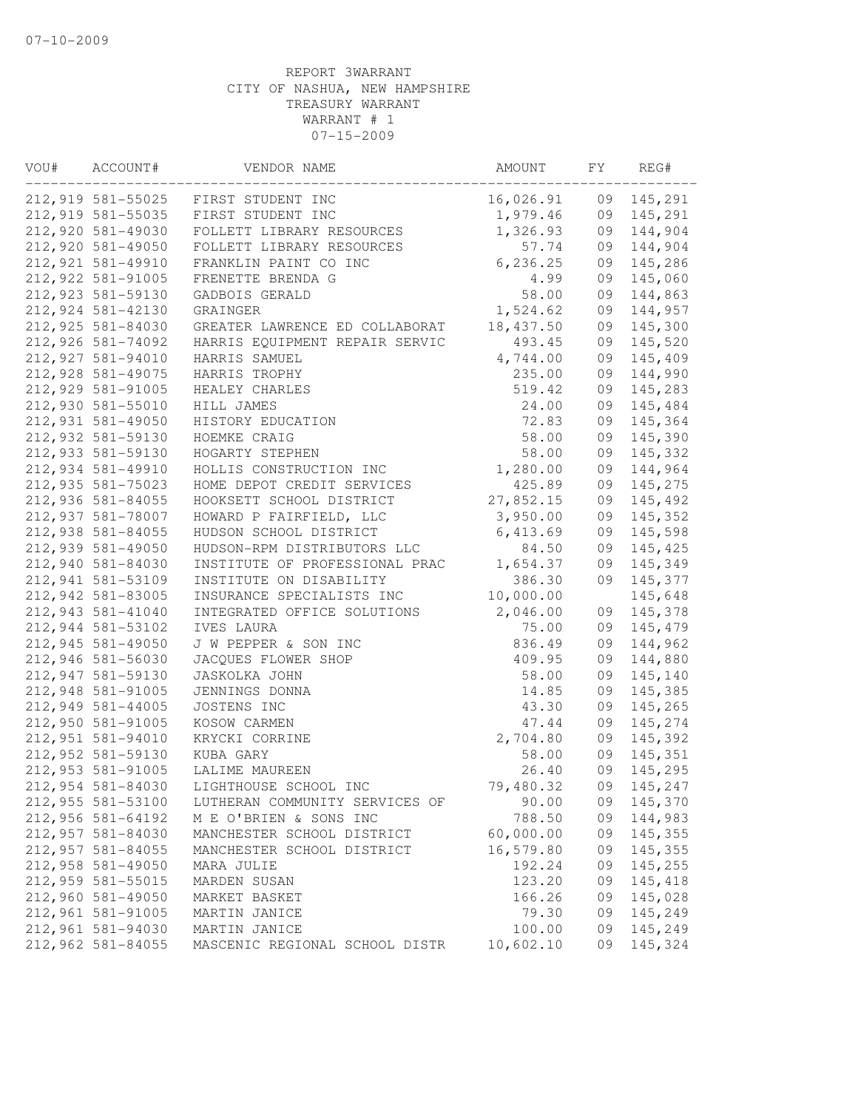| VOU# | ACCOUNT#          | VENDOR NAME                    | AMOUNT    | FY | REG#    |
|------|-------------------|--------------------------------|-----------|----|---------|
|      | 212,919 581-55025 | FIRST STUDENT INC              | 16,026.91 | 09 | 145,291 |
|      | 212,919 581-55035 | FIRST STUDENT INC              | 1,979.46  | 09 | 145,291 |
|      | 212,920 581-49030 | FOLLETT LIBRARY RESOURCES      | 1,326.93  | 09 | 144,904 |
|      | 212,920 581-49050 | FOLLETT LIBRARY RESOURCES      | 57.74     | 09 | 144,904 |
|      | 212,921 581-49910 | FRANKLIN PAINT CO INC          | 6, 236.25 | 09 | 145,286 |
|      | 212,922 581-91005 | FRENETTE BRENDA G              | 4.99      | 09 | 145,060 |
|      | 212,923 581-59130 | GADBOIS GERALD                 | 58.00     | 09 | 144,863 |
|      | 212,924 581-42130 | GRAINGER                       | 1,524.62  | 09 | 144,957 |
|      | 212,925 581-84030 | GREATER LAWRENCE ED COLLABORAT | 18,437.50 | 09 | 145,300 |
|      | 212,926 581-74092 | HARRIS EQUIPMENT REPAIR SERVIC | 493.45    | 09 | 145,520 |
|      | 212,927 581-94010 | HARRIS SAMUEL                  | 4,744.00  | 09 | 145,409 |
|      | 212,928 581-49075 | HARRIS TROPHY                  | 235.00    | 09 | 144,990 |
|      | 212,929 581-91005 | HEALEY CHARLES                 | 519.42    | 09 | 145,283 |
|      | 212,930 581-55010 | HILL JAMES                     | 24.00     | 09 | 145,484 |
|      | 212,931 581-49050 | HISTORY EDUCATION              | 72.83     | 09 | 145,364 |
|      | 212,932 581-59130 | HOEMKE CRAIG                   | 58.00     | 09 | 145,390 |
|      | 212,933 581-59130 | HOGARTY STEPHEN                | 58.00     | 09 | 145,332 |
|      | 212,934 581-49910 | HOLLIS CONSTRUCTION INC        | 1,280.00  | 09 | 144,964 |
|      | 212,935 581-75023 | HOME DEPOT CREDIT SERVICES     | 425.89    | 09 | 145,275 |
|      | 212,936 581-84055 | HOOKSETT SCHOOL DISTRICT       | 27,852.15 | 09 | 145,492 |
|      | 212,937 581-78007 | HOWARD P FAIRFIELD, LLC        | 3,950.00  | 09 | 145,352 |
|      | 212,938 581-84055 | HUDSON SCHOOL DISTRICT         | 6,413.69  | 09 | 145,598 |
|      | 212,939 581-49050 | HUDSON-RPM DISTRIBUTORS LLC    | 84.50     | 09 | 145,425 |
|      | 212,940 581-84030 | INSTITUTE OF PROFESSIONAL PRAC | 1,654.37  | 09 | 145,349 |
|      | 212,941 581-53109 | INSTITUTE ON DISABILITY        | 386.30    | 09 | 145,377 |
|      | 212,942 581-83005 | INSURANCE SPECIALISTS INC      | 10,000.00 |    | 145,648 |
|      | 212,943 581-41040 | INTEGRATED OFFICE SOLUTIONS    | 2,046.00  | 09 | 145,378 |
|      | 212,944 581-53102 | IVES LAURA                     | 75.00     | 09 | 145,479 |
|      | 212,945 581-49050 | J W PEPPER & SON INC           | 836.49    | 09 | 144,962 |
|      | 212,946 581-56030 | JACQUES FLOWER SHOP            | 409.95    | 09 | 144,880 |
|      | 212,947 581-59130 | JASKOLKA JOHN                  | 58.00     | 09 | 145,140 |
|      | 212,948 581-91005 | JENNINGS DONNA                 | 14.85     | 09 | 145,385 |
|      | 212,949 581-44005 | JOSTENS INC                    | 43.30     | 09 | 145,265 |
|      | 212,950 581-91005 | KOSOW CARMEN                   | 47.44     | 09 | 145,274 |
|      | 212,951 581-94010 | KRYCKI CORRINE                 | 2,704.80  | 09 | 145,392 |
|      | 212,952 581-59130 | KUBA GARY                      | 58.00     | 09 | 145,351 |
|      | 212,953 581-91005 | LALIME MAUREEN                 | 26.40     | 09 | 145,295 |
|      | 212,954 581-84030 | LIGHTHOUSE SCHOOL INC          | 79,480.32 | 09 | 145,247 |
|      | 212,955 581-53100 | LUTHERAN COMMUNITY SERVICES OF | 90.00     | 09 | 145,370 |
|      | 212,956 581-64192 | M E O'BRIEN & SONS INC         | 788.50    | 09 | 144,983 |
|      | 212,957 581-84030 | MANCHESTER SCHOOL DISTRICT     | 60,000.00 | 09 | 145,355 |
|      | 212,957 581-84055 | MANCHESTER SCHOOL DISTRICT     | 16,579.80 | 09 | 145,355 |
|      | 212,958 581-49050 | MARA JULIE                     | 192.24    | 09 | 145,255 |
|      | 212,959 581-55015 | MARDEN SUSAN                   | 123.20    | 09 | 145,418 |
|      | 212,960 581-49050 | MARKET BASKET                  | 166.26    | 09 | 145,028 |
|      | 212,961 581-91005 | MARTIN JANICE                  | 79.30     | 09 | 145,249 |
|      | 212,961 581-94030 | MARTIN JANICE                  | 100.00    | 09 | 145,249 |
|      | 212,962 581-84055 | MASCENIC REGIONAL SCHOOL DISTR | 10,602.10 | 09 | 145,324 |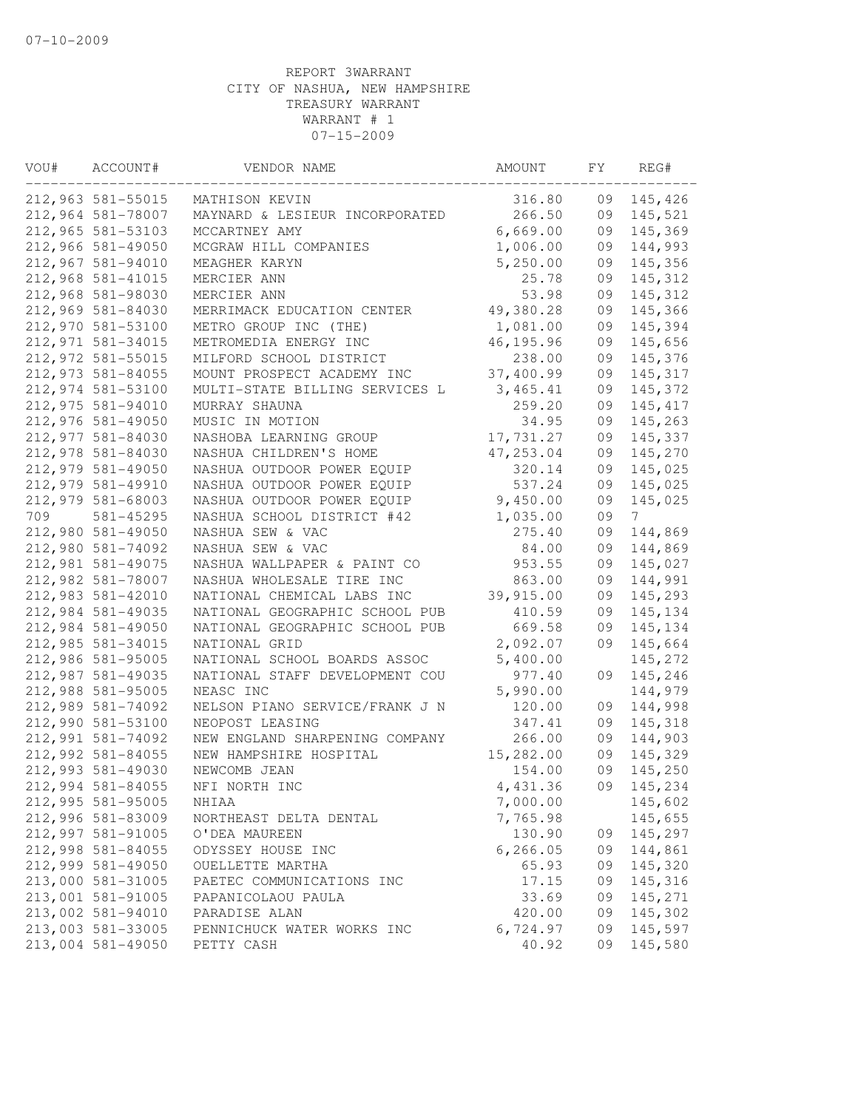| VOU# | ACCOUNT#          | VENDOR NAME                    | AMOUNT     | FY | REG#     |
|------|-------------------|--------------------------------|------------|----|----------|
|      | 212,963 581-55015 | MATHISON KEVIN                 | 316.80     | 09 | 145,426  |
|      | 212,964 581-78007 | MAYNARD & LESIEUR INCORPORATED | 266.50     | 09 | 145,521  |
|      | 212,965 581-53103 | MCCARTNEY AMY                  | 6,669.00   | 09 | 145,369  |
|      | 212,966 581-49050 | MCGRAW HILL COMPANIES          | 1,006.00   | 09 | 144,993  |
|      | 212,967 581-94010 | MEAGHER KARYN                  | 5,250.00   | 09 | 145,356  |
|      | 212,968 581-41015 | MERCIER ANN                    | 25.78      | 09 | 145,312  |
|      | 212,968 581-98030 | MERCIER ANN                    | 53.98      | 09 | 145,312  |
|      | 212,969 581-84030 | MERRIMACK EDUCATION CENTER     | 49,380.28  | 09 | 145,366  |
|      | 212,970 581-53100 | METRO GROUP INC (THE)          | 1,081.00   | 09 | 145,394  |
|      | 212,971 581-34015 | METROMEDIA ENERGY INC          | 46, 195.96 | 09 | 145,656  |
|      | 212,972 581-55015 | MILFORD SCHOOL DISTRICT        | 238.00     | 09 | 145,376  |
|      | 212,973 581-84055 | MOUNT PROSPECT ACADEMY INC     | 37,400.99  | 09 | 145,317  |
|      | 212,974 581-53100 | MULTI-STATE BILLING SERVICES L | 3,465.41   | 09 | 145,372  |
|      | 212,975 581-94010 | MURRAY SHAUNA                  | 259.20     | 09 | 145, 417 |
|      | 212,976 581-49050 | MUSIC IN MOTION                | 34.95      | 09 | 145,263  |
|      | 212,977 581-84030 | NASHOBA LEARNING GROUP         | 17,731.27  | 09 | 145,337  |
|      | 212,978 581-84030 | NASHUA CHILDREN'S HOME         | 47,253.04  | 09 | 145,270  |
|      | 212,979 581-49050 | NASHUA OUTDOOR POWER EQUIP     | 320.14     | 09 | 145,025  |
|      | 212,979 581-49910 | NASHUA OUTDOOR POWER EQUIP     | 537.24     | 09 | 145,025  |
|      | 212,979 581-68003 | NASHUA OUTDOOR POWER EQUIP     | 9,450.00   | 09 | 145,025  |
| 709  | 581-45295         | NASHUA SCHOOL DISTRICT #42     | 1,035.00   | 09 | 7        |
|      | 212,980 581-49050 | NASHUA SEW & VAC               | 275.40     | 09 | 144,869  |
|      | 212,980 581-74092 | NASHUA SEW & VAC               | 84.00      | 09 | 144,869  |
|      | 212,981 581-49075 | NASHUA WALLPAPER & PAINT CO    | 953.55     | 09 | 145,027  |
|      | 212,982 581-78007 | NASHUA WHOLESALE TIRE INC      | 863.00     | 09 | 144,991  |
|      | 212,983 581-42010 | NATIONAL CHEMICAL LABS INC     | 39,915.00  | 09 | 145,293  |
|      | 212,984 581-49035 | NATIONAL GEOGRAPHIC SCHOOL PUB | 410.59     | 09 | 145,134  |
|      | 212,984 581-49050 | NATIONAL GEOGRAPHIC SCHOOL PUB | 669.58     | 09 | 145,134  |
|      | 212,985 581-34015 | NATIONAL GRID                  | 2,092.07   | 09 | 145,664  |
|      | 212,986 581-95005 | NATIONAL SCHOOL BOARDS ASSOC   | 5,400.00   |    | 145,272  |
|      | 212,987 581-49035 | NATIONAL STAFF DEVELOPMENT COU | 977.40     | 09 | 145,246  |
|      | 212,988 581-95005 | NEASC INC                      | 5,990.00   |    | 144,979  |
|      | 212,989 581-74092 | NELSON PIANO SERVICE/FRANK J N | 120.00     | 09 | 144,998  |
|      | 212,990 581-53100 | NEOPOST LEASING                | 347.41     | 09 | 145,318  |
|      | 212,991 581-74092 | NEW ENGLAND SHARPENING COMPANY | 266.00     | 09 | 144,903  |
|      | 212,992 581-84055 | NEW HAMPSHIRE HOSPITAL         | 15,282.00  | 09 | 145,329  |
|      | 212,993 581-49030 | NEWCOMB JEAN                   | 154.00     | 09 | 145,250  |
|      | 212,994 581-84055 | NFI NORTH INC                  | 4,431.36   | 09 | 145,234  |
|      | 212,995 581-95005 | NHIAA                          | 7,000.00   |    | 145,602  |
|      | 212,996 581-83009 | NORTHEAST DELTA DENTAL         | 7,765.98   |    | 145,655  |
|      | 212,997 581-91005 | O'DEA MAUREEN                  | 130.90     | 09 | 145,297  |
|      | 212,998 581-84055 | ODYSSEY HOUSE INC              | 6, 266.05  | 09 | 144,861  |
|      | 212,999 581-49050 | OUELLETTE MARTHA               | 65.93      | 09 | 145,320  |
|      | 213,000 581-31005 | PAETEC COMMUNICATIONS INC      | 17.15      | 09 | 145,316  |
|      | 213,001 581-91005 | PAPANICOLAOU PAULA             | 33.69      | 09 | 145,271  |
|      | 213,002 581-94010 | PARADISE ALAN                  | 420.00     | 09 | 145,302  |
|      | 213,003 581-33005 | PENNICHUCK WATER WORKS INC     | 6,724.97   | 09 | 145,597  |
|      | 213,004 581-49050 | PETTY CASH                     | 40.92      | 09 | 145,580  |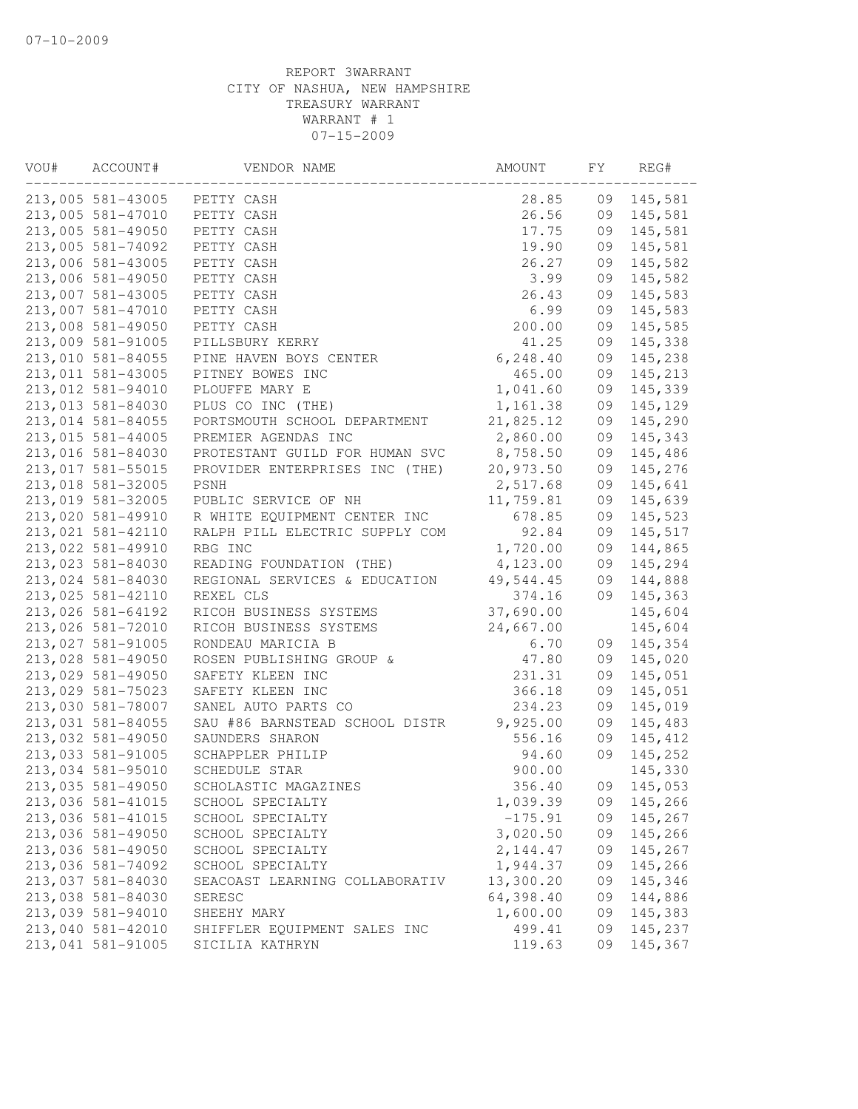| VOU# | ACCOUNT#          | VENDOR NAME                    | AMOUNT    | FY | REG#    |
|------|-------------------|--------------------------------|-----------|----|---------|
|      | 213,005 581-43005 | PETTY CASH                     | 28.85     | 09 | 145,581 |
|      | 213,005 581-47010 | PETTY CASH                     | 26.56     | 09 | 145,581 |
|      | 213,005 581-49050 | PETTY CASH                     | 17.75     | 09 | 145,581 |
|      | 213,005 581-74092 | PETTY CASH                     | 19.90     | 09 | 145,581 |
|      | 213,006 581-43005 | PETTY CASH                     | 26.27     | 09 | 145,582 |
|      | 213,006 581-49050 | PETTY CASH                     | 3.99      | 09 | 145,582 |
|      | 213,007 581-43005 | PETTY CASH                     | 26.43     | 09 | 145,583 |
|      | 213,007 581-47010 | PETTY CASH                     | 6.99      | 09 | 145,583 |
|      | 213,008 581-49050 | PETTY CASH                     | 200.00    | 09 | 145,585 |
|      | 213,009 581-91005 | PILLSBURY KERRY                | 41.25     | 09 | 145,338 |
|      | 213,010 581-84055 | PINE HAVEN BOYS CENTER         | 6, 248.40 | 09 | 145,238 |
|      | 213,011 581-43005 | PITNEY BOWES INC               | 465.00    | 09 | 145,213 |
|      | 213,012 581-94010 | PLOUFFE MARY E                 | 1,041.60  | 09 | 145,339 |
|      | 213,013 581-84030 | PLUS CO INC (THE)              | 1,161.38  | 09 | 145,129 |
|      | 213,014 581-84055 | PORTSMOUTH SCHOOL DEPARTMENT   | 21,825.12 | 09 | 145,290 |
|      | 213,015 581-44005 | PREMIER AGENDAS INC            | 2,860.00  | 09 | 145,343 |
|      | 213,016 581-84030 | PROTESTANT GUILD FOR HUMAN SVC | 8,758.50  | 09 | 145,486 |
|      | 213,017 581-55015 | PROVIDER ENTERPRISES INC (THE) | 20,973.50 | 09 | 145,276 |
|      | 213,018 581-32005 | PSNH                           | 2,517.68  | 09 | 145,641 |
|      | 213,019 581-32005 | PUBLIC SERVICE OF NH           | 11,759.81 | 09 | 145,639 |
|      | 213,020 581-49910 | R WHITE EQUIPMENT CENTER INC   | 678.85    | 09 | 145,523 |
|      | 213,021 581-42110 | RALPH PILL ELECTRIC SUPPLY COM | 92.84     | 09 | 145,517 |
|      | 213,022 581-49910 | RBG INC                        | 1,720.00  | 09 | 144,865 |
|      | 213,023 581-84030 | READING FOUNDATION (THE)       | 4,123.00  | 09 | 145,294 |
|      | 213,024 581-84030 | REGIONAL SERVICES & EDUCATION  | 49,544.45 | 09 | 144,888 |
|      | 213,025 581-42110 | REXEL CLS                      | 374.16    | 09 | 145,363 |
|      | 213,026 581-64192 | RICOH BUSINESS SYSTEMS         | 37,690.00 |    | 145,604 |
|      | 213,026 581-72010 | RICOH BUSINESS SYSTEMS         | 24,667.00 |    | 145,604 |
|      | 213,027 581-91005 | RONDEAU MARICIA B              | 6.70      | 09 | 145,354 |
|      | 213,028 581-49050 | ROSEN PUBLISHING GROUP &       | 47.80     | 09 | 145,020 |
|      | 213,029 581-49050 | SAFETY KLEEN INC               | 231.31    | 09 | 145,051 |
|      | 213,029 581-75023 | SAFETY KLEEN INC               | 366.18    | 09 | 145,051 |
|      | 213,030 581-78007 | SANEL AUTO PARTS CO            | 234.23    | 09 | 145,019 |
|      | 213,031 581-84055 | SAU #86 BARNSTEAD SCHOOL DISTR | 9,925.00  | 09 | 145,483 |
|      | 213,032 581-49050 | SAUNDERS SHARON                | 556.16    | 09 | 145,412 |
|      | 213,033 581-91005 | SCHAPPLER PHILIP               | 94.60     | 09 | 145,252 |
|      | 213,034 581-95010 | SCHEDULE STAR                  | 900.00    |    | 145,330 |
|      | 213,035 581-49050 | SCHOLASTIC MAGAZINES           | 356.40    | 09 | 145,053 |
|      | 213,036 581-41015 | SCHOOL SPECIALTY               | 1,039.39  | 09 | 145,266 |
|      | 213,036 581-41015 | SCHOOL SPECIALTY               | $-175.91$ | 09 | 145,267 |
|      | 213,036 581-49050 | SCHOOL SPECIALTY               | 3,020.50  | 09 | 145,266 |
|      | 213,036 581-49050 | SCHOOL SPECIALTY               | 2, 144.47 | 09 | 145,267 |
|      | 213,036 581-74092 | SCHOOL SPECIALTY               | 1,944.37  | 09 | 145,266 |
|      | 213,037 581-84030 | SEACOAST LEARNING COLLABORATIV | 13,300.20 | 09 | 145,346 |
|      | 213,038 581-84030 | SERESC                         | 64,398.40 | 09 | 144,886 |
|      | 213,039 581-94010 | SHEEHY MARY                    | 1,600.00  | 09 | 145,383 |
|      | 213,040 581-42010 | SHIFFLER EQUIPMENT SALES INC   | 499.41    | 09 | 145,237 |
|      | 213,041 581-91005 | SICILIA KATHRYN                | 119.63    | 09 | 145,367 |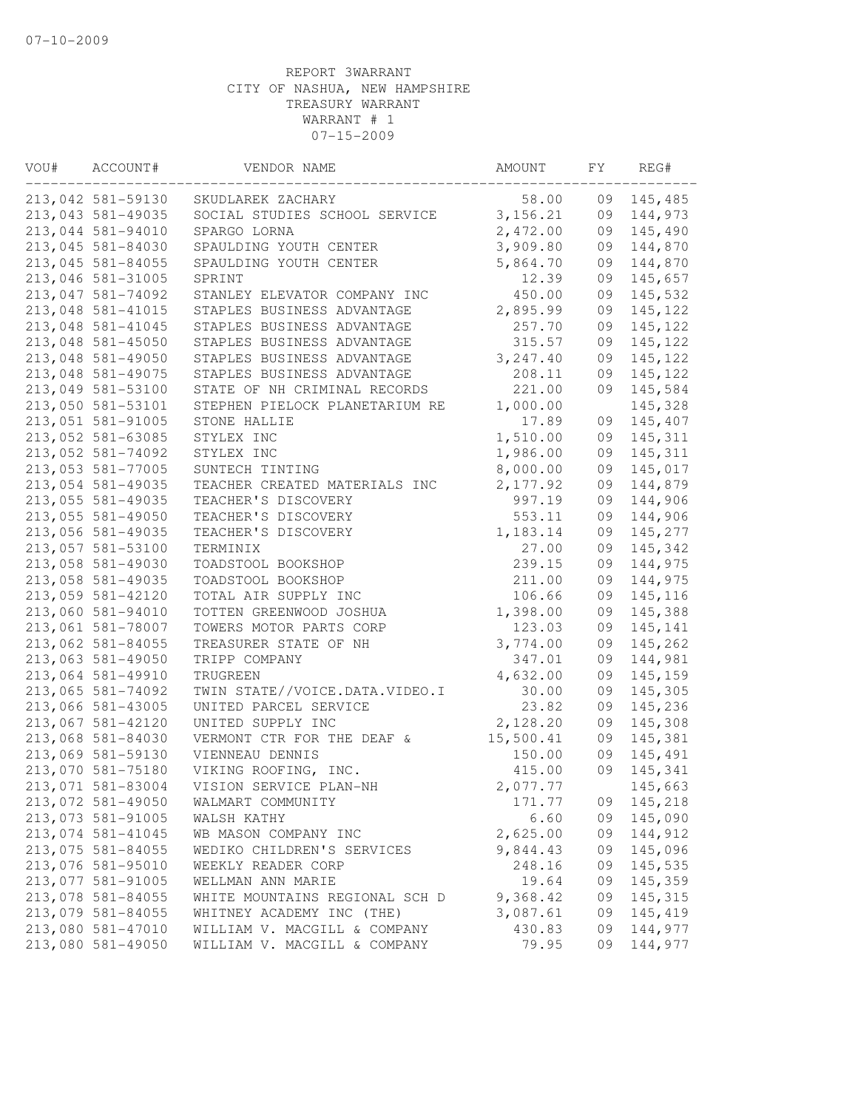| VOU# | ACCOUNT#          | VENDOR NAME                    | AMOUNT    | FY | REG#    |
|------|-------------------|--------------------------------|-----------|----|---------|
|      | 213,042 581-59130 | SKUDLAREK ZACHARY              | 58.00     | 09 | 145,485 |
|      | 213,043 581-49035 | SOCIAL STUDIES SCHOOL SERVICE  | 3,156.21  | 09 | 144,973 |
|      | 213,044 581-94010 | SPARGO LORNA                   | 2,472.00  | 09 | 145,490 |
|      | 213,045 581-84030 | SPAULDING YOUTH CENTER         | 3,909.80  | 09 | 144,870 |
|      | 213,045 581-84055 | SPAULDING YOUTH CENTER         | 5,864.70  | 09 | 144,870 |
|      | 213,046 581-31005 | SPRINT                         | 12.39     | 09 | 145,657 |
|      | 213,047 581-74092 | STANLEY ELEVATOR COMPANY INC   | 450.00    | 09 | 145,532 |
|      | 213,048 581-41015 | STAPLES BUSINESS ADVANTAGE     | 2,895.99  | 09 | 145,122 |
|      | 213,048 581-41045 | STAPLES BUSINESS ADVANTAGE     | 257.70    | 09 | 145,122 |
|      | 213,048 581-45050 | STAPLES BUSINESS ADVANTAGE     | 315.57    | 09 | 145,122 |
|      | 213,048 581-49050 | STAPLES BUSINESS ADVANTAGE     | 3, 247.40 | 09 | 145,122 |
|      | 213,048 581-49075 | STAPLES BUSINESS ADVANTAGE     | 208.11    | 09 | 145,122 |
|      | 213,049 581-53100 | STATE OF NH CRIMINAL RECORDS   | 221.00    | 09 | 145,584 |
|      | 213,050 581-53101 | STEPHEN PIELOCK PLANETARIUM RE | 1,000.00  |    | 145,328 |
|      | 213,051 581-91005 | STONE HALLIE                   | 17.89     | 09 | 145,407 |
|      | 213,052 581-63085 | STYLEX INC                     | 1,510.00  | 09 | 145,311 |
|      | 213,052 581-74092 | STYLEX INC                     | 1,986.00  | 09 | 145,311 |
|      | 213,053 581-77005 | SUNTECH TINTING                | 8,000.00  | 09 | 145,017 |
|      | 213,054 581-49035 | TEACHER CREATED MATERIALS INC  | 2,177.92  | 09 | 144,879 |
|      | 213,055 581-49035 | TEACHER'S DISCOVERY            | 997.19    | 09 | 144,906 |
|      | 213,055 581-49050 | TEACHER'S DISCOVERY            | 553.11    | 09 | 144,906 |
|      | 213,056 581-49035 | TEACHER'S DISCOVERY            | 1,183.14  | 09 | 145,277 |
|      | 213,057 581-53100 | TERMINIX                       | 27.00     | 09 | 145,342 |
|      | 213,058 581-49030 | TOADSTOOL BOOKSHOP             | 239.15    | 09 | 144,975 |
|      | 213,058 581-49035 | TOADSTOOL BOOKSHOP             | 211.00    | 09 | 144,975 |
|      | 213,059 581-42120 | TOTAL AIR SUPPLY INC           | 106.66    | 09 | 145,116 |
|      | 213,060 581-94010 | TOTTEN GREENWOOD JOSHUA        | 1,398.00  | 09 | 145,388 |
|      | 213,061 581-78007 | TOWERS MOTOR PARTS CORP        | 123.03    | 09 | 145,141 |
|      | 213,062 581-84055 | TREASURER STATE OF NH          | 3,774.00  | 09 | 145,262 |
|      | 213,063 581-49050 | TRIPP COMPANY                  | 347.01    | 09 | 144,981 |
|      | 213,064 581-49910 | TRUGREEN                       | 4,632.00  | 09 | 145,159 |
|      | 213,065 581-74092 | TWIN STATE//VOICE.DATA.VIDEO.I | 30.00     | 09 | 145,305 |
|      | 213,066 581-43005 | UNITED PARCEL SERVICE          | 23.82     | 09 | 145,236 |
|      | 213,067 581-42120 | UNITED SUPPLY INC              | 2,128.20  | 09 | 145,308 |
|      | 213,068 581-84030 | VERMONT CTR FOR THE DEAF &     | 15,500.41 | 09 | 145,381 |
|      | 213,069 581-59130 | VIENNEAU DENNIS                | 150.00    | 09 | 145,491 |
|      | 213,070 581-75180 | VIKING ROOFING, INC.           | 415.00    | 09 | 145,341 |
|      | 213,071 581-83004 | VISION SERVICE PLAN-NH         | 2,077.77  |    | 145,663 |
|      | 213,072 581-49050 | WALMART COMMUNITY              | 171.77    | 09 | 145,218 |
|      | 213,073 581-91005 | WALSH KATHY                    | 6.60      | 09 | 145,090 |
|      | 213,074 581-41045 | WB MASON COMPANY INC           | 2,625.00  | 09 | 144,912 |
|      | 213,075 581-84055 | WEDIKO CHILDREN'S SERVICES     | 9,844.43  | 09 | 145,096 |
|      | 213,076 581-95010 | WEEKLY READER CORP             | 248.16    | 09 | 145,535 |
|      | 213,077 581-91005 | WELLMAN ANN MARIE              | 19.64     | 09 | 145,359 |
|      | 213,078 581-84055 | WHITE MOUNTAINS REGIONAL SCH D | 9,368.42  | 09 | 145,315 |
|      | 213,079 581-84055 | WHITNEY ACADEMY INC (THE)      | 3,087.61  | 09 | 145,419 |
|      | 213,080 581-47010 | WILLIAM V. MACGILL & COMPANY   | 430.83    | 09 | 144,977 |
|      | 213,080 581-49050 | WILLIAM V. MACGILL & COMPANY   | 79.95     | 09 | 144,977 |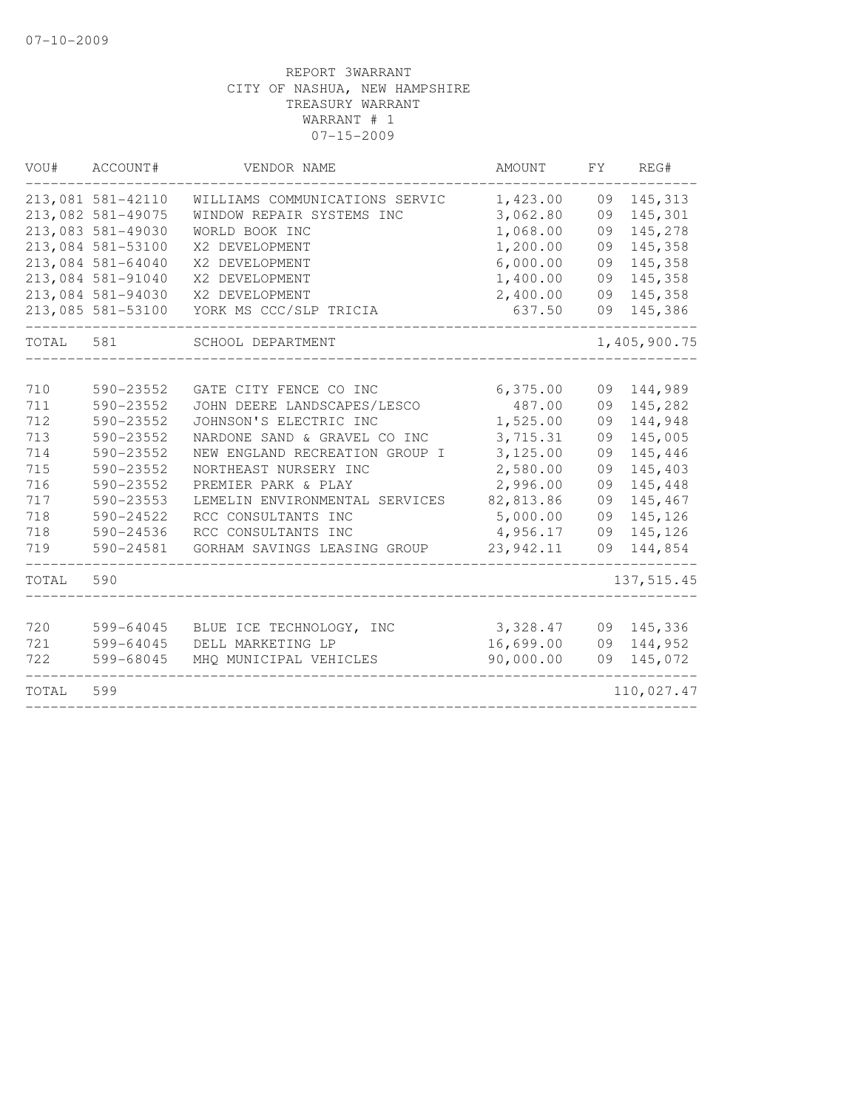| VOU#  | ACCOUNT#          | VENDOR NAME                    | AMOUNT    | FY. | REG#         |
|-------|-------------------|--------------------------------|-----------|-----|--------------|
|       | 213,081 581-42110 | WILLIAMS COMMUNICATIONS SERVIC | 1,423.00  | 09  | 145,313      |
|       | 213,082 581-49075 | WINDOW REPAIR SYSTEMS INC      | 3,062.80  | 09  | 145,301      |
|       | 213,083 581-49030 | WORLD BOOK INC                 | 1,068.00  | 09  | 145,278      |
|       | 213,084 581-53100 | X2 DEVELOPMENT                 | 1,200.00  | 09  | 145,358      |
|       | 213,084 581-64040 | X2 DEVELOPMENT                 | 6,000.00  | 09  | 145,358      |
|       | 213,084 581-91040 | X2 DEVELOPMENT                 | 1,400.00  | 09  | 145,358      |
|       | 213,084 581-94030 | X2 DEVELOPMENT                 | 2,400.00  | 09  | 145,358      |
|       | 213,085 581-53100 | YORK MS CCC/SLP TRICIA         | 637.50    | 09  | 145,386      |
| TOTAL | 581               | SCHOOL DEPARTMENT              |           |     | 1,405,900.75 |
|       |                   |                                |           |     |              |
| 710   | 590-23552         | GATE CITY FENCE CO INC         | 6,375.00  | 09  | 144,989      |
| 711   | 590-23552         | JOHN DEERE LANDSCAPES/LESCO    | 487.00    | 09  | 145,282      |
| 712   | 590-23552         | JOHNSON'S ELECTRIC INC         | 1,525.00  | 09  | 144,948      |
| 713   | 590-23552         | NARDONE SAND & GRAVEL CO INC   | 3,715.31  | 09  | 145,005      |
| 714   | 590-23552         | NEW ENGLAND RECREATION GROUP I | 3,125.00  | 09  | 145,446      |
| 715   | 590-23552         | NORTHEAST NURSERY INC          | 2,580.00  | 09  | 145,403      |
| 716   | 590-23552         | PREMIER PARK & PLAY            | 2,996.00  | 09  | 145,448      |
| 717   | 590-23553         | LEMELIN ENVIRONMENTAL SERVICES | 82,813.86 | 09  | 145,467      |
| 718   | $590 - 24522$     | RCC CONSULTANTS INC            | 5,000.00  | 09  | 145,126      |
| 718   | $590 - 24536$     | RCC CONSULTANTS INC            | 4,956.17  | 09  | 145,126      |
| 719   | 590-24581         | GORHAM SAVINGS LEASING GROUP   | 23,942.11 | 09  | 144,854      |
| TOTAL | 590               |                                |           |     | 137, 515.45  |
| 720   | 599-64045         | BLUE ICE TECHNOLOGY, INC       | 3,328.47  | 09  | 145,336      |
| 721   | 599-64045         | DELL MARKETING LP              | 16,699.00 | 09  | 144,952      |
| 722   | 599-68045         | MHQ MUNICIPAL VEHICLES         | 90,000.00 | 09  | 145,072      |
| TOTAL | 599               |                                |           |     | 110,027.47   |
|       |                   |                                |           |     |              |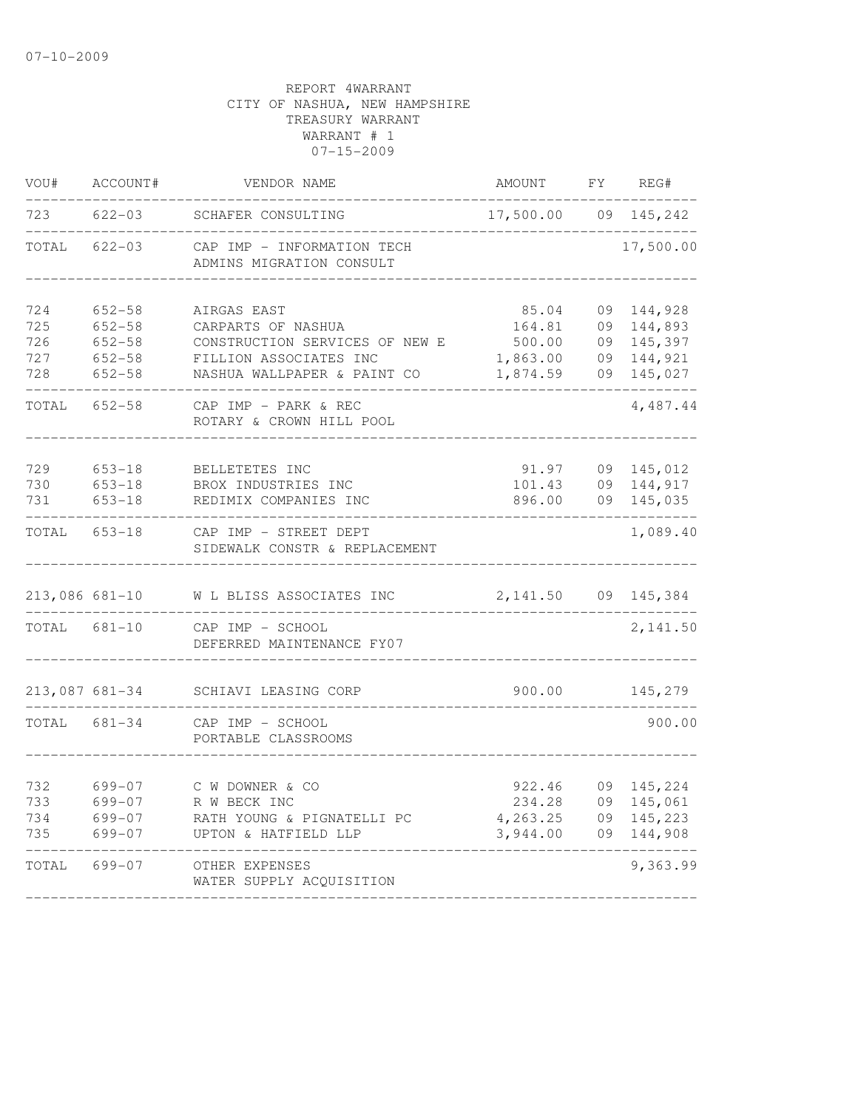| VOU#                     | ACCOUNT#                               | VENDOR NAME                                                                           | AMOUNT                                   | FY.                  | REG#                                     |
|--------------------------|----------------------------------------|---------------------------------------------------------------------------------------|------------------------------------------|----------------------|------------------------------------------|
| 723                      | $622 - 03$                             | SCHAFER CONSULTING                                                                    | 17,500.00                                | 09                   | 145,242                                  |
| TOTAL                    | $622 - 03$                             | CAP IMP - INFORMATION TECH<br>ADMINS MIGRATION CONSULT                                |                                          |                      | 17,500.00                                |
| 724<br>725<br>726        | $652 - 58$<br>$652 - 58$<br>$652 - 58$ | AIRGAS EAST<br>CARPARTS OF NASHUA<br>CONSTRUCTION SERVICES OF NEW E                   | 85.04<br>164.81<br>500.00                | 09<br>09<br>09       | 144,928<br>144,893<br>145,397            |
| 727<br>728               | $652 - 58$<br>$652 - 58$               | FILLION ASSOCIATES INC<br>NASHUA WALLPAPER & PAINT CO                                 | 1,863.00<br>1,874.59                     | 09<br>09             | 144,921<br>145,027                       |
| TOTAL                    | $652 - 58$                             | CAP IMP - PARK & REC<br>ROTARY & CROWN HILL POOL                                      |                                          |                      | 4,487.44                                 |
| 729<br>730<br>731        | $653 - 18$<br>$653 - 18$<br>$653 - 18$ | BELLETETES INC<br>BROX INDUSTRIES INC<br>REDIMIX COMPANIES INC                        | 91.97<br>101.43<br>896.00                | 09<br>09<br>09       | 145,012<br>144,917<br>145,035            |
| TOTAL                    | $653 - 18$                             | CAP IMP - STREET DEPT<br>SIDEWALK CONSTR & REPLACEMENT                                |                                          |                      | 1,089.40                                 |
| 213,086 681-10           |                                        | W L BLISS ASSOCIATES INC                                                              | 2,141.50                                 | 09                   | 145,384                                  |
| TOTAL                    | 681-10                                 | CAP IMP - SCHOOL<br>DEFERRED MAINTENANCE FY07                                         |                                          |                      | 2,141.50                                 |
| 213,087 681-34           |                                        | SCHIAVI LEASING CORP                                                                  | 900.00                                   |                      | 145,279                                  |
| TOTAL                    | 681-34                                 | CAP IMP - SCHOOL<br>PORTABLE CLASSROOMS                                               |                                          |                      | 900.00                                   |
| 732<br>733<br>734<br>735 | 699-07<br>699-07<br>699-07<br>699-07   | C W DOWNER & CO<br>R W BECK INC<br>RATH YOUNG & PIGNATELLI PC<br>UPTON & HATFIELD LLP | 922.46<br>234.28<br>4,263.25<br>3,944.00 | 09<br>09<br>09<br>09 | 145,224<br>145,061<br>145,223<br>144,908 |
| TOTAL                    | 699-07                                 | OTHER EXPENSES<br>WATER SUPPLY ACQUISITION                                            |                                          |                      | 9,363.99                                 |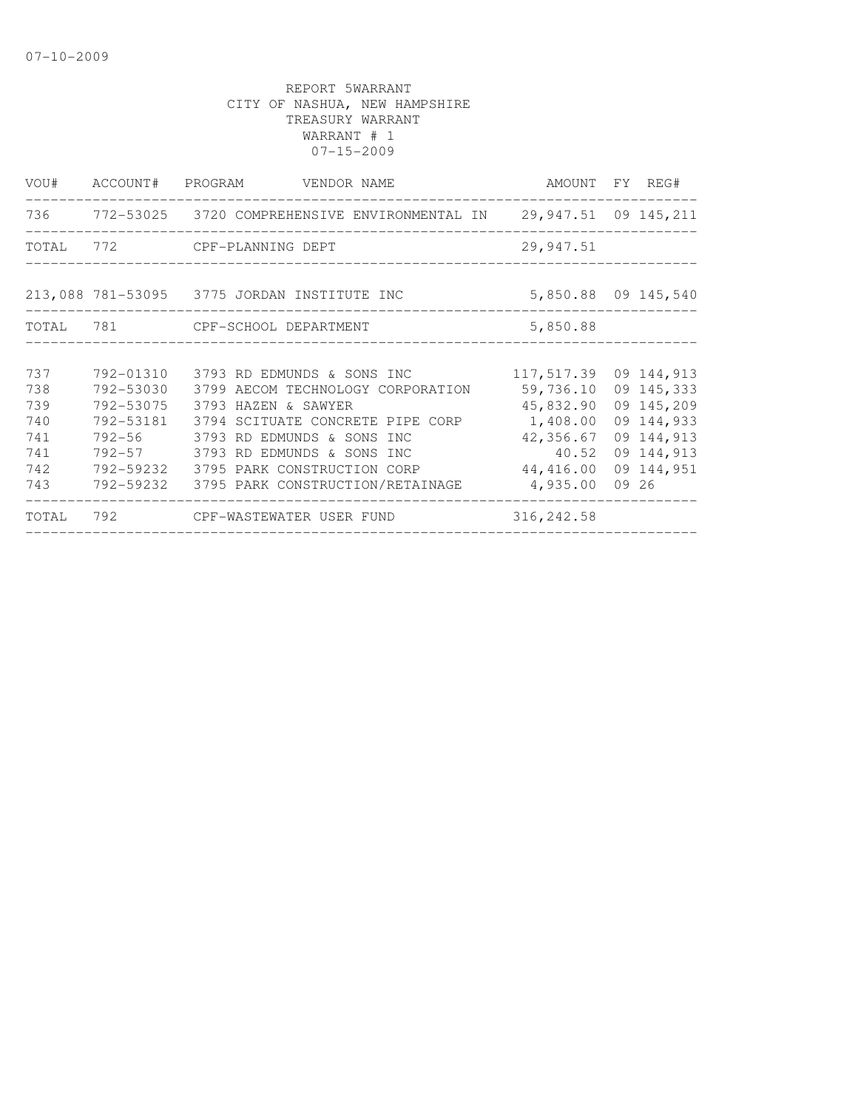|       |           | VOU# ACCOUNT# PROGRAM VENDOR NAME                                      |                       | AMOUNT FY REG#      |
|-------|-----------|------------------------------------------------------------------------|-----------------------|---------------------|
|       |           | 736 772-53025 3720 COMPREHENSIVE ENVIRONMENTAL IN 29,947.51 09 145,211 |                       |                     |
| TOTAL |           | 772 CPF-PLANNING DEPT                                                  | 29,947.51             |                     |
|       |           | 213,088 781-53095 3775 JORDAN INSTITUTE INC                            |                       | 5,850.88 09 145,540 |
|       |           | TOTAL 781 CPF-SCHOOL DEPARTMENT                                        | 5,850.88              |                     |
|       |           |                                                                        |                       |                     |
| 737   | 792-01310 | 3793 RD EDMUNDS & SONS INC                                             | 117,517.39 09 144,913 |                     |
| 738   | 792-53030 | 3799 AECOM TECHNOLOGY CORPORATION                                      | 59,736.10             | 09 145,333          |
| 739   | 792-53075 | 3793 HAZEN & SAWYER                                                    | 45,832.90             | 09 145,209          |
| 740   | 792-53181 | 3794 SCITUATE CONCRETE PIPE CORP                                       | 1,408.00              | 09 144,933          |
| 741   |           | 792-56 3793 RD EDMUNDS & SONS INC                                      | 42,356.67             | 09 144,913          |
| 741   |           | 792-57 3793 RD EDMUNDS & SONS INC                                      | 40.52                 | 09 144,913          |
| 742   | 792-59232 | 3795 PARK CONSTRUCTION CORP                                            | 44,416.00             | 09 144,951          |
| 743   | 792-59232 | 3795 PARK CONSTRUCTION/RETAINAGE                                       | 4,935.00              | 09 26               |
| TOTAL |           |                                                                        | 316, 242.58           |                     |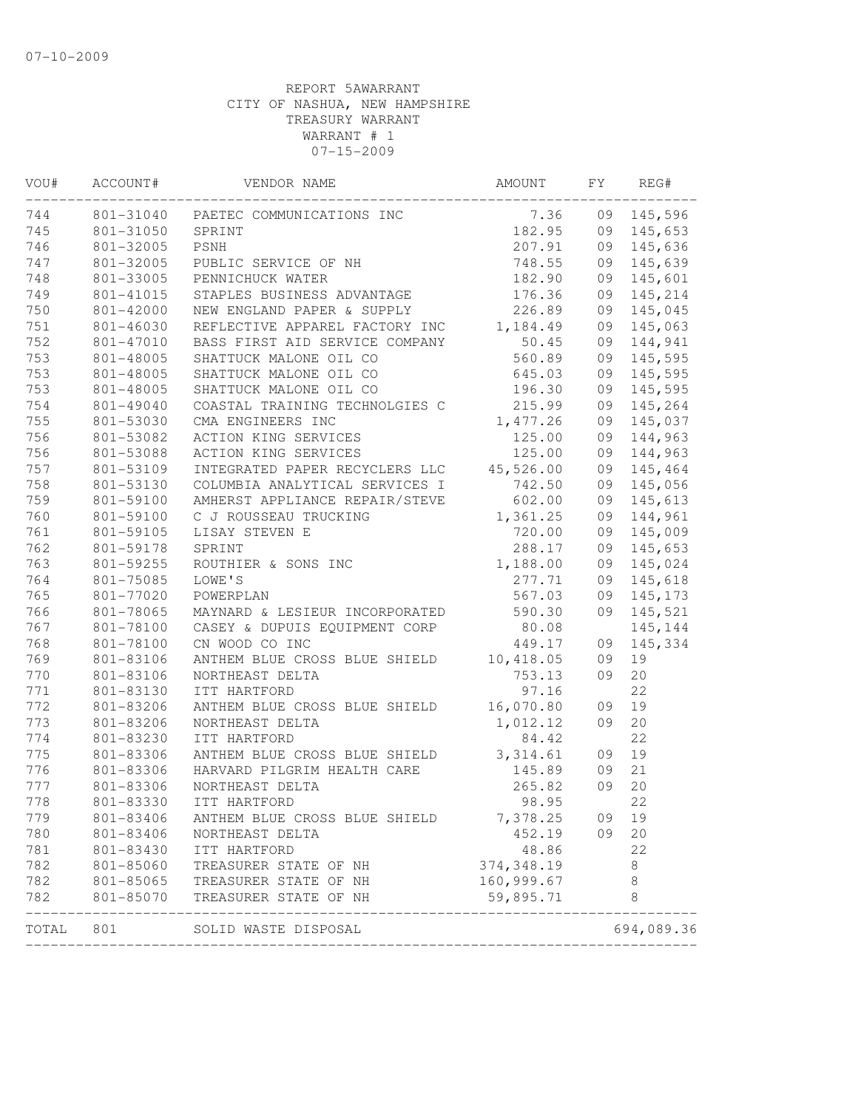| WOU#  | ACCOUNT#  | VENDOR NAME                                                                                                    | AMOUNT      | FY | REG#       |
|-------|-----------|----------------------------------------------------------------------------------------------------------------|-------------|----|------------|
| 744   |           | 801-31040 PAETEC COMMUNICATIONS INC                                                                            | 7.36        |    | 09 145,596 |
| 745   | 801-31050 | SPRINT                                                                                                         | 182.95      |    | 09 145,653 |
| 746   | 801-32005 | PSNH                                                                                                           | 207.91      |    | 09 145,636 |
| 747   | 801-32005 | PUBLIC SERVICE OF NH                                                                                           | 748.55      |    | 09 145,639 |
| 748   | 801-33005 | PENNICHUCK WATER                                                                                               | 182.90      | 09 | 145,601    |
| 749   | 801-41015 | STAPLES BUSINESS ADVANTAGE<br>NEW ENGLAND PAPER & SUPPLY                                                       | 176.36      | 09 | 145,214    |
| 750   | 801-42000 |                                                                                                                | 226.89      | 09 | 145,045    |
| 751   | 801-46030 | REFLECTIVE APPAREL FACTORY INC                                                                                 | 1,184.49    |    | 09 145,063 |
| 752   | 801-47010 | BASS FIRST AID SERVICE COMPANY                                                                                 | 50.45       |    | 09 144,941 |
| 753   | 801-48005 | SHATTUCK MALONE OIL CO                                                                                         | 560.89      |    | 09 145,595 |
| 753   | 801-48005 | SHATTUCK MALONE OIL CO                                                                                         | 645.03      |    | 09 145,595 |
| 753   | 801-48005 | SHATTUCK MALONE OIL CO                                                                                         | 196.30      |    | 09 145,595 |
| 754   | 801-49040 | COASTAL TRAINING TECHNOLGIES C                                                                                 | 215.99      |    | 09 145,264 |
| 755   | 801-53030 | CMA ENGINEERS INC                                                                                              | 1, 477.26   |    | 09 145,037 |
| 756   | 801-53082 | ACTION KING SERVICES                                                                                           | 125.00      |    | 09 144,963 |
| 756   | 801-53088 | ACTION KING SERVICES                                                                                           | 125.00      | 09 | 144,963    |
| 757   | 801-53109 | INTEGRATED PAPER RECYCLERS LLC 45,526.00                                                                       |             | 09 | 145,464    |
| 758   | 801-53130 | COLUMBIA ANALYTICAL SERVICES I                                                                                 | 742.50      | 09 | 145,056    |
| 759   | 801-59100 | AMHERST APPLIANCE REPAIR/STEVE                                                                                 | 602.00      | 09 | 145,613    |
| 760   | 801-59100 | C J ROUSSEAU TRUCKING<br>LISAY STEVEN E<br>SPRINT<br>ROUTHIER & SONS INC                                       | 1,361.25    |    | 09 144,961 |
| 761   | 801-59105 |                                                                                                                | 720.00      |    | 09 145,009 |
| 762   | 801-59178 |                                                                                                                | 288.17      |    | 09 145,653 |
| 763   | 801-59255 |                                                                                                                | 1,188.00    | 09 | 145,024    |
| 764   | 801-75085 | LOWE'S                                                                                                         | 277.71      | 09 | 145,618    |
| 765   | 801-77020 | POWERPLAN                                                                                                      | 567.03      | 09 | 145,173    |
| 766   | 801-78065 | MAYNARD & LESIEUR INCORPORATED                                                                                 | 590.30      |    | 09 145,521 |
| 767   | 801-78100 | CASEY & DUPUIS EQUIPMENT CORP $\begin{array}{ccc} 80.08 \\ \text{CN} & \text{MOOD} & \text{CO} \\ \end{array}$ |             |    | 145,144    |
| 768   | 801-78100 | CN WOOD CO INC                                                                                                 | 449.17      | 09 | 145,334    |
| 769   | 801-83106 | ANTHEM BLUE CROSS BLUE SHIELD 10,418.05                                                                        |             | 09 | 19         |
| 770   | 801-83106 | NORTHEAST DELTA                                                                                                | 753.13      | 09 | 20         |
| 771   | 801-83130 | ITT HARTFORD                                                                                                   | 97.16       |    | 22         |
| 772   | 801-83206 | ANTHEM BLUE CROSS BLUE SHIELD 16,070.80                                                                        |             | 09 | 19         |
| 773   | 801-83206 | NORTHEAST DELTA                                                                                                | 1,012.12    | 09 | 20         |
| 774   | 801-83230 | ITT HARTFORD                                                                                                   | 84.42       |    | 22         |
| 775   | 801-83306 | ANTHEM BLUE CROSS BLUE SHIELD 3,314.61                                                                         |             | 09 | 19         |
| 776   | 801-83306 | HARVARD PILGRIM HEALTH CARE                                                                                    | 145.89      | 09 | 21         |
| 777   | 801-83306 | NORTHEAST DELTA                                                                                                | 265.82      | 09 | 20         |
| 778   |           | 801-83330 ITT HARTFORD                                                                                         | 98.95       |    | 22         |
| 779   | 801-83406 | ANTHEM BLUE CROSS BLUE SHIELD                                                                                  | 7,378.25    | 09 | 19         |
| 780   | 801-83406 | NORTHEAST DELTA                                                                                                | 452.19      | 09 | 20         |
| 781   | 801-83430 | ITT HARTFORD                                                                                                   | 48.86       |    | 22         |
| 782   | 801-85060 | TREASURER STATE OF NH                                                                                          | 374, 348.19 |    | 8          |
| 782   | 801-85065 | TREASURER STATE OF NH                                                                                          | 160,999.67  |    | 8          |
| 782   | 801-85070 | TREASURER STATE OF NH<br>----------------------------------                                                    | 59,895.71   |    | 8          |
| TOTAL | 801       | SOLID WASTE DISPOSAL                                                                                           |             |    | 694,089.36 |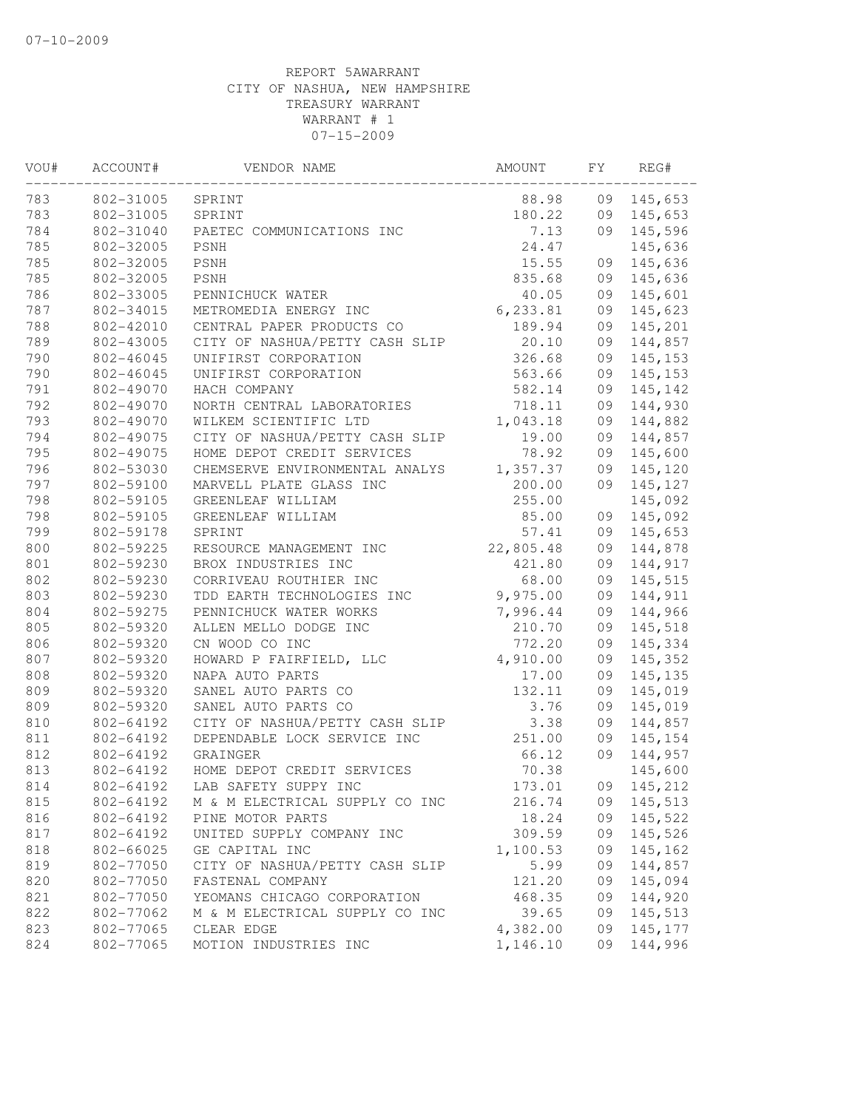| WOU# | ACCOUNT#  | VENDOR NAME                    | AMOUNT    | FΥ | REG#     |
|------|-----------|--------------------------------|-----------|----|----------|
| 783  | 802-31005 | SPRINT                         | 88.98     | 09 | 145,653  |
| 783  | 802-31005 | SPRINT                         | 180.22    | 09 | 145,653  |
| 784  | 802-31040 | PAETEC COMMUNICATIONS INC      | 7.13      | 09 | 145,596  |
| 785  | 802-32005 | PSNH                           | 24.47     |    | 145,636  |
| 785  | 802-32005 | PSNH                           | 15.55     | 09 | 145,636  |
| 785  | 802-32005 | PSNH                           | 835.68    | 09 | 145,636  |
| 786  | 802-33005 | PENNICHUCK WATER               | 40.05     | 09 | 145,601  |
| 787  | 802-34015 | METROMEDIA ENERGY INC          | 6, 233.81 | 09 | 145,623  |
| 788  | 802-42010 | CENTRAL PAPER PRODUCTS CO      | 189.94    | 09 | 145,201  |
| 789  | 802-43005 | CITY OF NASHUA/PETTY CASH SLIP | 20.10     | 09 | 144,857  |
| 790  | 802-46045 | UNIFIRST CORPORATION           | 326.68    | 09 | 145, 153 |
| 790  | 802-46045 | UNIFIRST CORPORATION           | 563.66    | 09 | 145, 153 |
| 791  | 802-49070 | HACH COMPANY                   | 582.14    | 09 | 145,142  |
| 792  | 802-49070 | NORTH CENTRAL LABORATORIES     | 718.11    | 09 | 144,930  |
| 793  | 802-49070 | WILKEM SCIENTIFIC LTD          | 1,043.18  | 09 | 144,882  |
| 794  | 802-49075 | CITY OF NASHUA/PETTY CASH SLIP | 19.00     | 09 | 144,857  |
| 795  | 802-49075 | HOME DEPOT CREDIT SERVICES     | 78.92     | 09 | 145,600  |
| 796  | 802-53030 | CHEMSERVE ENVIRONMENTAL ANALYS | 1,357.37  | 09 | 145,120  |
| 797  | 802-59100 | MARVELL PLATE GLASS INC        | 200.00    | 09 | 145,127  |
| 798  | 802-59105 | GREENLEAF WILLIAM              | 255.00    |    | 145,092  |
| 798  | 802-59105 | GREENLEAF WILLIAM              | 85.00     | 09 | 145,092  |
| 799  | 802-59178 | SPRINT                         | 57.41     | 09 | 145,653  |
| 800  | 802-59225 | RESOURCE MANAGEMENT INC        | 22,805.48 | 09 | 144,878  |
| 801  | 802-59230 | BROX INDUSTRIES INC            | 421.80    | 09 | 144,917  |
| 802  | 802-59230 | CORRIVEAU ROUTHIER INC         | 68.00     | 09 | 145,515  |
| 803  | 802-59230 | TDD EARTH TECHNOLOGIES INC     | 9,975.00  | 09 | 144,911  |
| 804  | 802-59275 | PENNICHUCK WATER WORKS         | 7,996.44  | 09 | 144,966  |
| 805  | 802-59320 | ALLEN MELLO DODGE INC          | 210.70    | 09 | 145,518  |
| 806  | 802-59320 | CN WOOD CO INC                 | 772.20    | 09 | 145,334  |
| 807  | 802-59320 | HOWARD P FAIRFIELD, LLC        | 4,910.00  | 09 | 145,352  |
| 808  | 802-59320 | NAPA AUTO PARTS                | 17.00     | 09 | 145,135  |
| 809  | 802-59320 | SANEL AUTO PARTS CO            | 132.11    | 09 | 145,019  |
| 809  | 802-59320 | SANEL AUTO PARTS CO            | 3.76      | 09 | 145,019  |
| 810  | 802-64192 | CITY OF NASHUA/PETTY CASH SLIP | 3.38      | 09 | 144,857  |
| 811  | 802-64192 | DEPENDABLE LOCK SERVICE INC    | 251.00    | 09 | 145,154  |
| 812  | 802-64192 | GRAINGER                       | 66.12     | 09 | 144,957  |
| 813  | 802-64192 | HOME DEPOT CREDIT SERVICES     | 70.38     |    | 145,600  |
| 814  | 802-64192 | LAB SAFETY SUPPY INC           | 173.01    | 09 | 145,212  |
| 815  | 802-64192 | M & M ELECTRICAL SUPPLY CO INC | 216.74    | 09 | 145,513  |
| 816  | 802-64192 | PINE MOTOR PARTS               | 18.24     | 09 | 145,522  |
| 817  | 802-64192 | UNITED SUPPLY COMPANY INC      | 309.59    | 09 | 145,526  |
| 818  | 802-66025 | GE CAPITAL INC                 | 1,100.53  | 09 | 145,162  |
| 819  | 802-77050 | CITY OF NASHUA/PETTY CASH SLIP | 5.99      | 09 | 144,857  |
| 820  | 802-77050 | FASTENAL COMPANY               | 121.20    | 09 | 145,094  |
| 821  | 802-77050 | YEOMANS CHICAGO CORPORATION    | 468.35    | 09 | 144,920  |
| 822  | 802-77062 | M & M ELECTRICAL SUPPLY CO INC | 39.65     | 09 | 145,513  |
| 823  | 802-77065 | CLEAR EDGE                     | 4,382.00  | 09 | 145,177  |
| 824  | 802-77065 | MOTION INDUSTRIES INC          | 1,146.10  | 09 | 144,996  |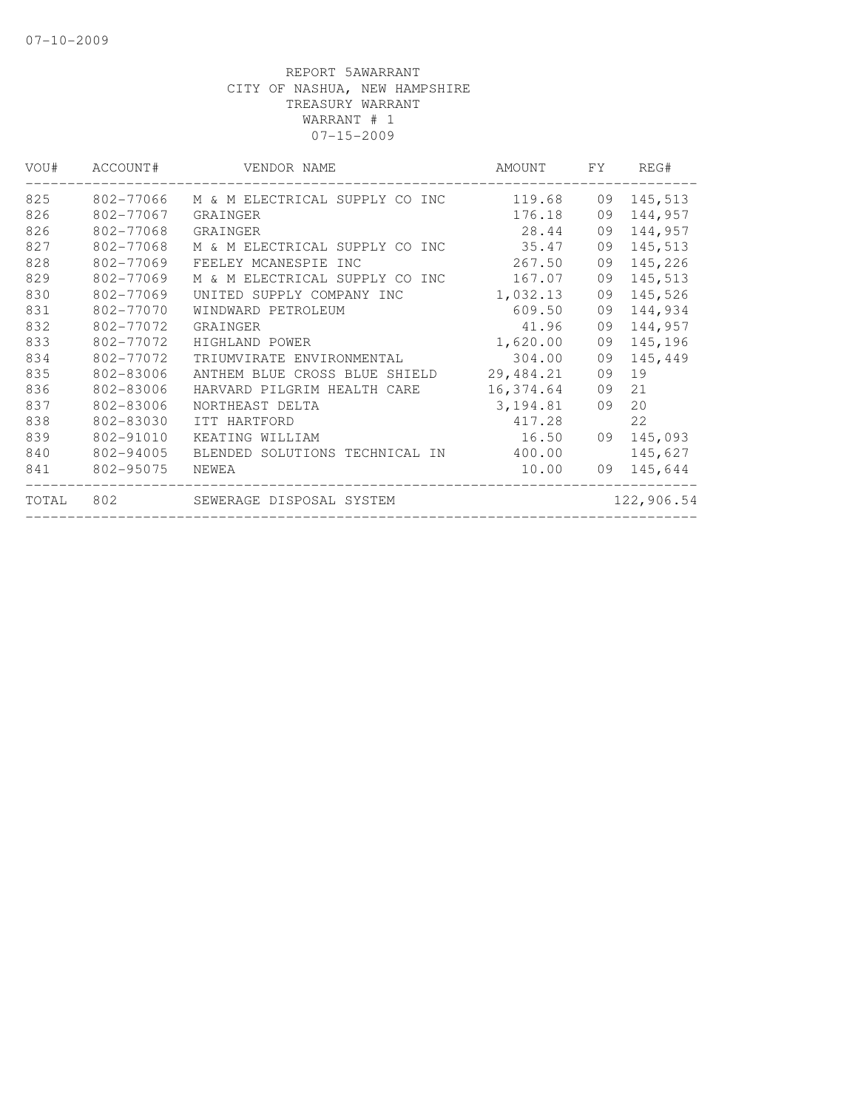| VOU#  | ACCOUNT#  | VENDOR NAME                    | AMOUNT    | FY. | REG#       |
|-------|-----------|--------------------------------|-----------|-----|------------|
| 825   | 802-77066 | M & M ELECTRICAL SUPPLY CO INC | 119.68    | 09  | 145,513    |
| 826   | 802-77067 | GRAINGER                       | 176.18    | 09  | 144,957    |
| 826   | 802-77068 | GRAINGER                       | 28.44     | 09  | 144,957    |
| 827   | 802-77068 | M & M ELECTRICAL SUPPLY CO INC | 35.47     | 09  | 145,513    |
| 828   | 802-77069 | FEELEY MCANESPIE INC           | 267.50    | 09  | 145,226    |
| 829   | 802-77069 | M & M ELECTRICAL SUPPLY CO INC | 167.07    | 09  | 145,513    |
| 830   | 802-77069 | UNITED SUPPLY COMPANY INC      | 1,032.13  | 09  | 145,526    |
| 831   | 802-77070 | WINDWARD PETROLEUM             | 609.50    | 09  | 144,934    |
| 832   | 802-77072 | GRAINGER                       | 41.96     | 09  | 144,957    |
| 833   | 802-77072 | HIGHLAND POWER                 | 1,620.00  | 09  | 145,196    |
| 834   | 802-77072 | TRIUMVIRATE ENVIRONMENTAL      | 304.00    | 09  | 145,449    |
| 835   | 802-83006 | ANTHEM BLUE CROSS BLUE SHIELD  | 29,484.21 | 09  | 19         |
| 836   | 802-83006 | HARVARD PILGRIM HEALTH CARE    | 16,374.64 | 09  | 21         |
| 837   | 802-83006 | NORTHEAST DELTA                | 3, 194.81 | 09  | 20         |
| 838   | 802-83030 | ITT HARTFORD                   | 417.28    |     | 22         |
| 839   | 802-91010 | KEATING WILLIAM                | 16.50     | 09  | 145,093    |
| 840   | 802-94005 | BLENDED SOLUTIONS TECHNICAL IN | 400.00    |     | 145,627    |
| 841   | 802-95075 | NEWEA                          | 10.00     | 09  | 145,644    |
| TOTAL | 802       | SEWERAGE DISPOSAL SYSTEM       |           |     | 122,906.54 |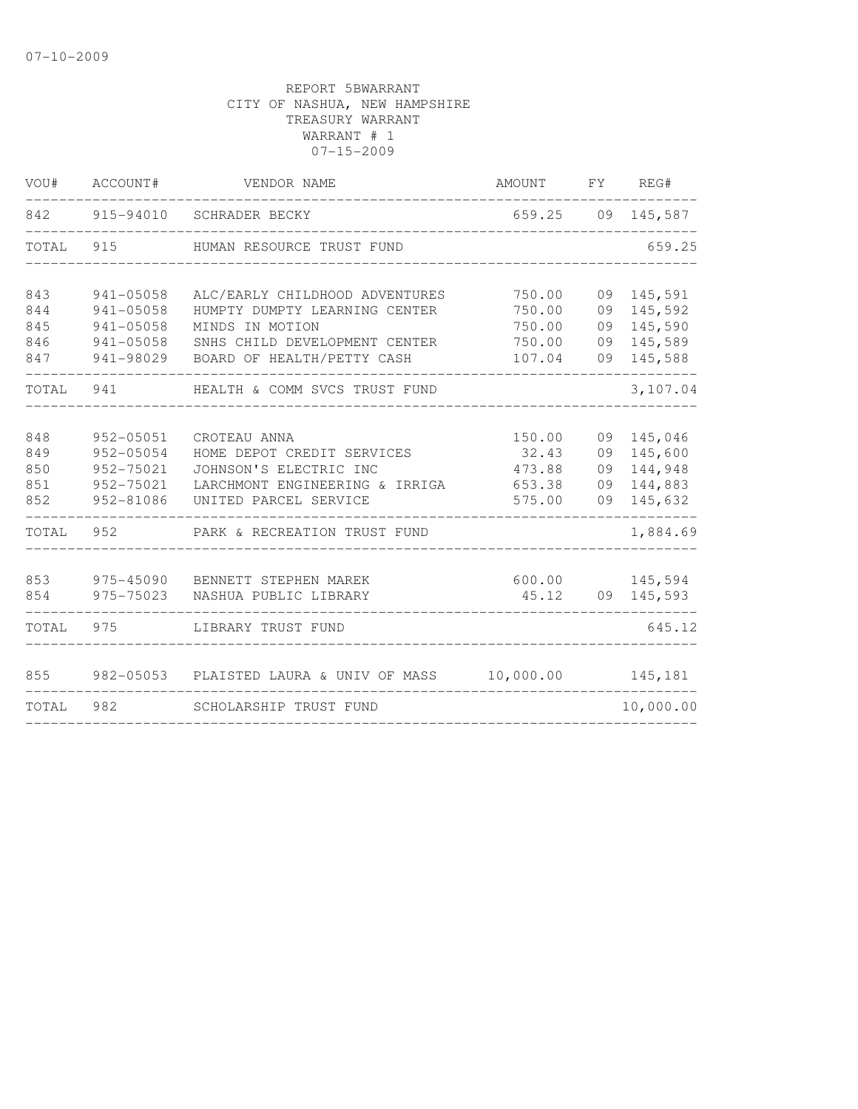| VOU#  | ACCOUNT#  | VENDOR NAME                    | AMOUNT    | FY. | REG#       |
|-------|-----------|--------------------------------|-----------|-----|------------|
| 842   | 915-94010 | SCHRADER BECKY                 | 659.25    |     | 09 145,587 |
| TOTAL | 915       | HUMAN RESOURCE TRUST FUND      |           |     | 659.25     |
|       |           |                                |           |     |            |
| 843   | 941-05058 | ALC/EARLY CHILDHOOD ADVENTURES | 750.00    | 09  | 145,591    |
| 844   | 941-05058 | HUMPTY DUMPTY LEARNING CENTER  | 750.00    | 09  | 145,592    |
| 845   | 941-05058 | MINDS IN MOTION                | 750.00    | 09  | 145,590    |
| 846   | 941-05058 | SNHS CHILD DEVELOPMENT CENTER  | 750.00    | 09  | 145,589    |
| 847   | 941-98029 | BOARD OF HEALTH/PETTY CASH     | 107.04    | 09  | 145,588    |
| TOTAL | 941       | HEALTH & COMM SVCS TRUST FUND  |           |     | 3,107.04   |
|       |           |                                |           |     |            |
| 848   | 952-05051 | CROTEAU ANNA                   | 150.00    | 09  | 145,046    |
| 849   | 952-05054 | HOME DEPOT CREDIT SERVICES     | 32.43     | 09  | 145,600    |
| 850   | 952-75021 | JOHNSON'S ELECTRIC INC         | 473.88    | 09  | 144,948    |
| 851   | 952-75021 | LARCHMONT ENGINEERING & IRRIGA | 653.38    | 09  | 144,883    |
| 852   | 952-81086 | UNITED PARCEL SERVICE          | 575.00    | 09  | 145,632    |
| TOTAL | 952       | PARK & RECREATION TRUST FUND   |           |     | 1,884.69   |
|       |           |                                |           |     |            |
| 853   | 975-45090 | BENNETT STEPHEN MAREK          | 600.00    |     | 145,594    |
| 854   | 975-75023 | NASHUA PUBLIC LIBRARY          | 45.12     |     | 09 145,593 |
| TOTAL | 975       | LIBRARY TRUST FUND             |           |     | 645.12     |
| 855   | 982-05053 | PLAISTED LAURA & UNIV OF MASS  | 10,000.00 |     | 145,181    |
| TOTAL | 982       | SCHOLARSHIP TRUST FUND         |           |     | 10,000.00  |
|       |           |                                |           |     |            |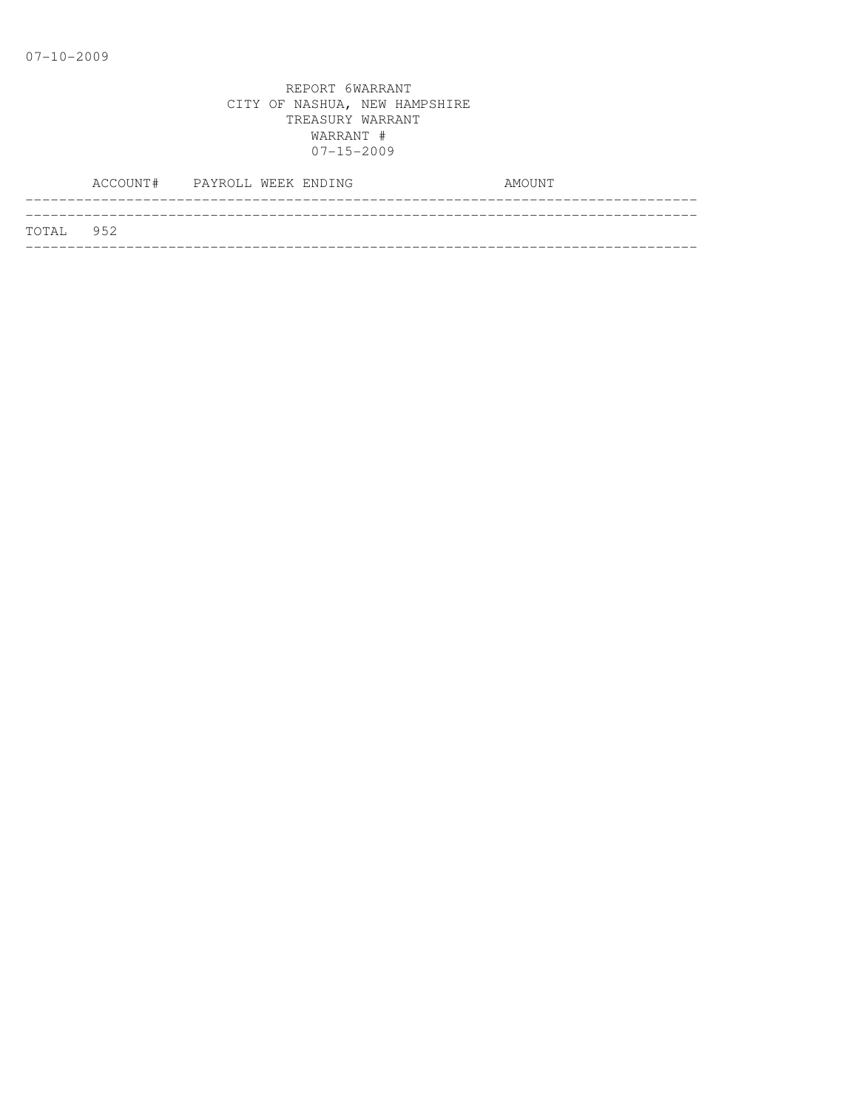|           | ACCOUNT# PAYROLL WEEK ENDING |  |  | AMOUNT |
|-----------|------------------------------|--|--|--------|
|           |                              |  |  |        |
| TOTAL 952 |                              |  |  |        |
|           |                              |  |  |        |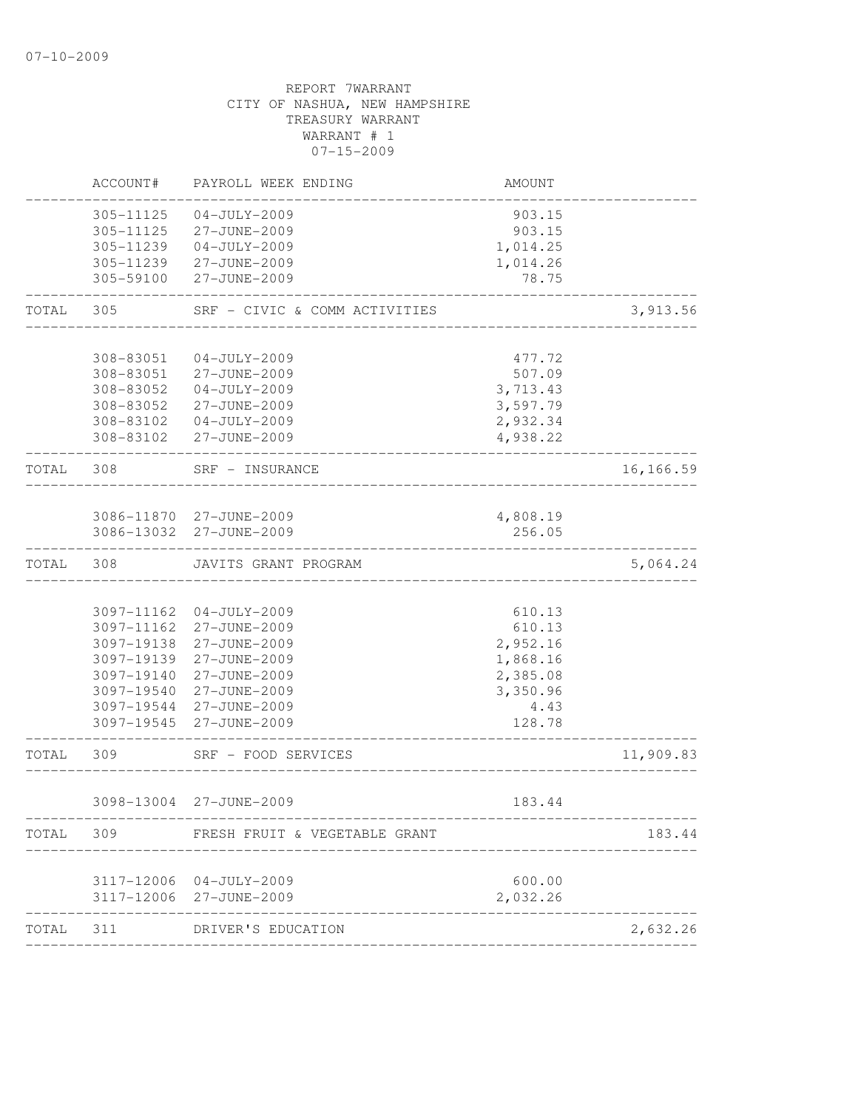|           | ACCOUNT#   | PAYROLL WEEK ENDING                       | AMOUNT   |            |
|-----------|------------|-------------------------------------------|----------|------------|
|           | 305-11125  | $04 - JULY - 2009$                        | 903.15   |            |
|           | 305-11125  | 27-JUNE-2009                              | 903.15   |            |
|           | 305-11239  | $04 - JULY - 2009$                        | 1,014.25 |            |
|           | 305-11239  | 27-JUNE-2009                              | 1,014.26 |            |
|           | 305-59100  | 27-JUNE-2009                              | 78.75    |            |
| TOTAL     | 305        | SRF - CIVIC & COMM ACTIVITIES             |          | 3,913.56   |
|           | 308-83051  | $04 - JULY - 2009$                        | 477.72   |            |
|           | 308-83051  | 27-JUNE-2009                              | 507.09   |            |
|           | 308-83052  | $04 - JULY - 2009$                        | 3,713.43 |            |
|           | 308-83052  | 27-JUNE-2009                              | 3,597.79 |            |
|           | 308-83102  | $04-JULY-2009$                            | 2,932.34 |            |
|           | 308-83102  | 27-JUNE-2009                              | 4,938.22 |            |
| TOTAL 308 |            | SRF - INSURANCE                           |          | 16, 166.59 |
|           |            | ___________________                       |          |            |
|           |            | 3086-11870 27-JUNE-2009                   | 4,808.19 |            |
|           |            | 3086-13032 27-JUNE-2009                   | 256.05   |            |
| TOTAL     | 308        | JAVITS GRANT PROGRAM                      |          | 5,064.24   |
|           |            |                                           |          |            |
|           | 3097-11162 | 04-JULY-2009                              | 610.13   |            |
|           | 3097-11162 | 27-JUNE-2009                              | 610.13   |            |
|           | 3097-19138 | 27-JUNE-2009                              | 2,952.16 |            |
|           | 3097-19139 | 27-JUNE-2009                              | 1,868.16 |            |
|           | 3097-19140 | 27-JUNE-2009                              | 2,385.08 |            |
|           | 3097-19540 | 27-JUNE-2009                              | 3,350.96 |            |
|           | 3097-19544 | 27-JUNE-2009                              | 4.43     |            |
|           | 3097-19545 | 27-JUNE-2009                              | 128.78   |            |
| TOTAL     | 309        | SRF - FOOD SERVICES<br>------------------ |          | 11,909.83  |
|           |            | 3098-13004 27-JUNE-2009                   | 183.44   |            |
| TOTAL     | 309        | FRESH FRUIT & VEGETABLE GRANT             |          | 183.44     |
|           |            |                                           |          |            |
|           |            | 3117-12006 04-JULY-2009                   | 600.00   |            |
|           | 3117-12006 | 27-JUNE-2009                              | 2,032.26 |            |
| TOTAL     | 311        | DRIVER'S EDUCATION                        |          | 2,632.26   |
|           |            |                                           |          |            |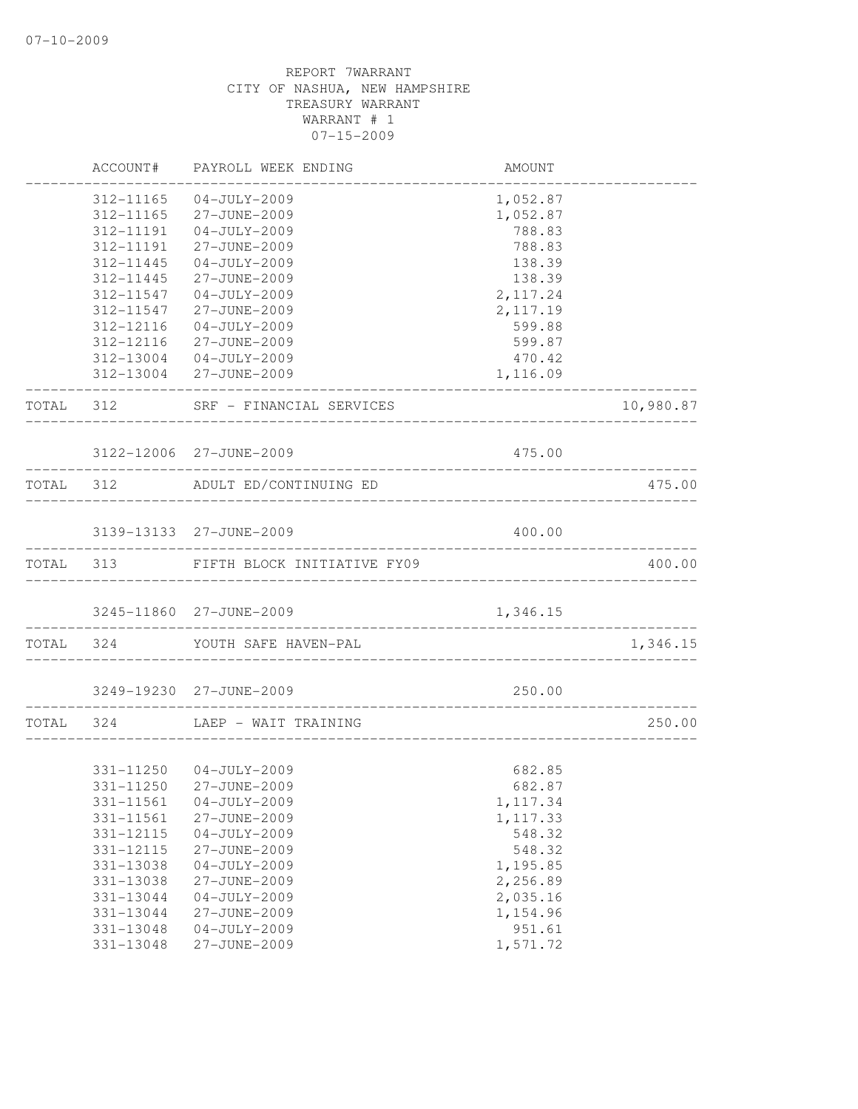|           | ACCOUNT#      | PAYROLL WEEK ENDING                                    | AMOUNT                |           |
|-----------|---------------|--------------------------------------------------------|-----------------------|-----------|
|           | 312-11165     | $04 - JULY - 2009$                                     | 1,052.87              |           |
|           | 312-11165     | 27-JUNE-2009                                           | 1,052.87              |           |
|           | 312-11191     | $04 - JULY - 2009$                                     | 788.83                |           |
|           | 312-11191     | 27-JUNE-2009                                           | 788.83                |           |
|           | 312-11445     | $04 - JULY - 2009$                                     | 138.39                |           |
|           | 312-11445     | 27-JUNE-2009                                           | 138.39                |           |
|           | 312-11547     | $04 - JULY - 2009$                                     | 2, 117.24             |           |
|           | 312-11547     | 27-JUNE-2009                                           | 2, 117.19             |           |
|           | 312-12116     | $04 - JULY - 2009$                                     | 599.88                |           |
|           | 312-12116     | 27-JUNE-2009                                           | 599.87                |           |
|           |               | 312-13004 04-JULY-2009                                 | 470.42                |           |
|           |               | 312-13004 27-JUNE-2009                                 | 1,116.09              |           |
|           |               | TOTAL 312 SRF - FINANCIAL SERVICES                     |                       | 10,980.87 |
|           |               | 3122-12006 27-JUNE-2009                                | 475.00                |           |
| TOTAL 312 |               | ADULT ED/CONTINUING ED                                 |                       | 475.00    |
|           |               |                                                        |                       |           |
|           |               | 3139-13133 27-JUNE-2009                                | 400.00                |           |
|           |               | TOTAL 313 FIFTH BLOCK INITIATIVE FY09                  |                       | 400.00    |
|           |               | 3245-11860 27-JUNE-2009<br>-------------------         | 1,346.15              |           |
|           | TOTAL 324     | YOUTH SAFE HAVEN-PAL                                   |                       | 1,346.15  |
|           |               | 3249-19230 27-JUNE-2009                                | 250.00                |           |
| TOTAL 324 |               | ------------------------------<br>LAEP - WAIT TRAINING |                       | 250.00    |
|           |               |                                                        | _____________________ |           |
|           |               | 331-11250 04-JULY-2009                                 | 682.85                |           |
|           |               | 331-11250 27-JUNE-2009                                 | 682.87                |           |
|           | 331-11561     | $04-JULY-2009$                                         | 1, 117.34             |           |
|           | 331-11561     | 27-JUNE-2009                                           | 1, 117.33             |           |
|           | 331-12115     | $04 - JULY - 2009$                                     | 548.32                |           |
|           | 331-12115     | 27-JUNE-2009                                           | 548.32                |           |
|           | 331-13038     | $04-JULY-2009$                                         | 1,195.85              |           |
|           | 331-13038     | 27-JUNE-2009                                           | 2,256.89              |           |
|           | 331-13044     | $04 - JULY - 2009$                                     | 2,035.16              |           |
|           | 331-13044     | 27-JUNE-2009                                           | 1,154.96              |           |
|           | $331 - 13048$ | $04-JULY-2009$                                         | 951.61                |           |
|           | 331-13048     | 27-JUNE-2009                                           | 1,571.72              |           |
|           |               |                                                        |                       |           |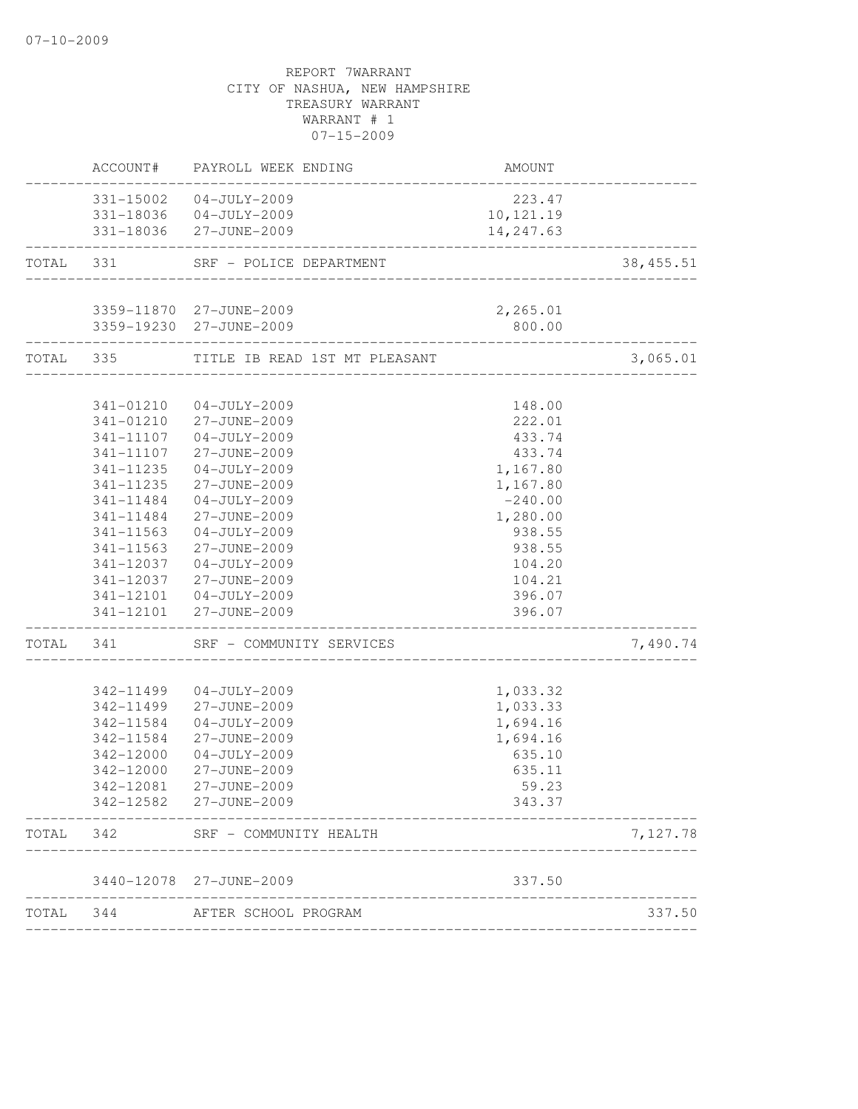|           |                           | ACCOUNT# PAYROLL WEEK ENDING                      | AMOUNT               |            |
|-----------|---------------------------|---------------------------------------------------|----------------------|------------|
|           |                           | 331-15002 04-JULY-2009                            | 223.47               |            |
|           |                           | 331-18036  04-JULY-2009                           | 10,121.19            |            |
|           |                           | 331-18036 27-JUNE-2009                            | 14,247.63            |            |
| TOTAL 331 |                           | SRF - POLICE DEPARTMENT                           |                      | 38, 455.51 |
|           |                           | 3359-11870 27-JUNE-2009                           | 2,265.01             |            |
|           |                           | 3359-19230 27-JUNE-2009                           | 800.00               |            |
|           | ------------------------- | TOTAL 335 TITLE IB READ 1ST MT PLEASANT           |                      | 3,065.01   |
|           |                           |                                                   |                      |            |
|           |                           | 341-01210 04-JULY-2009                            | 148.00               |            |
|           |                           | 341-01210 27-JUNE-2009                            | 222.01               |            |
|           | 341-11107                 | 341-11107 04-JULY-2009<br>27-JUNE-2009            | 433.74<br>433.74     |            |
|           | 341-11235                 | $04 - JULY - 2009$                                | 1,167.80             |            |
|           | 341-11235                 | 27-JUNE-2009                                      | 1,167.80             |            |
|           | 341-11484                 | $04 - JULY - 2009$                                | $-240.00$            |            |
|           | 341-11484                 | 27-JUNE-2009                                      | 1,280.00             |            |
|           | 341-11563                 | $04 - JULY - 2009$                                | 938.55               |            |
|           | 341-11563                 | 27-JUNE-2009                                      | 938.55               |            |
|           |                           | 341-12037 04-JULY-2009                            | 104.20               |            |
|           |                           | 341-12037 27-JUNE-2009                            | 104.21               |            |
|           |                           | 341-12101  04-JULY-2009                           | 396.07               |            |
|           |                           | 341-12101 27-JUNE-2009                            | 396.07               |            |
|           |                           | TOTAL 341 SRF - COMMUNITY SERVICES                |                      | 7,490.74   |
|           |                           |                                                   |                      |            |
|           |                           | 342-11499  04-JULY-2009<br>342-11499 27-JUNE-2009 | 1,033.32<br>1,033.33 |            |
|           | 342-11584                 | 04-JULY-2009                                      | 1,694.16             |            |
|           | 342-11584                 | 27-JUNE-2009                                      | 1,694.16             |            |
|           | 342-12000                 | $04 - JULY - 2009$                                | 635.10               |            |
|           | 342-12000                 | 27-JUNE-2009                                      | 635.11               |            |
|           | 342-12081                 | 27-JUNE-2009                                      | 59.23                |            |
|           |                           | 342-12582 27-JUNE-2009                            | 343.37               |            |
| TOTAL     | 342                       | SRF - COMMUNITY HEALTH                            |                      | 7,127.78   |
|           |                           | 3440-12078 27-JUNE-2009                           | 337.50               |            |
| TOTAL     | 344                       | AFTER SCHOOL PROGRAM                              |                      | 337.50     |
|           |                           |                                                   |                      |            |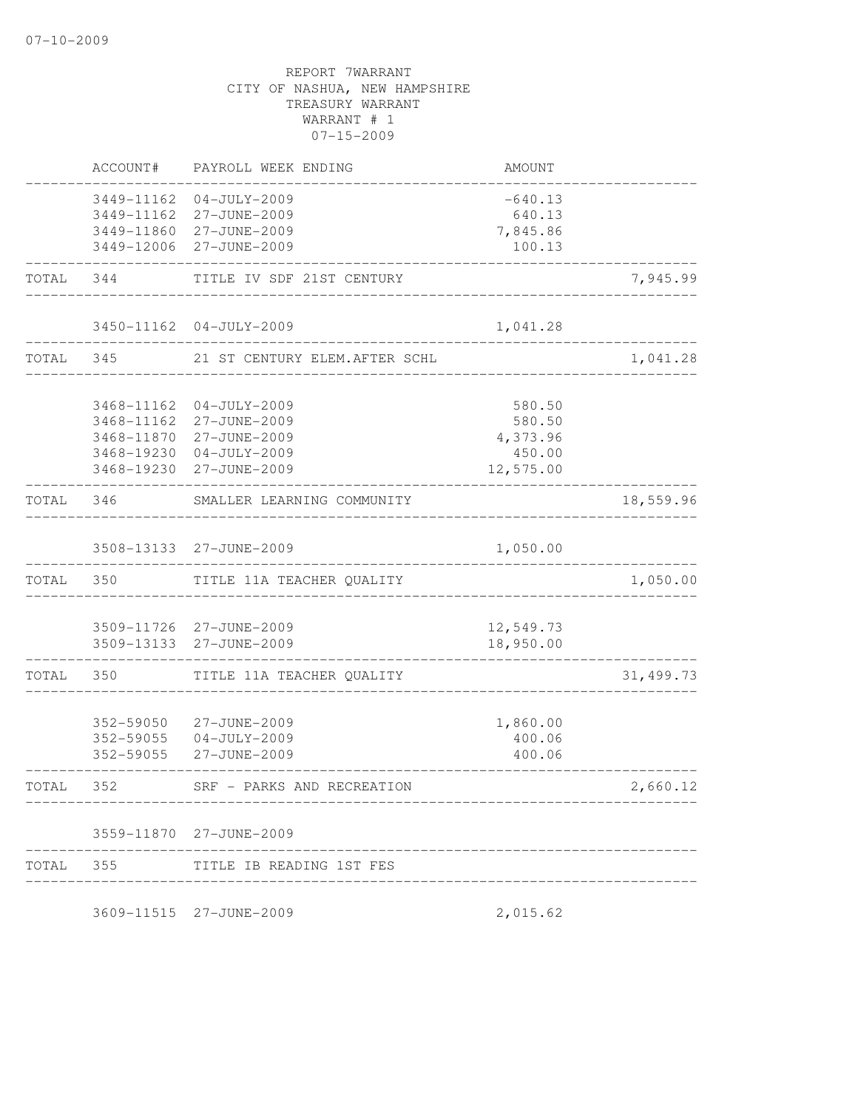|           | ACCOUNT#   | PAYROLL WEEK ENDING                                | AMOUNT                 |            |
|-----------|------------|----------------------------------------------------|------------------------|------------|
|           |            | 3449-11162 04-JULY-2009                            | $-640.13$              |            |
|           | 3449-11162 | 27-JUNE-2009                                       | 640.13                 |            |
|           |            | 3449-11860 27-JUNE-2009                            | 7,845.86               |            |
|           |            | 3449-12006 27-JUNE-2009                            | 100.13                 |            |
| TOTAL 344 |            | TITLE IV SDF 21ST CENTURY                          |                        | 7,945.99   |
|           |            | 3450-11162 04-JULY-2009                            | 1,041.28               |            |
|           | TOTAL 345  | 21 ST CENTURY ELEM. AFTER SCHL                     |                        | 1,041.28   |
|           | 3468-11162 | $04-JULY-2009$                                     | 580.50                 |            |
|           | 3468-11162 | 27-JUNE-2009                                       | 580.50                 |            |
|           |            | 3468-11870 27-JUNE-2009                            | 4,373.96               |            |
|           |            | 3468-19230 04-JULY-2009                            | 450.00                 |            |
|           |            | 3468-19230 27-JUNE-2009                            | 12,575.00              |            |
| TOTAL 346 |            | SMALLER LEARNING COMMUNITY                         |                        | 18,559.96  |
|           |            | 3508-13133 27-JUNE-2009                            | 1,050.00               |            |
| TOTAL 350 |            | TITLE 11A TEACHER QUALITY                          |                        | 1,050.00   |
|           |            |                                                    |                        |            |
|           |            | 3509-11726 27-JUNE-2009<br>3509-13133 27-JUNE-2009 | 12,549.73<br>18,950.00 |            |
| TOTAL     | 350        | TITLE 11A TEACHER QUALITY                          |                        | 31, 499.73 |
|           |            |                                                    |                        |            |
|           |            | 352-59050 27-JUNE-2009                             | 1,860.00               |            |
|           |            | 352-59055 04-JULY-2009                             | 400.06                 |            |
|           | 352-59055  | 27-JUNE-2009                                       | 400.06                 |            |
| TOTAL     | 352        | SRF -<br>PARKS AND RECREATION                      |                        | 2,660.12   |
|           |            | 3559-11870 27-JUNE-2009                            |                        |            |
|           |            |                                                    |                        |            |

3609-11515 27-JUNE-2009 2,015.62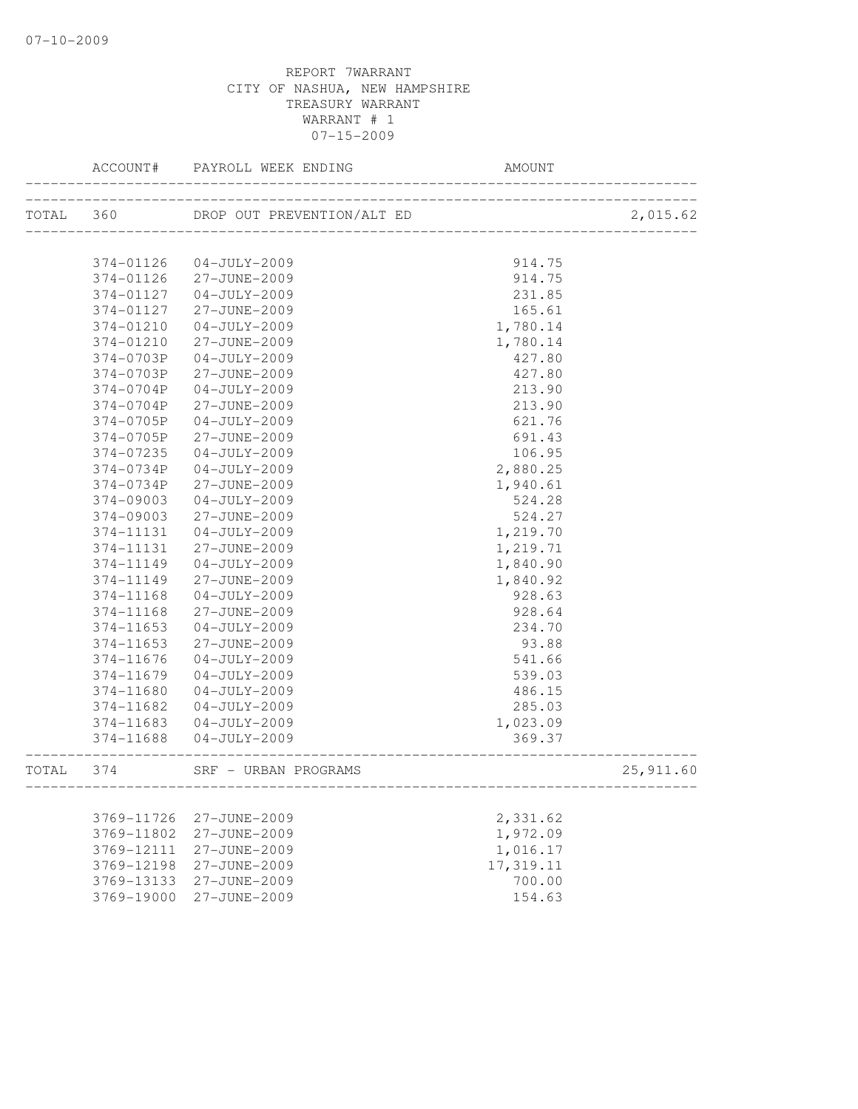|           | ACCOUNT#               | PAYROLL WEEK ENDING                | AMOUNT              |           |
|-----------|------------------------|------------------------------------|---------------------|-----------|
| TOTAL 360 |                        | DROP OUT PREVENTION/ALT ED         | ___________________ | 2,015.62  |
|           |                        |                                    |                     |           |
|           | 374-01126              | 04-JULY-2009                       | 914.75              |           |
|           | 374-01126              | 27-JUNE-2009                       | 914.75              |           |
|           | 374-01127<br>374-01127 | $04 - JULY - 2009$                 | 231.85              |           |
|           | 374-01210              | 27-JUNE-2009<br>$04 - JULY - 2009$ | 165.61<br>1,780.14  |           |
|           |                        | 27-JUNE-2009                       |                     |           |
|           | 374-01210              |                                    | 1,780.14            |           |
|           | 374-0703P<br>374-0703P | $04 - JULY - 2009$<br>27-JUNE-2009 | 427.80<br>427.80    |           |
|           | 374-0704P              | $04 - JULY - 2009$                 | 213.90              |           |
|           | 374-0704P              | 27-JUNE-2009                       | 213.90              |           |
|           | 374-0705P              | $04 - JULY - 2009$                 | 621.76              |           |
|           | 374-0705P              | 27-JUNE-2009                       | 691.43              |           |
|           | 374-07235              | $04 - JULY - 2009$                 | 106.95              |           |
|           | 374-0734P              | $04 - JULY - 2009$                 | 2,880.25            |           |
|           | 374-0734P              | 27-JUNE-2009                       | 1,940.61            |           |
|           | 374-09003              | $04 - JULY - 2009$                 | 524.28              |           |
|           | 374-09003              | 27-JUNE-2009                       | 524.27              |           |
|           | 374-11131              | $04 - JULY - 2009$                 | 1,219.70            |           |
|           | 374-11131              | 27-JUNE-2009                       | 1,219.71            |           |
|           | 374-11149              | $04-JULY-2009$                     | 1,840.90            |           |
|           | 374-11149              | 27-JUNE-2009                       | 1,840.92            |           |
|           | 374-11168              | $04 - JULY - 2009$                 | 928.63              |           |
|           | 374-11168              | 27-JUNE-2009                       | 928.64              |           |
|           | 374-11653              | $04 - JULY - 2009$                 | 234.70              |           |
|           | 374-11653              | 27-JUNE-2009                       | 93.88               |           |
|           | 374-11676              | $04 - JULY - 2009$                 | 541.66              |           |
|           | 374-11679              | $04 - JULY - 2009$                 | 539.03              |           |
|           | 374-11680              | $04 - JULY - 2009$                 | 486.15              |           |
|           | 374-11682              | $04-JULY-2009$                     | 285.03              |           |
|           | 374-11683              | $04 - JULY - 2009$                 | 1,023.09            |           |
|           | 374-11688              | 04-JULY-2009                       | 369.37              |           |
| TOTAL     | 374                    | SRF - URBAN PROGRAMS               | ----------------    | 25,911.60 |
|           |                        |                                    |                     |           |
|           | 3769-11726             | 27-JUNE-2009                       | 2,331.62            |           |
|           | 3769-11802             | 27-JUNE-2009                       | 1,972.09            |           |
|           | 3769-12111             | 27-JUNE-2009                       | 1,016.17            |           |
|           | 3769-12198             | 27-JUNE-2009                       | 17,319.11           |           |
|           | 3769-13133             | 27-JUNE-2009                       | 700.00              |           |
|           | 3769-19000             | 27-JUNE-2009                       | 154.63              |           |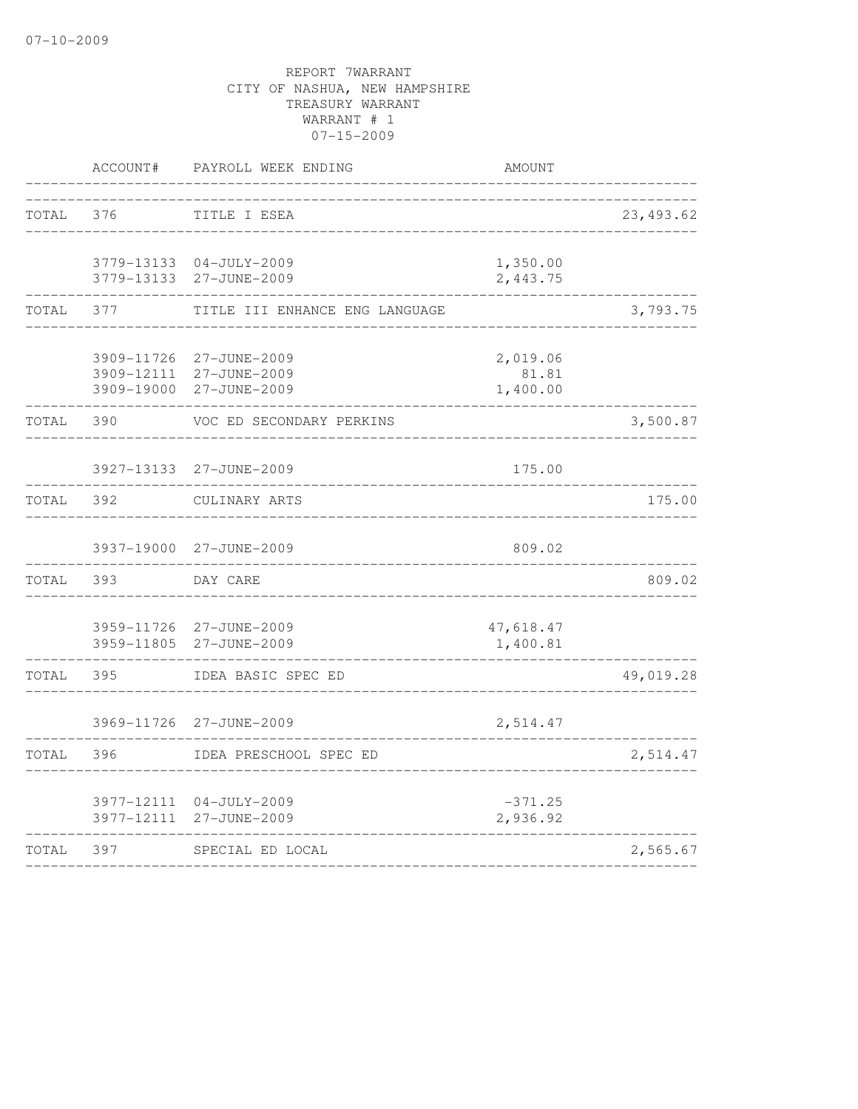|       | ACCOUNT#                               | PAYROLL WEEK ENDING                          | AMOUNT                        |            |
|-------|----------------------------------------|----------------------------------------------|-------------------------------|------------|
| TOTAL | 376                                    | TITLE I ESEA                                 |                               | 23, 493.62 |
|       | 3779-13133<br>3779-13133               | $04 - JULY - 2009$<br>27-JUNE-2009           | 1,350.00<br>2,443.75          |            |
| TOTAL | 377                                    | TITLE III ENHANCE ENG LANGUAGE               |                               | 3,793.75   |
|       | 3909-11726<br>3909-12111<br>3909-19000 | 27-JUNE-2009<br>27-JUNE-2009<br>27-JUNE-2009 | 2,019.06<br>81.81<br>1,400.00 |            |
| TOTAL | 390                                    | VOC ED SECONDARY PERKINS                     |                               | 3,500.87   |
|       | 3927-13133                             | 27-JUNE-2009                                 | 175.00                        |            |
| TOTAL | 392                                    | CULINARY ARTS                                |                               | 175.00     |
|       |                                        | 3937-19000 27-JUNE-2009                      | 809.02                        |            |
| TOTAL | 393                                    | DAY CARE                                     |                               | 809.02     |
|       | 3959-11805                             | 3959-11726 27-JUNE-2009<br>27-JUNE-2009      | 47,618.47<br>1,400.81         |            |
| TOTAL | 395                                    | IDEA BASIC SPEC ED                           |                               | 49,019.28  |
|       | 3969-11726                             | 27-JUNE-2009                                 | 2,514.47                      |            |
| TOTAL | 396                                    | IDEA PRESCHOOL SPEC ED                       |                               | 2,514.47   |
|       | 3977-12111                             | 3977-12111 04-JULY-2009<br>27-JUNE-2009      | $-371.25$<br>2,936.92         |            |
| TOTAL | 397                                    | SPECIAL ED LOCAL                             |                               | 2,565.67   |
|       |                                        |                                              |                               |            |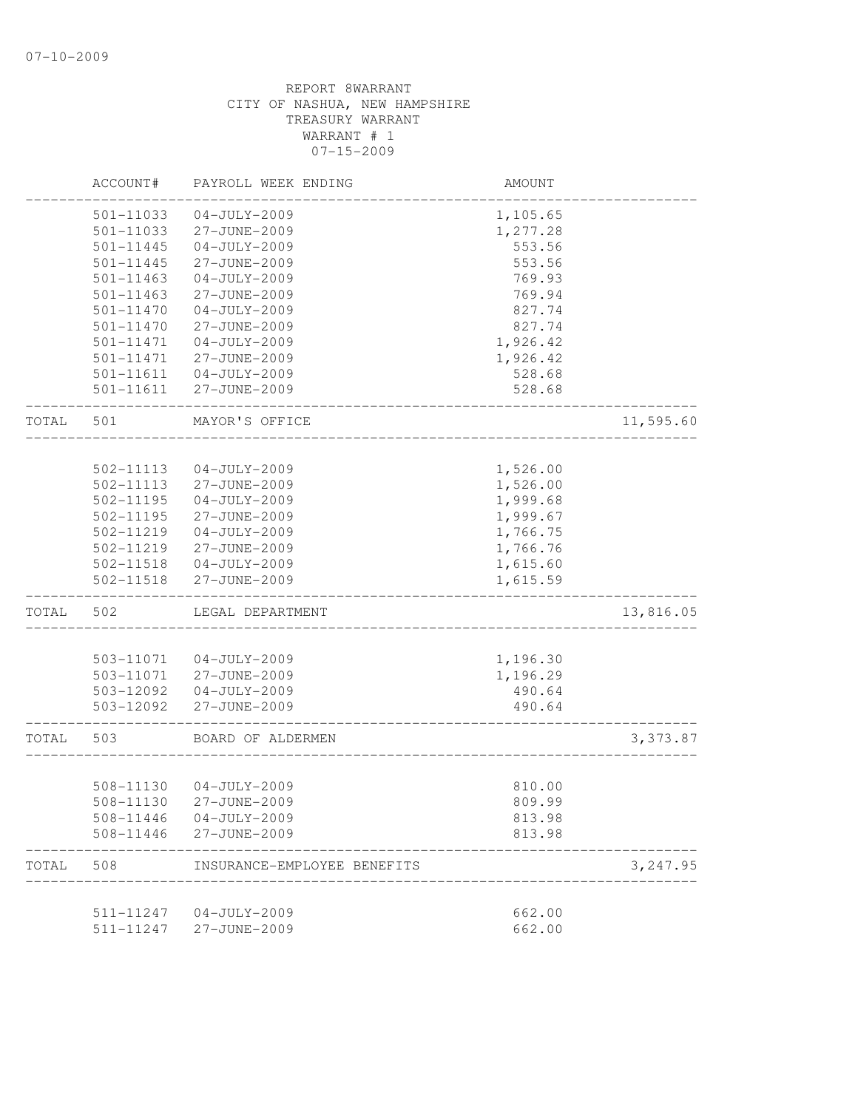|       | ACCOUNT#               | PAYROLL WEEK ENDING         | AMOUNT           |           |
|-------|------------------------|-----------------------------|------------------|-----------|
|       | 501-11033              | $04 - JULY - 2009$          | 1,105.65         |           |
|       | 501-11033              | 27-JUNE-2009                | 1,277.28         |           |
|       | 501-11445              | $04 - JULY - 2009$          | 553.56           |           |
|       | $501 - 11445$          | 27-JUNE-2009                | 553.56           |           |
|       | 501-11463              | $04 - JULY - 2009$          | 769.93           |           |
|       | 501-11463              | 27-JUNE-2009                | 769.94           |           |
|       | 501-11470              | $04 - JULY - 2009$          | 827.74           |           |
|       | $501 - 11470$          | 27-JUNE-2009                | 827.74           |           |
|       | 501-11471              | $04 - JULY - 2009$          | 1,926.42         |           |
|       | 501-11471              | 27-JUNE-2009                | 1,926.42         |           |
|       | 501-11611              | $04 - JULY - 2009$          | 528.68           |           |
|       | 501-11611              | 27-JUNE-2009                | 528.68           |           |
| TOTAL | 501                    | MAYOR'S OFFICE              |                  | 11,595.60 |
|       |                        |                             |                  |           |
|       | 502-11113              | $04 - JULY - 2009$          | 1,526.00         |           |
|       | 502-11113              | 27-JUNE-2009                | 1,526.00         |           |
|       | 502-11195              | $04 - JULY - 2009$          | 1,999.68         |           |
|       | 502-11195              | 27-JUNE-2009                | 1,999.67         |           |
|       | 502-11219              | $04 - JULY - 2009$          | 1,766.75         |           |
|       | 502-11219              | 27-JUNE-2009                | 1,766.76         |           |
|       | 502-11518              | $04 - JULY - 2009$          | 1,615.60         |           |
|       | 502-11518              | 27-JUNE-2009                | 1,615.59         |           |
| TOTAL | 502                    | LEGAL DEPARTMENT            |                  | 13,816.05 |
|       |                        |                             |                  |           |
|       | 503-11071              | $04 - JULY - 2009$          | 1,196.30         |           |
|       | 503-11071              | 27-JUNE-2009                | 1,196.29         |           |
|       | 503-12092              | $04 - JULY - 2009$          | 490.64           |           |
|       | 503-12092              | 27-JUNE-2009                | 490.64           |           |
| TOTAL | 503                    | BOARD OF ALDERMEN           |                  | 3,373.87  |
|       | 508-11130              | 04-JULY-2009                | 810.00           |           |
|       | 508-11130              | 27-JUNE-2009                | 809.99           |           |
|       |                        | $04 - JULY - 2009$          |                  |           |
|       | 508-11446<br>508-11446 | 27-JUNE-2009                | 813.98<br>813.98 |           |
|       |                        |                             |                  |           |
| TOTAL | 508                    | INSURANCE-EMPLOYEE BENEFITS |                  | 3,247.95  |
|       | 511-11247              | $04 - JULY - 2009$          | 662.00           |           |
|       | 511-11247              | 27-JUNE-2009                | 662.00           |           |
|       |                        |                             |                  |           |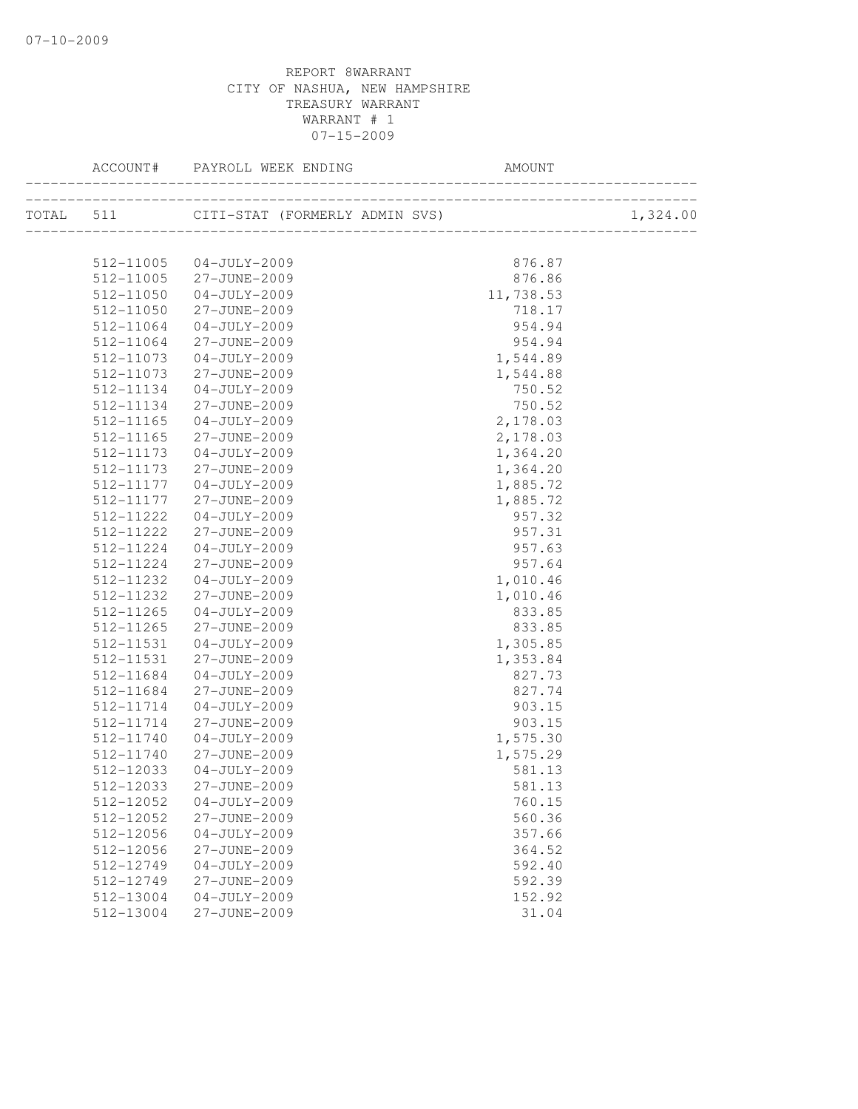|                        | ACCOUNT# PAYROLL WEEK ENDING                                    | AMOUNT              |          |
|------------------------|-----------------------------------------------------------------|---------------------|----------|
|                        | -------------------<br>TOTAL 511 CITI-STAT (FORMERLY ADMIN SVS) |                     | 1,324.00 |
|                        |                                                                 |                     |          |
|                        | 512-11005 04-JULY-2009                                          | 876.87              |          |
| 512-11005              | 27-JUNE-2009                                                    | 876.86              |          |
| 512-11050              | $04 - JULY - 2009$                                              | 11,738.53<br>718.17 |          |
| 512-11050<br>512-11064 | 27-JUNE-2009<br>04-JULY-2009                                    | 954.94              |          |
| 512-11064              | 27-JUNE-2009                                                    | 954.94              |          |
| 512-11073              | 04-JULY-2009                                                    | 1,544.89            |          |
| 512-11073              | 27-JUNE-2009                                                    | 1,544.88            |          |
| 512-11134              | $04 - JULY - 2009$                                              | 750.52              |          |
| 512-11134              | 27-JUNE-2009                                                    | 750.52              |          |
|                        |                                                                 | 2,178.03            |          |
| 512-11165<br>512-11165 | 04-JULY-2009<br>27-JUNE-2009                                    | 2,178.03            |          |
| 512-11173              | $04 - JULY - 2009$                                              | 1,364.20            |          |
| 512-11173              | 27-JUNE-2009                                                    | 1,364.20            |          |
| 512-11177              | $04 - JULY - 2009$                                              | 1,885.72            |          |
| 512-11177              | 27-JUNE-2009                                                    | 1,885.72            |          |
| 512-11222              | $04 - JULY - 2009$                                              | 957.32              |          |
| 512-11222              | 27-JUNE-2009                                                    | 957.31              |          |
| 512-11224              | 04-JULY-2009                                                    | 957.63              |          |
| 512-11224              | 27-JUNE-2009                                                    | 957.64              |          |
| 512-11232              | 04-JULY-2009                                                    | 1,010.46            |          |
| 512-11232              | 27-JUNE-2009                                                    | 1,010.46            |          |
| 512-11265              | 04-JULY-2009                                                    | 833.85              |          |
| 512-11265              | 27-JUNE-2009                                                    | 833.85              |          |
| 512-11531              | 04-JULY-2009                                                    | 1,305.85            |          |
| 512-11531              | 27-JUNE-2009                                                    | 1,353.84            |          |
| 512-11684              | 04-JULY-2009                                                    | 827.73              |          |
| 512-11684              | 27-JUNE-2009                                                    | 827.74              |          |
| 512-11714              | 04-JULY-2009                                                    | 903.15              |          |
| 512-11714              | 27-JUNE-2009                                                    | 903.15              |          |
| 512-11740              | 04-JULY-2009                                                    | 1,575.30            |          |
| 512-11740              | 27-JUNE-2009                                                    | 1,575.29            |          |
| 512-12033              | 04-JULY-2009                                                    | 581.13              |          |
|                        |                                                                 | 581.13              |          |
| 512-12052              | $04 - JULY - 2009$                                              | 760.15              |          |
| 512-12052              | 27-JUNE-2009                                                    | 560.36              |          |
| 512-12056              | $04 - JULY - 2009$                                              | 357.66              |          |
| 512-12056              | 27-JUNE-2009                                                    | 364.52              |          |
| 512-12749              | $04 - JULY - 2009$                                              | 592.40              |          |
| 512-12749              | 27-JUNE-2009                                                    | 592.39              |          |
| 512-13004              | $04 - JULY - 2009$                                              | 152.92              |          |
| 512-13004              | 27-JUNE-2009                                                    | 31.04               |          |
|                        |                                                                 |                     |          |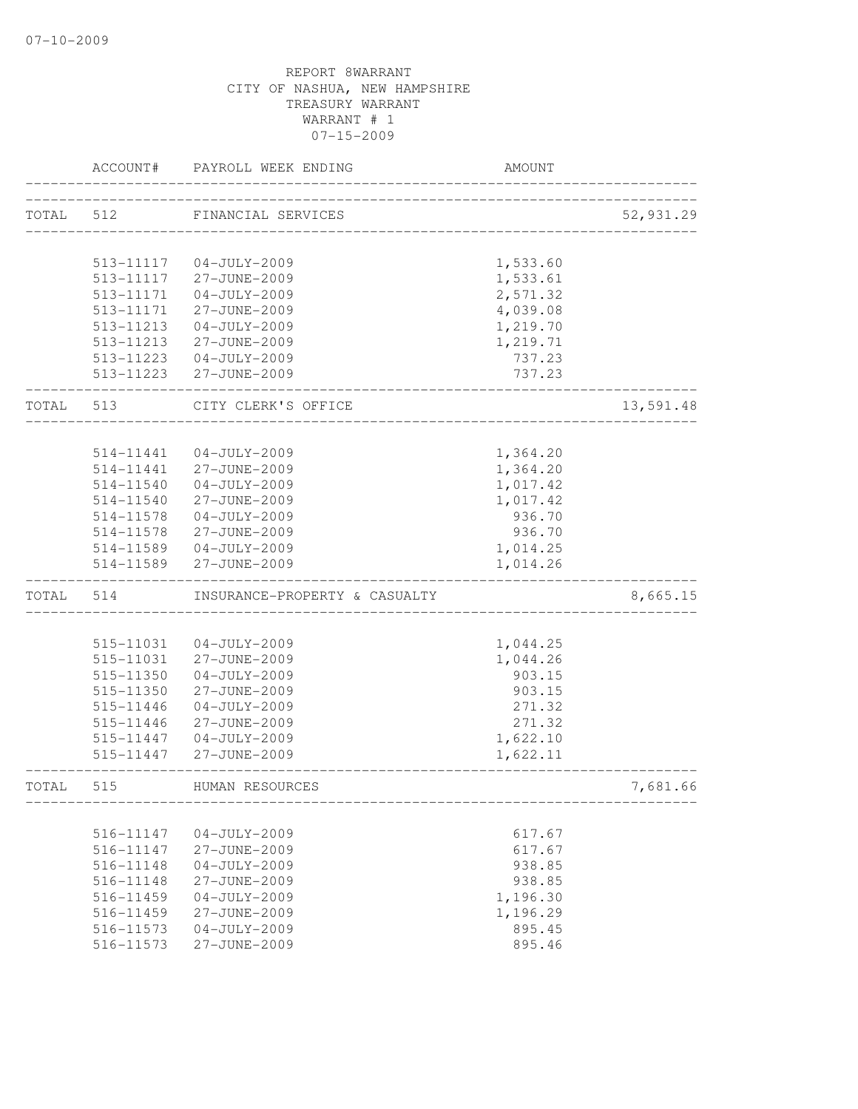|       | ACCOUNT#               | PAYROLL WEEK ENDING                | AMOUNT               |           |
|-------|------------------------|------------------------------------|----------------------|-----------|
| TOTAL | 512                    | FINANCIAL SERVICES                 |                      | 52,931.29 |
|       |                        |                                    |                      |           |
|       | 513-11117              | $04 - JULY - 2009$                 | 1,533.60             |           |
|       | 513-11117              | 27-JUNE-2009                       | 1,533.61             |           |
|       | 513-11171              | $04 - JULY - 2009$                 | 2,571.32             |           |
|       | 513-11171              | 27-JUNE-2009                       | 4,039.08             |           |
|       | 513-11213              | $04-JULY-2009$                     | 1,219.70             |           |
|       | 513-11213              | 27-JUNE-2009                       | 1,219.71             |           |
|       | 513-11223              | $04 - JULY - 2009$                 | 737.23               |           |
|       |                        | 513-11223 27-JUNE-2009             | 737.23               |           |
| TOTAL | 513                    | CITY CLERK'S OFFICE                |                      | 13,591.48 |
|       | 514-11441              |                                    |                      |           |
|       |                        | $04 - JULY - 2009$                 | 1,364.20             |           |
|       | 514-11441              | 27-JUNE-2009                       | 1,364.20             |           |
|       | 514-11540              | $04-JULY-2009$                     | 1,017.42             |           |
|       | 514-11540              | 27-JUNE-2009                       | 1,017.42<br>936.70   |           |
|       | 514-11578<br>514-11578 | $04 - JULY - 2009$                 | 936.70               |           |
|       |                        | 27-JUNE-2009                       |                      |           |
|       | 514-11589<br>514-11589 | $04 - JULY - 2009$<br>27-JUNE-2009 | 1,014.25<br>1,014.26 |           |
| TOTAL | 514                    | INSURANCE-PROPERTY & CASUALTY      |                      | 8,665.15  |
|       |                        |                                    |                      |           |
|       | 515-11031              | $04 - JULY - 2009$                 | 1,044.25             |           |
|       | 515-11031              | 27-JUNE-2009                       | 1,044.26             |           |
|       | 515-11350              | $04-JULY-2009$                     | 903.15               |           |
|       | 515-11350              | 27-JUNE-2009                       | 903.15               |           |
|       | 515-11446              | $04-JULY-2009$                     | 271.32               |           |
|       | 515-11446              | 27-JUNE-2009                       | 271.32               |           |
|       | 515-11447              | $04 - JULY - 2009$                 | 1,622.10             |           |
|       | 515-11447              | 27-JUNE-2009                       | 1,622.11             |           |
| TOTAL | 515                    | HUMAN RESOURCES                    |                      | 7,681.66  |
|       |                        |                                    |                      |           |
|       | 516-11147              | $04 - JULY - 2009$                 | 617.67               |           |
|       | 516-11147              | 27-JUNE-2009                       | 617.67               |           |
|       | 516-11148              | $04 - JULY - 2009$                 | 938.85               |           |
|       | 516-11148              | 27-JUNE-2009                       | 938.85               |           |
|       | 516-11459              | $04 - JULY - 2009$                 | 1,196.30             |           |
|       | 516-11459              | 27-JUNE-2009                       | 1,196.29             |           |
|       | 516-11573              | $04 - JULY - 2009$                 | 895.45               |           |
|       | 516-11573              | 27-JUNE-2009                       | 895.46               |           |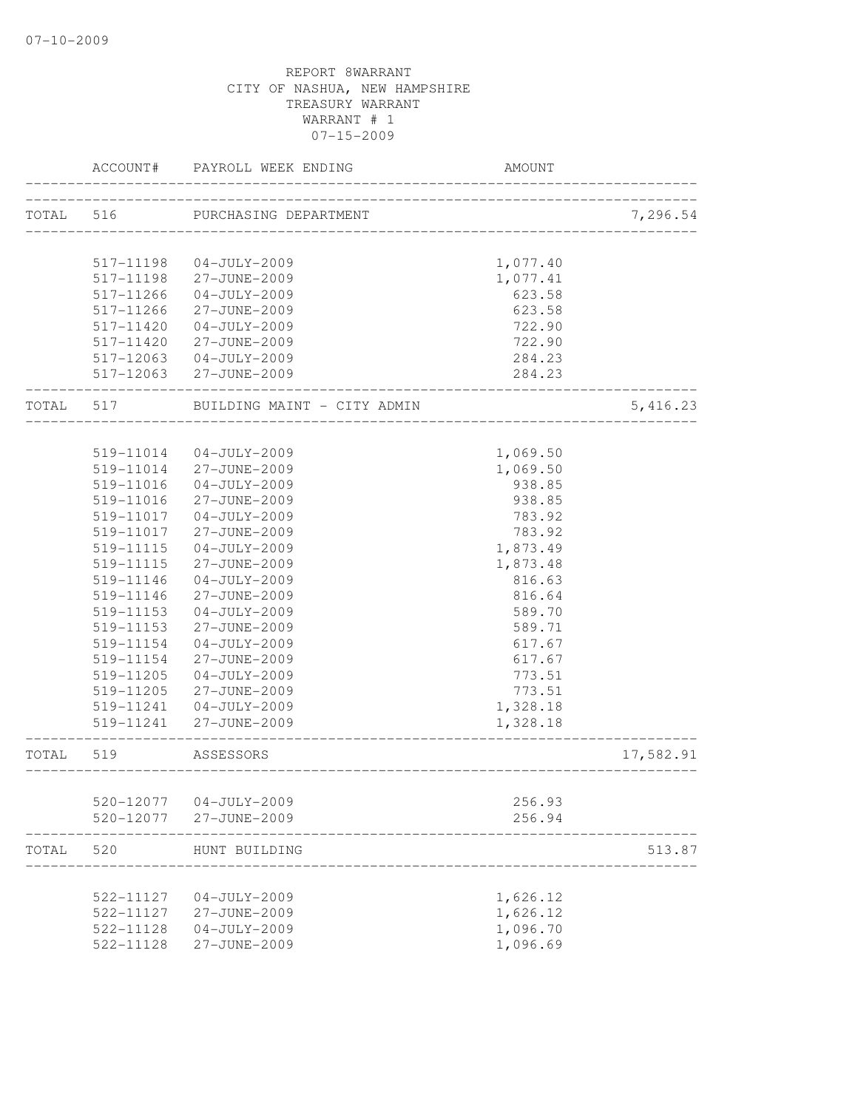|           | ACCOUNT#               | PAYROLL WEEK ENDING                | AMOUNT                          |           |
|-----------|------------------------|------------------------------------|---------------------------------|-----------|
| TOTAL     | 516                    | PURCHASING DEPARTMENT              | _______________________________ | 7,296.54  |
|           | 517-11198              | $04 - JULY - 2009$                 | 1,077.40                        |           |
|           | 517-11198              | 27-JUNE-2009                       | 1,077.41                        |           |
|           | 517-11266              | $04 - JULY - 2009$                 | 623.58                          |           |
|           | 517-11266              | 27-JUNE-2009                       | 623.58                          |           |
|           | 517-11420              | $04 - JULY - 2009$                 | 722.90                          |           |
|           | $517 - 11420$          | 27-JUNE-2009                       | 722.90                          |           |
|           | 517-12063              | $04 - JULY - 2009$                 | 284.23                          |           |
|           |                        | 517-12063 27-JUNE-2009             | 284.23                          |           |
| TOTAL 517 |                        | BUILDING MAINT - CITY ADMIN        | ____________                    | 5, 416.23 |
|           |                        |                                    |                                 |           |
|           | 519-11014              | $04 - JULY - 2009$                 | 1,069.50                        |           |
|           | 519-11014              | 27-JUNE-2009                       | 1,069.50                        |           |
|           | 519-11016              | $04 - JULY - 2009$                 | 938.85                          |           |
|           | 519-11016              | 27-JUNE-2009                       | 938.85                          |           |
|           | 519-11017              | 04-JULY-2009                       | 783.92                          |           |
|           | 519-11017              | 27-JUNE-2009                       | 783.92                          |           |
|           | 519-11115              | $04 - JULY - 2009$                 | 1,873.49                        |           |
|           | 519-11115              | 27-JUNE-2009                       | 1,873.48                        |           |
|           | 519-11146              | $04 - JULY - 2009$                 | 816.63                          |           |
|           | 519-11146              | 27-JUNE-2009                       | 816.64                          |           |
|           | 519-11153<br>519-11153 | $04 - JULY - 2009$<br>27-JUNE-2009 | 589.70<br>589.71                |           |
|           | 519-11154              | $04 - JULY - 2009$                 | 617.67                          |           |
|           | 519-11154              | 27-JUNE-2009                       | 617.67                          |           |
|           | 519-11205              | $04 - JULY - 2009$                 | 773.51                          |           |
|           | 519-11205              | 27-JUNE-2009                       | 773.51                          |           |
|           | 519-11241              | $04 - JULY - 2009$                 | 1,328.18                        |           |
|           | 519-11241              | 27-JUNE-2009                       | 1,328.18                        |           |
| TOTAL     | 519                    | ASSESSORS                          |                                 | 17,582.91 |
|           |                        |                                    |                                 |           |
|           | 520-12077              | $04 - JULY - 2009$                 | 256.93                          |           |
|           | 520-12077              | 27-JUNE-2009                       | 256.94                          |           |
| TOTAL     | 520                    | HUNT BUILDING                      |                                 | 513.87    |
|           | 522-11127              | $04 - JULY - 2009$                 | 1,626.12                        |           |
|           | 522-11127              | 27-JUNE-2009                       | 1,626.12                        |           |
|           | 522-11128              | $04 - JULY - 2009$                 | 1,096.70                        |           |
|           | 522-11128              | 27-JUNE-2009                       | 1,096.69                        |           |
|           |                        |                                    |                                 |           |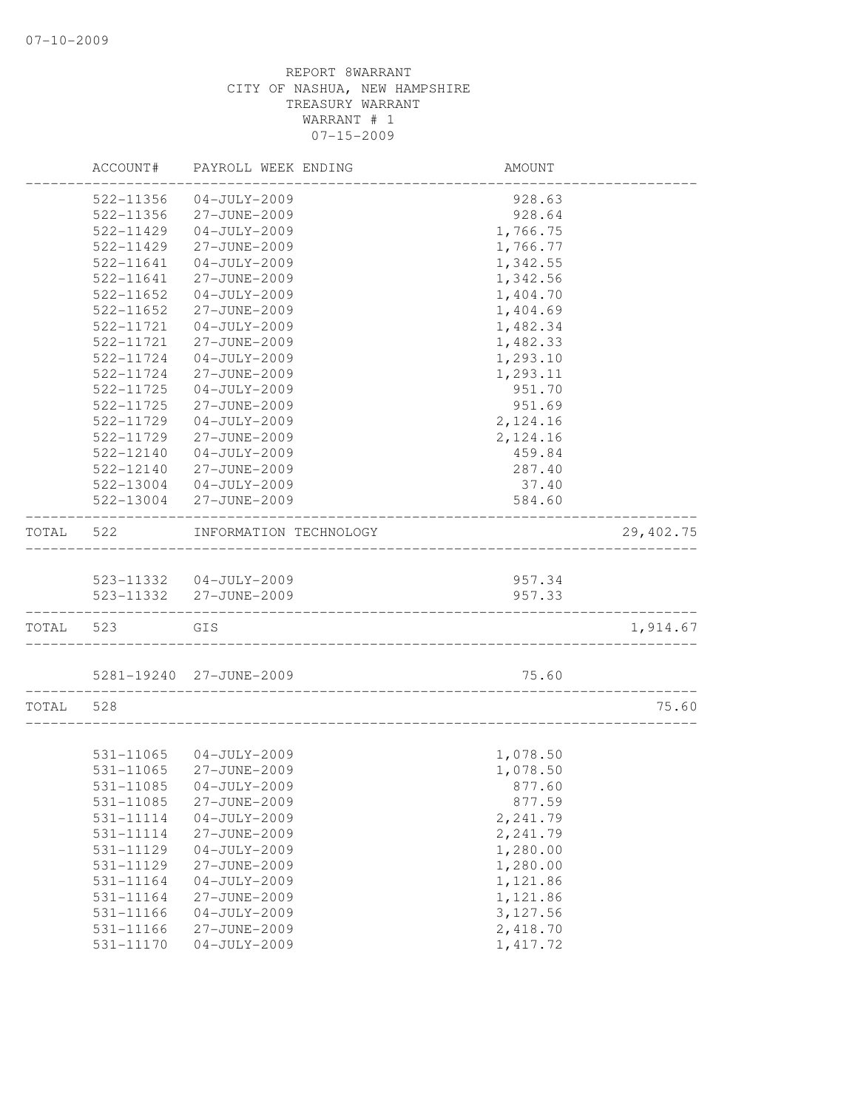|       | ACCOUNT#  | PAYROLL WEEK ENDING     | AMOUNT    |            |
|-------|-----------|-------------------------|-----------|------------|
|       | 522-11356 | $04 - JULY - 2009$      | 928.63    |            |
|       | 522-11356 | 27-JUNE-2009            | 928.64    |            |
|       | 522-11429 | $04 - JULY - 2009$      | 1,766.75  |            |
|       | 522-11429 | 27-JUNE-2009            | 1,766.77  |            |
|       | 522-11641 | $04 - JULY - 2009$      | 1,342.55  |            |
|       | 522-11641 | 27-JUNE-2009            | 1,342.56  |            |
|       | 522-11652 | $04 - JULY - 2009$      | 1,404.70  |            |
|       | 522-11652 | 27-JUNE-2009            | 1,404.69  |            |
|       | 522-11721 | $04 - JULY - 2009$      | 1,482.34  |            |
|       | 522-11721 | 27-JUNE-2009            | 1,482.33  |            |
|       | 522-11724 | $04 - JULY - 2009$      | 1,293.10  |            |
|       | 522-11724 | 27-JUNE-2009            | 1,293.11  |            |
|       | 522-11725 | $04-JULY-2009$          | 951.70    |            |
|       | 522-11725 | 27-JUNE-2009            | 951.69    |            |
|       | 522-11729 | $04 - JULY - 2009$      | 2,124.16  |            |
|       | 522-11729 | 27-JUNE-2009            | 2,124.16  |            |
|       | 522-12140 | $04 - JULY - 2009$      | 459.84    |            |
|       | 522-12140 | 27-JUNE-2009            | 287.40    |            |
|       | 522-13004 | $04 - JULY - 2009$      | 37.40     |            |
|       | 522-13004 | 27-JUNE-2009            | 584.60    |            |
|       |           |                         |           |            |
| TOTAL | 522       | INFORMATION TECHNOLOGY  |           | 29, 402.75 |
|       |           | 523-11332 04-JULY-2009  | 957.34    |            |
|       | 523-11332 | 27-JUNE-2009            | 957.33    |            |
| TOTAL | 523       | GIS                     |           | 1,914.67   |
|       |           | 5281-19240 27-JUNE-2009 | 75.60     |            |
| TOTAL | 528       |                         |           | 75.60      |
|       |           |                         |           |            |
|       | 531-11065 | 04-JULY-2009            | 1,078.50  |            |
|       | 531-11065 | 27-JUNE-2009            | 1,078.50  |            |
|       | 531-11085 | 04-JULY-2009            | 877.60    |            |
|       | 531-11085 | 27-JUNE-2009            | 877.59    |            |
|       | 531-11114 | $04-JULY-2009$          | 2,241.79  |            |
|       | 531-11114 | 27-JUNE-2009            | 2,241.79  |            |
|       | 531-11129 | $04 - JULY - 2009$      | 1,280.00  |            |
|       | 531-11129 | 27-JUNE-2009            | 1,280.00  |            |
|       | 531-11164 | $04 - JULY - 2009$      | 1,121.86  |            |
|       | 531-11164 | 27-JUNE-2009            | 1,121.86  |            |
|       | 531-11166 | $04 - JULY - 2009$      | 3,127.56  |            |
|       | 531-11166 | 27-JUNE-2009            | 2,418.70  |            |
|       | 531-11170 | $04 - JULY - 2009$      | 1, 417.72 |            |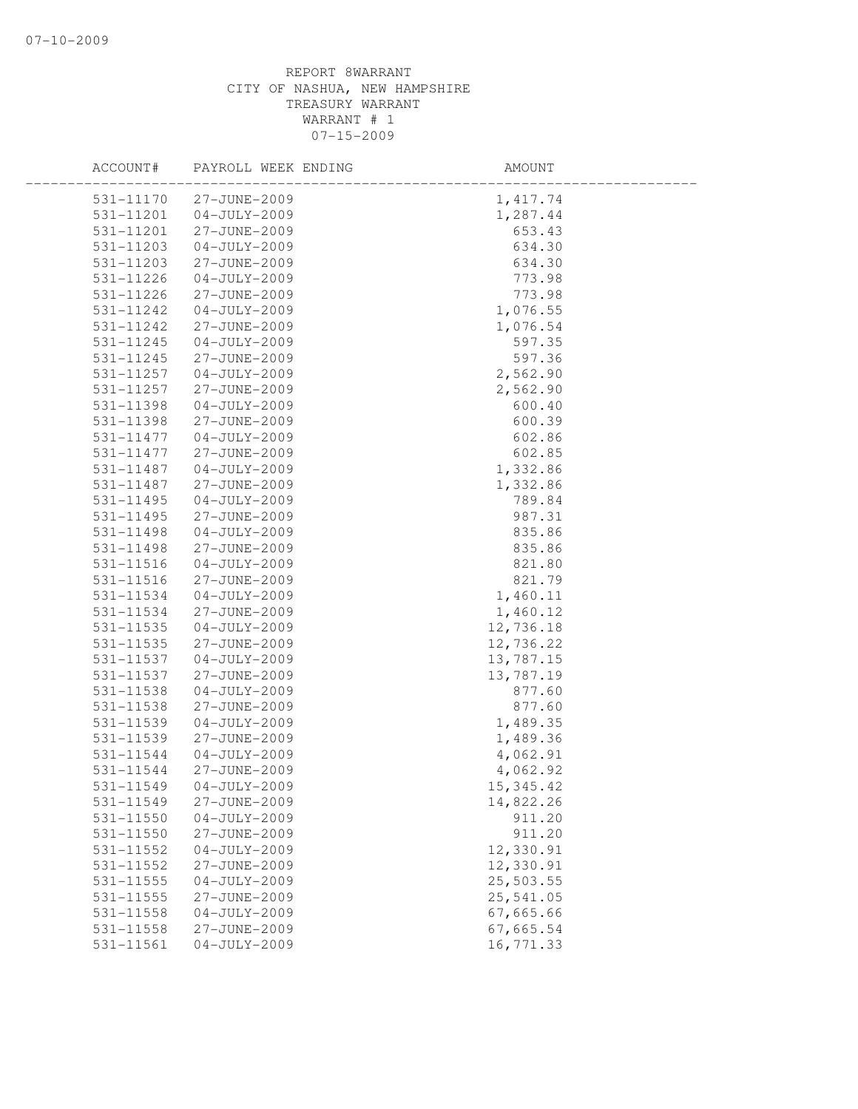| ACCOUNT#      | PAYROLL WEEK ENDING | AMOUNT    |  |
|---------------|---------------------|-----------|--|
| 531-11170     | 27-JUNE-2009        | 1, 417.74 |  |
| 531-11201     | $04 - JULY - 2009$  | 1,287.44  |  |
| 531-11201     | 27-JUNE-2009        | 653.43    |  |
| 531-11203     | $04 - JULY - 2009$  | 634.30    |  |
| 531-11203     | 27-JUNE-2009        | 634.30    |  |
| 531-11226     | $04 - JULY - 2009$  | 773.98    |  |
| 531-11226     | 27-JUNE-2009        | 773.98    |  |
| 531-11242     | $04 - JULY - 2009$  | 1,076.55  |  |
| 531-11242     | 27-JUNE-2009        | 1,076.54  |  |
| $531 - 11245$ | $04 - JULY - 2009$  | 597.35    |  |
| 531-11245     | 27-JUNE-2009        | 597.36    |  |
| 531-11257     | $04-JULY-2009$      | 2,562.90  |  |
| 531-11257     | 27-JUNE-2009        | 2,562.90  |  |
| 531-11398     | $04 - JULY - 2009$  | 600.40    |  |
| 531-11398     | 27-JUNE-2009        | 600.39    |  |
| 531-11477     | $04 - JULY - 2009$  | 602.86    |  |
| 531-11477     | 27-JUNE-2009        | 602.85    |  |
| 531-11487     | $04 - JULY - 2009$  | 1,332.86  |  |
| 531-11487     | 27-JUNE-2009        | 1,332.86  |  |
| 531-11495     | $04 - JULY - 2009$  | 789.84    |  |
| 531-11495     | 27-JUNE-2009        | 987.31    |  |
| 531-11498     | $04 - JULY - 2009$  | 835.86    |  |
| 531-11498     | 27-JUNE-2009        | 835.86    |  |
| $531 - 11516$ | $04 - JULY - 2009$  | 821.80    |  |
| 531-11516     | 27-JUNE-2009        | 821.79    |  |
| 531-11534     | $04 - JULY - 2009$  | 1,460.11  |  |
| 531-11534     | 27-JUNE-2009        | 1,460.12  |  |
| 531-11535     | $04 - JULY - 2009$  | 12,736.18 |  |
| 531-11535     | 27-JUNE-2009        | 12,736.22 |  |
| 531-11537     | $04 - JULY - 2009$  | 13,787.15 |  |
| 531-11537     | 27-JUNE-2009        | 13,787.19 |  |
| 531-11538     | $04-JULY-2009$      | 877.60    |  |
| 531-11538     | 27-JUNE-2009        | 877.60    |  |
| $531 - 11539$ | $04 - JULY - 2009$  | 1,489.35  |  |
| 531-11539     | 27-JUNE-2009        | 1,489.36  |  |
| 531-11544     | $04 - JULY - 2009$  | 4,062.91  |  |
| 531-11544     | 27-JUNE-2009        | 4,062.92  |  |
| 531-11549     | $04 - JULY - 2009$  | 15,345.42 |  |
| 531-11549     | 27-JUNE-2009        | 14,822.26 |  |
| $531 - 11550$ | $04-JULY-2009$      | 911.20    |  |
| 531-11550     | 27-JUNE-2009        | 911.20    |  |
| 531-11552     | $04-JULY-2009$      | 12,330.91 |  |
| 531-11552     | 27-JUNE-2009        | 12,330.91 |  |
| 531-11555     | $04 - JULY - 2009$  | 25,503.55 |  |
| 531-11555     | 27-JUNE-2009        | 25,541.05 |  |
| 531-11558     | $04-JULY-2009$      | 67,665.66 |  |
| 531-11558     | 27-JUNE-2009        | 67,665.54 |  |
| 531-11561     | $04 - JULY - 2009$  | 16,771.33 |  |
|               |                     |           |  |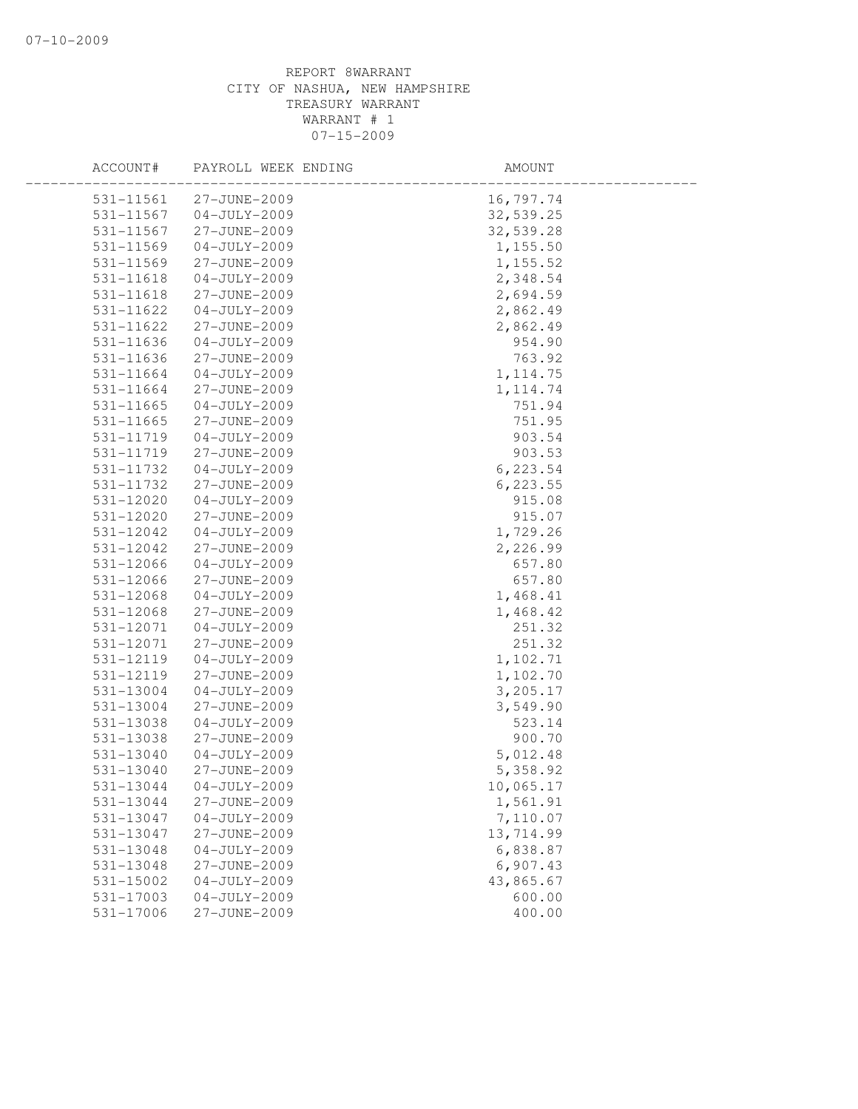| ACCOUNT#               | PAYROLL WEEK ENDING                | AMOUNT               |  |
|------------------------|------------------------------------|----------------------|--|
| 531-11561              | 27-JUNE-2009                       | 16,797.74            |  |
| 531-11567              | $04 - JULY - 2009$                 | 32,539.25            |  |
| 531-11567              | 27-JUNE-2009                       | 32,539.28            |  |
| 531-11569              | $04-JULY-2009$                     | 1,155.50             |  |
| 531-11569              | 27-JUNE-2009                       | 1,155.52             |  |
| 531-11618              | $04 - JULY - 2009$                 | 2,348.54             |  |
| 531-11618              | 27-JUNE-2009                       | 2,694.59             |  |
| 531-11622              | $04 - JULY - 2009$                 | 2,862.49             |  |
| 531-11622              | 27-JUNE-2009                       | 2,862.49             |  |
| 531-11636              | $04 - JULY - 2009$                 | 954.90               |  |
| 531-11636              | 27-JUNE-2009                       | 763.92               |  |
| 531-11664              | $04 - JULY - 2009$                 | 1, 114.75            |  |
| 531-11664              | 27-JUNE-2009                       | 1, 114.74            |  |
| 531-11665              | $04 - JULY - 2009$                 | 751.94               |  |
| 531-11665              | 27-JUNE-2009                       | 751.95               |  |
| 531-11719              | $04 - JULY - 2009$                 | 903.54               |  |
| 531-11719              | 27-JUNE-2009                       | 903.53               |  |
| 531-11732              | $04 - JULY - 2009$                 | 6,223.54             |  |
| 531-11732              | 27-JUNE-2009                       | 6,223.55             |  |
| $531 - 12020$          | $04 - JULY - 2009$                 | 915.08               |  |
| 531-12020              | 27-JUNE-2009                       | 915.07               |  |
| 531-12042              | $04 - JULY - 2009$                 | 1,729.26             |  |
| 531-12042              | 27-JUNE-2009                       | 2,226.99             |  |
| 531-12066              | $04 - JULY - 2009$                 | 657.80               |  |
| 531-12066              | 27-JUNE-2009                       | 657.80               |  |
| 531-12068              | $04 - JULY - 2009$                 | 1,468.41             |  |
| 531-12068              | 27-JUNE-2009                       | 1,468.42             |  |
| 531-12071              | $04-JULY-2009$                     | 251.32               |  |
| 531-12071              | 27-JUNE-2009                       | 251.32               |  |
| 531-12119              | $04 - JULY - 2009$                 | 1,102.71             |  |
| 531-12119              | 27-JUNE-2009                       | 1,102.70             |  |
| 531-13004              | $04 - JULY - 2009$                 | 3,205.17             |  |
| 531-13004              | 27-JUNE-2009                       | 3,549.90             |  |
| 531-13038<br>531-13038 | $04 - JULY - 2009$<br>27-JUNE-2009 | 523.14<br>900.70     |  |
| 531-13040              |                                    |                      |  |
| 531-13040              | $04 - JULY - 2009$<br>27-JUNE-2009 | 5,012.48<br>5,358.92 |  |
| 531-13044              | $04 - JULY - 2009$                 | 10,065.17            |  |
| 531-13044              | 27-JUNE-2009                       | 1,561.91             |  |
| 531-13047              | $04 - JULY - 2009$                 | 7,110.07             |  |
| 531-13047              | 27-JUNE-2009                       | 13,714.99            |  |
| 531-13048              | $04-JULY-2009$                     | 6,838.87             |  |
| 531-13048              | 27-JUNE-2009                       | 6,907.43             |  |
| 531-15002              | $04 - JULY - 2009$                 | 43,865.67            |  |
| 531-17003              | $04 - JULY - 2009$                 | 600.00               |  |
| 531-17006              | 27-JUNE-2009                       | 400.00               |  |
|                        |                                    |                      |  |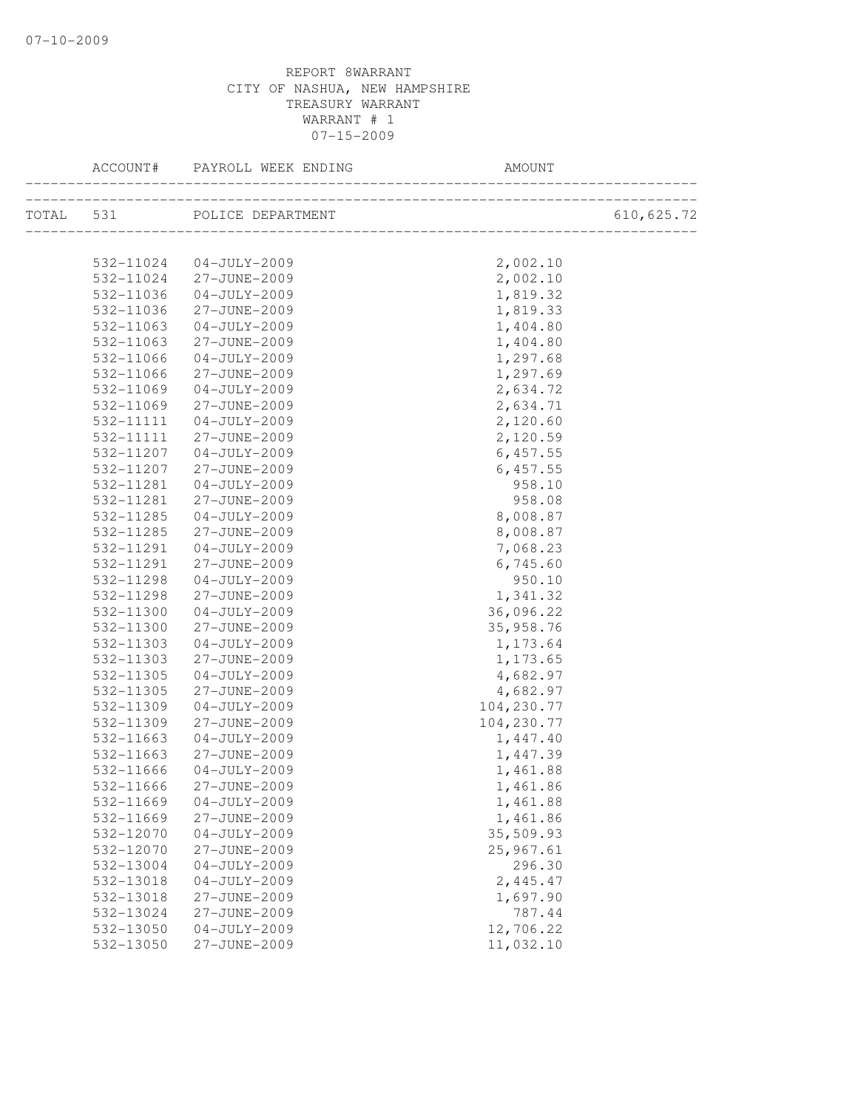|           | ACCOUNT# PAYROLL WEEK ENDING | AMOUNT     |            |
|-----------|------------------------------|------------|------------|
|           | TOTAL 531 POLICE DEPARTMENT  |            | 610,625.72 |
|           |                              |            |            |
|           | 532-11024 04-JULY-2009       | 2,002.10   |            |
|           | 532-11024 27-JUNE-2009       | 2,002.10   |            |
| 532-11036 | 04-JULY-2009                 | 1,819.32   |            |
| 532-11036 | 27-JUNE-2009                 | 1,819.33   |            |
| 532-11063 | 04-JULY-2009                 | 1,404.80   |            |
| 532-11063 | 27-JUNE-2009                 | 1,404.80   |            |
| 532-11066 | $04 - JULY - 2009$           | 1,297.68   |            |
| 532-11066 | 27-JUNE-2009                 | 1,297.69   |            |
| 532-11069 | 04-JULY-2009                 | 2,634.72   |            |
| 532-11069 | 27-JUNE-2009                 | 2,634.71   |            |
| 532-11111 | 04-JULY-2009                 | 2,120.60   |            |
| 532-11111 | 27-JUNE-2009                 | 2,120.59   |            |
| 532-11207 | 04-JULY-2009                 | 6,457.55   |            |
| 532-11207 | 27-JUNE-2009                 | 6,457.55   |            |
| 532-11281 | 04-JULY-2009                 | 958.10     |            |
| 532-11281 | 27-JUNE-2009                 | 958.08     |            |
| 532-11285 | $04 - JULY - 2009$           | 8,008.87   |            |
| 532-11285 | 27-JUNE-2009                 | 8,008.87   |            |
| 532-11291 | $04 - JULY - 2009$           | 7,068.23   |            |
| 532-11291 | 27-JUNE-2009                 | 6,745.60   |            |
| 532-11298 | $04 - JULY - 2009$           | 950.10     |            |
| 532-11298 | 27-JUNE-2009                 | 1,341.32   |            |
| 532-11300 | 04-JULY-2009                 | 36,096.22  |            |
| 532-11300 | 27-JUNE-2009                 | 35,958.76  |            |
| 532-11303 | $04 - JULY - 2009$           | 1,173.64   |            |
| 532-11303 | 27-JUNE-2009                 | 1,173.65   |            |
| 532-11305 | $04 - JULY - 2009$           | 4,682.97   |            |
| 532-11305 | 27-JUNE-2009                 | 4,682.97   |            |
| 532-11309 | $04 - JULY - 2009$           | 104,230.77 |            |
| 532-11309 | 27-JUNE-2009                 | 104,230.77 |            |
| 532-11663 | 04-JULY-2009                 | 1,447.40   |            |
| 532-11663 | 27-JUNE-2009                 | 1,447.39   |            |
| 532-11666 | $04 - JULY - 2009$           | 1,461.88   |            |
| 532-11666 | 27-JUNE-2009                 | 1,461.86   |            |
| 532-11669 | $04-JULY-2009$               | 1,461.88   |            |
| 532-11669 | 27-JUNE-2009                 | 1,461.86   |            |
| 532-12070 | $04 - JULY - 2009$           | 35,509.93  |            |
| 532-12070 | 27-JUNE-2009                 | 25,967.61  |            |
| 532-13004 | $04 - JULY - 2009$           | 296.30     |            |
| 532-13018 | $04 - JULY - 2009$           | 2,445.47   |            |
| 532-13018 | 27-JUNE-2009                 | 1,697.90   |            |
| 532-13024 | 27-JUNE-2009                 | 787.44     |            |
| 532-13050 | $04 - JULY - 2009$           | 12,706.22  |            |
| 532-13050 | 27-JUNE-2009                 | 11,032.10  |            |
|           |                              |            |            |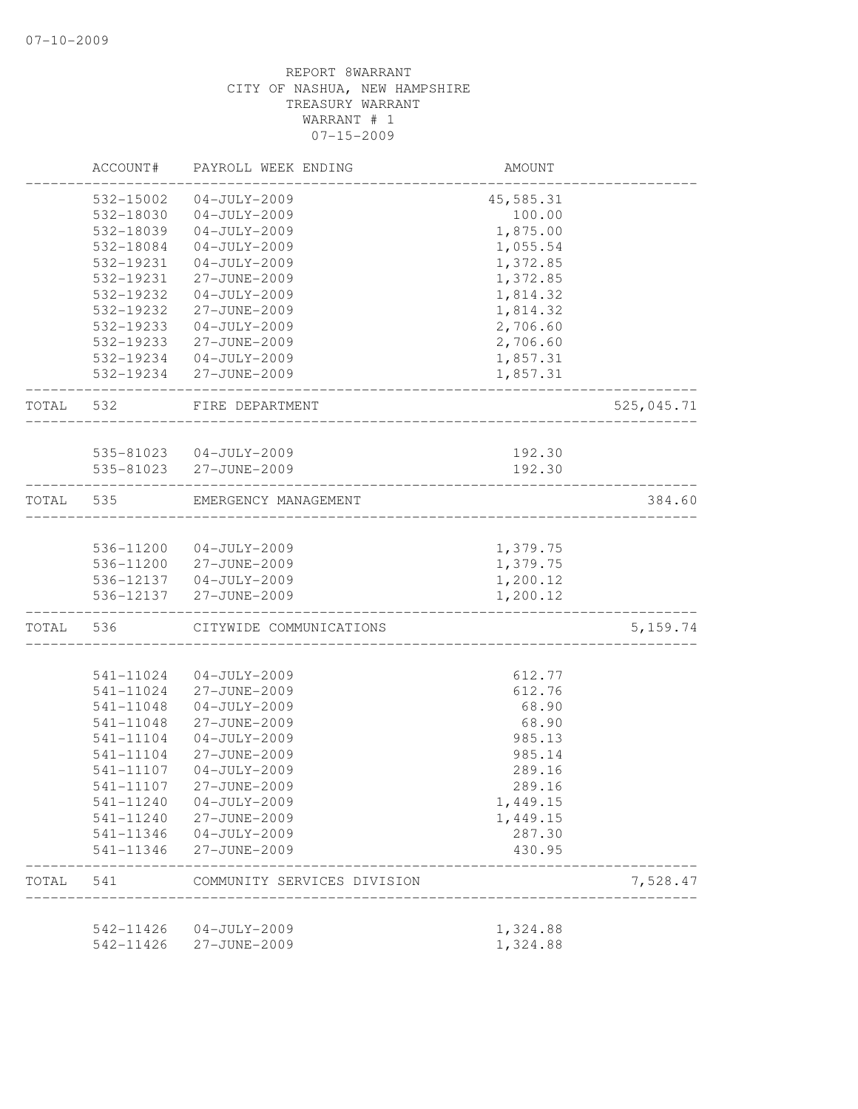|       | ACCOUNT#  | PAYROLL WEEK ENDING                    | AMOUNT               |            |
|-------|-----------|----------------------------------------|----------------------|------------|
|       | 532-15002 | $04 - JULY - 2009$                     | 45,585.31            |            |
|       | 532-18030 | $04 - JULY - 2009$                     | 100.00               |            |
|       | 532-18039 | $04 - JULY - 2009$                     | 1,875.00             |            |
|       | 532-18084 | $04 - JULY - 2009$                     | 1,055.54             |            |
|       | 532-19231 | $04 - JULY - 2009$                     | 1,372.85             |            |
|       | 532-19231 | 27-JUNE-2009                           | 1,372.85             |            |
|       | 532-19232 | $04 - JULY - 2009$                     | 1,814.32             |            |
|       | 532-19232 | 27-JUNE-2009                           | 1,814.32             |            |
|       | 532-19233 | $04 - JULY - 2009$                     | 2,706.60             |            |
|       | 532-19233 | 27-JUNE-2009                           | 2,706.60             |            |
|       |           | 532-19234 04-JULY-2009                 | 1,857.31             |            |
|       |           | 532-19234 27-JUNE-2009                 | 1,857.31             |            |
| TOTAL | 532       | FIRE DEPARTMENT                        |                      | 525,045.71 |
|       |           |                                        |                      |            |
|       |           | 535-81023 04-JULY-2009                 | 192.30               |            |
|       |           | 535-81023 27-JUNE-2009                 | 192.30               |            |
| TOTAL | 535       | EMERGENCY MANAGEMENT                   |                      | 384.60     |
|       |           |                                        |                      |            |
|       |           | 536-11200 04-JULY-2009                 | 1,379.75             |            |
|       |           | 536-11200 27-JUNE-2009                 | 1,379.75             |            |
|       | 536-12137 | 536-12137 04-JULY-2009<br>27-JUNE-2009 | 1,200.12<br>1,200.12 |            |
| TOTAL | 536       | CITYWIDE COMMUNICATIONS                |                      | 5, 159.74  |
|       |           |                                        |                      |            |
|       | 541-11024 | $04 - JULY - 2009$                     | 612.77               |            |
|       | 541-11024 | 27-JUNE-2009                           | 612.76               |            |
|       | 541-11048 | $04 - JULY - 2009$                     | 68.90                |            |
|       | 541-11048 | 27-JUNE-2009                           | 68.90                |            |
|       | 541-11104 | $04 - JULY - 2009$                     | 985.13               |            |
|       | 541-11104 | 27-JUNE-2009                           | 985.14               |            |
|       | 541-11107 | $04 - JULY - 2009$                     | 289.16               |            |
|       | 541-11107 | 27-JUNE-2009                           | 289.16               |            |
|       | 541-11240 | $04 - JULY - 2009$                     | 1,449.15             |            |
|       | 541-11240 | 27-JUNE-2009                           | 1,449.15             |            |
|       | 541-11346 | $04 - JULY - 2009$                     | 287.30               |            |
|       | 541-11346 | 27-JUNE-2009                           | 430.95               |            |
| TOTAL | 541       | COMMUNITY SERVICES DIVISION            |                      | 7,528.47   |
|       |           |                                        |                      |            |
|       | 542-11426 | 04-JULY-2009                           | 1,324.88             |            |
|       | 542-11426 | 27-JUNE-2009                           | 1,324.88             |            |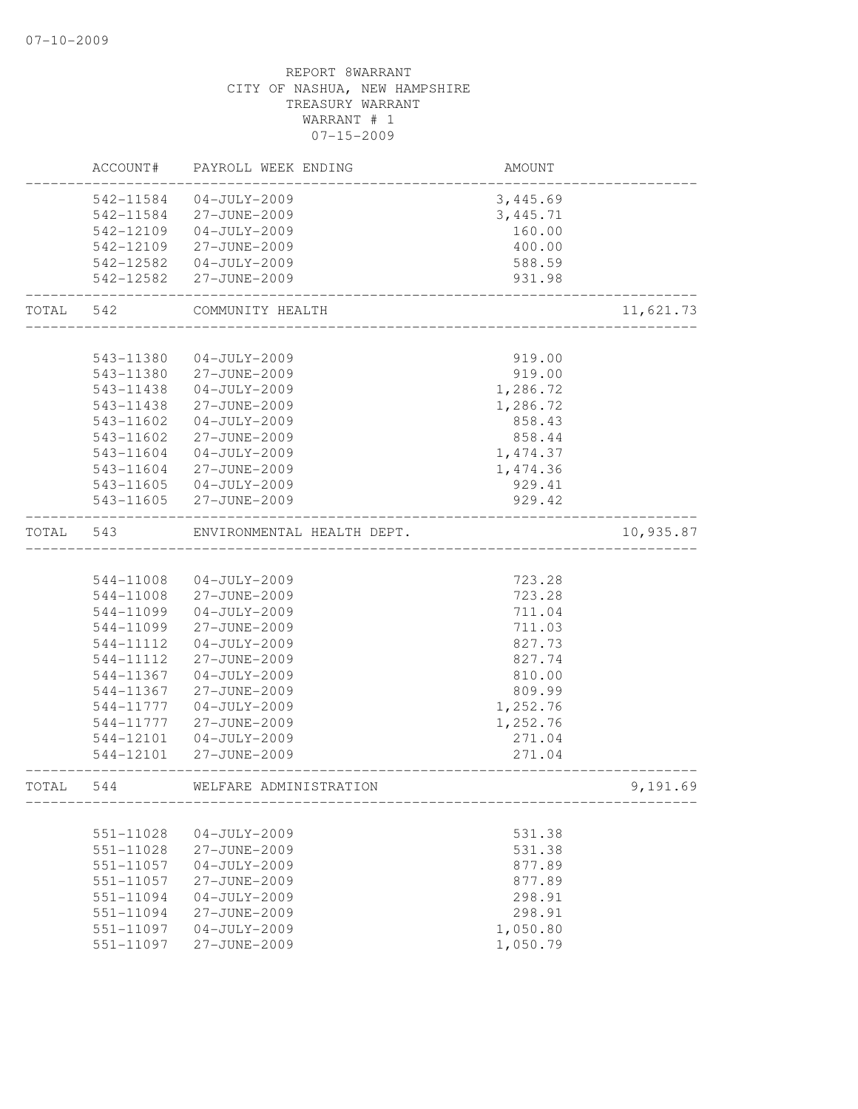|       | ACCOUNT#  | PAYROLL WEEK ENDING        | AMOUNT   |           |
|-------|-----------|----------------------------|----------|-----------|
|       | 542-11584 | $04 - JULY - 2009$         | 3,445.69 |           |
|       | 542-11584 | 27-JUNE-2009               | 3,445.71 |           |
|       | 542-12109 | $04 - JULY - 2009$         | 160.00   |           |
|       | 542-12109 | 27-JUNE-2009               | 400.00   |           |
|       | 542-12582 | $04 - JULY - 2009$         | 588.59   |           |
|       | 542-12582 | 27-JUNE-2009               | 931.98   |           |
| TOTAL | 542       | COMMUNITY HEALTH           |          | 11,621.73 |
|       |           |                            |          |           |
|       | 543-11380 | $04 - JULY - 2009$         | 919.00   |           |
|       | 543-11380 | 27-JUNE-2009               | 919.00   |           |
|       | 543-11438 | $04 - JULY - 2009$         | 1,286.72 |           |
|       | 543-11438 | 27-JUNE-2009               | 1,286.72 |           |
|       | 543-11602 | $04 - JULY - 2009$         | 858.43   |           |
|       | 543-11602 | 27-JUNE-2009               | 858.44   |           |
|       | 543-11604 | $04 - JULY - 2009$         | 1,474.37 |           |
|       | 543-11604 | 27-JUNE-2009               | 1,474.36 |           |
|       | 543-11605 | $04 - JULY - 2009$         | 929.41   |           |
|       | 543-11605 | 27-JUNE-2009               | 929.42   |           |
| TOTAL | 543       | ENVIRONMENTAL HEALTH DEPT. |          | 10,935.87 |
|       |           |                            |          |           |
|       | 544-11008 | $04 - JULY - 2009$         | 723.28   |           |
|       | 544-11008 | 27-JUNE-2009               | 723.28   |           |
|       | 544-11099 | $04 - JULY - 2009$         | 711.04   |           |
|       | 544-11099 | 27-JUNE-2009               | 711.03   |           |
|       | 544-11112 | $04-JULY-2009$             | 827.73   |           |
|       | 544-11112 | 27-JUNE-2009               | 827.74   |           |
|       | 544-11367 | $04 - JULY - 2009$         | 810.00   |           |
|       | 544-11367 | 27-JUNE-2009               | 809.99   |           |
|       | 544-11777 | $04 - JULY - 2009$         | 1,252.76 |           |
|       | 544-11777 | 27-JUNE-2009               | 1,252.76 |           |
|       | 544-12101 | $04 - JULY - 2009$         | 271.04   |           |
|       | 544-12101 | 27-JUNE-2009               | 271.04   |           |
| TOTAL | 544       | WELFARE ADMINISTRATION     |          | 9,191.69  |
|       |           |                            |          |           |
|       | 551-11028 | $04 - JULY - 2009$         | 531.38   |           |
|       | 551-11028 | 27-JUNE-2009               | 531.38   |           |
|       | 551-11057 | $04 - JULY - 2009$         | 877.89   |           |
|       | 551-11057 | 27-JUNE-2009               | 877.89   |           |
|       | 551-11094 | $04 - JULY - 2009$         | 298.91   |           |
|       | 551-11094 | 27-JUNE-2009               | 298.91   |           |
|       | 551-11097 | $04 - JULY - 2009$         | 1,050.80 |           |
|       | 551-11097 | 27-JUNE-2009               | 1,050.79 |           |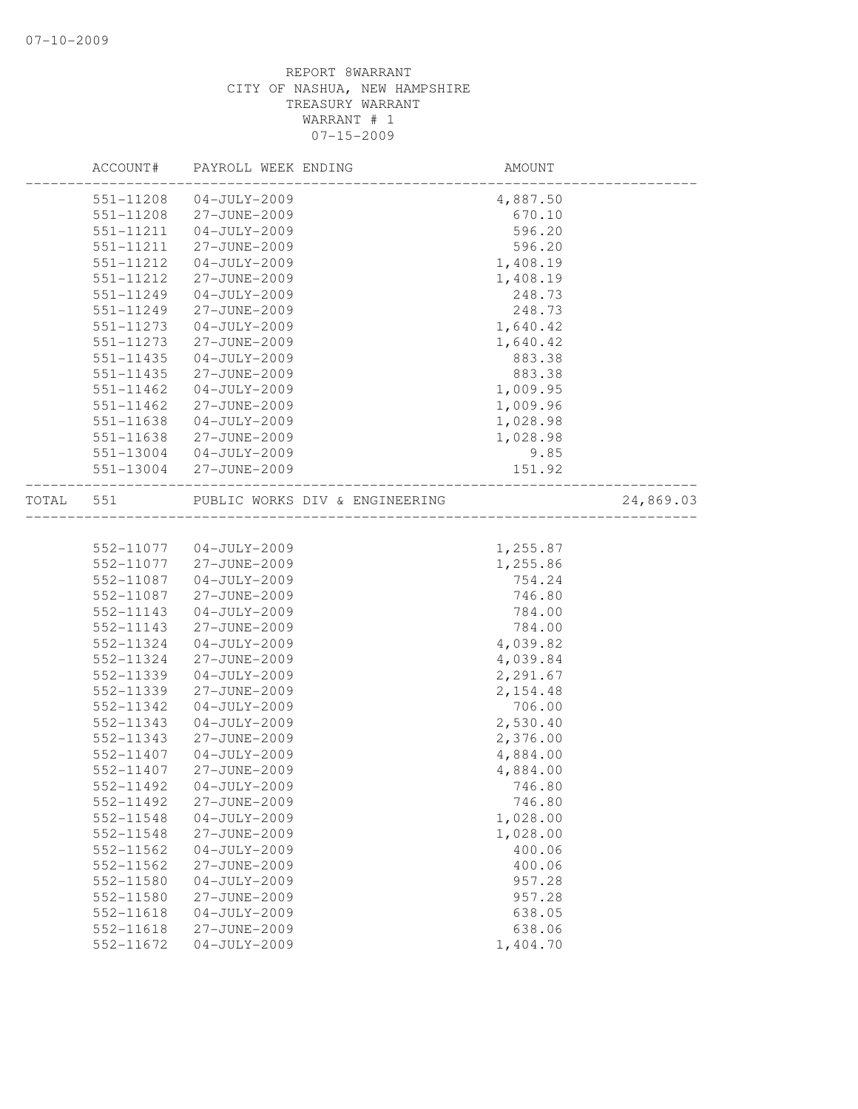|       | ACCOUNT#               | PAYROLL WEEK ENDING                | AMOUNT             |           |
|-------|------------------------|------------------------------------|--------------------|-----------|
|       | 551-11208              | $04 - JULY - 2009$                 | 4,887.50           |           |
|       | 551-11208              | 27-JUNE-2009                       | 670.10             |           |
|       | 551-11211              | $04 - JULY - 2009$                 | 596.20             |           |
|       | 551-11211              | 27-JUNE-2009                       | 596.20             |           |
|       | 551-11212              | $04 - JULY - 2009$                 | 1,408.19           |           |
|       | 551-11212              | 27-JUNE-2009                       | 1,408.19           |           |
|       | 551-11249              | $04 - JULY - 2009$                 | 248.73             |           |
|       | 551-11249              | 27-JUNE-2009                       | 248.73             |           |
|       | 551-11273              | $04 - JULY - 2009$                 | 1,640.42           |           |
|       | 551-11273              | 27-JUNE-2009                       | 1,640.42           |           |
|       | $551 - 11435$          | $04 - JULY - 2009$                 | 883.38             |           |
|       | $551 - 11435$          | 27-JUNE-2009                       | 883.38             |           |
|       | 551-11462              | $04 - JULY - 2009$                 | 1,009.95           |           |
|       | 551-11462              | 27-JUNE-2009                       | 1,009.96           |           |
|       | 551-11638              | $04 - JULY - 2009$                 | 1,028.98           |           |
|       | 551-11638              | 27-JUNE-2009                       | 1,028.98           |           |
|       | 551-13004              | $04 - JULY - 2009$                 | 9.85               |           |
|       | 551-13004              | 27-JUNE-2009                       | 151.92             |           |
| TOTAL | 551                    | PUBLIC WORKS DIV & ENGINEERING     |                    | 24,869.03 |
|       |                        |                                    |                    |           |
|       |                        | 552-11077 04-JULY-2009             | 1,255.87           |           |
|       | 552-11077              | 27-JUNE-2009                       | 1,255.86           |           |
|       | 552-11087              | $04 - JULY - 2009$                 | 754.24             |           |
|       | 552-11087<br>552-11143 | 27-JUNE-2009                       | 746.80             |           |
|       | 552-11143              | $04 - JULY - 2009$<br>27-JUNE-2009 | 784.00<br>784.00   |           |
|       | 552-11324              | $04 - JULY - 2009$                 |                    |           |
|       | 552-11324              |                                    | 4,039.82           |           |
|       |                        | 27-JUNE-2009<br>$04-JULY-2009$     | 4,039.84           |           |
|       | 552-11339              | 27-JUNE-2009                       | 2,291.67           |           |
|       | 552-11339<br>552-11342 | $04-JULY-2009$                     | 2,154.48<br>706.00 |           |
|       |                        | $04 - JULY - 2009$                 | 2,530.40           |           |
|       | 552-11343<br>552-11343 | 27-JUNE-2009                       | 2,376.00           |           |
|       | 552-11407              | $04 - JULY - 2009$                 | 4,884.00           |           |
|       | 552-11407              | 27-JUNE-2009                       | 4,884.00           |           |
|       | 552-11492              | $04 - JULY - 2009$                 | 746.80             |           |
|       | 552-11492              |                                    |                    |           |
|       | 552-11548              | 27-JUNE-2009<br>$04 - JULY - 2009$ | 746.80<br>1,028.00 |           |
|       | 552-11548              | 27-JUNE-2009                       | 1,028.00           |           |
|       | 552-11562              | $04 - JULY - 2009$                 | 400.06             |           |
|       | 552-11562              | 27-JUNE-2009                       |                    |           |
|       |                        |                                    | 400.06             |           |
|       | 552-11580<br>552-11580 | $04 - JULY - 2009$<br>27-JUNE-2009 | 957.28<br>957.28   |           |
|       | 552-11618              | $04 - JULY - 2009$                 |                    |           |
|       | 552-11618              | 27-JUNE-2009                       | 638.05<br>638.06   |           |
|       | 552-11672              | $04 - JULY - 2009$                 | 1,404.70           |           |
|       |                        |                                    |                    |           |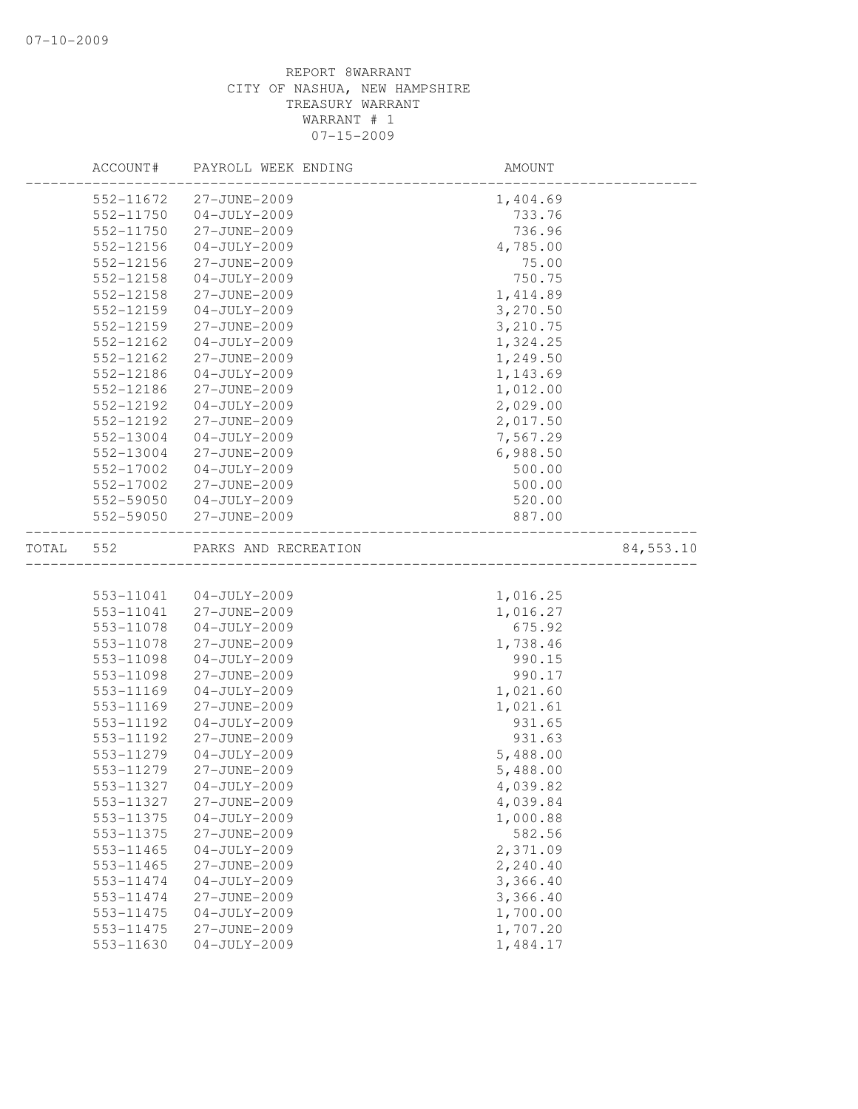|       | ACCOUNT#  | PAYROLL WEEK ENDING  | AMOUNT                                   |           |
|-------|-----------|----------------------|------------------------------------------|-----------|
|       | 552-11672 | 27-JUNE-2009         | 1,404.69                                 |           |
|       | 552-11750 | $04 - JULY - 2009$   | 733.76                                   |           |
|       | 552-11750 | 27-JUNE-2009         | 736.96                                   |           |
|       | 552-12156 | $04 - JULY - 2009$   | 4,785.00                                 |           |
|       | 552-12156 | 27-JUNE-2009         | 75.00                                    |           |
|       | 552-12158 | $04 - JULY - 2009$   | 750.75                                   |           |
|       | 552-12158 | 27-JUNE-2009         | 1, 414.89                                |           |
|       | 552-12159 | $04 - JULY - 2009$   | 3,270.50                                 |           |
|       | 552-12159 | 27-JUNE-2009         | 3,210.75                                 |           |
|       | 552-12162 | $04 - JULY - 2009$   | 1,324.25                                 |           |
|       | 552-12162 | 27-JUNE-2009         | 1,249.50                                 |           |
|       | 552-12186 | $04-JULY-2009$       | 1,143.69                                 |           |
|       | 552-12186 | 27-JUNE-2009         | 1,012.00                                 |           |
|       | 552-12192 | $04-JULY-2009$       | 2,029.00                                 |           |
|       | 552-12192 | 27-JUNE-2009         | 2,017.50                                 |           |
|       | 552-13004 | $04 - JULY - 2009$   | 7,567.29                                 |           |
|       | 552-13004 | 27-JUNE-2009         | 6,988.50                                 |           |
|       | 552-17002 | $04 - JULY - 2009$   | 500.00                                   |           |
|       | 552-17002 | 27-JUNE-2009         | 500.00                                   |           |
|       | 552-59050 | $04 - JULY - 2009$   | 520.00                                   |           |
|       | 552-59050 | 27-JUNE-2009         | 887.00                                   |           |
| TOTAL | 552       | PARKS AND RECREATION | <u> 1989 - Johann Bernstein, mars 19</u> | 84,553.10 |
|       |           |                      |                                          |           |
|       | 553-11041 | $04 - JULY - 2009$   | 1,016.25                                 |           |
|       | 553-11041 | 27-JUNE-2009         | 1,016.27                                 |           |
|       | 553-11078 | $04-JULY-2009$       | 675.92                                   |           |
|       | 553-11078 | 27-JUNE-2009         | 1,738.46                                 |           |
|       | 553-11098 | $04-JULY-2009$       | 990.15                                   |           |
|       | 553-11098 | 27-JUNE-2009         | 990.17                                   |           |
|       | 553-11169 | $04-JULY-2009$       | 1,021.60                                 |           |
|       | 553-11169 | 27-JUNE-2009         | 1,021.61                                 |           |
|       | 553-11192 | $04 - JULY - 2009$   | 931.65                                   |           |
|       | 553-11192 | 27-JUNE-2009         | 931.63                                   |           |
|       | 553-11279 | $04 - JULY - 2009$   | 5,488.00                                 |           |
|       | 553-11279 | 27-JUNE-2009         | 5,488.00                                 |           |
|       | 553-11327 | $04 - JULY - 2009$   | 4,039.82                                 |           |
|       | 553-11327 | 27-JUNE-2009         | 4,039.84                                 |           |
|       | 553-11375 | $04 - JULY - 2009$   | 1,000.88                                 |           |
|       | 553-11375 | 27-JUNE-2009         | 582.56                                   |           |
|       | 553-11465 | $04 - JULY - 2009$   | 2,371.09                                 |           |
|       | 553-11465 | 27-JUNE-2009         | 2,240.40                                 |           |
|       | 553-11474 | $04 - JULY - 2009$   | 3,366.40                                 |           |
|       | 553-11474 | 27-JUNE-2009         | 3,366.40                                 |           |
|       | 553-11475 | $04 - JULY - 2009$   | 1,700.00                                 |           |
|       | 553-11475 | 27-JUNE-2009         | 1,707.20                                 |           |
|       | 553-11630 | $04 - JULY - 2009$   | 1,484.17                                 |           |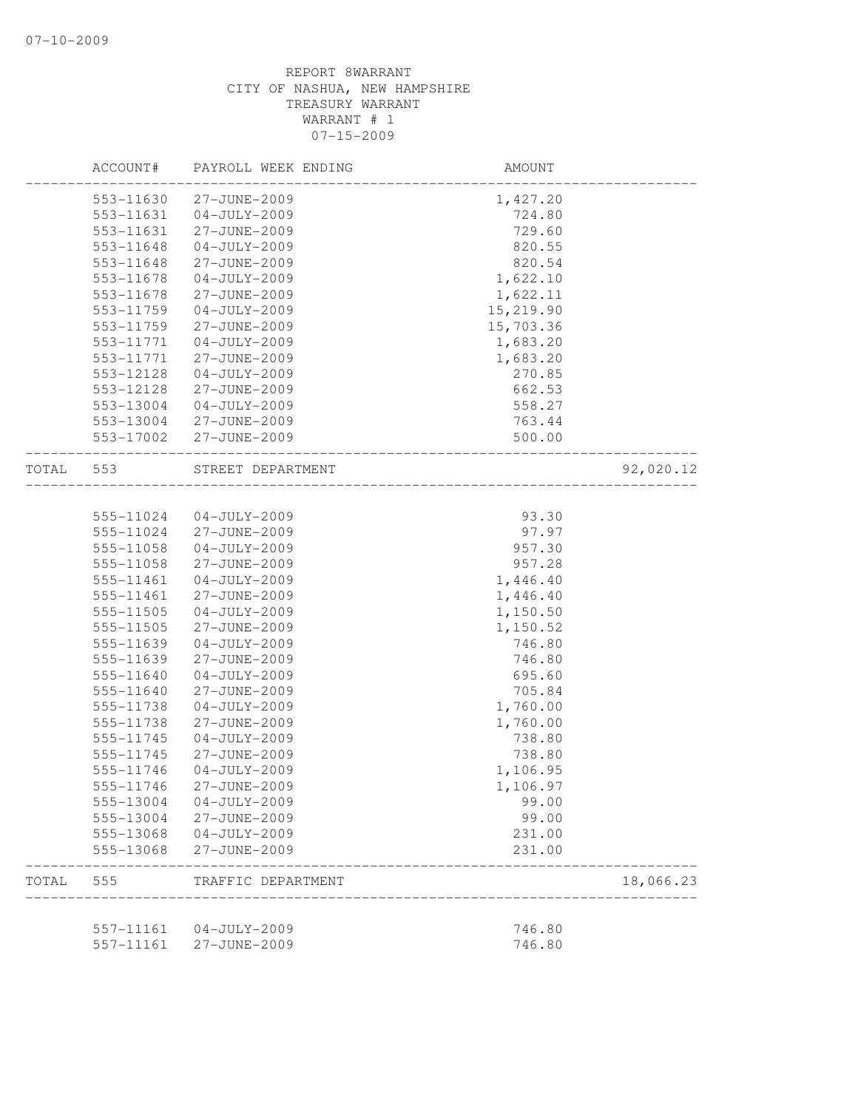|       | ACCOUNT#  | PAYROLL WEEK ENDING | AMOUNT                |           |
|-------|-----------|---------------------|-----------------------|-----------|
|       | 553-11630 | 27-JUNE-2009        | 1,427.20              |           |
|       | 553-11631 | $04 - JULY - 2009$  | 724.80                |           |
|       | 553-11631 | 27-JUNE-2009        | 729.60                |           |
|       | 553-11648 | $04 - JULY - 2009$  | 820.55                |           |
|       | 553-11648 | 27-JUNE-2009        | 820.54                |           |
|       | 553-11678 | $04 - JULY - 2009$  | 1,622.10              |           |
|       | 553-11678 | 27-JUNE-2009        | 1,622.11              |           |
|       | 553-11759 | $04 - JULY - 2009$  | 15,219.90             |           |
|       | 553-11759 | 27-JUNE-2009        | 15,703.36             |           |
|       | 553-11771 | $04 - JULY - 2009$  | 1,683.20              |           |
|       | 553-11771 | 27-JUNE-2009        | 1,683.20              |           |
|       | 553-12128 | $04-JULY-2009$      | 270.85                |           |
|       | 553-12128 | 27-JUNE-2009        | 662.53                |           |
|       | 553-13004 | $04 - JULY - 2009$  | 558.27                |           |
|       | 553-13004 | 27-JUNE-2009        | 763.44                |           |
|       | 553-17002 | 27-JUNE-2009        | 500.00                |           |
| TOTAL | 553       | STREET DEPARTMENT   | _____________________ | 92,020.12 |
|       |           |                     |                       |           |
|       | 555-11024 | $04 - JULY - 2009$  | 93.30                 |           |
|       | 555-11024 | 27-JUNE-2009        | 97.97                 |           |
|       | 555-11058 | $04-JULY-2009$      | 957.30                |           |
|       | 555-11058 | 27-JUNE-2009        | 957.28                |           |
|       | 555-11461 | $04 - JULY - 2009$  | 1,446.40              |           |
|       | 555-11461 | 27-JUNE-2009        | 1,446.40              |           |
|       | 555-11505 | $04-JULY-2009$      | 1,150.50              |           |
|       | 555-11505 | 27-JUNE-2009        | 1,150.52              |           |
|       | 555-11639 | $04 - JULY - 2009$  | 746.80                |           |
|       | 555-11639 | 27-JUNE-2009        | 746.80                |           |
|       | 555-11640 | $04-JULY-2009$      | 695.60                |           |
|       | 555-11640 | 27-JUNE-2009        | 705.84                |           |
|       | 555-11738 | $04 - JULY - 2009$  | 1,760.00              |           |
|       | 555-11738 | 27-JUNE-2009        | 1,760.00              |           |
|       | 555-11745 | $04 - JULY - 2009$  | 738.80                |           |
|       | 555-11745 | 27-JUNE-2009        | 738.80                |           |
|       | 555-11746 | $04 - JULY - 2009$  | 1,106.95              |           |
|       | 555-11746 | 27-JUNE-2009        | 1,106.97              |           |
|       | 555-13004 | $04 - JULY - 2009$  | 99.00                 |           |
|       | 555-13004 | 27-JUNE-2009        | 99.00                 |           |
|       | 555-13068 | $04 - JULY - 2009$  | 231.00                |           |
|       | 555-13068 | 27-JUNE-2009        | 231.00                |           |
| TOTAL | 555       | TRAFFIC DEPARTMENT  |                       | 18,066.23 |
|       |           |                     |                       |           |
|       | 557-11161 | $04 - JULY - 2009$  | 746.80                |           |
|       | 557-11161 | 27-JUNE-2009        | 746.80                |           |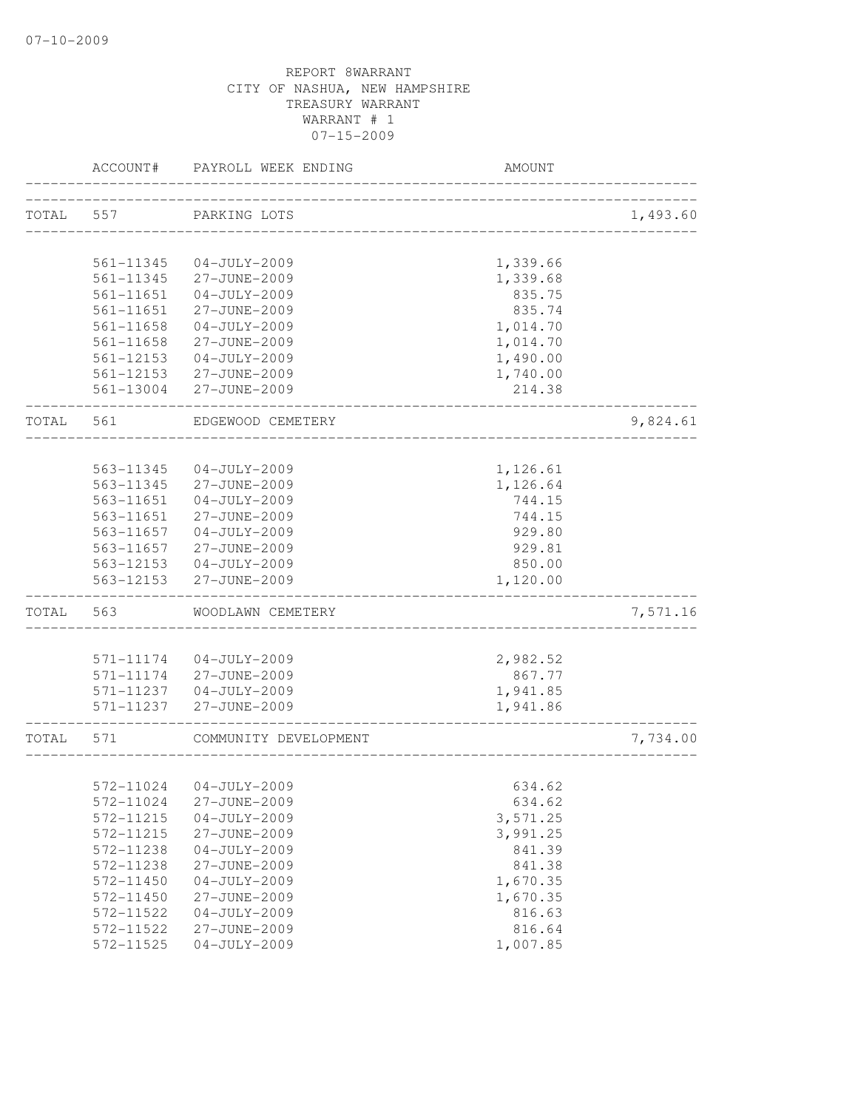|       | ACCOUNT#               | PAYROLL WEEK ENDING                | AMOUNT                                |          |
|-------|------------------------|------------------------------------|---------------------------------------|----------|
| TOTAL | 557                    | PARKING LOTS                       | _____________________________________ | 1,493.60 |
|       |                        |                                    |                                       |          |
|       | 561-11345              | $04-JULY-2009$                     | 1,339.66                              |          |
|       | 561-11345              | 27-JUNE-2009                       | 1,339.68                              |          |
|       | 561-11651              | $04 - JULY - 2009$                 | 835.75                                |          |
|       | $561 - 11651$          | 27-JUNE-2009                       | 835.74                                |          |
|       | $561 - 11658$          | $04 - JULY - 2009$                 | 1,014.70                              |          |
|       | 561-11658              | 27-JUNE-2009                       | 1,014.70                              |          |
|       | 561-12153              | $04 - JULY - 2009$                 | 1,490.00                              |          |
|       | 561-12153              | 27-JUNE-2009                       | 1,740.00                              |          |
|       |                        | 561-13004 27-JUNE-2009             | 214.38                                |          |
| TOTAL | 561                    | EDGEWOOD CEMETERY                  |                                       | 9,824.61 |
|       |                        |                                    |                                       |          |
|       | 563-11345              | $04-JULY-2009$                     | 1,126.61                              |          |
|       | $563 - 11345$          | 27-JUNE-2009                       | 1,126.64                              |          |
|       | 563-11651              | $04-JULY-2009$                     | 744.15                                |          |
|       | 563-11651              | 27-JUNE-2009                       | 744.15                                |          |
|       | 563-11657<br>563-11657 | $04 - JULY - 2009$                 | 929.80                                |          |
|       | 563-12153              | 27-JUNE-2009<br>$04 - JULY - 2009$ | 929.81<br>850.00                      |          |
|       | 563-12153              | 27-JUNE-2009                       | 1,120.00                              |          |
| TOTAL | 563                    | WOODLAWN CEMETERY                  |                                       | 7,571.16 |
|       |                        |                                    |                                       |          |
|       | 571-11174              | $04 - JULY - 2009$                 | 2,982.52                              |          |
|       | 571-11174              | 27-JUNE-2009                       | 867.77                                |          |
|       | 571-11237              | $04 - JULY - 2009$                 | 1,941.85                              |          |
|       | 571-11237              | 27-JUNE-2009                       | 1,941.86                              |          |
| TOTAL | 571                    | COMMUNITY DEVELOPMENT              |                                       | 7,734.00 |
|       |                        |                                    |                                       |          |
|       |                        | 572-11024 04-JULY-2009             | 634.62                                |          |
|       | 572-11024              | 27-JUNE-2009                       | 634.62                                |          |
|       | 572-11215              | $04 - JULY - 2009$                 | 3,571.25                              |          |
|       | 572-11215              | 27-JUNE-2009                       | 3,991.25                              |          |
|       | 572-11238<br>572-11238 | $04 - JULY - 2009$                 | 841.39<br>841.38                      |          |
|       | 572-11450              | 27-JUNE-2009<br>$04 - JULY - 2009$ | 1,670.35                              |          |
|       | 572-11450              | 27-JUNE-2009                       | 1,670.35                              |          |
|       | 572-11522              | $04 - JULY - 2009$                 | 816.63                                |          |
|       | 572-11522              | 27-JUNE-2009                       | 816.64                                |          |
|       | 572-11525              | $04 - JULY - 2009$                 | 1,007.85                              |          |
|       |                        |                                    |                                       |          |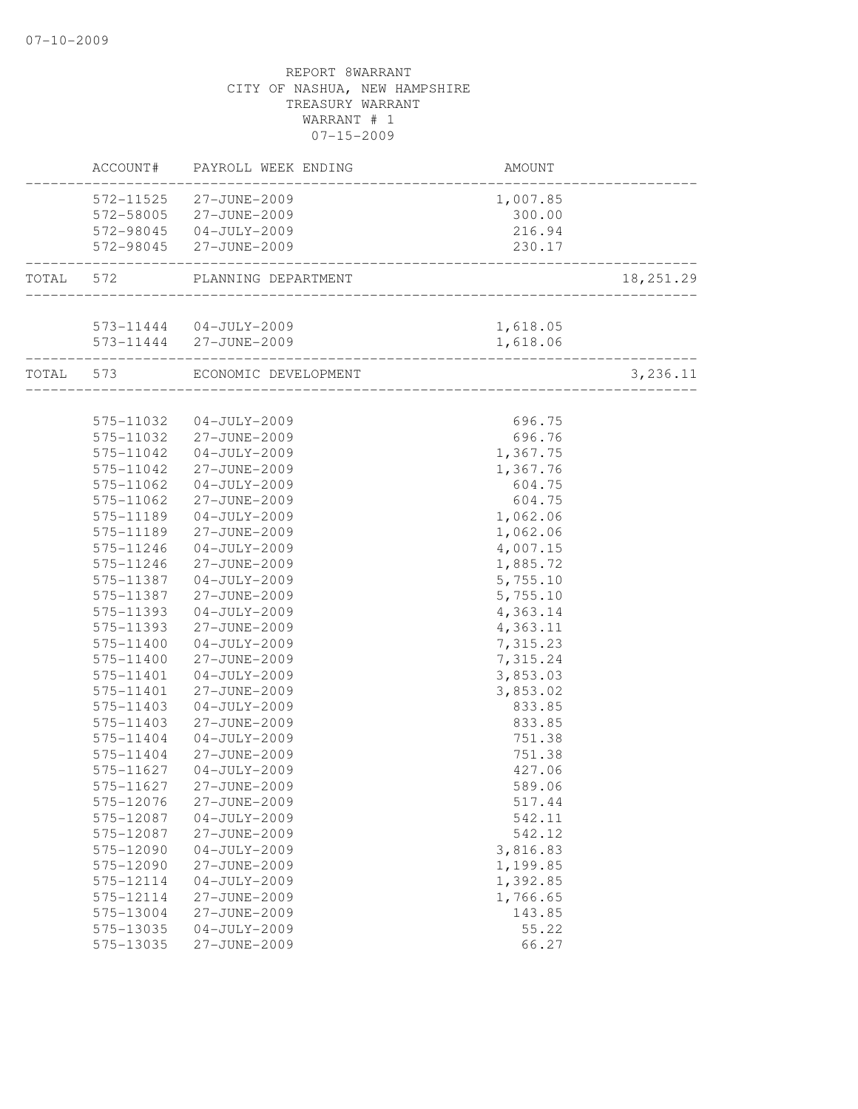|           | ACCOUNT#  | PAYROLL WEEK ENDING            | <b>AMOUNT</b>                                                 |           |
|-----------|-----------|--------------------------------|---------------------------------------------------------------|-----------|
|           |           | 572-11525 27-JUNE-2009         | 1,007.85                                                      |           |
|           |           | 572-58005 27-JUNE-2009         | 300.00                                                        |           |
|           |           | 572-98045 04-JULY-2009         | 216.94                                                        |           |
|           |           | 572-98045 27-JUNE-2009         | 230.17<br>_________________________                           |           |
| TOTAL 572 |           | PLANNING DEPARTMENT            |                                                               | 18,251.29 |
|           |           | 573-11444 04-JULY-2009         | 1,618.05                                                      |           |
|           |           | 573-11444 27-JUNE-2009         | 1,618.06                                                      |           |
|           |           | TOTAL 573 ECONOMIC DEVELOPMENT | ____________________<br><u> 2000 - 2000 - 2000 - 2000 - 2</u> | 3,236.11  |
|           |           |                                |                                                               |           |
|           | 575-11032 | $04 - JULY - 2009$             | 696.75                                                        |           |
|           | 575-11032 | 27-JUNE-2009                   | 696.76                                                        |           |
|           | 575-11042 | $04 - JULY - 2009$             | 1,367.75                                                      |           |
|           | 575-11042 | 27-JUNE-2009                   | 1,367.76                                                      |           |
|           | 575-11062 | $04 - JULY - 2009$             | 604.75                                                        |           |
|           | 575-11062 | 27-JUNE-2009                   | 604.75                                                        |           |
|           | 575-11189 | $04 - JULY - 2009$             | 1,062.06                                                      |           |
|           | 575-11189 | 27-JUNE-2009                   | 1,062.06                                                      |           |
|           | 575-11246 | $04 - JULY - 2009$             | 4,007.15                                                      |           |
|           | 575-11246 | 27-JUNE-2009                   | 1,885.72                                                      |           |
|           | 575-11387 | $04 - JULY - 2009$             | 5,755.10                                                      |           |
|           | 575-11387 | 27-JUNE-2009                   | 5,755.10                                                      |           |
|           | 575-11393 | $04 - JULY - 2009$             | 4,363.14                                                      |           |
|           | 575-11393 | 27-JUNE-2009                   | 4,363.11                                                      |           |
|           | 575-11400 | $04 - JULY - 2009$             | 7,315.23                                                      |           |
|           | 575-11400 | 27-JUNE-2009                   | 7,315.24                                                      |           |
|           | 575-11401 | $04 - JULY - 2009$             | 3,853.03                                                      |           |
|           | 575-11401 | 27-JUNE-2009                   | 3,853.02                                                      |           |
|           | 575-11403 | $04 - JULY - 2009$             | 833.85                                                        |           |
|           | 575-11403 | 27-JUNE-2009                   | 833.85                                                        |           |
|           | 575-11404 | $04 - JULY - 2009$             | 751.38                                                        |           |
|           | 575-11404 | 27-JUNE-2009                   | 751.38                                                        |           |
|           | 575-11627 | $04 - JULY - 2009$             | 427.06                                                        |           |
|           | 575-11627 | 27-JUNE-2009                   | 589.06                                                        |           |
|           | 575-12076 | 27-JUNE-2009                   | 517.44                                                        |           |
|           | 575-12087 | $04-JULY-2009$                 | 542.11                                                        |           |
|           | 575-12087 | 27-JUNE-2009                   | 542.12                                                        |           |
|           | 575-12090 | $04-JULY-2009$                 | 3,816.83                                                      |           |
|           | 575-12090 | 27-JUNE-2009                   | 1,199.85                                                      |           |
|           | 575-12114 | $04 - JULY - 2009$             | 1,392.85                                                      |           |
|           | 575-12114 | 27-JUNE-2009                   | 1,766.65                                                      |           |
|           | 575-13004 | 27-JUNE-2009                   | 143.85                                                        |           |
|           | 575-13035 | $04 - JULY - 2009$             | 55.22                                                         |           |
|           | 575-13035 | 27-JUNE-2009                   | 66.27                                                         |           |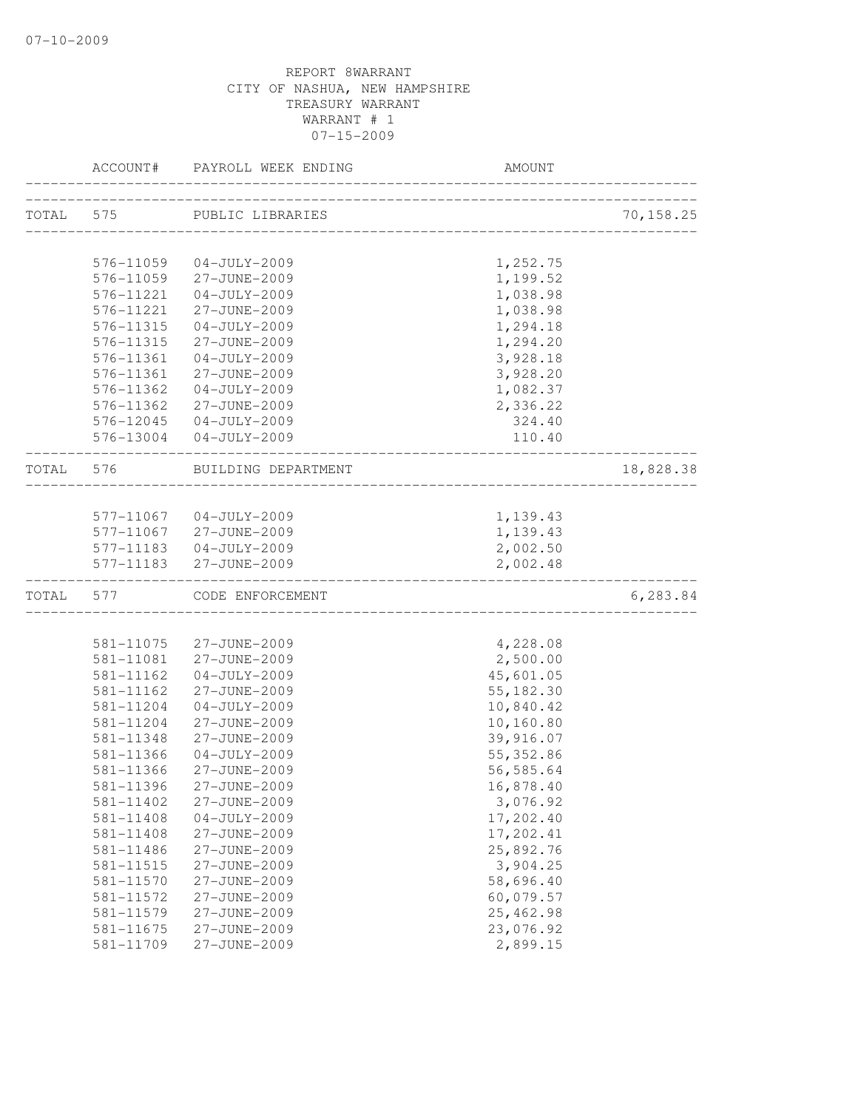|           | ACCOUNT#               | PAYROLL WEEK ENDING          | AMOUNT                 |            |
|-----------|------------------------|------------------------------|------------------------|------------|
| TOTAL 575 |                        | PUBLIC LIBRARIES             |                        | 70, 158.25 |
|           |                        |                              |                        |            |
|           | 576-11059              | $04 - JULY - 2009$           | 1,252.75               |            |
|           | 576-11059              | 27-JUNE-2009                 | 1,199.52               |            |
|           | 576-11221              | $04 - JULY - 2009$           | 1,038.98               |            |
|           | 576-11221              | 27-JUNE-2009                 | 1,038.98               |            |
|           | 576-11315              | $04-JULY-2009$               | 1,294.18               |            |
|           | 576-11315              | 27-JUNE-2009                 | 1,294.20               |            |
|           | 576-11361              | $04 - JULY - 2009$           | 3,928.18               |            |
|           | 576-11361              | 27-JUNE-2009                 | 3,928.20               |            |
|           | 576-11362              | $04 - JULY - 2009$           | 1,082.37               |            |
|           | 576-11362              | 27-JUNE-2009                 | 2,336.22               |            |
|           | 576-12045              | $04 - JULY - 2009$           | 324.40                 |            |
|           |                        | 576-13004 04-JULY-2009       | 110.40                 |            |
| TOTAL     | 576                    | BUILDING DEPARTMENT          |                        | 18,828.38  |
|           |                        |                              |                        |            |
|           |                        | 577-11067 04-JULY-2009       | 1,139.43               |            |
|           |                        | 577-11067 27-JUNE-2009       | 1,139.43               |            |
|           |                        | 577-11183  04-JULY-2009      | 2,002.50               |            |
|           |                        | 577-11183 27-JUNE-2009       | 2,002.48               |            |
| TOTAL     |                        | 577 CODE ENFORCEMENT         |                        | 6,283.84   |
|           |                        |                              |                        |            |
|           | 581-11075              | 27-JUNE-2009                 | 4,228.08               |            |
|           | 581-11081              | 27-JUNE-2009                 | 2,500.00               |            |
|           | 581-11162              | $04-JULY-2009$               | 45,601.05              |            |
|           | 581-11162              | 27-JUNE-2009                 | 55, 182.30             |            |
|           | 581-11204              | $04 - JULY - 2009$           | 10,840.42              |            |
|           | 581-11204              | 27-JUNE-2009                 | 10,160.80              |            |
|           | 581-11348              | 27-JUNE-2009                 | 39,916.07              |            |
|           | 581-11366              | $04-JULY-2009$               | 55, 352.86             |            |
|           | 581-11366              | 27-JUNE-2009                 | 56,585.64              |            |
|           | 581-11396              | 27-JUNE-2009                 | 16,878.40              |            |
|           | 581-11402              | 27-JUNE-2009                 | 3,076.92               |            |
|           | $581 - 11408$          | $04-JULY-2009$               | 17,202.40              |            |
|           | 581-11408              | 27-JUNE-2009                 | 17,202.41              |            |
|           | 581-11486              | 27-JUNE-2009                 | 25,892.76              |            |
|           | 581-11515              | 27-JUNE-2009                 | 3,904.25               |            |
|           | 581-11570              | 27-JUNE-2009<br>27-JUNE-2009 | 58,696.40<br>60,079.57 |            |
|           | 581-11572<br>581-11579 | 27-JUNE-2009                 | 25, 462.98             |            |
|           | 581-11675              | 27-JUNE-2009                 | 23,076.92              |            |
|           | 581-11709              | 27-JUNE-2009                 | 2,899.15               |            |
|           |                        |                              |                        |            |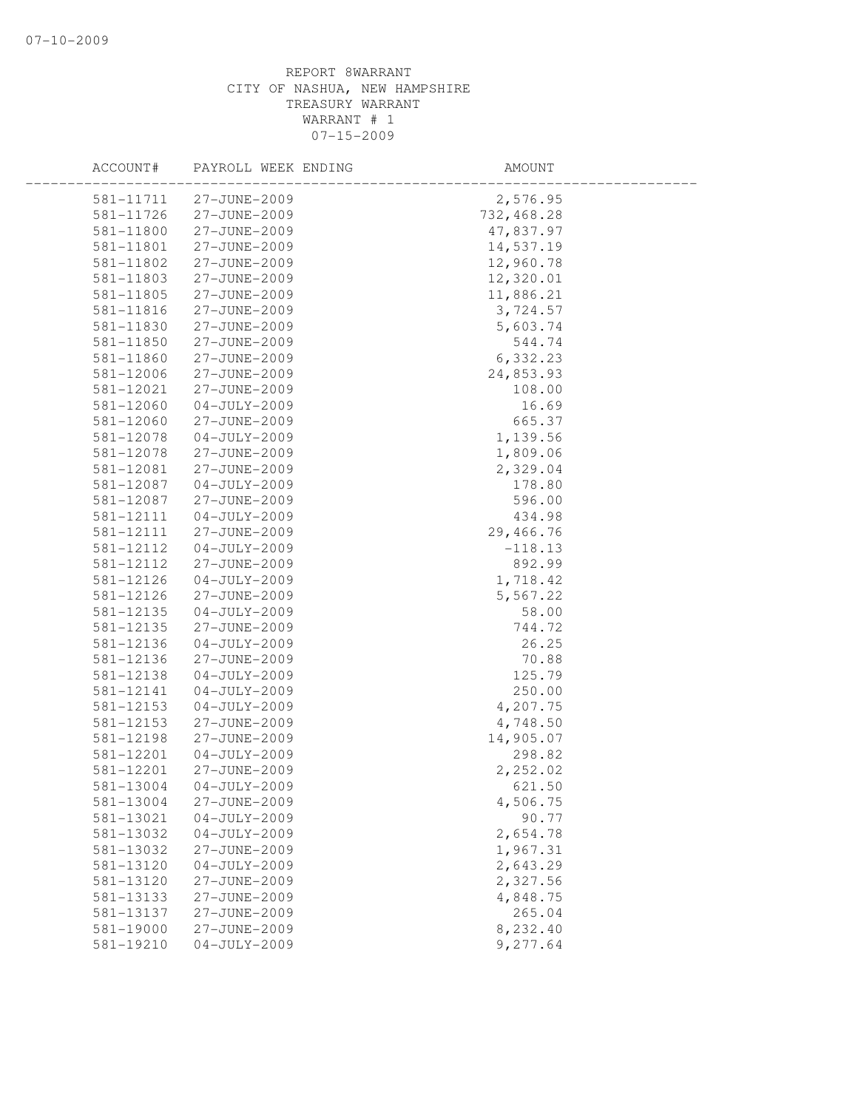| ACCOUNT#  | PAYROLL WEEK ENDING | AMOUNT     |  |
|-----------|---------------------|------------|--|
| 581-11711 | 27-JUNE-2009        | 2,576.95   |  |
| 581-11726 | 27-JUNE-2009        | 732,468.28 |  |
| 581-11800 | 27-JUNE-2009        | 47,837.97  |  |
| 581-11801 | 27-JUNE-2009        | 14,537.19  |  |
| 581-11802 | 27-JUNE-2009        | 12,960.78  |  |
| 581-11803 | 27-JUNE-2009        | 12,320.01  |  |
| 581-11805 | 27-JUNE-2009        | 11,886.21  |  |
| 581-11816 | 27-JUNE-2009        | 3,724.57   |  |
| 581-11830 | 27-JUNE-2009        | 5,603.74   |  |
| 581-11850 | 27-JUNE-2009        | 544.74     |  |
| 581-11860 | 27-JUNE-2009        | 6,332.23   |  |
| 581-12006 | 27-JUNE-2009        | 24,853.93  |  |
| 581-12021 | 27-JUNE-2009        | 108.00     |  |
| 581-12060 | $04 - JULY - 2009$  | 16.69      |  |
| 581-12060 | 27-JUNE-2009        | 665.37     |  |
| 581-12078 | $04 - JULY - 2009$  | 1,139.56   |  |
| 581-12078 | 27-JUNE-2009        | 1,809.06   |  |
| 581-12081 | 27-JUNE-2009        | 2,329.04   |  |
| 581-12087 | $04 - JULY - 2009$  | 178.80     |  |
| 581-12087 | 27-JUNE-2009        | 596.00     |  |
| 581-12111 | $04-JULY-2009$      | 434.98     |  |
| 581-12111 | 27-JUNE-2009        | 29,466.76  |  |
| 581-12112 | $04 - JULY - 2009$  | $-118.13$  |  |
| 581-12112 | 27-JUNE-2009        | 892.99     |  |
| 581-12126 | $04 - JULY - 2009$  | 1,718.42   |  |
| 581-12126 | 27-JUNE-2009        | 5,567.22   |  |
| 581-12135 | $04 - JULY - 2009$  | 58.00      |  |
| 581-12135 | 27-JUNE-2009        | 744.72     |  |
| 581-12136 | $04 - JULY - 2009$  | 26.25      |  |
| 581-12136 | 27-JUNE-2009        | 70.88      |  |
| 581-12138 | $04-JULY-2009$      | 125.79     |  |
| 581-12141 | $04-JULY-2009$      | 250.00     |  |
| 581-12153 | $04-JULY-2009$      | 4,207.75   |  |
| 581-12153 | 27-JUNE-2009        | 4,748.50   |  |
| 581-12198 | 27-JUNE-2009        | 14,905.07  |  |
| 581-12201 | $04 - JULY - 2009$  | 298.82     |  |
| 581-12201 | 27-JUNE-2009        | 2,252.02   |  |
| 581-13004 | $04 - JULY - 2009$  | 621.50     |  |
| 581-13004 | 27-JUNE-2009        | 4,506.75   |  |
| 581-13021 | $04 - JULY - 2009$  | 90.77      |  |
| 581-13032 | $04-JULY-2009$      | 2,654.78   |  |
| 581-13032 | 27-JUNE-2009        | 1,967.31   |  |
| 581-13120 | $04-JULY-2009$      | 2,643.29   |  |
| 581-13120 | 27-JUNE-2009        | 2,327.56   |  |
| 581-13133 | 27-JUNE-2009        | 4,848.75   |  |
| 581-13137 | 27-JUNE-2009        | 265.04     |  |
| 581-19000 | 27-JUNE-2009        | 8,232.40   |  |
| 581-19210 | $04 - JULY - 2009$  | 9,277.64   |  |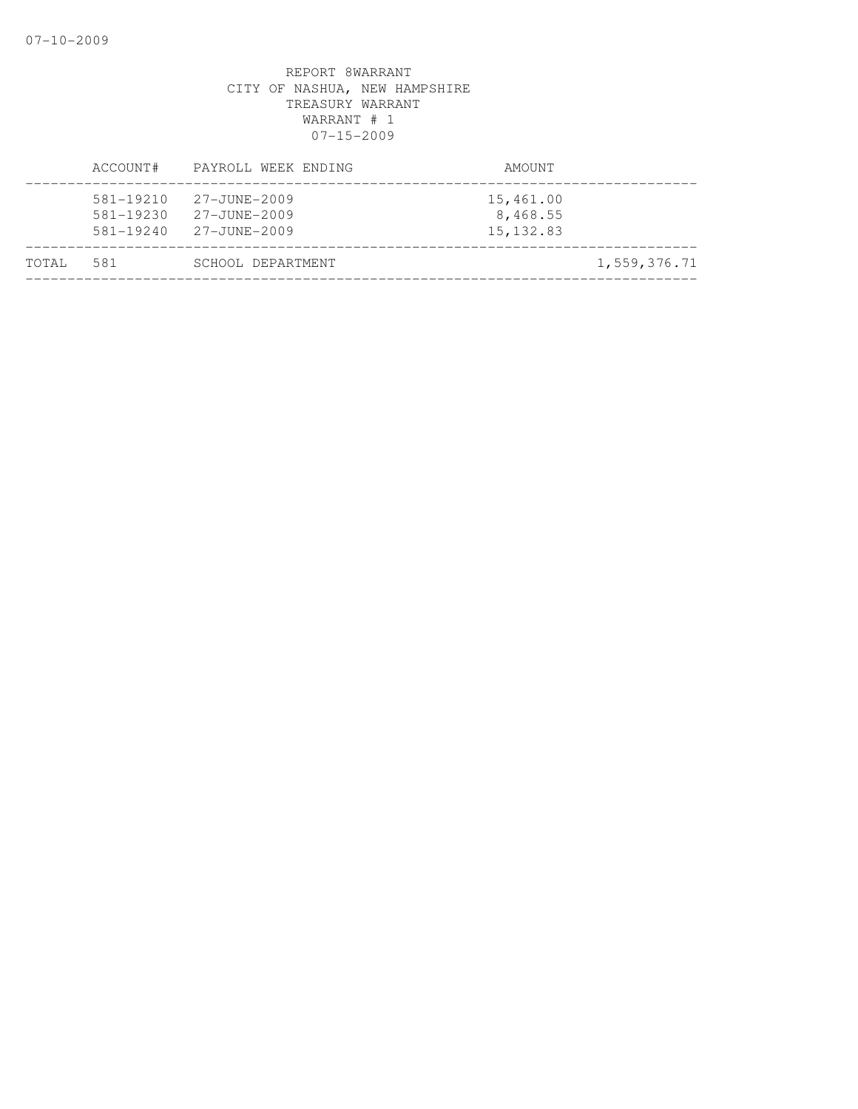|       | ACCOUNT#                                    | PAYROLL WEEK ENDING                          | AMOUNT                              |
|-------|---------------------------------------------|----------------------------------------------|-------------------------------------|
|       | 581-19210<br>$581 - 19230$<br>$581 - 19240$ | 27-JUNE-2009<br>27-JUNE-2009<br>27-JUNE-2009 | 15,461.00<br>8,468.55<br>15, 132.83 |
| TOTAL | 581                                         | SCHOOL DEPARTMENT                            | 1,559,376.71                        |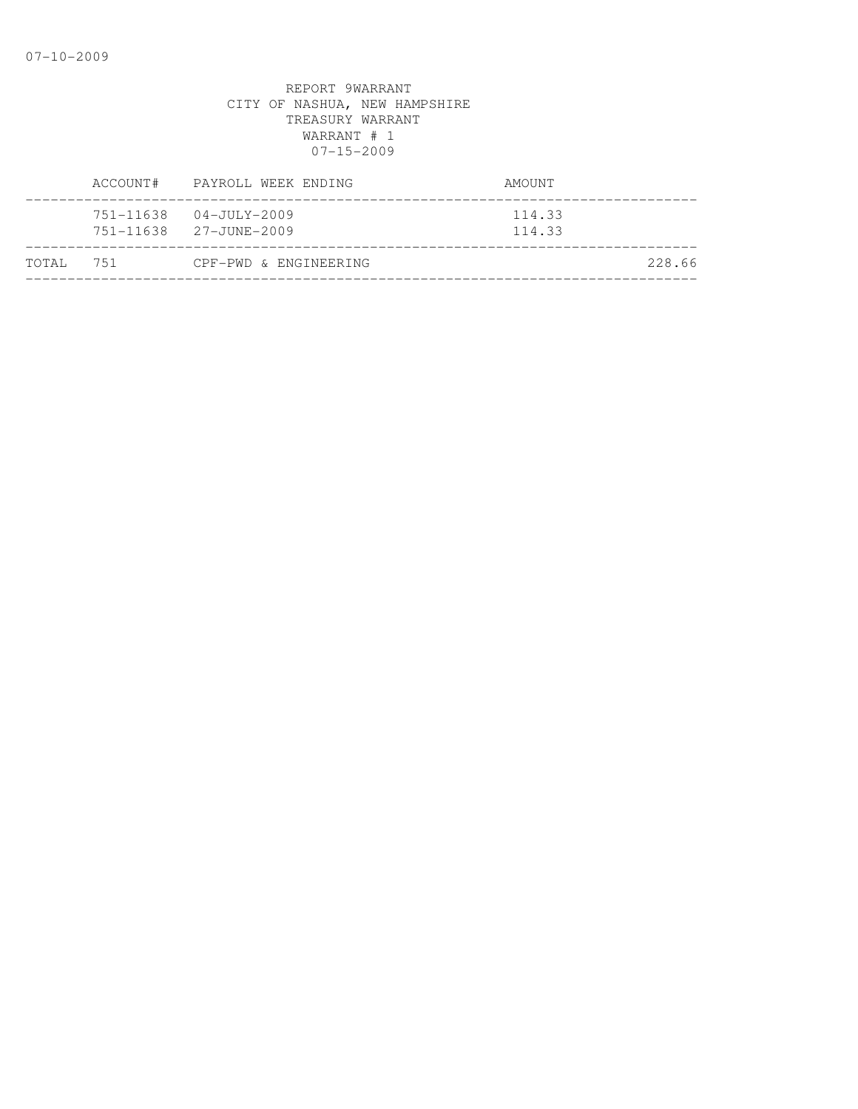|           | ACCOUNT# PAYROLL WEEK ENDING                     | AMOUNT           |
|-----------|--------------------------------------------------|------------------|
|           | 751-11638 04-JULY-2009<br>751-11638 27-JUNE-2009 | 114.33<br>114.33 |
| TOTAL 751 | CPF-PWD & ENGINEERING                            | 228.66           |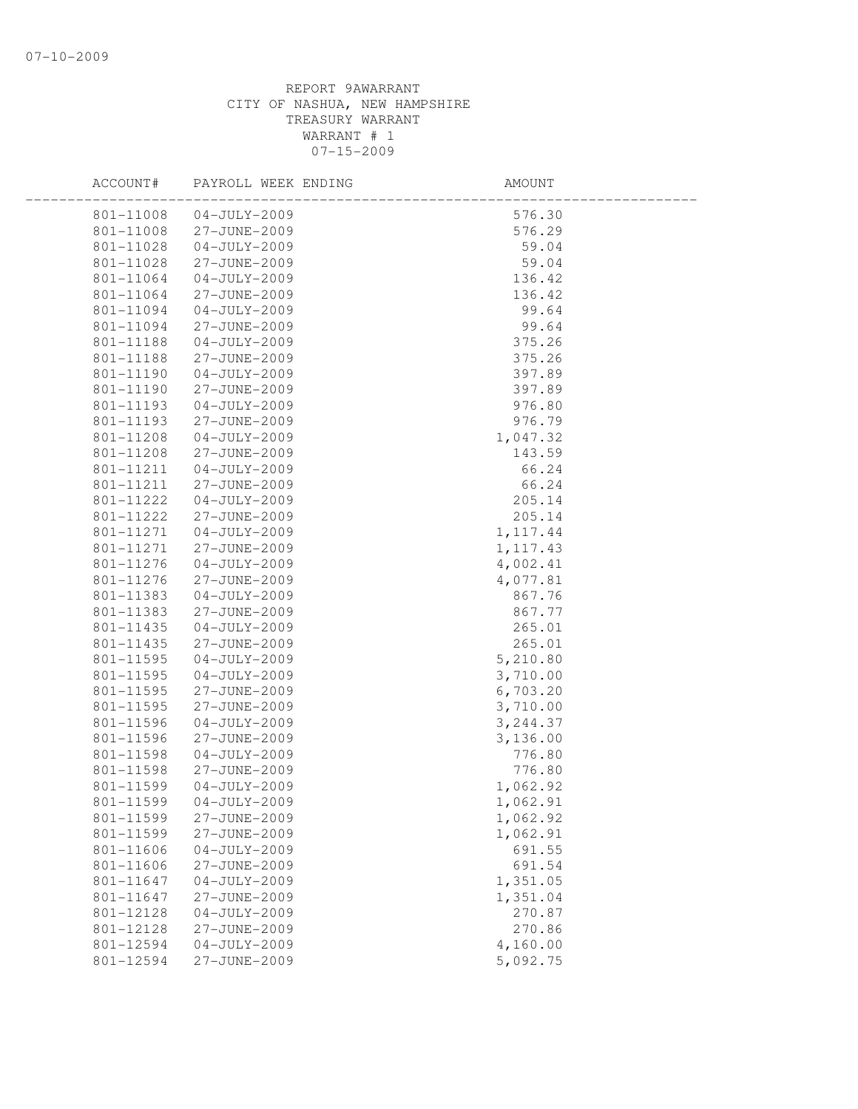| ACCOUNT#  | PAYROLL WEEK ENDING | AMOUNT    |  |
|-----------|---------------------|-----------|--|
| 801-11008 | 04-JULY-2009        | 576.30    |  |
| 801-11008 | 27-JUNE-2009        | 576.29    |  |
| 801-11028 | $04 - JULY - 2009$  | 59.04     |  |
| 801-11028 | 27-JUNE-2009        | 59.04     |  |
| 801-11064 | $04 - JULY - 2009$  | 136.42    |  |
| 801-11064 | 27-JUNE-2009        | 136.42    |  |
| 801-11094 | $04 - JULY - 2009$  | 99.64     |  |
| 801-11094 | 27-JUNE-2009        | 99.64     |  |
| 801-11188 | $04 - JULY - 2009$  | 375.26    |  |
| 801-11188 | 27-JUNE-2009        | 375.26    |  |
| 801-11190 | 04-JULY-2009        | 397.89    |  |
| 801-11190 | 27-JUNE-2009        | 397.89    |  |
| 801-11193 | $04 - JULY - 2009$  | 976.80    |  |
| 801-11193 | 27-JUNE-2009        | 976.79    |  |
| 801-11208 | $04 - JULY - 2009$  | 1,047.32  |  |
| 801-11208 | 27-JUNE-2009        | 143.59    |  |
| 801-11211 | $04 - JULY - 2009$  | 66.24     |  |
| 801-11211 | 27-JUNE-2009        | 66.24     |  |
| 801-11222 | $04 - JULY - 2009$  | 205.14    |  |
| 801-11222 | 27-JUNE-2009        | 205.14    |  |
| 801-11271 | 04-JULY-2009        | 1, 117.44 |  |
| 801-11271 | 27-JUNE-2009        | 1, 117.43 |  |
| 801-11276 | $04 - JULY - 2009$  | 4,002.41  |  |
| 801-11276 | 27-JUNE-2009        | 4,077.81  |  |
| 801-11383 | $04 - JULY - 2009$  | 867.76    |  |
| 801-11383 | 27-JUNE-2009        | 867.77    |  |
| 801-11435 | 04-JULY-2009        | 265.01    |  |
| 801-11435 | 27-JUNE-2009        | 265.01    |  |
| 801-11595 | $04 - JULY - 2009$  | 5,210.80  |  |
| 801-11595 | $04 - JULY - 2009$  | 3,710.00  |  |
| 801-11595 | 27-JUNE-2009        | 6,703.20  |  |
| 801-11595 | 27-JUNE-2009        | 3,710.00  |  |
| 801-11596 | $04 - JULY - 2009$  | 3,244.37  |  |
| 801-11596 | 27-JUNE-2009        | 3,136.00  |  |
| 801-11598 | $04 - JULY - 2009$  | 776.80    |  |
| 801-11598 | 27-JUNE-2009        | 776.80    |  |
| 801-11599 | $04 - JULY - 2009$  | 1,062.92  |  |
| 801-11599 | $04 - JULY - 2009$  | 1,062.91  |  |
| 801-11599 | 27-JUNE-2009        | 1,062.92  |  |
| 801-11599 | 27-JUNE-2009        | 1,062.91  |  |
| 801-11606 | $04 - JULY - 2009$  | 691.55    |  |
| 801-11606 | 27-JUNE-2009        | 691.54    |  |
| 801-11647 | $04 - JULY - 2009$  | 1,351.05  |  |
| 801-11647 | 27-JUNE-2009        | 1,351.04  |  |
| 801-12128 | $04 - JULY - 2009$  | 270.87    |  |
| 801-12128 | 27-JUNE-2009        | 270.86    |  |
| 801-12594 | $04 - JULY - 2009$  | 4,160.00  |  |
| 801-12594 | 27-JUNE-2009        | 5,092.75  |  |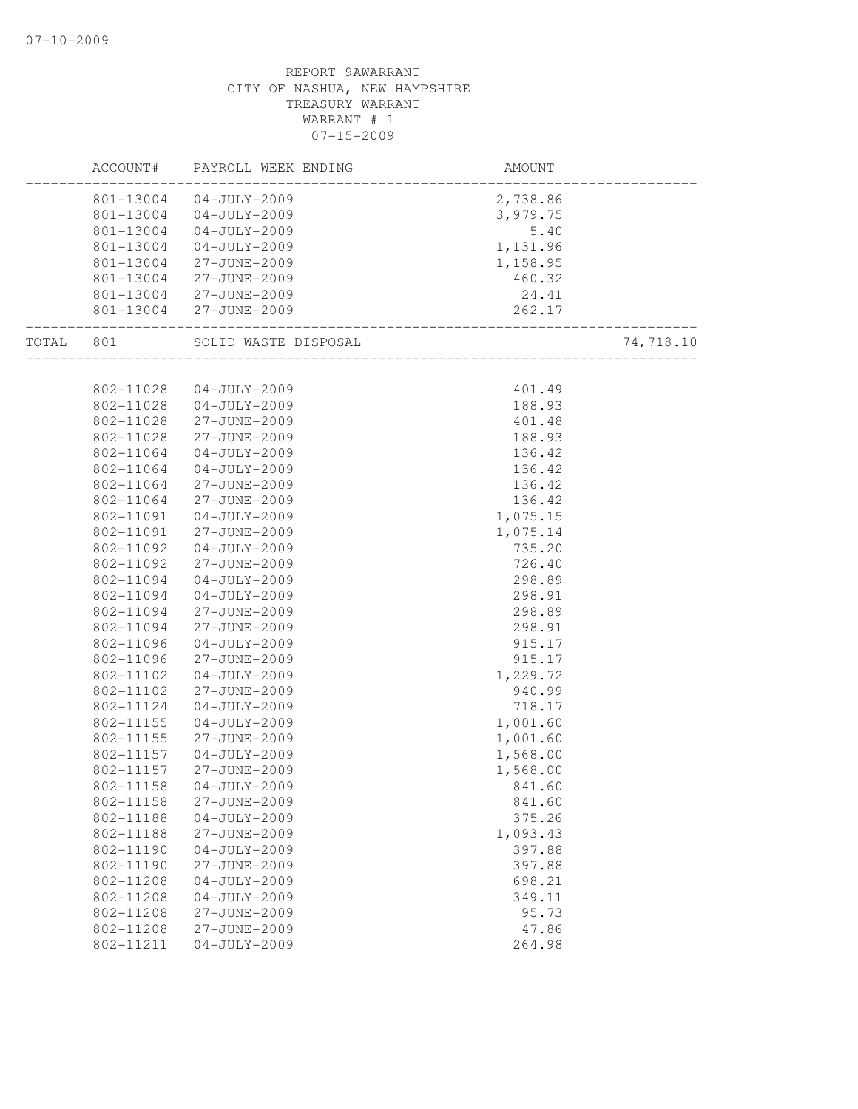|       | ACCOUNT#  | PAYROLL WEEK ENDING  | AMOUNT   |           |
|-------|-----------|----------------------|----------|-----------|
|       | 801-13004 | $04 - JULY - 2009$   | 2,738.86 |           |
|       | 801-13004 | $04 - JULY - 2009$   | 3,979.75 |           |
|       | 801-13004 | $04 - JULY - 2009$   | 5.40     |           |
|       | 801-13004 | $04 - JULY - 2009$   | 1,131.96 |           |
|       | 801-13004 | 27-JUNE-2009         | 1,158.95 |           |
|       | 801-13004 | 27-JUNE-2009         | 460.32   |           |
|       | 801-13004 | 27-JUNE-2009         | 24.41    |           |
|       | 801-13004 | 27-JUNE-2009         | 262.17   |           |
| TOTAL | 801       | SOLID WASTE DISPOSAL |          | 74,718.10 |
|       |           |                      |          |           |
|       | 802-11028 | 04-JULY-2009         | 401.49   |           |
|       | 802-11028 | 04-JULY-2009         | 188.93   |           |
|       | 802-11028 | 27-JUNE-2009         | 401.48   |           |
|       | 802-11028 | 27-JUNE-2009         | 188.93   |           |
|       | 802-11064 | $04 - JULY - 2009$   | 136.42   |           |
|       | 802-11064 | $04 - JULY - 2009$   | 136.42   |           |
|       | 802-11064 | 27-JUNE-2009         | 136.42   |           |
|       | 802-11064 | 27-JUNE-2009         | 136.42   |           |
|       | 802-11091 | $04 - JULY - 2009$   | 1,075.15 |           |
|       | 802-11091 | 27-JUNE-2009         | 1,075.14 |           |
|       | 802-11092 | $04 - JULY - 2009$   | 735.20   |           |
|       | 802-11092 | 27-JUNE-2009         | 726.40   |           |
|       | 802-11094 | $04 - JULY - 2009$   | 298.89   |           |
|       | 802-11094 | $04 - JULY - 2009$   | 298.91   |           |
|       | 802-11094 | 27-JUNE-2009         | 298.89   |           |
|       | 802-11094 | 27-JUNE-2009         | 298.91   |           |
|       | 802-11096 | $04 - JULY - 2009$   | 915.17   |           |
|       | 802-11096 | 27-JUNE-2009         | 915.17   |           |
|       | 802-11102 | $04 - JULY - 2009$   | 1,229.72 |           |
|       | 802-11102 | 27-JUNE-2009         | 940.99   |           |
|       | 802-11124 | $04 - JULY - 2009$   | 718.17   |           |
|       | 802-11155 | $04 - JULY - 2009$   | 1,001.60 |           |
|       | 802-11155 | 27-JUNE-2009         | 1,001.60 |           |
|       | 802-11157 | $04 - JULY - 2009$   | 1,568.00 |           |
|       | 802-11157 | 27-JUNE-2009         | 1,568.00 |           |
|       | 802-11158 | $04 - JULY - 2009$   | 841.60   |           |
|       | 802-11158 | 27-JUNE-2009         | 841.60   |           |
|       | 802-11188 | $04 - JULY - 2009$   | 375.26   |           |
|       | 802-11188 | 27-JUNE-2009         | 1,093.43 |           |
|       | 802-11190 | $04 - JULY - 2009$   | 397.88   |           |
|       | 802-11190 | 27-JUNE-2009         | 397.88   |           |
|       | 802-11208 | $04 - JULY - 2009$   | 698.21   |           |
|       | 802-11208 | $04 - JULY - 2009$   | 349.11   |           |
|       | 802-11208 | 27-JUNE-2009         | 95.73    |           |
|       | 802-11208 | 27-JUNE-2009         | 47.86    |           |
|       | 802-11211 | $04 - JULY - 2009$   | 264.98   |           |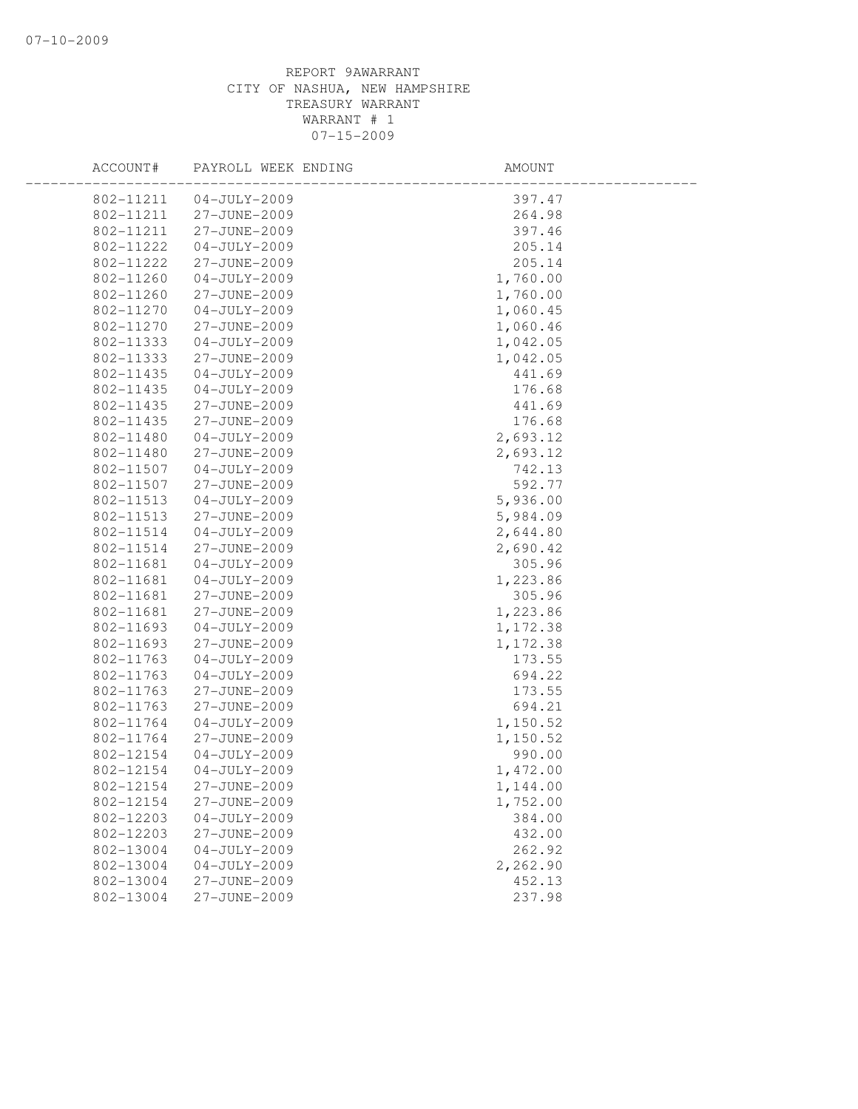| ACCOUNT#  | PAYROLL WEEK ENDING | AMOUNT   |  |
|-----------|---------------------|----------|--|
| 802-11211 | $04 - JULY - 2009$  | 397.47   |  |
| 802-11211 | 27-JUNE-2009        | 264.98   |  |
| 802-11211 | 27-JUNE-2009        | 397.46   |  |
| 802-11222 | $04 - JULY - 2009$  | 205.14   |  |
| 802-11222 | 27-JUNE-2009        | 205.14   |  |
| 802-11260 | $04 - JULY - 2009$  | 1,760.00 |  |
| 802-11260 | 27-JUNE-2009        | 1,760.00 |  |
| 802-11270 | $04 - JULY - 2009$  | 1,060.45 |  |
| 802-11270 | 27-JUNE-2009        | 1,060.46 |  |
| 802-11333 | $04 - JULY - 2009$  | 1,042.05 |  |
| 802-11333 | 27-JUNE-2009        | 1,042.05 |  |
| 802-11435 | $04 - JULY - 2009$  | 441.69   |  |
| 802-11435 | $04 - JULY - 2009$  | 176.68   |  |
| 802-11435 | 27-JUNE-2009        | 441.69   |  |
| 802-11435 | 27-JUNE-2009        | 176.68   |  |
| 802-11480 | $04 - JULY - 2009$  | 2,693.12 |  |
| 802-11480 | 27-JUNE-2009        | 2,693.12 |  |
| 802-11507 | $04 - JULY - 2009$  | 742.13   |  |
| 802-11507 | 27-JUNE-2009        | 592.77   |  |
| 802-11513 | $04 - JULY - 2009$  | 5,936.00 |  |
| 802-11513 | 27-JUNE-2009        | 5,984.09 |  |
| 802-11514 | $04 - JULY - 2009$  | 2,644.80 |  |
| 802-11514 | 27-JUNE-2009        | 2,690.42 |  |
| 802-11681 | $04 - JULY - 2009$  | 305.96   |  |
| 802-11681 | $04 - JULY - 2009$  | 1,223.86 |  |
| 802-11681 | 27-JUNE-2009        | 305.96   |  |
| 802-11681 | 27-JUNE-2009        | 1,223.86 |  |
| 802-11693 | $04 - JULY - 2009$  | 1,172.38 |  |
| 802-11693 | 27-JUNE-2009        | 1,172.38 |  |
| 802-11763 | $04 - JULY - 2009$  | 173.55   |  |
| 802-11763 | $04-JULY-2009$      | 694.22   |  |
| 802-11763 | 27-JUNE-2009        | 173.55   |  |
| 802-11763 | 27-JUNE-2009        | 694.21   |  |
| 802-11764 | $04 - JULY - 2009$  | 1,150.52 |  |
| 802-11764 | 27-JUNE-2009        | 1,150.52 |  |
| 802-12154 | $04-JULY-2009$      | 990.00   |  |
| 802-12154 | $04 - JULY - 2009$  | 1,472.00 |  |
| 802-12154 | 27-JUNE-2009        | 1,144.00 |  |
| 802-12154 | 27-JUNE-2009        | 1,752.00 |  |
| 802-12203 | $04 - JULY - 2009$  | 384.00   |  |
| 802-12203 | 27-JUNE-2009        | 432.00   |  |
| 802-13004 | $04 - JULY - 2009$  | 262.92   |  |
| 802-13004 | $04 - JULY - 2009$  | 2,262.90 |  |
| 802-13004 | 27-JUNE-2009        | 452.13   |  |
| 802-13004 | 27-JUNE-2009        | 237.98   |  |
|           |                     |          |  |